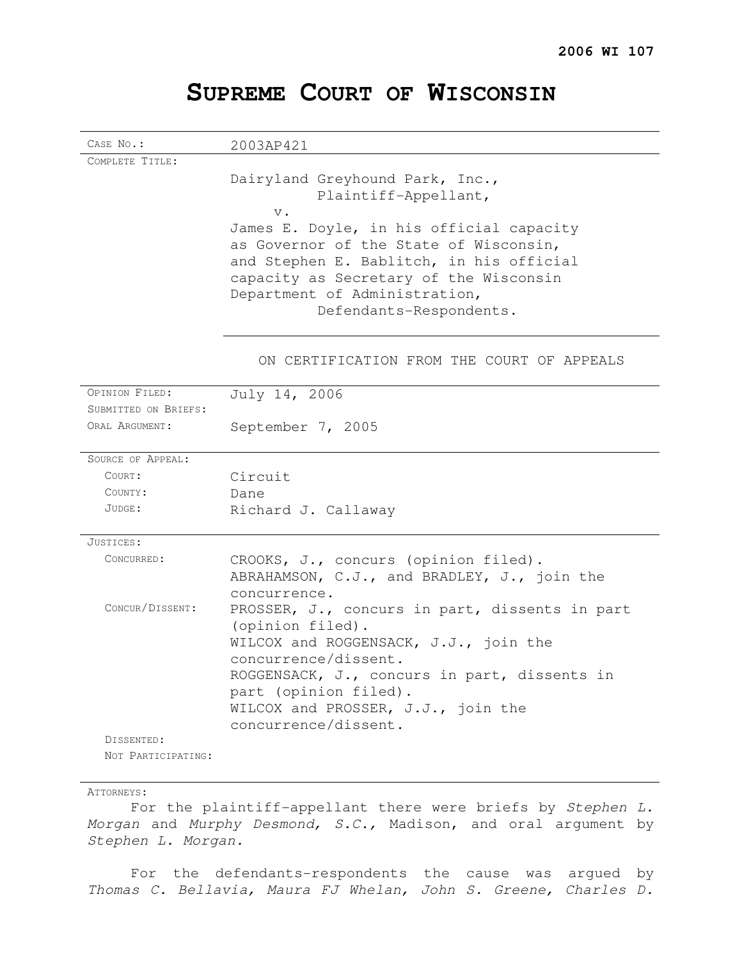# **SUPREME COURT OF WISCONSIN**

| CASE No.:            | 2003AP421                                      |
|----------------------|------------------------------------------------|
| COMPLETE TITLE:      |                                                |
|                      | Dairyland Greyhound Park, Inc.,                |
|                      | Plaintiff-Appellant,                           |
|                      | $V$ .                                          |
|                      | James E. Doyle, in his official capacity       |
|                      | as Governor of the State of Wisconsin,         |
|                      | and Stephen E. Bablitch, in his official       |
|                      | capacity as Secretary of the Wisconsin         |
|                      | Department of Administration,                  |
|                      | Defendants-Respondents.                        |
|                      |                                                |
|                      | ON CERTIFICATION FROM THE COURT OF APPEALS     |
| OPINION FILED:       | July 14, 2006                                  |
| SUBMITTED ON BRIEFS: |                                                |
| ORAL ARGUMENT:       | September 7, 2005                              |
|                      |                                                |
| SOURCE OF APPEAL:    |                                                |
| COURT:               | Circuit                                        |
| COUNTY:              | Dane                                           |
| JUDGE:               | Richard J. Callaway                            |
| JUSTICES:            |                                                |
| CONCURRED:           | CROOKS, J., concurs (opinion filed).           |
|                      | ABRAHAMSON, C.J., and BRADLEY, J., join the    |
|                      | concurrence.                                   |
| CONCUR/DISSENT:      | PROSSER, J., concurs in part, dissents in part |
|                      | (opinion filed).                               |
|                      | WILCOX and ROGGENSACK, J.J., join the          |
|                      | concurrence/dissent.                           |
|                      | ROGGENSACK, J., concurs in part, dissents in   |
|                      | part (opinion filed).                          |
|                      | WILCOX and PROSSER, J.J., join the             |
|                      | concurrence/dissent.                           |
| DISSENTED:           |                                                |
| NOT PARTICIPATING:   |                                                |

#### ATTORNEYS:

For the plaintiff-appellant there were briefs by Stephen L. Morgan and Murphy Desmond, S.C., Madison, and oral argument by Stephen L. Morgan.

For the defendants-respondents the cause was argued by Thomas C. Bellavia, Maura FJ Whelan, John S. Greene, Charles D.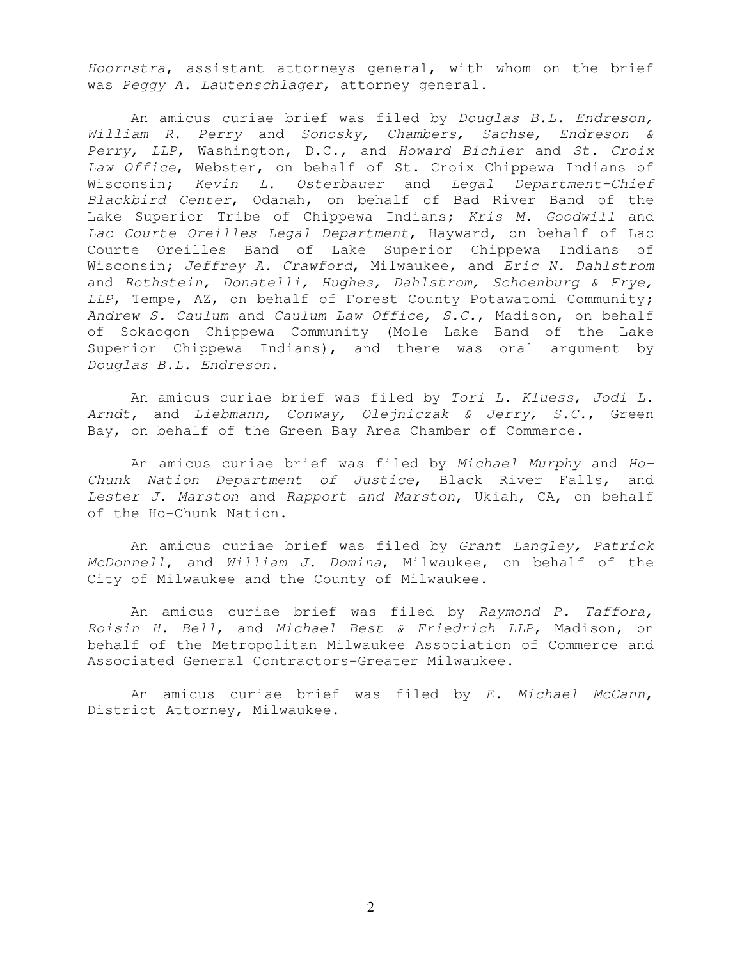Hoornstra, assistant attorneys general, with whom on the brief was Peggy A. Lautenschlager, attorney general.

An amicus curiae brief was filed by Douglas B.L. Endreson, William R. Perry and Sonosky, Chambers, Sachse, Endreson & Perry, LLP, Washington, D.C., and Howard Bichler and St. Croix Law Office, Webster, on behalf of St. Croix Chippewa Indians of Wisconsin; Kevin L. Osterbauer and Legal Department-Chief Blackbird Center, Odanah, on behalf of Bad River Band of the Lake Superior Tribe of Chippewa Indians; Kris M. Goodwill and Lac Courte Oreilles Legal Department, Hayward, on behalf of Lac Courte Oreilles Band of Lake Superior Chippewa Indians of Wisconsin; Jeffrey A. Crawford, Milwaukee, and Eric N. Dahlstrom and Rothstein, Donatelli, Hughes, Dahlstrom, Schoenburg & Frye, LLP, Tempe, AZ, on behalf of Forest County Potawatomi Community; Andrew S. Caulum and Caulum Law Office, S.C., Madison, on behalf of Sokaogon Chippewa Community (Mole Lake Band of the Lake Superior Chippewa Indians), and there was oral argument by Douglas B.L. Endreson.

An amicus curiae brief was filed by Tori L. Kluess, Jodi L. Arndt, and Liebmann, Conway, Olejniczak & Jerry, S.C., Green Bay, on behalf of the Green Bay Area Chamber of Commerce.

An amicus curiae brief was filed by Michael Murphy and Ho-Chunk Nation Department of Justice, Black River Falls, and Lester J. Marston and Rapport and Marston, Ukiah, CA, on behalf of the Ho-Chunk Nation.

An amicus curiae brief was filed by Grant Langley, Patrick McDonnell, and William J. Domina, Milwaukee, on behalf of the City of Milwaukee and the County of Milwaukee.

An amicus curiae brief was filed by Raymond P. Taffora, Roisin H. Bell, and Michael Best & Friedrich LLP, Madison, on behalf of the Metropolitan Milwaukee Association of Commerce and Associated General Contractors-Greater Milwaukee.

An amicus curiae brief was filed by E. Michael McCann, District Attorney, Milwaukee.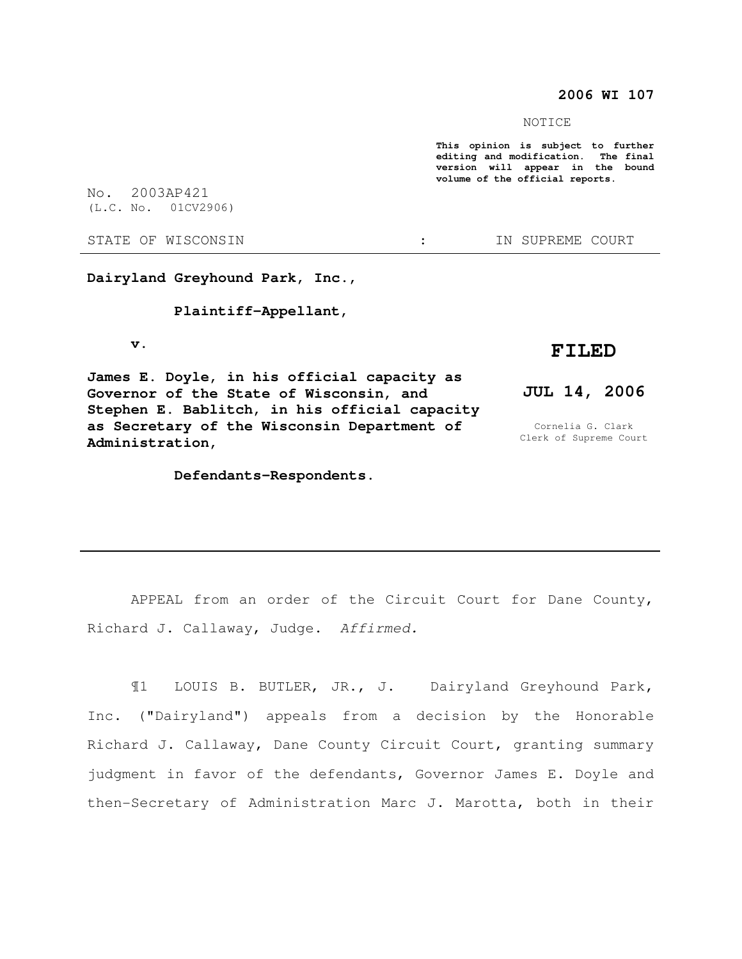### **2006 WI 107**

NOTICE

**This opinion is subject to further editing and modification. The final version will appear in the bound volume of the official reports.** 

No. 2003AP421 (L.C. No. 01CV2906)

#### STATE OF WISCONSIN THE STATE OF WISCONSIN THE STATE OF STATE OF STATE OF STATE OF STATE OF STATE OF STATE OF STATE OF STATE OF STATE OF STATE OF STATE OF STATE OF STATE OF STATE OF STATE OF STATE OF STATE OF STATE OF STATE

**Dairyland Greyhound Park, Inc.,** 

#### **Plaintiff-Appellant,**

 **v.** 

**James E. Doyle, in his official capacity as Governor of the State of Wisconsin, and Stephen E. Bablitch, in his official capacity as Secretary of the Wisconsin Department of Administration,** 

#### **Defendants-Respondents.**

# **FILED**

## **JUL 14, 2006**

Cornelia G. Clark Clerk of Supreme Court

APPEAL from an order of the Circuit Court for Dane County, Richard J. Callaway, Judge. Affirmed.

¶1 LOUIS B. BUTLER, JR., J. Dairyland Greyhound Park, Inc. ("Dairyland") appeals from a decision by the Honorable Richard J. Callaway, Dane County Circuit Court, granting summary judgment in favor of the defendants, Governor James E. Doyle and then-Secretary of Administration Marc J. Marotta, both in their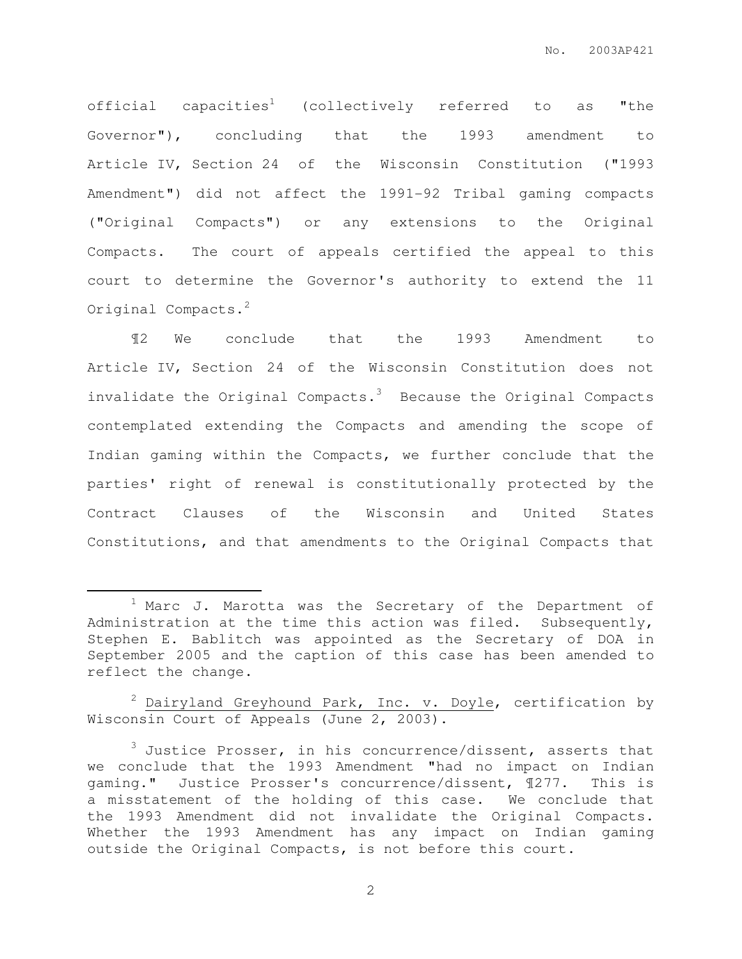official capacities<sup>1</sup> (collectively referred to as "the Governor"), concluding that the 1993 amendment to Article IV, Section 24 of the Wisconsin Constitution ("1993 Amendment") did not affect the 1991-92 Tribal gaming compacts ("Original Compacts") or any extensions to the Original Compacts. The court of appeals certified the appeal to this court to determine the Governor's authority to extend the 11 Original Compacts.<sup>2</sup>

¶2 We conclude that the 1993 Amendment to Article IV, Section 24 of the Wisconsin Constitution does not invalidate the Original Compacts. $3$  Because the Original Compacts contemplated extending the Compacts and amending the scope of Indian gaming within the Compacts, we further conclude that the parties' right of renewal is constitutionally protected by the Contract Clauses of the Wisconsin and United States Constitutions, and that amendments to the Original Compacts that

 $\overline{a}$ 

 $2$  Dairyland Greyhound Park, Inc. v. Doyle, certification by Wisconsin Court of Appeals (June 2, 2003).

<sup>1</sup> Marc J. Marotta was the Secretary of the Department of Administration at the time this action was filed. Subsequently, Stephen E. Bablitch was appointed as the Secretary of DOA in September 2005 and the caption of this case has been amended to reflect the change.

 $3$  Justice Prosser, in his concurrence/dissent, asserts that we conclude that the 1993 Amendment "had no impact on Indian gaming." Justice Prosser's concurrence/dissent, ¶277. This is a misstatement of the holding of this case. We conclude that the 1993 Amendment did not invalidate the Original Compacts. Whether the 1993 Amendment has any impact on Indian gaming outside the Original Compacts, is not before this court.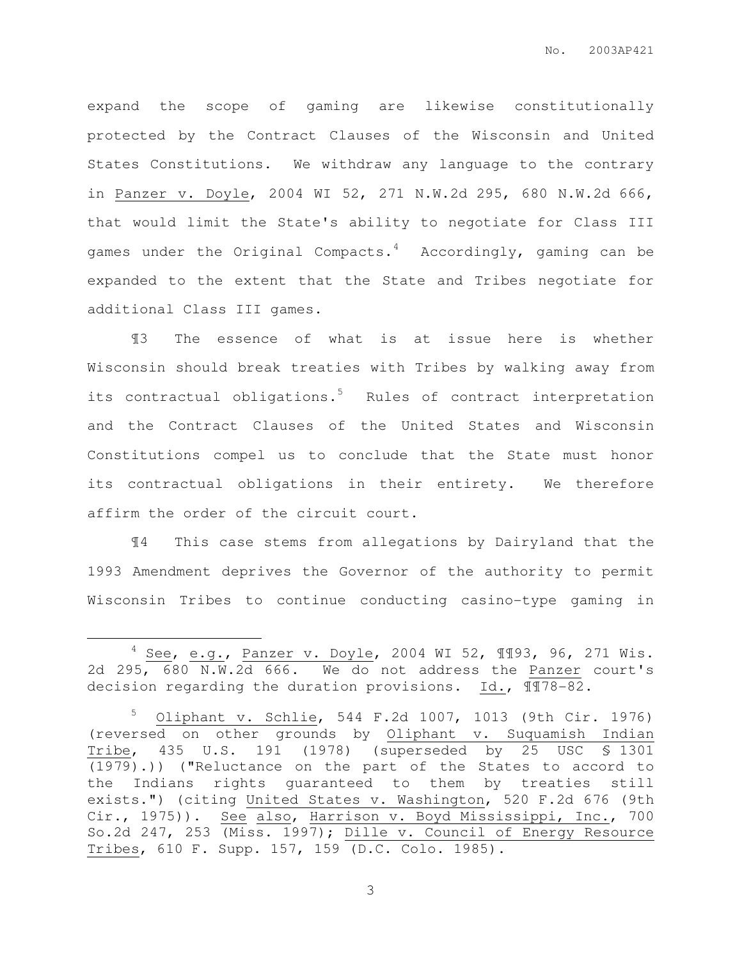expand the scope of gaming are likewise constitutionally protected by the Contract Clauses of the Wisconsin and United States Constitutions. We withdraw any language to the contrary in Panzer v. Doyle, 2004 WI 52, 271 N.W.2d 295, 680 N.W.2d 666, that would limit the State's ability to negotiate for Class III games under the Original Compacts.<sup>4</sup> Accordingly, gaming can be expanded to the extent that the State and Tribes negotiate for additional Class III games.

¶3 The essence of what is at issue here is whether Wisconsin should break treaties with Tribes by walking away from its contractual obligations.<sup>5</sup> Rules of contract interpretation and the Contract Clauses of the United States and Wisconsin Constitutions compel us to conclude that the State must honor its contractual obligations in their entirety. We therefore affirm the order of the circuit court.

¶4 This case stems from allegations by Dairyland that the 1993 Amendment deprives the Governor of the authority to permit Wisconsin Tribes to continue conducting casino-type gaming in

 $\overline{a}$ 

 $4$  See, e.g., Panzer v. Doyle, 2004 WI 52, 1193, 96, 271 Wis. 2d 295, 680 N.W.2d 666. We do not address the Panzer court's decision regarding the duration provisions. Id., ¶¶78-82.

<sup>5</sup> Oliphant v. Schlie, 544 F.2d 1007, 1013 (9th Cir. 1976) (reversed on other grounds by Oliphant v. Suquamish Indian Tribe, 435 U.S. 191 (1978) (superseded by 25 USC § 1301  $(1979)$ .)) ("Reluctance on the part of the States to accord to the Indians rights guaranteed to them by treaties still exists.") (citing United States v. Washington, 520 F.2d 676 (9th Cir., 1975)). See also, Harrison v. Boyd Mississippi, Inc., 700 So.2d 247, 253 (Miss. 1997); Dille v. Council of Energy Resource Tribes, 610 F. Supp. 157, 159 (D.C. Colo. 1985).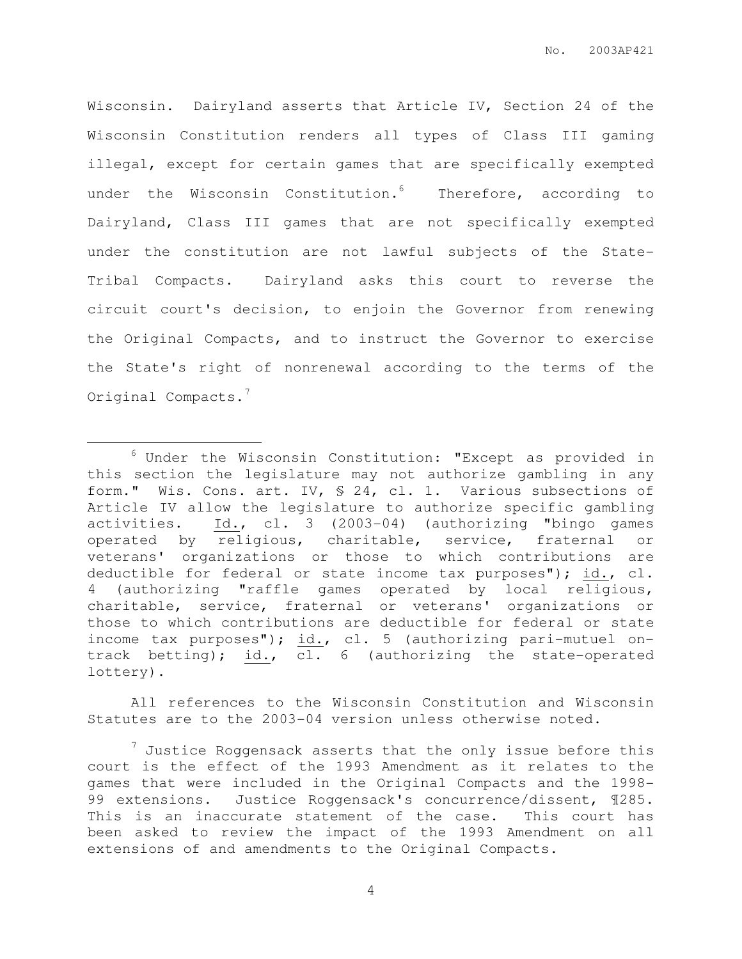Wisconsin. Dairyland asserts that Article IV, Section 24 of the Wisconsin Constitution renders all types of Class III gaming illegal, except for certain games that are specifically exempted under the Wisconsin Constitution.<sup>6</sup> Therefore, according to Dairyland, Class III games that are not specifically exempted under the constitution are not lawful subjects of the State-Tribal Compacts. Dairyland asks this court to reverse the circuit court's decision, to enjoin the Governor from renewing the Original Compacts, and to instruct the Governor to exercise the State's right of nonrenewal according to the terms of the Original Compacts.<sup>7</sup>

 $\overline{a}$ 

All references to the Wisconsin Constitution and Wisconsin Statutes are to the 2003-04 version unless otherwise noted.

 $6$  Under the Wisconsin Constitution: "Except as provided in this section the legislature may not authorize gambling in any form." Wis. Cons. art. IV, § 24, cl. 1. Various subsections of Article IV allow the legislature to authorize specific gambling activities. Id., cl. 3 (2003-04) (authorizing "bingo games operated by religious, charitable, service, fraternal or veterans' organizations or those to which contributions are deductible for federal or state income tax purposes"); id., cl. 4 (authorizing "raffle games operated by local religious, charitable, service, fraternal or veterans' organizations or those to which contributions are deductible for federal or state income tax purposes"); id., cl. 5 (authorizing pari-mutuel ontrack betting); id., cl. 6 (authorizing the state-operated lottery).

 $^7$  Justice Roggensack asserts that the only issue before this court is the effect of the 1993 Amendment as it relates to the games that were included in the Original Compacts and the 1998- 99 extensions. Justice Roggensack's concurrence/dissent, 1285. This is an inaccurate statement of the case. This court has been asked to review the impact of the 1993 Amendment on all extensions of and amendments to the Original Compacts.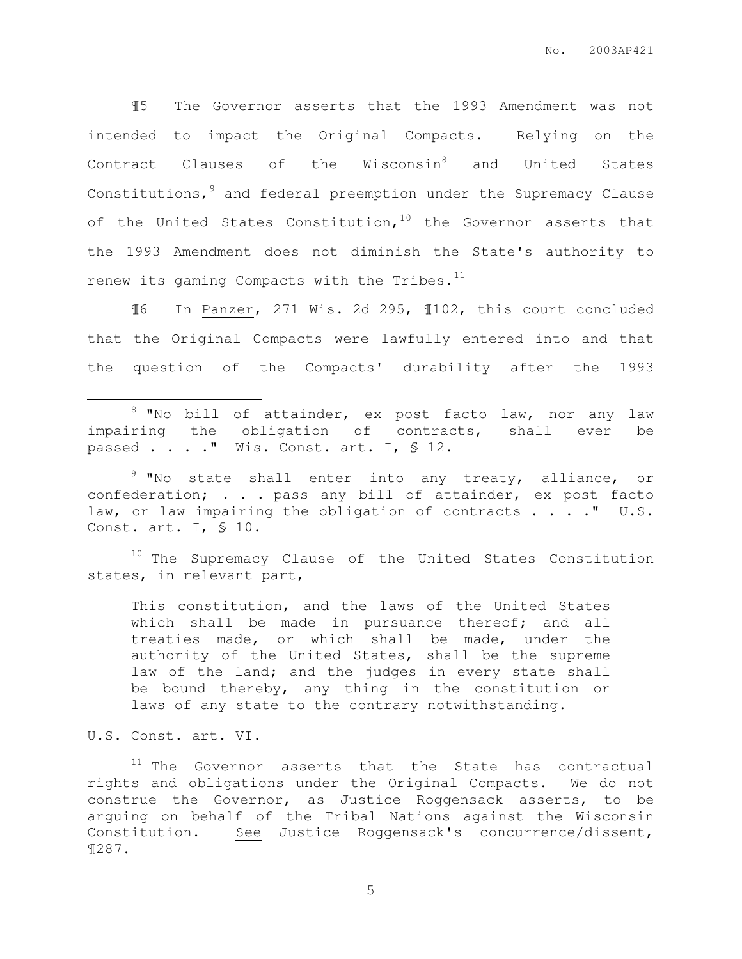¶5 The Governor asserts that the 1993 Amendment was not intended to impact the Original Compacts. Relying on the Contract Clauses of the Wisconsin<sup>8</sup> and United States Constitutions,<sup>9</sup> and federal preemption under the Supremacy Clause of the United States Constitution,  $10$  the Governor asserts that the 1993 Amendment does not diminish the State's authority to renew its gaming Compacts with the Tribes. $^{11}$ 

¶6 In Panzer, 271 Wis. 2d 295, ¶102, this court concluded that the Original Compacts were lawfully entered into and that the question of the Compacts' durability after the 1993

<sup>8</sup> "No bill of attainder, ex post facto law, nor any law impairing the obligation of contracts, shall ever be passed . . . . " Wis. Const. art. I, § 12.

<sup>9</sup> "No state shall enter into any treaty, alliance, or confederation; . . . pass any bill of attainder, ex post facto law, or law impairing the obligation of contracts . . . . " U.S. Const. art. I, § 10.

<sup>10</sup> The Supremacy Clause of the United States Constitution states, in relevant part,

This constitution, and the laws of the United States which shall be made in pursuance thereof; and all treaties made, or which shall be made, under the authority of the United States, shall be the supreme law of the land; and the judges in every state shall be bound thereby, any thing in the constitution or laws of any state to the contrary notwithstanding.

U.S. Const. art. VI.

 $\overline{a}$ 

<sup>11</sup> The Governor asserts that the State has contractual rights and obligations under the Original Compacts. We do not construe the Governor, as Justice Roggensack asserts, to be arguing on behalf of the Tribal Nations against the Wisconsin Constitution. See Justice Roggensack's concurrence/dissent, ¶287.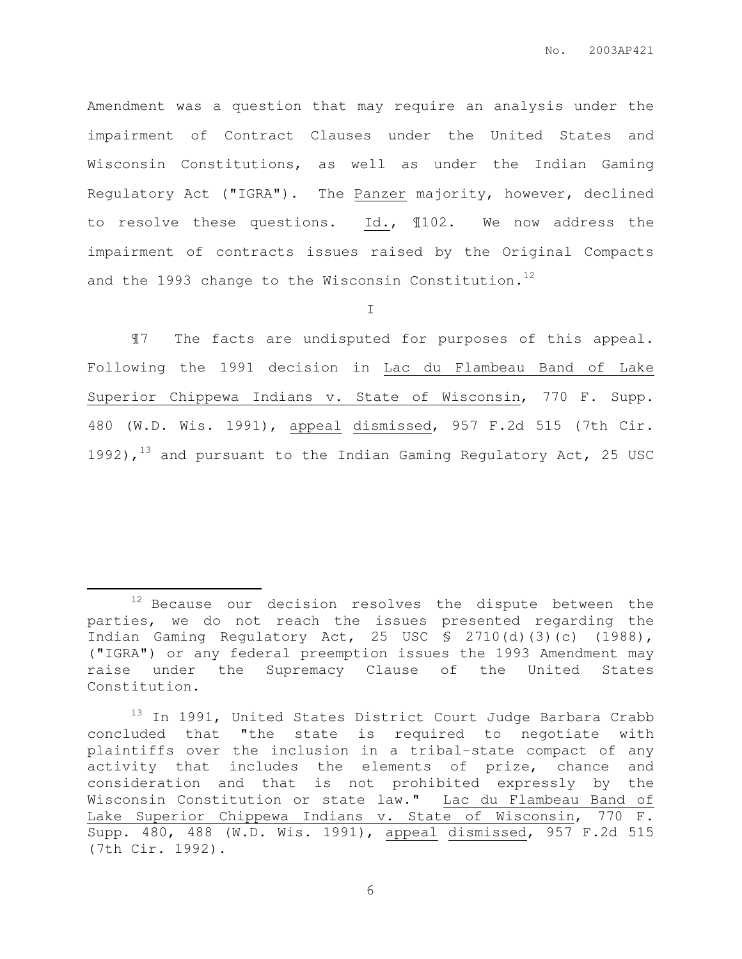Amendment was a question that may require an analysis under the impairment of Contract Clauses under the United States and Wisconsin Constitutions, as well as under the Indian Gaming Regulatory Act ("IGRA"). The Panzer majority, however, declined to resolve these questions. Id., ¶102. We now address the impairment of contracts issues raised by the Original Compacts and the 1993 change to the Wisconsin Constitution.<sup>12</sup>

I

¶7 The facts are undisputed for purposes of this appeal. Following the 1991 decision in Lac du Flambeau Band of Lake Superior Chippewa Indians v. State of Wisconsin, 770 F. Supp. 480 (W.D. Wis. 1991), appeal dismissed, 957 F.2d 515 (7th Cir. 1992), $13$  and pursuant to the Indian Gaming Regulatory Act, 25 USC

 $\overline{a}$ 

<sup>&</sup>lt;sup>12</sup> Because our decision resolves the dispute between the parties, we do not reach the issues presented regarding the Indian Gaming Regulatory Act, 25 USC § 2710(d)(3)(c) (1988), ("IGRA") or any federal preemption issues the 1993 Amendment may raise under the Supremacy Clause of the United States Constitution.

<sup>&</sup>lt;sup>13</sup> In 1991, United States District Court Judge Barbara Crabb concluded that "the state is required to negotiate with plaintiffs over the inclusion in a tribal-state compact of any activity that includes the elements of prize, chance and consideration and that is not prohibited expressly by the Wisconsin Constitution or state law." Lac du Flambeau Band of Lake Superior Chippewa Indians v. State of Wisconsin, 770 F. Supp. 480, 488 (W.D. Wis. 1991), appeal dismissed, 957 F.2d 515 (7th Cir. 1992).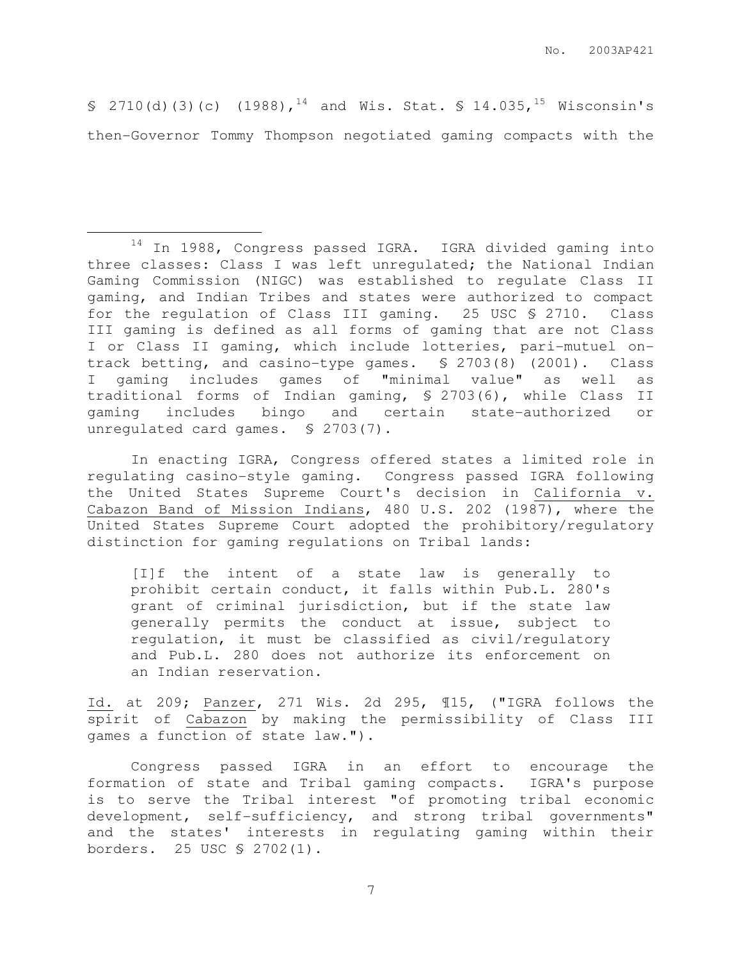§ 2710(d)(3)(c) (1988),<sup>14</sup> and Wis. Stat. § 14.035,<sup>15</sup> Wisconsin's then-Governor Tommy Thompson negotiated gaming compacts with the

 $\overline{a}$ 

14 In 1988, Congress passed IGRA. IGRA divided gaming into three classes: Class I was left unregulated; the National Indian Gaming Commission (NIGC) was established to regulate Class II gaming, and Indian Tribes and states were authorized to compact for the regulation of Class III gaming. 25 USC § 2710. Class III gaming is defined as all forms of gaming that are not Class I or Class II gaming, which include lotteries, pari-mutuel ontrack betting, and casino-type games. § 2703(8) (2001). Class I gaming includes games of "minimal value" as well as traditional forms of Indian gaming, § 2703(6), while Class II gaming includes bingo and certain state-authorized or unregulated card games. § 2703(7).

In enacting IGRA, Congress offered states a limited role in regulating casino-style gaming. Congress passed IGRA following the United States Supreme Court's decision in California v. Cabazon Band of Mission Indians, 480 U.S. 202 (1987), where the United States Supreme Court adopted the prohibitory/regulatory distinction for gaming regulations on Tribal lands:

[I]f the intent of a state law is generally to prohibit certain conduct, it falls within Pub.L. 280's grant of criminal jurisdiction, but if the state law generally permits the conduct at issue, subject to regulation, it must be classified as civil/regulatory and Pub.L. 280 does not authorize its enforcement on an Indian reservation.

Id. at 209; Panzer, 271 Wis. 2d 295, ¶15, ("IGRA follows the spirit of Cabazon by making the permissibility of Class III games a function of state law.").

Congress passed IGRA in an effort to encourage the formation of state and Tribal gaming compacts. IGRA's purpose is to serve the Tribal interest "of promoting tribal economic development, self-sufficiency, and strong tribal governments" and the states' interests in regulating gaming within their borders. 25 USC § 2702(1).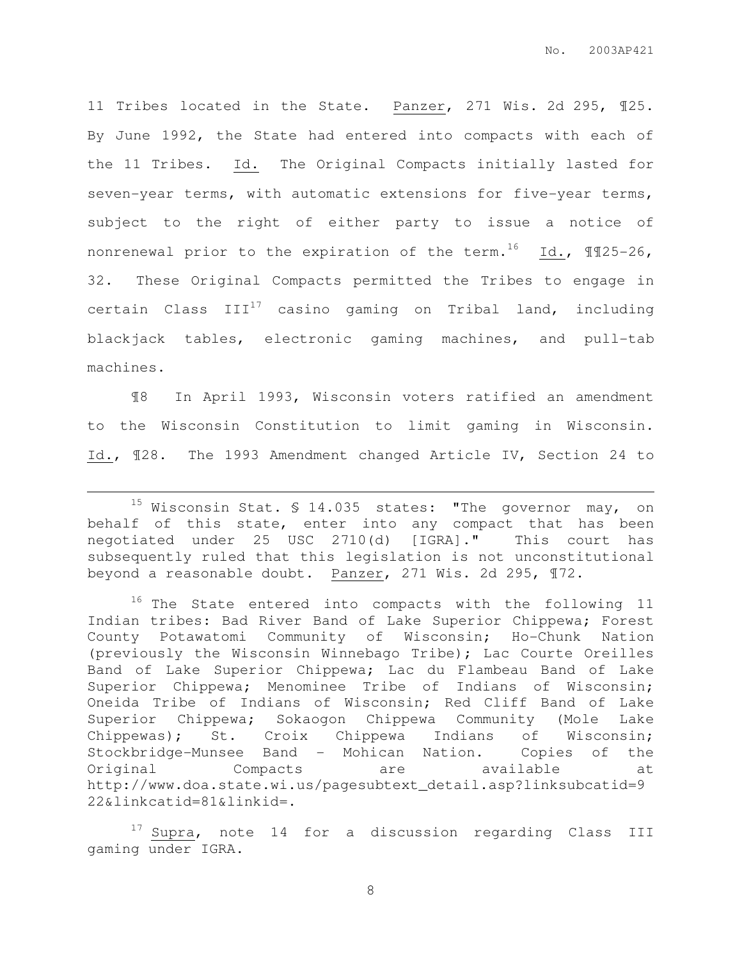11 Tribes located in the State. Panzer, 271 Wis. 2d 295, ¶25. By June 1992, the State had entered into compacts with each of the 11 Tribes. Id. The Original Compacts initially lasted for seven-year terms, with automatic extensions for five-year terms, subject to the right of either party to issue a notice of nonrenewal prior to the expiration of the term.<sup>16</sup> Id.,  $\text{M25-26}$ , 32. These Original Compacts permitted the Tribes to engage in certain Class  $III^{17}$  casino gaming on Tribal land, including blackjack tables, electronic gaming machines, and pull-tab machines.

¶8 In April 1993, Wisconsin voters ratified an amendment to the Wisconsin Constitution to limit gaming in Wisconsin. Id., ¶28. The 1993 Amendment changed Article IV, Section 24 to

 $\overline{a}$ 

 $17$  Supra, note 14 for a discussion regarding Class III gaming under IGRA.

<sup>&</sup>lt;sup>15</sup> Wisconsin Stat.  $$14.035$  states: "The governor may, on behalf of this state, enter into any compact that has been negotiated under 25 USC 2710(d) [IGRA]." This court has subsequently ruled that this legislation is not unconstitutional beyond a reasonable doubt. Panzer, 271 Wis. 2d 295, ¶72.

<sup>&</sup>lt;sup>16</sup> The State entered into compacts with the following 11 Indian tribes: Bad River Band of Lake Superior Chippewa; Forest County Potawatomi Community of Wisconsin; Ho-Chunk Nation (previously the Wisconsin Winnebago Tribe); Lac Courte Oreilles Band of Lake Superior Chippewa; Lac du Flambeau Band of Lake Superior Chippewa; Menominee Tribe of Indians of Wisconsin; Oneida Tribe of Indians of Wisconsin; Red Cliff Band of Lake Superior Chippewa; Sokaogon Chippewa Community (Mole Lake Chippewas); St. Croix Chippewa Indians of Wisconsin; Stockbridge-Munsee Band - Mohican Nation. Copies of the Original Compacts are available at http://www.doa.state.wi.us/pagesubtext\_detail.asp?linksubcatid=9 22&linkcatid=81&linkid=.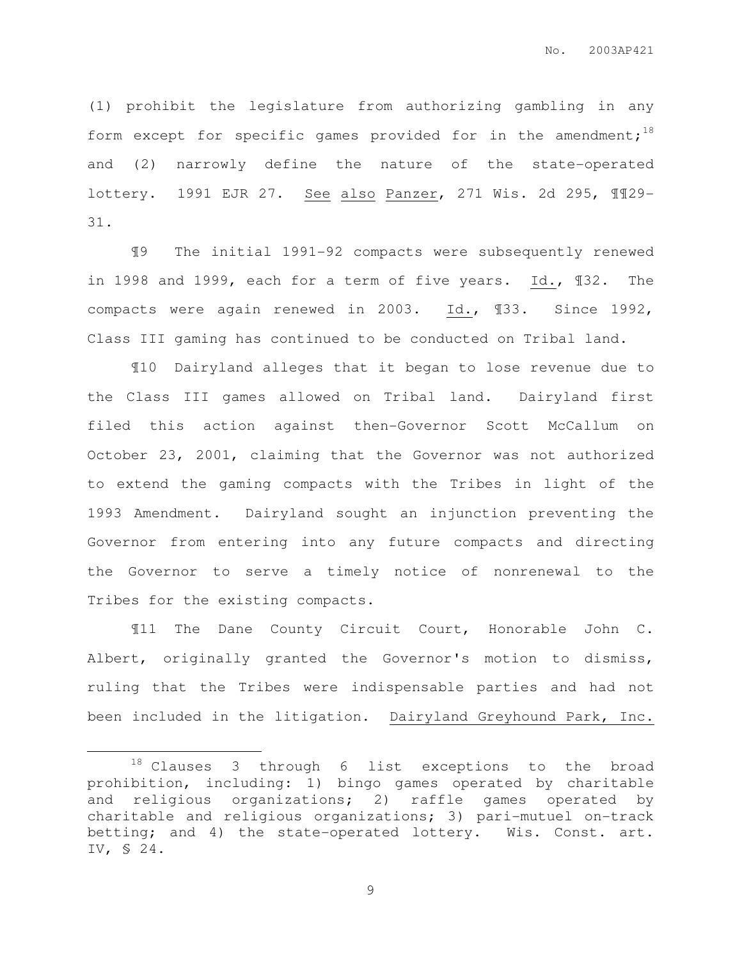(1) prohibit the legislature from authorizing gambling in any form except for specific games provided for in the amendment;<sup>18</sup> and (2) narrowly define the nature of the state-operated lottery. 1991 EJR 27. See also Panzer, 271 Wis. 2d 295, ¶¶29- 31.

¶9 The initial 1991-92 compacts were subsequently renewed in 1998 and 1999, each for a term of five years. Id., ¶32. The compacts were again renewed in 2003. Id., ¶33. Since 1992, Class III gaming has continued to be conducted on Tribal land.

¶10 Dairyland alleges that it began to lose revenue due to the Class III games allowed on Tribal land. Dairyland first filed this action against then-Governor Scott McCallum on October 23, 2001, claiming that the Governor was not authorized to extend the gaming compacts with the Tribes in light of the 1993 Amendment. Dairyland sought an injunction preventing the Governor from entering into any future compacts and directing the Governor to serve a timely notice of nonrenewal to the Tribes for the existing compacts.

¶11 The Dane County Circuit Court, Honorable John C. Albert, originally granted the Governor's motion to dismiss, ruling that the Tribes were indispensable parties and had not been included in the litigation. Dairyland Greyhound Park, Inc.

 $\overline{a}$ 

<sup>18</sup> Clauses 3 through 6 list exceptions to the broad prohibition, including: 1) bingo games operated by charitable and religious organizations; 2) raffle games operated by charitable and religious organizations; 3) pari-mutuel on-track betting; and 4) the state-operated lottery. Wis. Const. art. IV, § 24.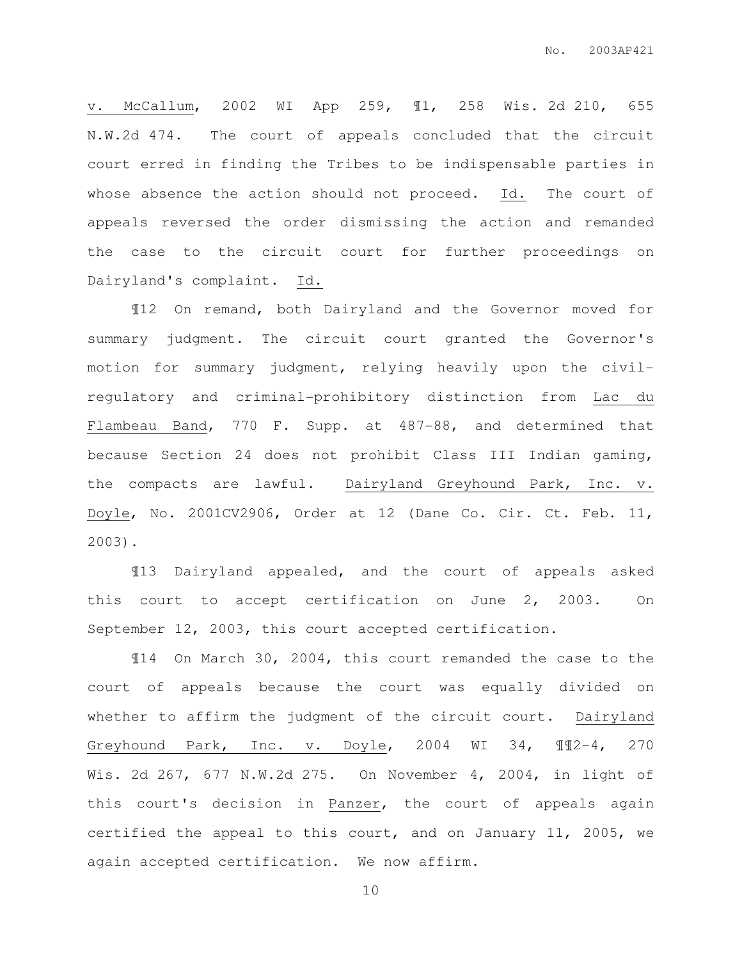v. McCallum, 2002 WI App 259, ¶1, 258 Wis. 2d 210, 655 N.W.2d 474. The court of appeals concluded that the circuit court erred in finding the Tribes to be indispensable parties in whose absence the action should not proceed. Id. The court of appeals reversed the order dismissing the action and remanded the case to the circuit court for further proceedings on Dairyland's complaint. Id.

¶12 On remand, both Dairyland and the Governor moved for summary judgment. The circuit court granted the Governor's motion for summary judgment, relying heavily upon the civilregulatory and criminal-prohibitory distinction from Lac du Flambeau Band, 770 F. Supp. at 487-88, and determined that because Section 24 does not prohibit Class III Indian gaming, the compacts are lawful. Dairyland Greyhound Park, Inc. v. Doyle, No. 2001CV2906, Order at 12 (Dane Co. Cir. Ct. Feb. 11, 2003).

¶13 Dairyland appealed, and the court of appeals asked this court to accept certification on June 2, 2003. On September 12, 2003, this court accepted certification.

¶14 On March 30, 2004, this court remanded the case to the court of appeals because the court was equally divided on whether to affirm the judgment of the circuit court. Dairyland Greyhound Park, Inc. v. Doyle, 2004 WI 34, ¶¶2-4, 270 Wis. 2d 267, 677 N.W.2d 275. On November 4, 2004, in light of this court's decision in Panzer, the court of appeals again certified the appeal to this court, and on January 11, 2005, we again accepted certification. We now affirm.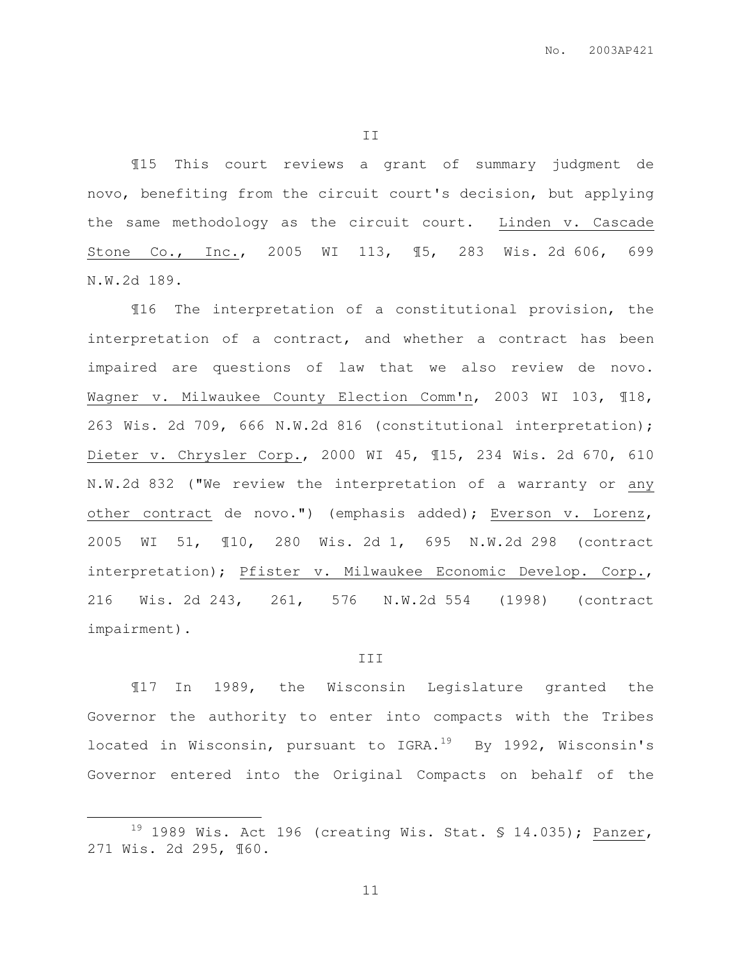II

¶15 This court reviews a grant of summary judgment de novo, benefiting from the circuit court's decision, but applying the same methodology as the circuit court. Linden v. Cascade Stone Co., Inc., 2005 WI 113, ¶5, 283 Wis. 2d 606, 699 N.W.2d 189.

¶16 The interpretation of a constitutional provision, the interpretation of a contract, and whether a contract has been impaired are questions of law that we also review de novo. Wagner v. Milwaukee County Election Comm'n, 2003 WI 103, ¶18, 263 Wis. 2d 709, 666 N.W.2d 816 (constitutional interpretation); Dieter v. Chrysler Corp., 2000 WI 45, ¶15, 234 Wis. 2d 670, 610 N.W.2d 832 ("We review the interpretation of a warranty or any other contract de novo.") (emphasis added); Everson v. Lorenz, 2005 WI 51, ¶10, 280 Wis. 2d 1, 695 N.W.2d 298 (contract interpretation); Pfister v. Milwaukee Economic Develop. Corp., 216 Wis. 2d 243, 261, 576 N.W.2d 554 (1998) (contract impairment).

#### III

¶17 In 1989, the Wisconsin Legislature granted the Governor the authority to enter into compacts with the Tribes located in Wisconsin, pursuant to IGRA.<sup>19</sup> By 1992, Wisconsin's Governor entered into the Original Compacts on behalf of the

 $\overline{a}$ 

 $19$  1989 Wis. Act 196 (creating Wis. Stat. § 14.035); Panzer, 271 Wis. 2d 295, ¶60.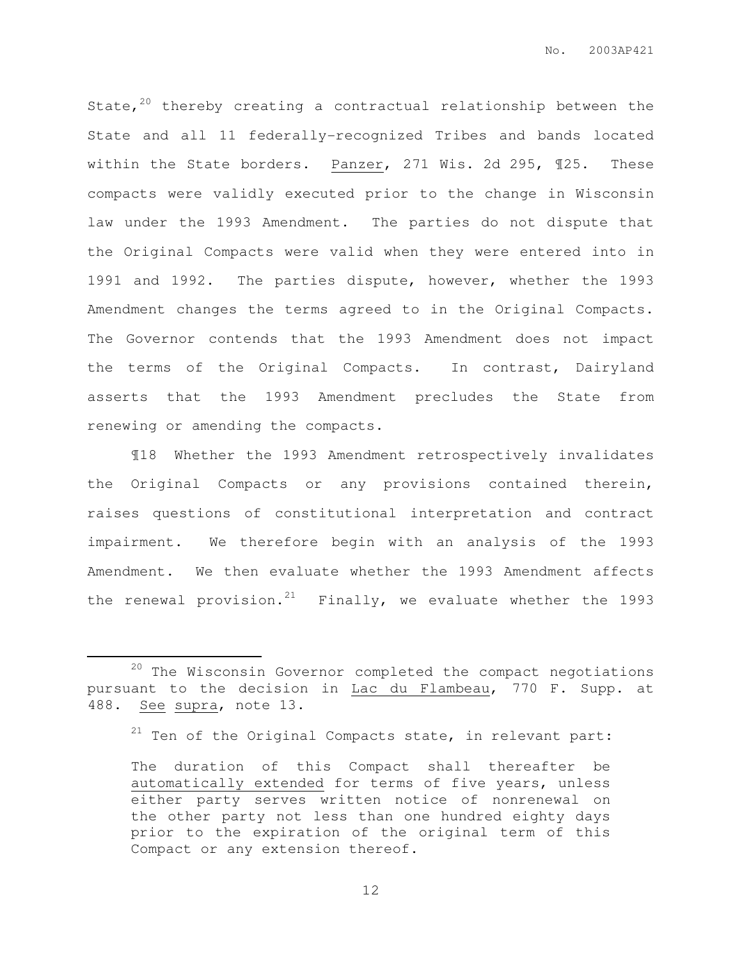State, $20$  thereby creating a contractual relationship between the State and all 11 federally-recognized Tribes and bands located within the State borders. Panzer, 271 Wis. 2d 295, ¶25. These compacts were validly executed prior to the change in Wisconsin law under the 1993 Amendment. The parties do not dispute that the Original Compacts were valid when they were entered into in 1991 and 1992. The parties dispute, however, whether the 1993 Amendment changes the terms agreed to in the Original Compacts. The Governor contends that the 1993 Amendment does not impact the terms of the Original Compacts. In contrast, Dairyland asserts that the 1993 Amendment precludes the State from renewing or amending the compacts.

¶18 Whether the 1993 Amendment retrospectively invalidates the Original Compacts or any provisions contained therein, raises questions of constitutional interpretation and contract impairment. We therefore begin with an analysis of the 1993 Amendment. We then evaluate whether the 1993 Amendment affects the renewal provision.<sup>21</sup> Finally, we evaluate whether the 1993

 $\overline{a}$ 

<sup>&</sup>lt;sup>20</sup> The Wisconsin Governor completed the compact negotiations pursuant to the decision in Lac du Flambeau, 770 F. Supp. at 488. See supra, note 13.

 $21$  Ten of the Original Compacts state, in relevant part:

The duration of this Compact shall thereafter be automatically extended for terms of five years, unless either party serves written notice of nonrenewal on the other party not less than one hundred eighty days prior to the expiration of the original term of this Compact or any extension thereof.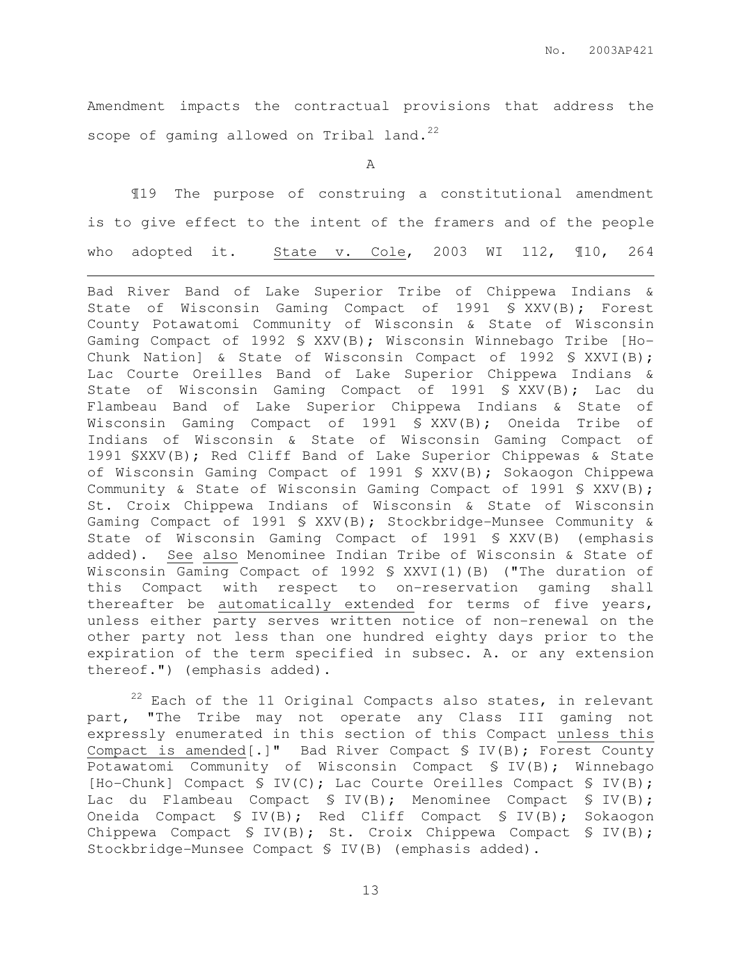Amendment impacts the contractual provisions that address the scope of gaming allowed on Tribal land.<sup>22</sup>

A

¶19 The purpose of construing a constitutional amendment is to give effect to the intent of the framers and of the people who adopted it. State v. Cole, 2003 WI 112, ¶10, 264

 $\overline{a}$ 

Bad River Band of Lake Superior Tribe of Chippewa Indians & State of Wisconsin Gaming Compact of 1991 § XXV(B); Forest County Potawatomi Community of Wisconsin & State of Wisconsin Gaming Compact of 1992 § XXV(B); Wisconsin Winnebago Tribe [Ho-Chunk Nation] & State of Wisconsin Compact of 1992 § XXVI(B); Lac Courte Oreilles Band of Lake Superior Chippewa Indians & State of Wisconsin Gaming Compact of 1991 § XXV(B); Lac du Flambeau Band of Lake Superior Chippewa Indians & State of Wisconsin Gaming Compact of 1991 § XXV(B); Oneida Tribe of Indians of Wisconsin & State of Wisconsin Gaming Compact of 1991 §XXV(B); Red Cliff Band of Lake Superior Chippewas & State of Wisconsin Gaming Compact of 1991 § XXV(B); Sokaogon Chippewa Community & State of Wisconsin Gaming Compact of 1991 § XXV(B); St. Croix Chippewa Indians of Wisconsin & State of Wisconsin Gaming Compact of 1991 § XXV(B); Stockbridge-Munsee Community & State of Wisconsin Gaming Compact of 1991 § XXV(B) (emphasis added). See also Menominee Indian Tribe of Wisconsin & State of Wisconsin Gaming Compact of 1992 § XXVI(1)(B) ("The duration of this Compact with respect to on-reservation gaming shall thereafter be automatically extended for terms of five years, unless either party serves written notice of non-renewal on the other party not less than one hundred eighty days prior to the expiration of the term specified in subsec. A. or any extension thereof.") (emphasis added).

 $22$  Each of the 11 Original Compacts also states, in relevant part, "The Tribe may not operate any Class III gaming not expressly enumerated in this section of this Compact unless this Compact is amended[.]" Bad River Compact § IV(B); Forest County Potawatomi Community of Wisconsin Compact § IV(B); Winnebago [Ho-Chunk] Compact § IV(C); Lac Courte Oreilles Compact § IV(B); Lac du Flambeau Compact § IV(B); Menominee Compact § IV(B); Oneida Compact § IV(B); Red Cliff Compact § IV(B); Sokaogon Chippewa Compact § IV(B); St. Croix Chippewa Compact § IV(B); Stockbridge-Munsee Compact § IV(B) (emphasis added).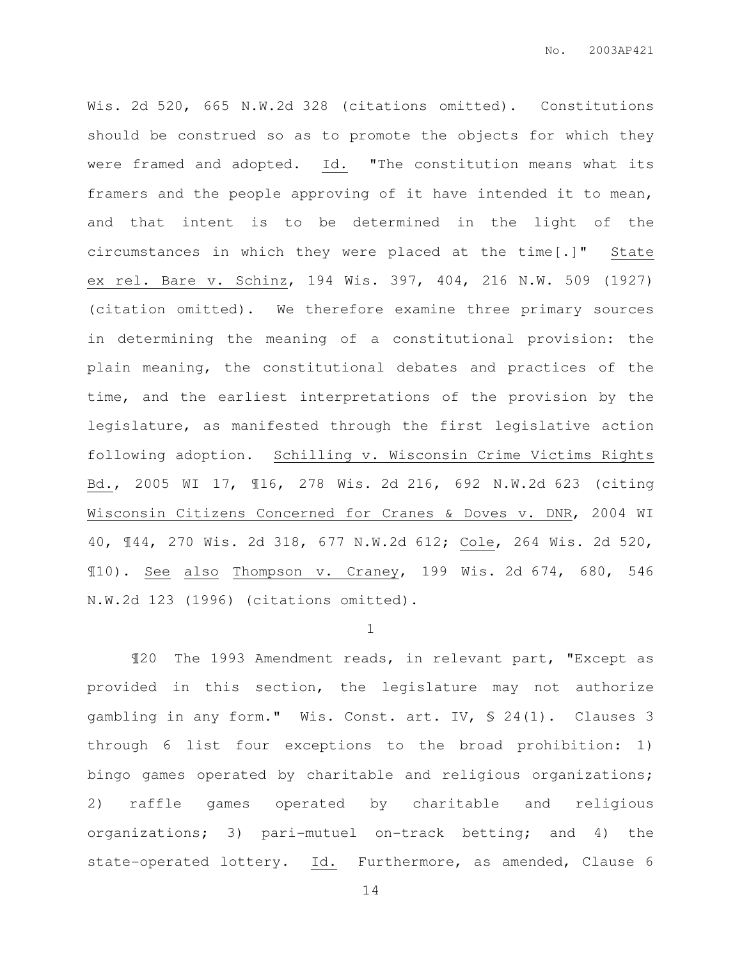Wis. 2d 520, 665 N.W.2d 328 (citations omitted). Constitutions should be construed so as to promote the objects for which they were framed and adopted. Id. "The constitution means what its framers and the people approving of it have intended it to mean, and that intent is to be determined in the light of the circumstances in which they were placed at the time[.]" State ex rel. Bare v. Schinz, 194 Wis. 397, 404, 216 N.W. 509 (1927) (citation omitted). We therefore examine three primary sources in determining the meaning of a constitutional provision: the plain meaning, the constitutional debates and practices of the time, and the earliest interpretations of the provision by the legislature, as manifested through the first legislative action following adoption. Schilling v. Wisconsin Crime Victims Rights Bd., 2005 WI 17, ¶16, 278 Wis. 2d 216, 692 N.W.2d 623 (citing Wisconsin Citizens Concerned for Cranes & Doves v. DNR, 2004 WI 40, ¶44, 270 Wis. 2d 318, 677 N.W.2d 612; Cole, 264 Wis. 2d 520, ¶10). See also Thompson v. Craney, 199 Wis. 2d 674, 680, 546 N.W.2d 123 (1996) (citations omitted).

#### 1

¶20 The 1993 Amendment reads, in relevant part, "Except as provided in this section, the legislature may not authorize gambling in any form." Wis. Const. art. IV, § 24(1). Clauses 3 through 6 list four exceptions to the broad prohibition: 1) bingo games operated by charitable and religious organizations; 2) raffle games operated by charitable and religious organizations; 3) pari-mutuel on-track betting; and 4) the state-operated lottery. Id. Furthermore, as amended, Clause 6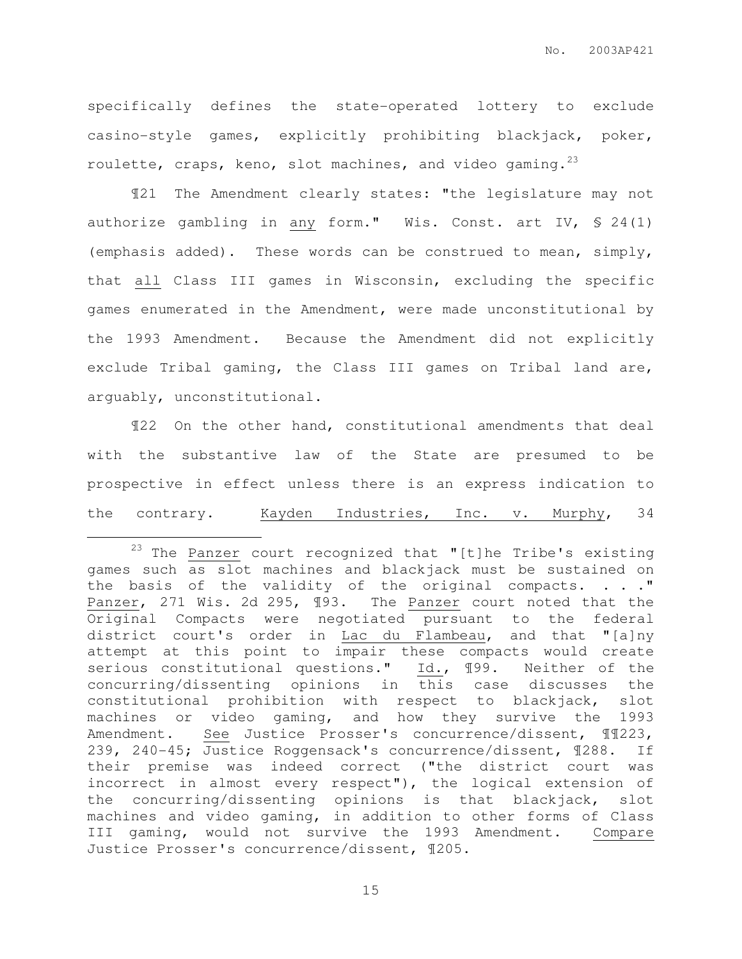specifically defines the state-operated lottery to exclude casino-style games, explicitly prohibiting blackjack, poker, roulette, craps, keno, slot machines, and video gaming.<sup>23</sup>

¶21 The Amendment clearly states: "the legislature may not authorize gambling in any form." Wis. Const. art IV, § 24(1) (emphasis added). These words can be construed to mean, simply, that all Class III games in Wisconsin, excluding the specific games enumerated in the Amendment, were made unconstitutional by the 1993 Amendment. Because the Amendment did not explicitly exclude Tribal gaming, the Class III games on Tribal land are, arguably, unconstitutional.

¶22 On the other hand, constitutional amendments that deal with the substantive law of the State are presumed to be prospective in effect unless there is an express indication to the contrary. Kayden Industries, Inc. v. Murphy, 34

 $\overline{a}$ 

 $23$  The Panzer court recognized that "[t]he Tribe's existing games such as slot machines and blackjack must be sustained on the basis of the validity of the original compacts. . . . " Panzer, 271 Wis. 2d 295, ¶93. The Panzer court noted that the Original Compacts were negotiated pursuant to the federal district court's order in Lac du Flambeau, and that "[a]ny attempt at this point to impair these compacts would create serious constitutional questions." Id., ¶99. Neither of the concurring/dissenting opinions in this case discusses the constitutional prohibition with respect to blackjack, slot machines or video gaming, and how they survive the 1993 Amendment. See Justice Prosser's concurrence/dissent, ¶¶223, 239, 240-45; Justice Roggensack's concurrence/dissent, ¶288. If their premise was indeed correct ("the district court was incorrect in almost every respect"), the logical extension of the concurring/dissenting opinions is that blackjack, slot machines and video gaming, in addition to other forms of Class III gaming, would not survive the 1993 Amendment. Compare Justice Prosser's concurrence/dissent, ¶205.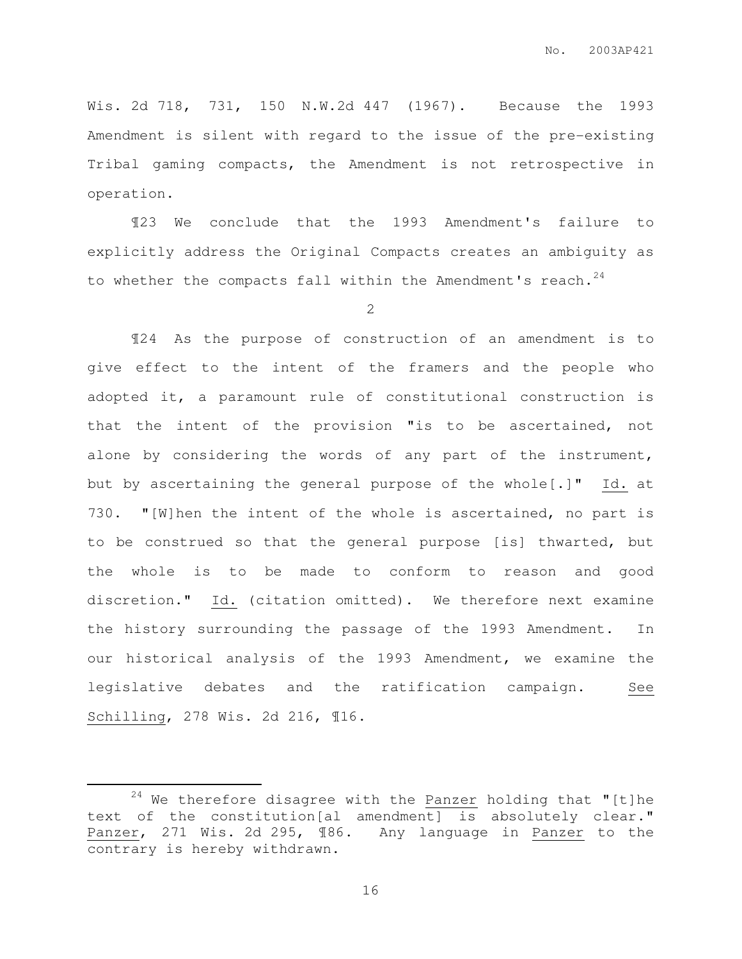Wis. 2d 718, 731, 150 N.W.2d 447 (1967). Because the 1993 Amendment is silent with regard to the issue of the pre-existing Tribal gaming compacts, the Amendment is not retrospective in operation.

¶23 We conclude that the 1993 Amendment's failure to explicitly address the Original Compacts creates an ambiguity as to whether the compacts fall within the Amendment's reach.<sup>24</sup>

2

¶24 As the purpose of construction of an amendment is to give effect to the intent of the framers and the people who adopted it, a paramount rule of constitutional construction is that the intent of the provision "is to be ascertained, not alone by considering the words of any part of the instrument, but by ascertaining the general purpose of the whole[.]" Id. at 730. "[W]hen the intent of the whole is ascertained, no part is to be construed so that the general purpose [is] thwarted, but the whole is to be made to conform to reason and good discretion." Id. (citation omitted). We therefore next examine the history surrounding the passage of the 1993 Amendment. In our historical analysis of the 1993 Amendment, we examine the legislative debates and the ratification campaign. See Schilling, 278 Wis. 2d 216, ¶16.

 $\overline{a}$ 

 $24$  We therefore disagree with the Panzer holding that "[t]he text of the constitution[al amendment] is absolutely clear." Panzer, 271 Wis. 2d 295, ¶86. Any language in Panzer to the contrary is hereby withdrawn.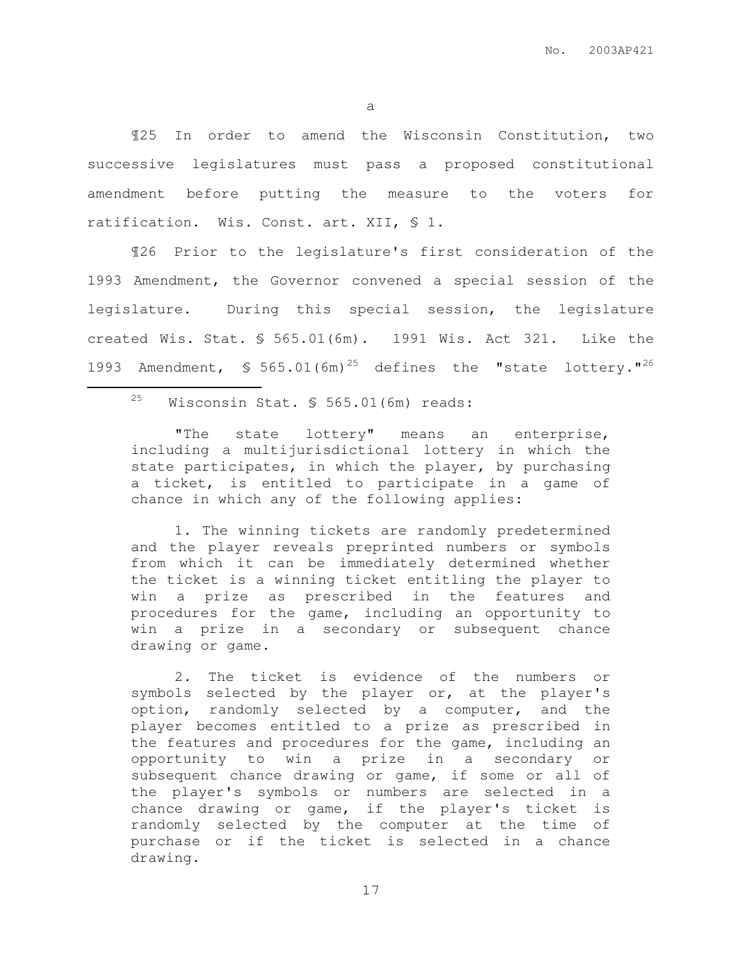a

¶25 In order to amend the Wisconsin Constitution, two successive legislatures must pass a proposed constitutional amendment before putting the measure to the voters for ratification. Wis. Const. art. XII, § 1.

¶26 Prior to the legislature's first consideration of the 1993 Amendment, the Governor convened a special session of the legislature. During this special session, the legislature created Wis. Stat. § 565.01(6m). 1991 Wis. Act 321. Like the 1993 Amendment,  $\sqrt{5}$  565.01(6m)<sup>25</sup> defines the "state lottery."<sup>26</sup>

<sup>25</sup> Wisconsin Stat. § 565.01(6m) reads:

 $\overline{a}$ 

"The state lottery" means an enterprise, including a multijurisdictional lottery in which the state participates, in which the player, by purchasing a ticket, is entitled to participate in a game of chance in which any of the following applies:

1. The winning tickets are randomly predetermined and the player reveals preprinted numbers or symbols from which it can be immediately determined whether the ticket is a winning ticket entitling the player to win a prize as prescribed in the features and procedures for the game, including an opportunity to win a prize in a secondary or subsequent chance drawing or game.

2. The ticket is evidence of the numbers or symbols selected by the player or, at the player's option, randomly selected by a computer, and the player becomes entitled to a prize as prescribed in the features and procedures for the game, including an opportunity to win a prize in a secondary or subsequent chance drawing or game, if some or all of the player's symbols or numbers are selected in a chance drawing or game, if the player's ticket is randomly selected by the computer at the time of purchase or if the ticket is selected in a chance drawing.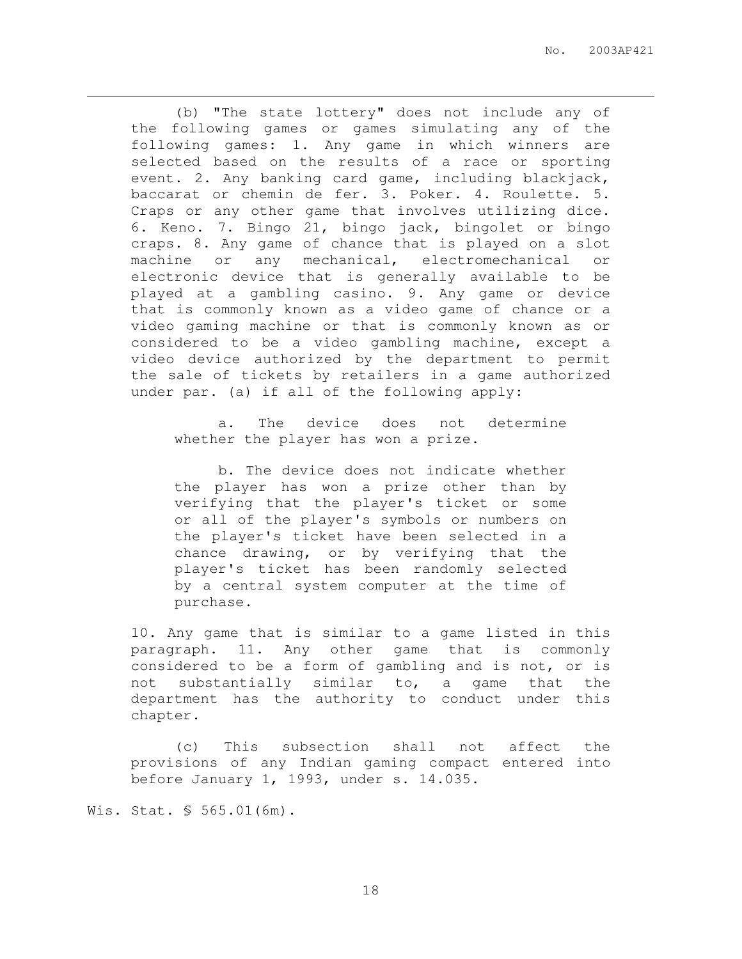(b) "The state lottery" does not include any of the following games or games simulating any of the following games: 1. Any game in which winners are selected based on the results of a race or sporting event. 2. Any banking card game, including blackjack, baccarat or chemin de fer. 3. Poker. 4. Roulette. 5. Craps or any other game that involves utilizing dice. 6. Keno. 7. Bingo 21, bingo jack, bingolet or bingo craps. 8. Any game of chance that is played on a slot machine or any mechanical, electromechanical or electronic device that is generally available to be played at a gambling casino. 9. Any game or device that is commonly known as a video game of chance or a video gaming machine or that is commonly known as or considered to be a video gambling machine, except a video device authorized by the department to permit the sale of tickets by retailers in a game authorized under par. (a) if all of the following apply:

a. The device does not determine whether the player has won a prize.

b. The device does not indicate whether the player has won a prize other than by verifying that the player's ticket or some or all of the player's symbols or numbers on the player's ticket have been selected in a chance drawing, or by verifying that the player's ticket has been randomly selected by a central system computer at the time of purchase.

10. Any game that is similar to a game listed in this paragraph. 11. Any other game that is commonly considered to be a form of gambling and is not, or is not substantially similar to, a game that the department has the authority to conduct under this chapter.

(c) This subsection shall not affect the provisions of any Indian gaming compact entered into before January 1, 1993, under s. 14.035.

Wis. Stat. § 565.01(6m).

 $\overline{a}$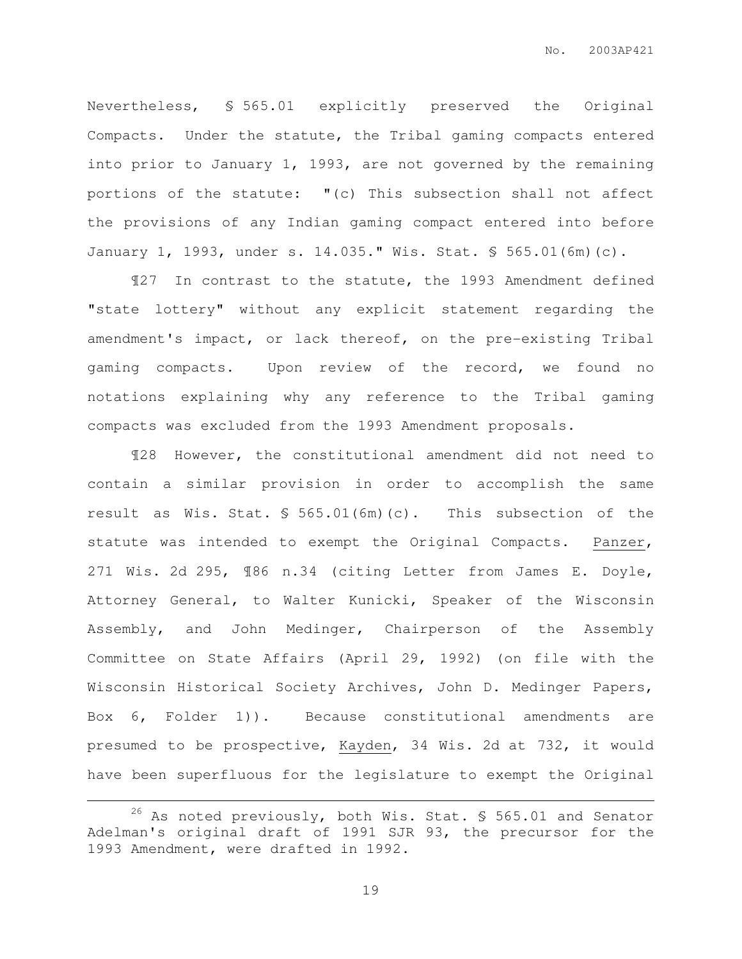Nevertheless, § 565.01 explicitly preserved the Original Compacts. Under the statute, the Tribal gaming compacts entered into prior to January 1, 1993, are not governed by the remaining portions of the statute: "(c) This subsection shall not affect the provisions of any Indian gaming compact entered into before January 1, 1993, under s. 14.035." Wis. Stat. § 565.01(6m)(c).

¶27 In contrast to the statute, the 1993 Amendment defined "state lottery" without any explicit statement regarding the amendment's impact, or lack thereof, on the pre-existing Tribal gaming compacts. Upon review of the record, we found no notations explaining why any reference to the Tribal gaming compacts was excluded from the 1993 Amendment proposals.

¶28 However, the constitutional amendment did not need to contain a similar provision in order to accomplish the same result as Wis. Stat. § 565.01(6m)(c). This subsection of the statute was intended to exempt the Original Compacts. Panzer, 271 Wis. 2d 295, ¶86 n.34 (citing Letter from James E. Doyle, Attorney General, to Walter Kunicki, Speaker of the Wisconsin Assembly, and John Medinger, Chairperson of the Assembly Committee on State Affairs (April 29, 1992) (on file with the Wisconsin Historical Society Archives, John D. Medinger Papers, Box 6, Folder 1)). Because constitutional amendments are presumed to be prospective, Kayden, 34 Wis. 2d at 732, it would have been superfluous for the legislature to exempt the Original

 $\overline{a}$ 

<sup>&</sup>lt;sup>26</sup> As noted previously, both Wis. Stat. § 565.01 and Senator Adelman's original draft of 1991 SJR 93, the precursor for the 1993 Amendment, were drafted in 1992.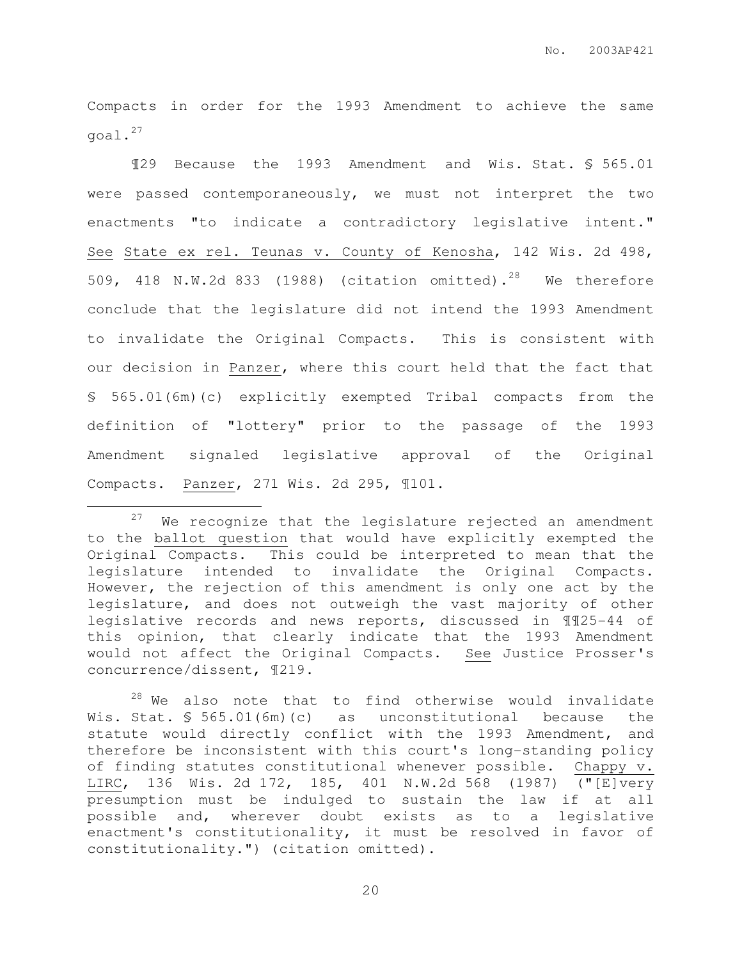Compacts in order for the 1993 Amendment to achieve the same goal.<sup>27</sup>

¶29 Because the 1993 Amendment and Wis. Stat. § 565.01 were passed contemporaneously, we must not interpret the two enactments "to indicate a contradictory legislative intent." See State ex rel. Teunas v. County of Kenosha, 142 Wis. 2d 498, 509, 418 N.W.2d 833 (1988) (citation omitted).<sup>28</sup> We therefore conclude that the legislature did not intend the 1993 Amendment to invalidate the Original Compacts. This is consistent with our decision in Panzer, where this court held that the fact that § 565.01(6m)(c) explicitly exempted Tribal compacts from the definition of "lottery" prior to the passage of the 1993 Amendment signaled legislative approval of the Original Compacts. Panzer, 271 Wis. 2d 295, ¶101.

 $\overline{a}$ 

 $28$  We also note that to find otherwise would invalidate Wis. Stat. § 565.01(6m)(c) as unconstitutional because the statute would directly conflict with the 1993 Amendment, and therefore be inconsistent with this court's long-standing policy of finding statutes constitutional whenever possible. Chappy v. LIRC, 136 Wis. 2d 172, 185, 401 N.W.2d 568 (1987) ("[E]very presumption must be indulged to sustain the law if at all possible and, wherever doubt exists as to a legislative enactment's constitutionality, it must be resolved in favor of constitutionality.") (citation omitted).

 $27$  We recognize that the legislature rejected an amendment to the ballot question that would have explicitly exempted the Original Compacts. This could be interpreted to mean that the legislature intended to invalidate the Original Compacts. However, the rejection of this amendment is only one act by the legislature, and does not outweigh the vast majority of other legislative records and news reports, discussed in ¶¶25-44 of this opinion, that clearly indicate that the 1993 Amendment would not affect the Original Compacts. See Justice Prosser's concurrence/dissent, ¶219.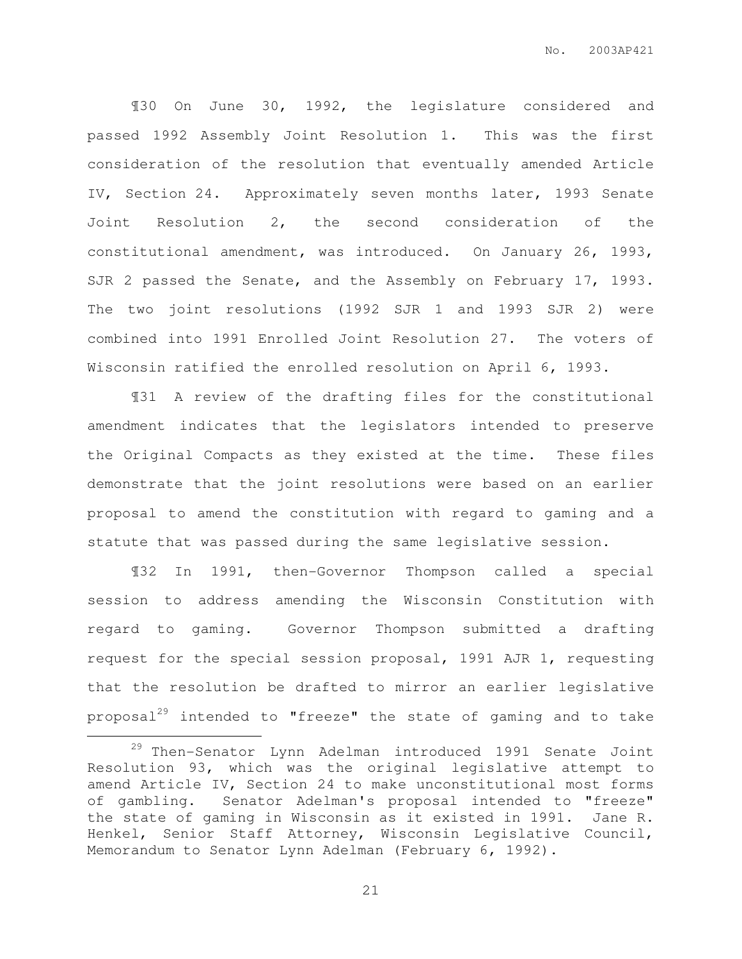¶30 On June 30, 1992, the legislature considered and passed 1992 Assembly Joint Resolution 1. This was the first consideration of the resolution that eventually amended Article IV, Section 24. Approximately seven months later, 1993 Senate Joint Resolution 2, the second consideration of the constitutional amendment, was introduced. On January 26, 1993, SJR 2 passed the Senate, and the Assembly on February 17, 1993. The two joint resolutions (1992 SJR 1 and 1993 SJR 2) were combined into 1991 Enrolled Joint Resolution 27. The voters of Wisconsin ratified the enrolled resolution on April 6, 1993.

¶31 A review of the drafting files for the constitutional amendment indicates that the legislators intended to preserve the Original Compacts as they existed at the time. These files demonstrate that the joint resolutions were based on an earlier proposal to amend the constitution with regard to gaming and a statute that was passed during the same legislative session.

¶32 In 1991, then-Governor Thompson called a special session to address amending the Wisconsin Constitution with regard to gaming. Governor Thompson submitted a drafting request for the special session proposal, 1991 AJR 1, requesting that the resolution be drafted to mirror an earlier legislative proposal<sup>29</sup> intended to "freeze" the state of gaming and to take

 $\overline{a}$ 

<sup>29</sup> Then-Senator Lynn Adelman introduced 1991 Senate Joint Resolution 93, which was the original legislative attempt to amend Article IV, Section 24 to make unconstitutional most forms of gambling. Senator Adelman's proposal intended to "freeze" the state of gaming in Wisconsin as it existed in 1991. Jane R. Henkel, Senior Staff Attorney, Wisconsin Legislative Council, Memorandum to Senator Lynn Adelman (February 6, 1992).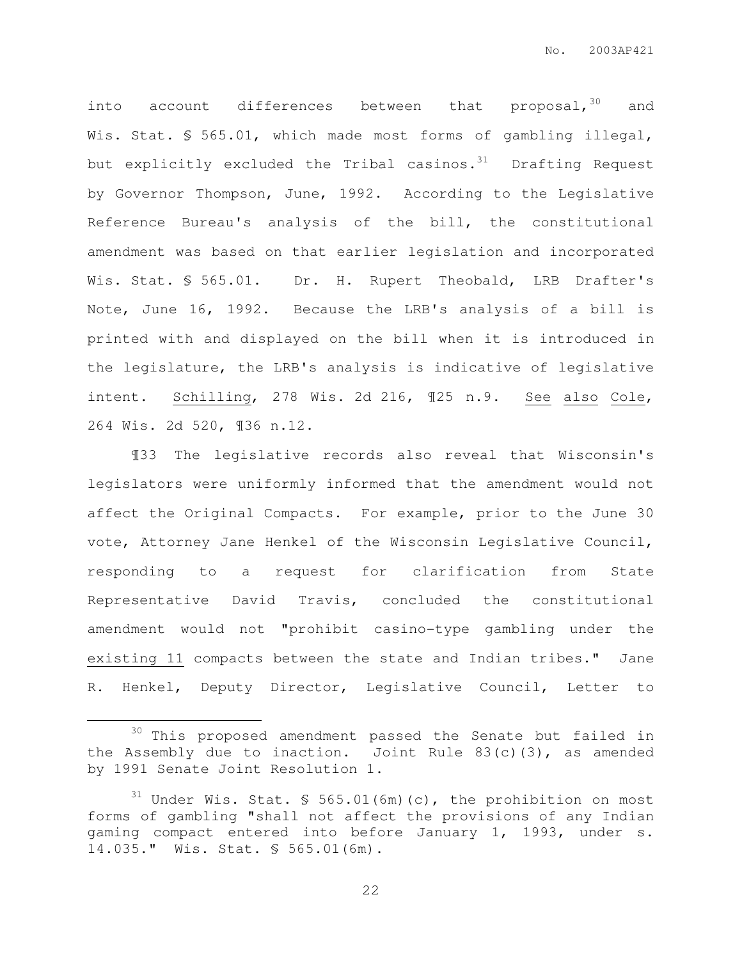into account differences between that proposal,  $30$  and Wis. Stat. § 565.01, which made most forms of gambling illegal, but explicitly excluded the Tribal casinos. $31$  Drafting Request by Governor Thompson, June, 1992. According to the Legislative Reference Bureau's analysis of the bill, the constitutional amendment was based on that earlier legislation and incorporated Wis. Stat. § 565.01. Dr. H. Rupert Theobald, LRB Drafter's Note, June 16, 1992. Because the LRB's analysis of a bill is printed with and displayed on the bill when it is introduced in the legislature, the LRB's analysis is indicative of legislative intent. Schilling, 278 Wis. 2d 216, ¶25 n.9. See also Cole, 264 Wis. 2d 520, ¶36 n.12.

¶33 The legislative records also reveal that Wisconsin's legislators were uniformly informed that the amendment would not affect the Original Compacts. For example, prior to the June 30 vote, Attorney Jane Henkel of the Wisconsin Legislative Council, responding to a request for clarification from State Representative David Travis, concluded the constitutional amendment would not "prohibit casino-type gambling under the existing 11 compacts between the state and Indian tribes." Jane R. Henkel, Deputy Director, Legislative Council, Letter to

 $\overline{a}$ 

 $30$  This proposed amendment passed the Senate but failed in the Assembly due to inaction. Joint Rule 83(c)(3), as amended by 1991 Senate Joint Resolution 1.

 $31$  Under Wis. Stat. § 565.01(6m)(c), the prohibition on most forms of gambling "shall not affect the provisions of any Indian gaming compact entered into before January 1, 1993, under s. 14.035." Wis. Stat. § 565.01(6m).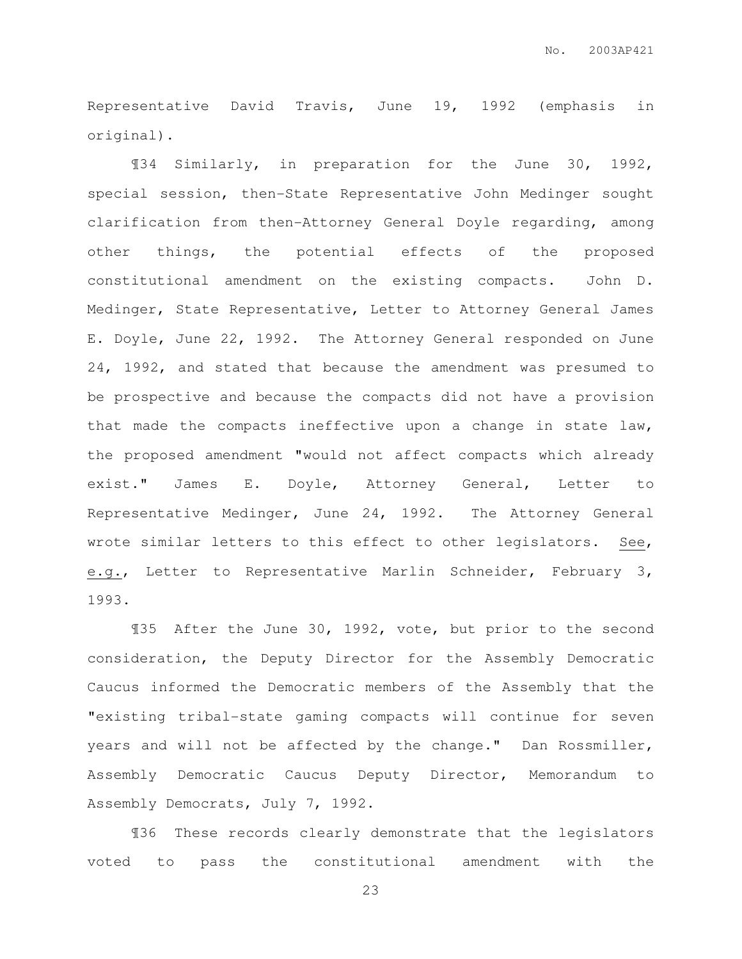Representative David Travis, June 19, 1992 (emphasis in original).

¶34 Similarly, in preparation for the June 30, 1992, special session, then-State Representative John Medinger sought clarification from then-Attorney General Doyle regarding, among other things, the potential effects of the proposed constitutional amendment on the existing compacts. John D. Medinger, State Representative, Letter to Attorney General James E. Doyle, June 22, 1992. The Attorney General responded on June 24, 1992, and stated that because the amendment was presumed to be prospective and because the compacts did not have a provision that made the compacts ineffective upon a change in state law, the proposed amendment "would not affect compacts which already exist." James E. Doyle, Attorney General, Letter to Representative Medinger, June 24, 1992. The Attorney General wrote similar letters to this effect to other legislators. See, e.g., Letter to Representative Marlin Schneider, February 3, 1993.

¶35 After the June 30, 1992, vote, but prior to the second consideration, the Deputy Director for the Assembly Democratic Caucus informed the Democratic members of the Assembly that the "existing tribal-state gaming compacts will continue for seven years and will not be affected by the change." Dan Rossmiller, Assembly Democratic Caucus Deputy Director, Memorandum to Assembly Democrats, July 7, 1992.

¶36 These records clearly demonstrate that the legislators voted to pass the constitutional amendment with the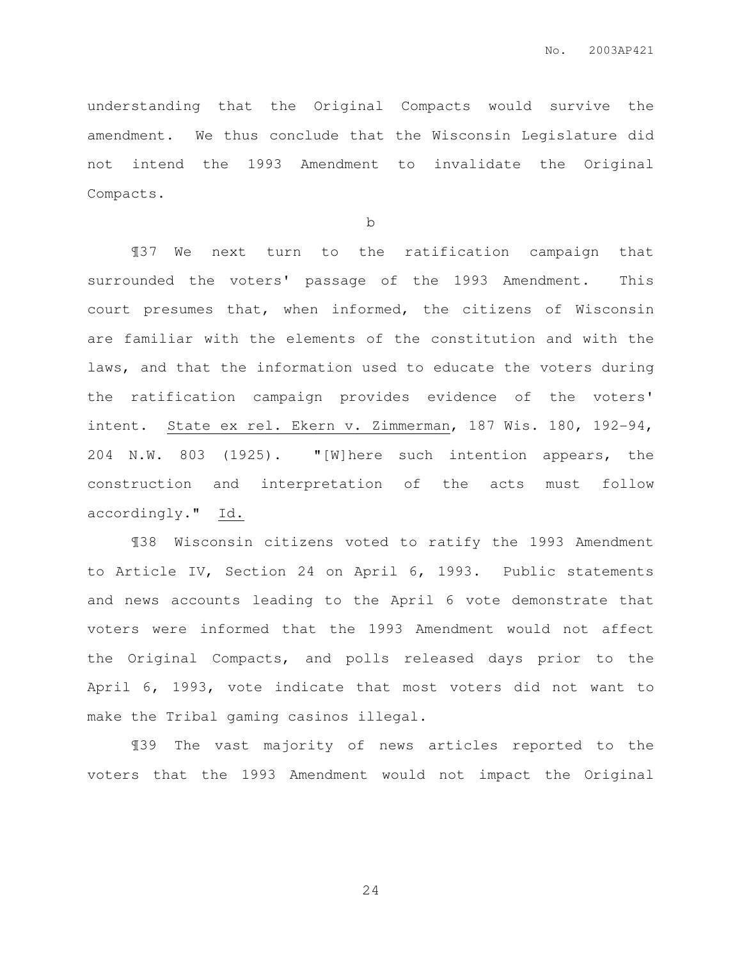understanding that the Original Compacts would survive the amendment. We thus conclude that the Wisconsin Legislature did not intend the 1993 Amendment to invalidate the Original Compacts.

b

¶37 We next turn to the ratification campaign that surrounded the voters' passage of the 1993 Amendment. This court presumes that, when informed, the citizens of Wisconsin are familiar with the elements of the constitution and with the laws, and that the information used to educate the voters during the ratification campaign provides evidence of the voters' intent. State ex rel. Ekern v. Zimmerman, 187 Wis. 180, 192-94, 204 N.W. 803 (1925). "[W]here such intention appears, the construction and interpretation of the acts must follow accordingly." Id.

¶38 Wisconsin citizens voted to ratify the 1993 Amendment to Article IV, Section 24 on April 6, 1993. Public statements and news accounts leading to the April 6 vote demonstrate that voters were informed that the 1993 Amendment would not affect the Original Compacts, and polls released days prior to the April 6, 1993, vote indicate that most voters did not want to make the Tribal gaming casinos illegal.

¶39 The vast majority of news articles reported to the voters that the 1993 Amendment would not impact the Original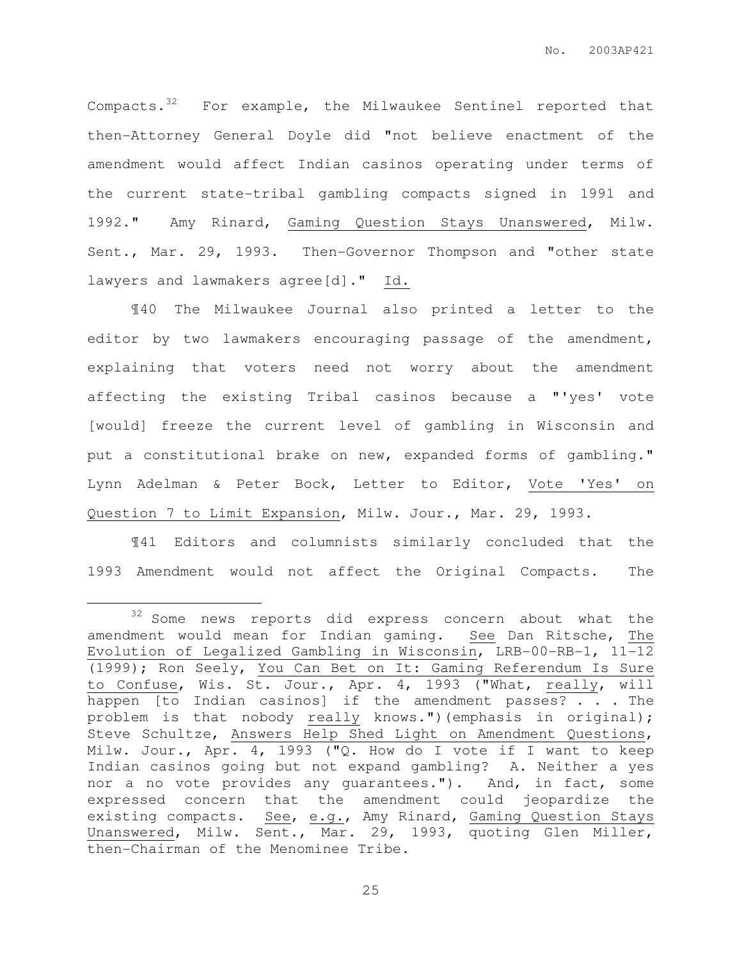Compacts. $32$  For example, the Milwaukee Sentinel reported that then-Attorney General Doyle did "not believe enactment of the amendment would affect Indian casinos operating under terms of the current state-tribal gambling compacts signed in 1991 and 1992." Amy Rinard, Gaming Question Stays Unanswered, Milw. Sent., Mar. 29, 1993. Then-Governor Thompson and "other state lawyers and lawmakers agree[d]." Id.

¶40 The Milwaukee Journal also printed a letter to the editor by two lawmakers encouraging passage of the amendment, explaining that voters need not worry about the amendment affecting the existing Tribal casinos because a "'yes' vote [would] freeze the current level of gambling in Wisconsin and put a constitutional brake on new, expanded forms of gambling." Lynn Adelman & Peter Bock, Letter to Editor, Vote 'Yes' on Question 7 to Limit Expansion, Milw. Jour., Mar. 29, 1993.

¶41 Editors and columnists similarly concluded that the 1993 Amendment would not affect the Original Compacts. The

 $\overline{a}$ 

<sup>&</sup>lt;sup>32</sup> Some news reports did express concern about what the amendment would mean for Indian gaming. See Dan Ritsche, The Evolution of Legalized Gambling in Wisconsin, LRB-00-RB-1, 11-12 (1999); Ron Seely, You Can Bet on It: Gaming Referendum Is Sure to Confuse, Wis. St. Jour., Apr. 4, 1993 ("What, really, will happen [to Indian casinos] if the amendment passes? . . . The problem is that nobody really knows.")(emphasis in original); Steve Schultze, Answers Help Shed Light on Amendment Questions, Milw. Jour., Apr. 4, 1993 ("Q. How do I vote if I want to keep Indian casinos going but not expand gambling? A. Neither a yes nor a no vote provides any guarantees."). And, in fact, some expressed concern that the amendment could jeopardize the existing compacts. See, e.g., Amy Rinard, Gaming Question Stays Unanswered, Milw. Sent., Mar. 29, 1993, quoting Glen Miller, then-Chairman of the Menominee Tribe.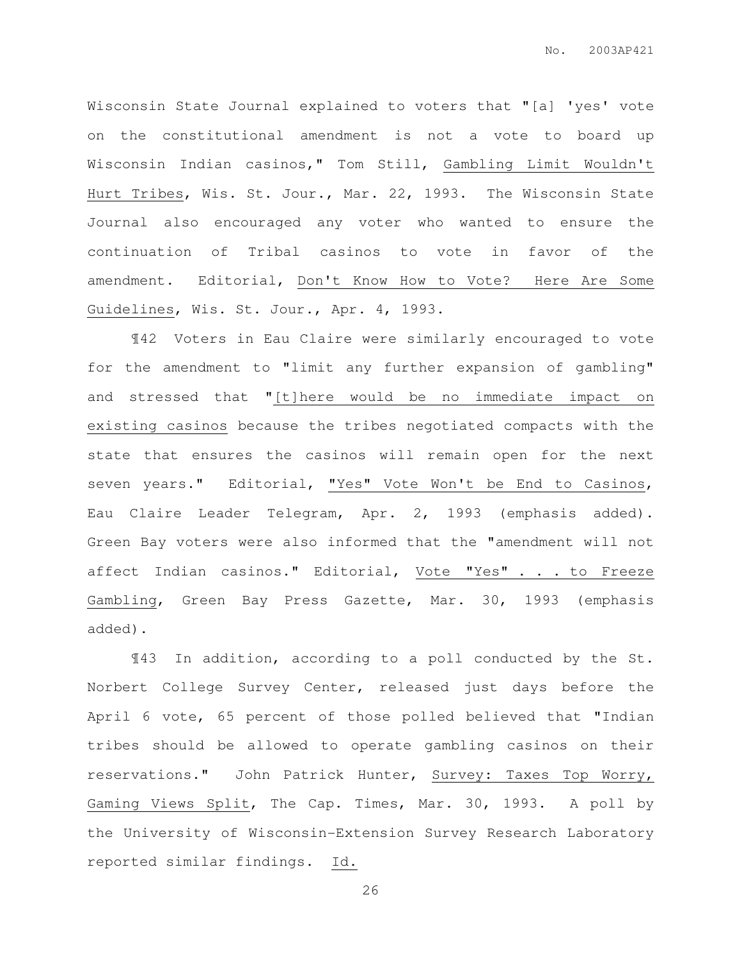Wisconsin State Journal explained to voters that "[a] 'yes' vote on the constitutional amendment is not a vote to board up Wisconsin Indian casinos," Tom Still, Gambling Limit Wouldn't Hurt Tribes, Wis. St. Jour., Mar. 22, 1993. The Wisconsin State Journal also encouraged any voter who wanted to ensure the continuation of Tribal casinos to vote in favor of the amendment. Editorial, Don't Know How to Vote? Here Are Some Guidelines, Wis. St. Jour., Apr. 4, 1993.

¶42 Voters in Eau Claire were similarly encouraged to vote for the amendment to "limit any further expansion of gambling" and stressed that "[t]here would be no immediate impact on existing casinos because the tribes negotiated compacts with the state that ensures the casinos will remain open for the next seven years." Editorial, "Yes" Vote Won't be End to Casinos, Eau Claire Leader Telegram, Apr. 2, 1993 (emphasis added). Green Bay voters were also informed that the "amendment will not affect Indian casinos." Editorial, Vote "Yes" . . . to Freeze Gambling, Green Bay Press Gazette, Mar. 30, 1993 (emphasis added).

¶43 In addition, according to a poll conducted by the St. Norbert College Survey Center, released just days before the April 6 vote, 65 percent of those polled believed that "Indian tribes should be allowed to operate gambling casinos on their reservations." John Patrick Hunter, Survey: Taxes Top Worry, Gaming Views Split, The Cap. Times, Mar. 30, 1993. A poll by the University of Wisconsin-Extension Survey Research Laboratory reported similar findings. Id.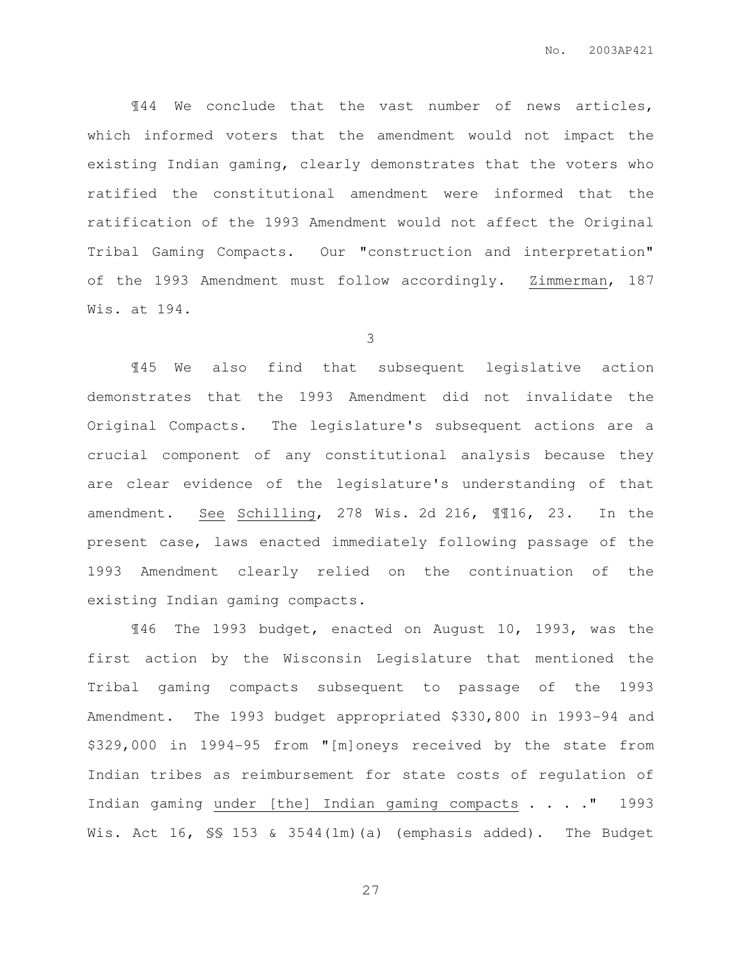¶44 We conclude that the vast number of news articles, which informed voters that the amendment would not impact the existing Indian gaming, clearly demonstrates that the voters who ratified the constitutional amendment were informed that the ratification of the 1993 Amendment would not affect the Original Tribal Gaming Compacts. Our "construction and interpretation" of the 1993 Amendment must follow accordingly. Zimmerman, 187 Wis. at 194.

3

¶45 We also find that subsequent legislative action demonstrates that the 1993 Amendment did not invalidate the Original Compacts. The legislature's subsequent actions are a crucial component of any constitutional analysis because they are clear evidence of the legislature's understanding of that amendment. See Schilling, 278 Wis. 2d 216, ¶¶16, 23. In the present case, laws enacted immediately following passage of the 1993 Amendment clearly relied on the continuation of the existing Indian gaming compacts.

¶46 The 1993 budget, enacted on August 10, 1993, was the first action by the Wisconsin Legislature that mentioned the Tribal gaming compacts subsequent to passage of the 1993 Amendment. The 1993 budget appropriated \$330,800 in 1993-94 and \$329,000 in 1994-95 from "[m]oneys received by the state from Indian tribes as reimbursement for state costs of regulation of Indian gaming under [the] Indian gaming compacts . . . ." 1993 Wis. Act 16, SS 153 & 3544(1m)(a) (emphasis added). The Budget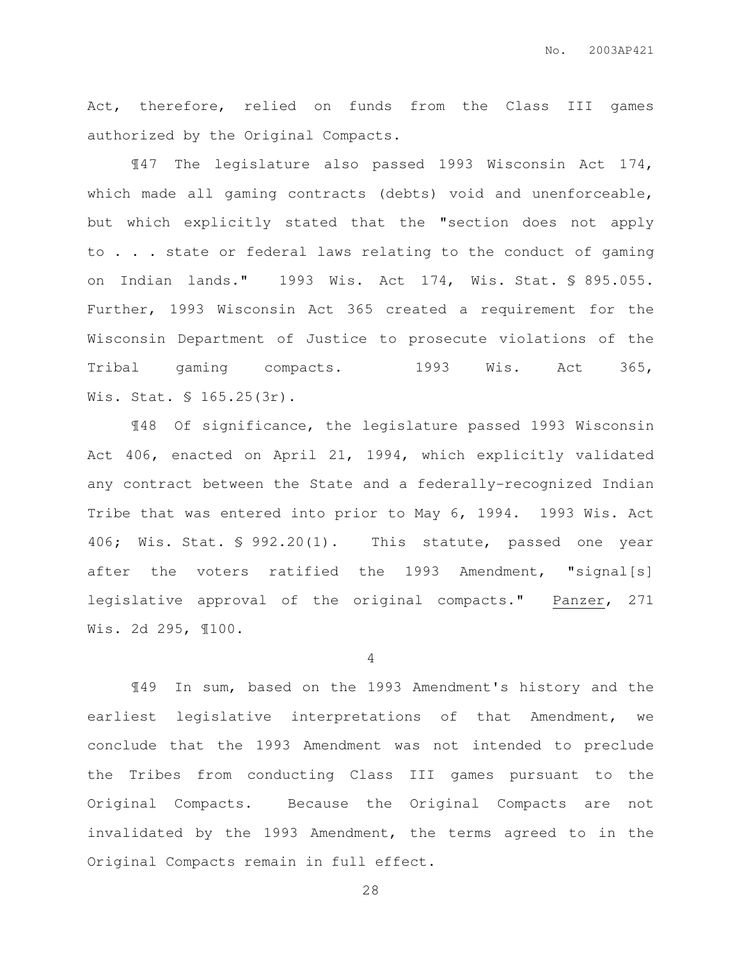Act, therefore, relied on funds from the Class III games authorized by the Original Compacts.

¶47 The legislature also passed 1993 Wisconsin Act 174, which made all gaming contracts (debts) void and unenforceable, but which explicitly stated that the "section does not apply to . . . state or federal laws relating to the conduct of gaming on Indian lands." 1993 Wis. Act 174, Wis. Stat. § 895.055. Further, 1993 Wisconsin Act 365 created a requirement for the Wisconsin Department of Justice to prosecute violations of the Tribal gaming compacts. 1993 Wis. Act 365, Wis. Stat. § 165.25(3r).

¶48 Of significance, the legislature passed 1993 Wisconsin Act 406, enacted on April 21, 1994, which explicitly validated any contract between the State and a federally-recognized Indian Tribe that was entered into prior to May 6, 1994. 1993 Wis. Act 406; Wis. Stat. § 992.20(1). This statute, passed one year after the voters ratified the 1993 Amendment, "signal[s] legislative approval of the original compacts." Panzer, 271 Wis. 2d 295, ¶100.

4

¶49 In sum, based on the 1993 Amendment's history and the earliest legislative interpretations of that Amendment, we conclude that the 1993 Amendment was not intended to preclude the Tribes from conducting Class III games pursuant to the Original Compacts. Because the Original Compacts are not invalidated by the 1993 Amendment, the terms agreed to in the Original Compacts remain in full effect.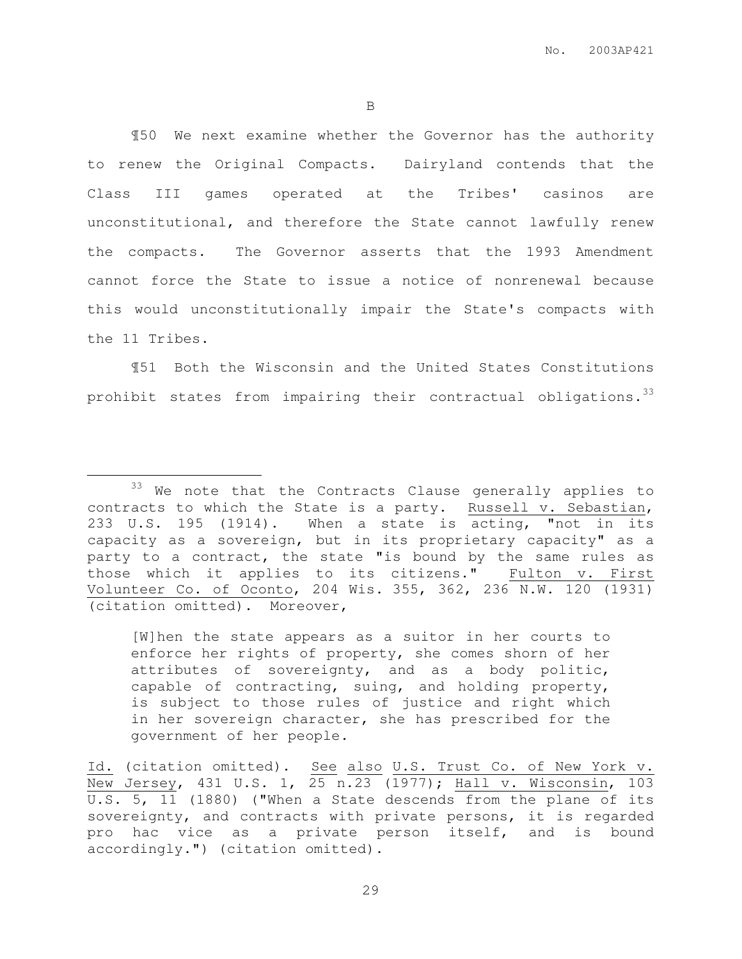¶50 We next examine whether the Governor has the authority to renew the Original Compacts. Dairyland contends that the Class III games operated at the Tribes' casinos are unconstitutional, and therefore the State cannot lawfully renew the compacts. The Governor asserts that the 1993 Amendment cannot force the State to issue a notice of nonrenewal because this would unconstitutionally impair the State's compacts with the 11 Tribes.

¶51 Both the Wisconsin and the United States Constitutions prohibit states from impairing their contractual obligations.<sup>33</sup>

 $\overline{a}$ 

[W]hen the state appears as a suitor in her courts to enforce her rights of property, she comes shorn of her attributes of sovereignty, and as a body politic, capable of contracting, suing, and holding property, is subject to those rules of justice and right which in her sovereign character, she has prescribed for the government of her people.

<sup>33</sup> We note that the Contracts Clause generally applies to contracts to which the State is a party. Russell v. Sebastian, 233 U.S. 195 (1914). When a state is acting, "not in its capacity as a sovereign, but in its proprietary capacity" as a party to a contract, the state "is bound by the same rules as those which it applies to its citizens." Fulton v. First Volunteer Co. of Oconto, 204 Wis. 355, 362, 236 N.W. 120 (1931) (citation omitted). Moreover,

Id. (citation omitted). See also U.S. Trust Co. of New York v. New Jersey, 431 U.S. 1, 25 n.23 (1977); Hall v. Wisconsin, 103 U.S. 5, 11 (1880) ("When a State descends from the plane of its sovereignty, and contracts with private persons, it is regarded pro hac vice as a private person itself, and is bound accordingly.") (citation omitted).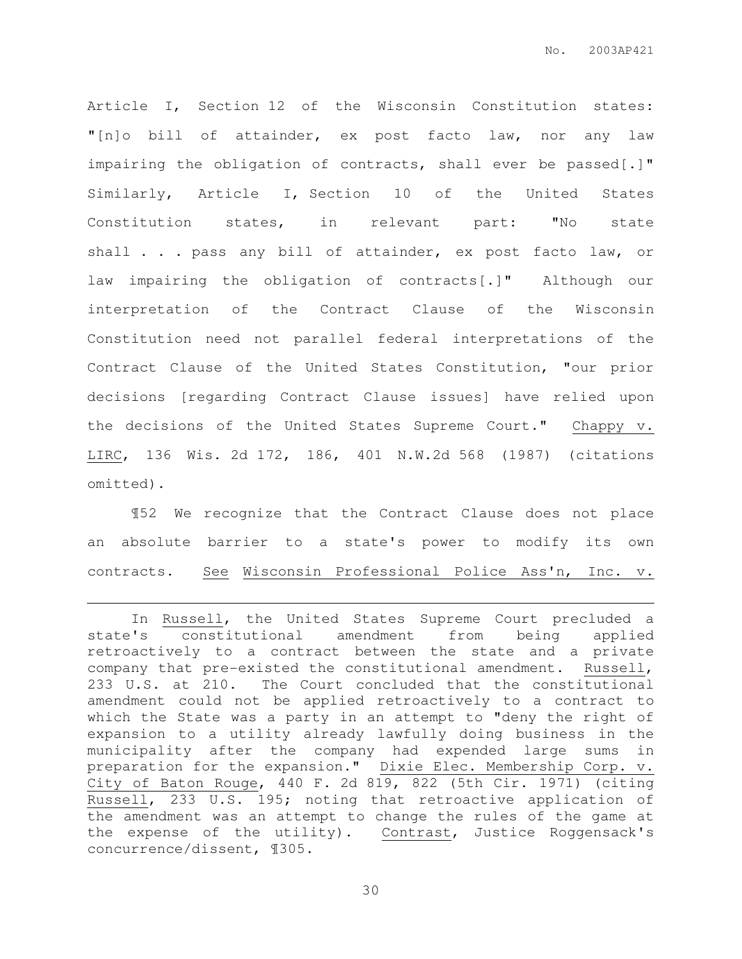Article I, Section 12 of the Wisconsin Constitution states: "[n]o bill of attainder, ex post facto law, nor any law impairing the obligation of contracts, shall ever be passed[.]" Similarly, Article I, Section 10 of the United States Constitution states, in relevant part: "No state shall . . . pass any bill of attainder, ex post facto law, or law impairing the obligation of contracts[.]" Although our interpretation of the Contract Clause of the Wisconsin Constitution need not parallel federal interpretations of the Contract Clause of the United States Constitution, "our prior decisions [regarding Contract Clause issues] have relied upon the decisions of the United States Supreme Court." Chappy v. LIRC, 136 Wis. 2d 172, 186, 401 N.W.2d 568 (1987) (citations omitted).

¶52 We recognize that the Contract Clause does not place an absolute barrier to a state's power to modify its own contracts. See Wisconsin Professional Police Ass'n, Inc. v.

 $\overline{a}$ 

In Russell, the United States Supreme Court precluded a state's constitutional amendment from being applied retroactively to a contract between the state and a private company that pre-existed the constitutional amendment. Russell, 233 U.S. at 210. The Court concluded that the constitutional amendment could not be applied retroactively to a contract to which the State was a party in an attempt to "deny the right of expansion to a utility already lawfully doing business in the municipality after the company had expended large sums in preparation for the expansion." Dixie Elec. Membership Corp. v. City of Baton Rouge, 440 F. 2d 819, 822 (5th Cir. 1971) (citing Russell, 233 U.S. 195; noting that retroactive application of the amendment was an attempt to change the rules of the game at the expense of the utility). Contrast, Justice Roggensack's concurrence/dissent, ¶305.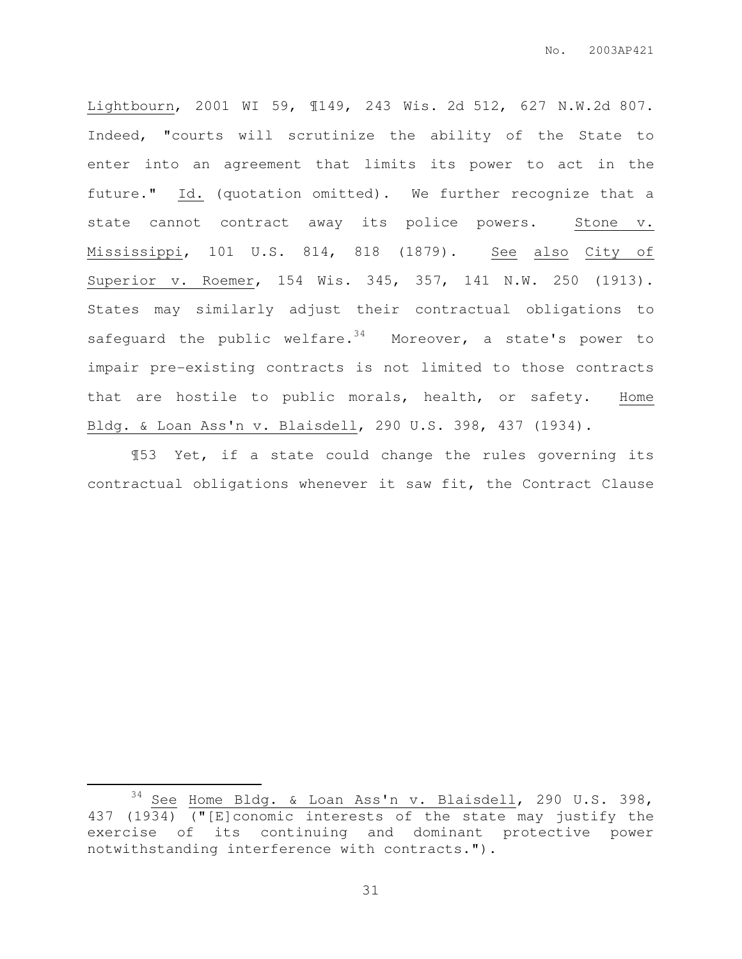Lightbourn, 2001 WI 59, ¶149, 243 Wis. 2d 512, 627 N.W.2d 807. Indeed, "courts will scrutinize the ability of the State to enter into an agreement that limits its power to act in the future." Id. (quotation omitted). We further recognize that a state cannot contract away its police powers. Stone v. Mississippi, 101 U.S. 814, 818 (1879). See also City of Superior v. Roemer, 154 Wis. 345, 357, 141 N.W. 250 (1913). States may similarly adjust their contractual obligations to safeguard the public welfare. $34$  Moreover, a state's power to impair pre-existing contracts is not limited to those contracts that are hostile to public morals, health, or safety. Home Bldg. & Loan Ass'n v. Blaisdell, 290 U.S. 398, 437 (1934).

¶53 Yet, if a state could change the rules governing its contractual obligations whenever it saw fit, the Contract Clause

 $\overline{a}$ 

<sup>&</sup>lt;sup>34</sup> See Home Bldg. & Loan Ass'n v. Blaisdell, 290 U.S. 398, 437 (1934) ("[E]conomic interests of the state may justify the exercise of its continuing and dominant protective power notwithstanding interference with contracts.").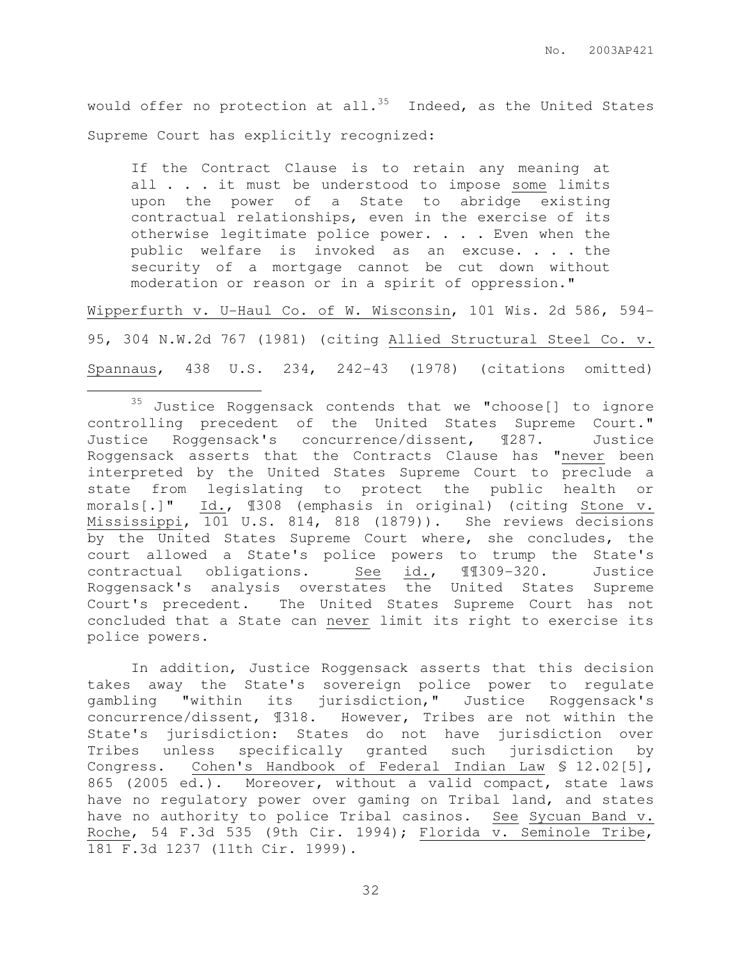would offer no protection at all.<sup>35</sup> Indeed, as the United States Supreme Court has explicitly recognized:

If the Contract Clause is to retain any meaning at all . . . it must be understood to impose some limits upon the power of a State to abridge existing contractual relationships, even in the exercise of its otherwise legitimate police power. . . . Even when the public welfare is invoked as an excuse. . . . the security of a mortgage cannot be cut down without moderation or reason or in a spirit of oppression."

Wipperfurth v. U-Haul Co. of W. Wisconsin, 101 Wis. 2d 586, 594- 95, 304 N.W.2d 767 (1981) (citing Allied Structural Steel Co. v. Spannaus, 438 U.S. 234, 242-43 (1978) (citations omitted)

 $\overline{a}$ 

In addition, Justice Roggensack asserts that this decision takes away the State's sovereign police power to regulate gambling "within its jurisdiction," Justice Roggensack's concurrence/dissent, ¶318. However, Tribes are not within the State's jurisdiction: States do not have jurisdiction over Tribes unless specifically granted such jurisdiction by Congress. Cohen's Handbook of Federal Indian Law § 12.02[5], 865 (2005 ed.). Moreover, without a valid compact, state laws have no regulatory power over gaming on Tribal land, and states have no authority to police Tribal casinos. See Sycuan Band v. Roche, 54 F.3d 535 (9th Cir. 1994); Florida v. Seminole Tribe, 181 F.3d 1237 (11th Cir. 1999).

<sup>35</sup> Justice Roggensack contends that we "choose[] to ignore controlling precedent of the United States Supreme Court." Justice Roggensack's concurrence/dissent, ¶287. Justice Roggensack asserts that the Contracts Clause has "never been interpreted by the United States Supreme Court to preclude a state from legislating to protect the public health or morals[.]" Id., ¶308 (emphasis in original) (citing Stone v. Mississippi, 101 U.S. 814, 818 (1879)). She reviews decisions by the United States Supreme Court where, she concludes, the court allowed a State's police powers to trump the State's contractual obligations. See id., ¶¶309-320. Justice Roggensack's analysis overstates the United States Supreme Court's precedent. The United States Supreme Court has not concluded that a State can never limit its right to exercise its police powers.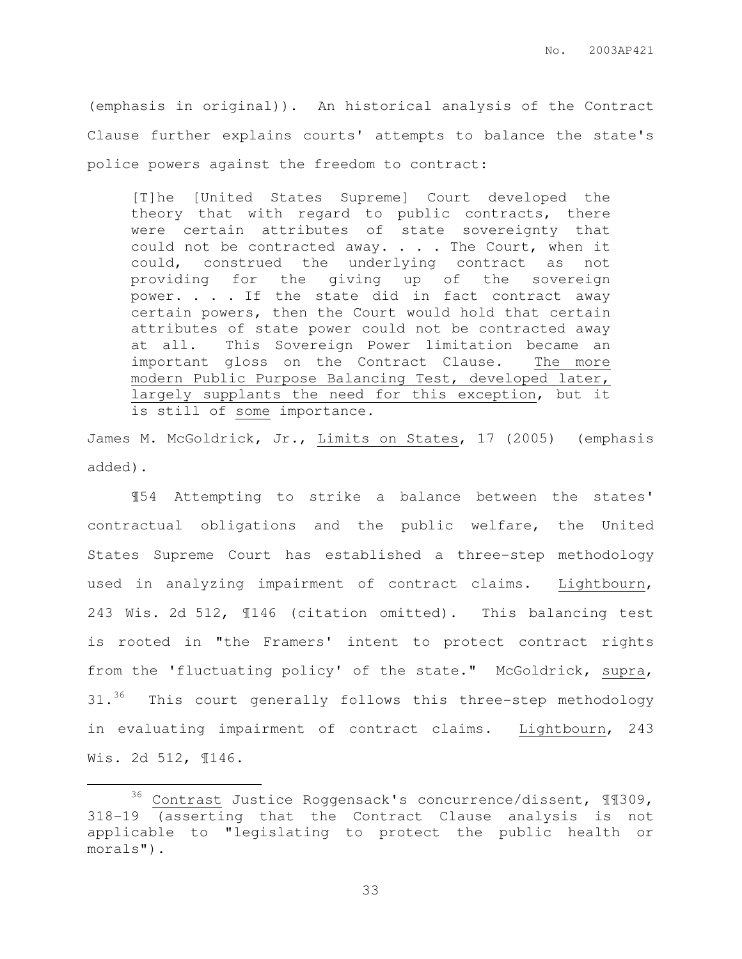(emphasis in original)). An historical analysis of the Contract Clause further explains courts' attempts to balance the state's police powers against the freedom to contract:

[T]he [United States Supreme] Court developed the theory that with regard to public contracts, there were certain attributes of state sovereignty that could not be contracted away. . . . The Court, when it could, construed the underlying contract as not providing for the giving up of the sovereign power. . . . If the state did in fact contract away certain powers, then the Court would hold that certain attributes of state power could not be contracted away at all. This Sovereign Power limitation became an important gloss on the Contract Clause. The more modern Public Purpose Balancing Test, developed later, largely supplants the need for this exception, but it is still of some importance.

James M. McGoldrick, Jr., Limits on States, 17 (2005) (emphasis added).

¶54 Attempting to strike a balance between the states' contractual obligations and the public welfare, the United States Supreme Court has established a three-step methodology used in analyzing impairment of contract claims. Lightbourn, 243 Wis. 2d 512, ¶146 (citation omitted). This balancing test is rooted in "the Framers' intent to protect contract rights from the 'fluctuating policy' of the state." McGoldrick, supra, 31.<sup>36</sup> This court generally follows this three-step methodology in evaluating impairment of contract claims. Lightbourn, 243 Wis. 2d 512, ¶146.

 $\overline{a}$ 

<sup>36</sup> Contrast Justice Roggensack's concurrence/dissent, ¶¶309, 318-19 (asserting that the Contract Clause analysis is not applicable to "legislating to protect the public health or morals").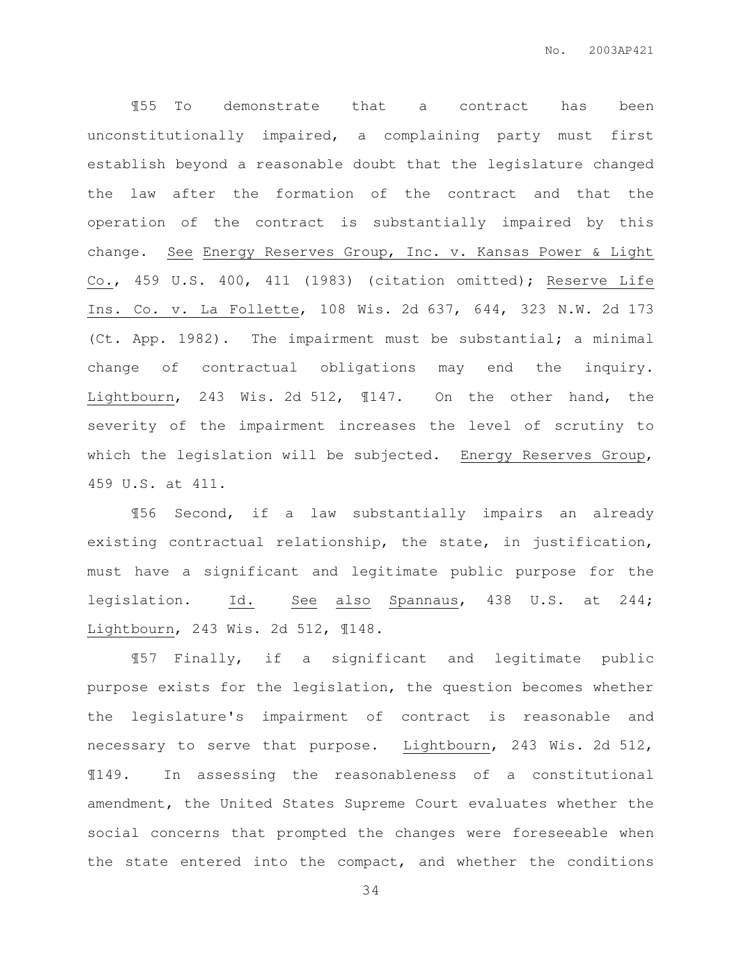¶55 To demonstrate that a contract has been unconstitutionally impaired, a complaining party must first establish beyond a reasonable doubt that the legislature changed the law after the formation of the contract and that the operation of the contract is substantially impaired by this change. See Energy Reserves Group, Inc. v. Kansas Power & Light Co., 459 U.S. 400, 411 (1983) (citation omitted); Reserve Life Ins. Co. v. La Follette, 108 Wis. 2d 637, 644, 323 N.W. 2d 173 (Ct. App. 1982). The impairment must be substantial; a minimal change of contractual obligations may end the inquiry. Lightbourn, 243 Wis. 2d 512, ¶147. On the other hand, the severity of the impairment increases the level of scrutiny to which the legislation will be subjected. Energy Reserves Group, 459 U.S. at 411.

¶56 Second, if a law substantially impairs an already existing contractual relationship, the state, in justification, must have a significant and legitimate public purpose for the legislation. Id. See also Spannaus, 438 U.S. at 244; Lightbourn, 243 Wis. 2d 512, ¶148.

¶57 Finally, if a significant and legitimate public purpose exists for the legislation, the question becomes whether the legislature's impairment of contract is reasonable and necessary to serve that purpose. Lightbourn, 243 Wis. 2d 512, ¶149. In assessing the reasonableness of a constitutional amendment, the United States Supreme Court evaluates whether the social concerns that prompted the changes were foreseeable when the state entered into the compact, and whether the conditions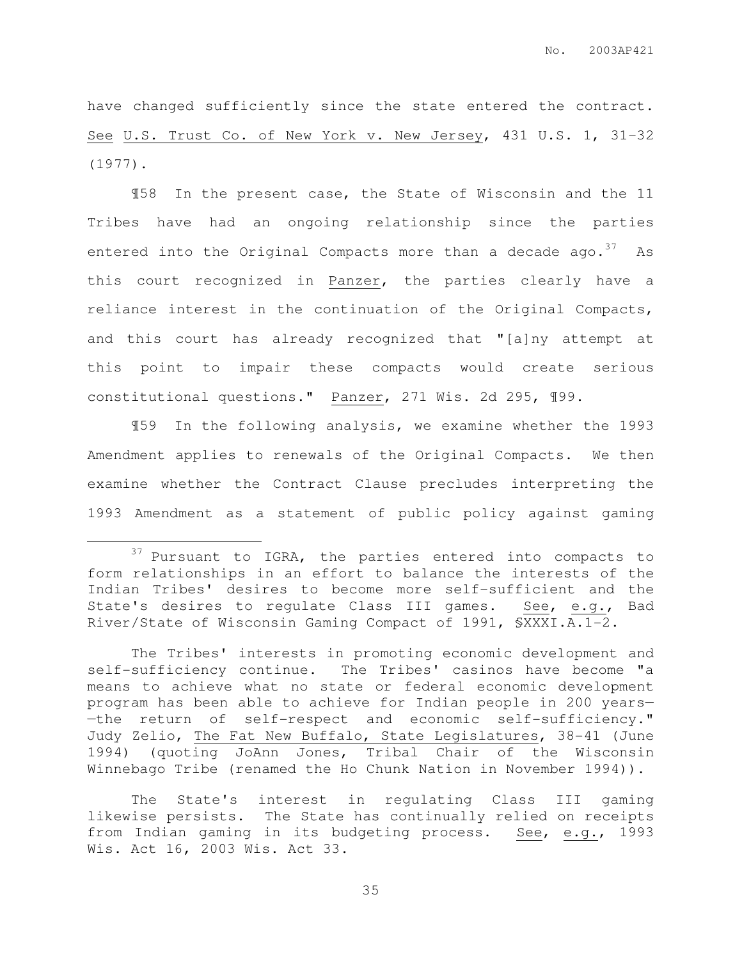have changed sufficiently since the state entered the contract. See U.S. Trust Co. of New York v. New Jersey, 431 U.S. 1, 31-32 (1977).

¶58 In the present case, the State of Wisconsin and the 11 Tribes have had an ongoing relationship since the parties entered into the Original Compacts more than a decade ago.  $37$  As this court recognized in Panzer, the parties clearly have a reliance interest in the continuation of the Original Compacts, and this court has already recognized that "[a]ny attempt at this point to impair these compacts would create serious constitutional questions." Panzer, 271 Wis. 2d 295, ¶99.

¶59 In the following analysis, we examine whether the 1993 Amendment applies to renewals of the Original Compacts. We then examine whether the Contract Clause precludes interpreting the 1993 Amendment as a statement of public policy against gaming

 $\overline{a}$ 

<sup>&</sup>lt;sup>37</sup> Pursuant to IGRA, the parties entered into compacts to form relationships in an effort to balance the interests of the Indian Tribes' desires to become more self-sufficient and the State's desires to regulate Class III games. See, e.g., Bad River/State of Wisconsin Gaming Compact of 1991, §XXXI.A.1-2.

The Tribes' interests in promoting economic development and self-sufficiency continue. The Tribes' casinos have become "a means to achieve what no state or federal economic development program has been able to achieve for Indian people in 200 years— —the return of self-respect and economic self-sufficiency." Judy Zelio, The Fat New Buffalo, State Legislatures, 38-41 (June 1994) (quoting JoAnn Jones, Tribal Chair of the Wisconsin Winnebago Tribe (renamed the Ho Chunk Nation in November 1994)).

The State's interest in regulating Class III gaming likewise persists. The State has continually relied on receipts from Indian gaming in its budgeting process. See, e.g., 1993 Wis. Act 16, 2003 Wis. Act 33.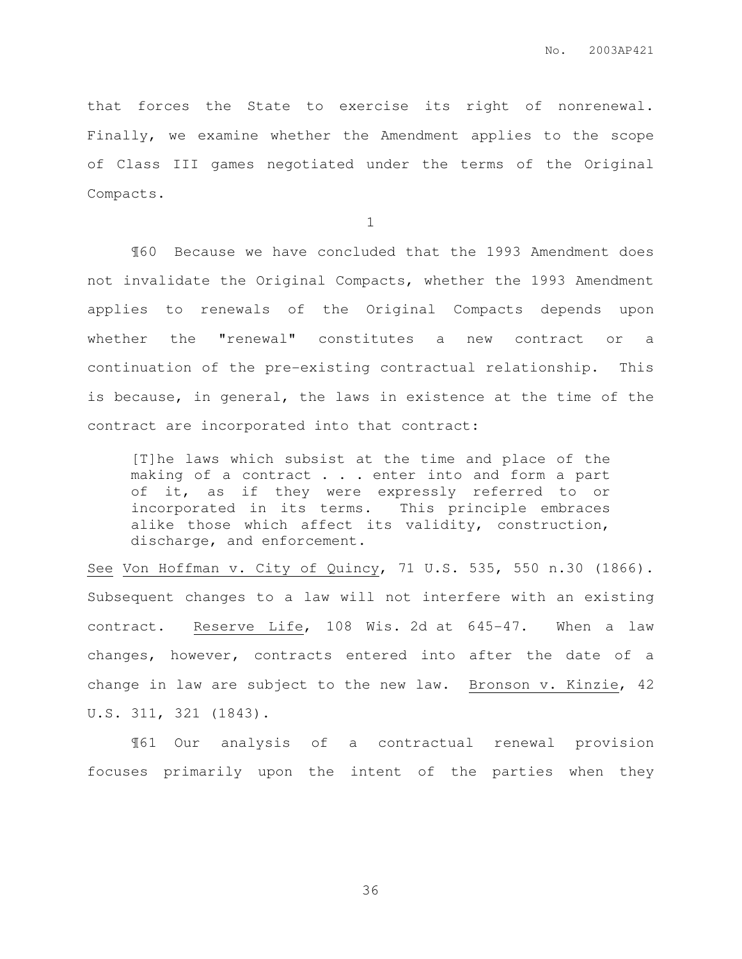that forces the State to exercise its right of nonrenewal. Finally, we examine whether the Amendment applies to the scope of Class III games negotiated under the terms of the Original Compacts.

1

¶60 Because we have concluded that the 1993 Amendment does not invalidate the Original Compacts, whether the 1993 Amendment applies to renewals of the Original Compacts depends upon whether the "renewal" constitutes a new contract or a continuation of the pre-existing contractual relationship. This is because, in general, the laws in existence at the time of the contract are incorporated into that contract:

[T]he laws which subsist at the time and place of the making of a contract . . . enter into and form a part of it, as if they were expressly referred to or incorporated in its terms. This principle embraces alike those which affect its validity, construction, discharge, and enforcement.

See Von Hoffman v. City of Quincy, 71 U.S. 535, 550 n.30 (1866). Subsequent changes to a law will not interfere with an existing contract. Reserve Life, 108 Wis. 2d at 645-47. When a law changes, however, contracts entered into after the date of a change in law are subject to the new law. Bronson v. Kinzie, 42 U.S. 311, 321 (1843).

¶61 Our analysis of a contractual renewal provision focuses primarily upon the intent of the parties when they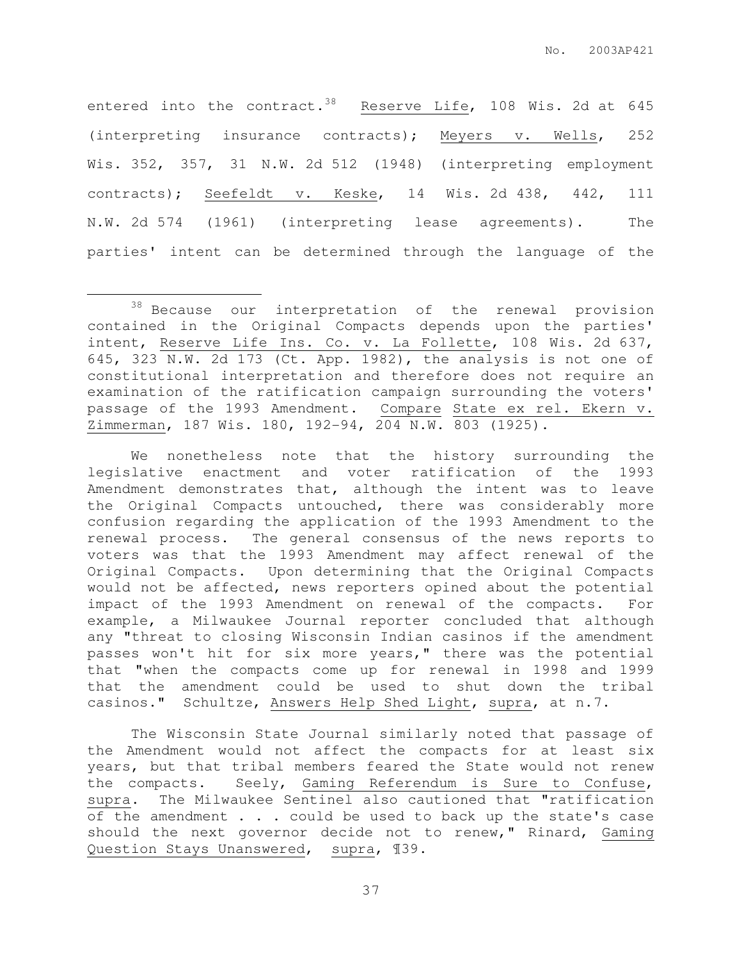entered into the contract.<sup>38</sup> Reserve Life, 108 Wis. 2d at 645 (interpreting insurance contracts); Meyers v. Wells, 252 Wis. 352, 357, 31 N.W. 2d 512 (1948) (interpreting employment contracts); Seefeldt v. Keske, 14 Wis. 2d 438, 442, 111 N.W. 2d 574 (1961) (interpreting lease agreements). The parties' intent can be determined through the language of the

l.

We nonetheless note that the history surrounding the legislative enactment and voter ratification of the 1993 Amendment demonstrates that, although the intent was to leave the Original Compacts untouched, there was considerably more confusion regarding the application of the 1993 Amendment to the renewal process. The general consensus of the news reports to voters was that the 1993 Amendment may affect renewal of the Original Compacts. Upon determining that the Original Compacts would not be affected, news reporters opined about the potential impact of the 1993 Amendment on renewal of the compacts. For example, a Milwaukee Journal reporter concluded that although any "threat to closing Wisconsin Indian casinos if the amendment passes won't hit for six more years," there was the potential that "when the compacts come up for renewal in 1998 and 1999 that the amendment could be used to shut down the tribal casinos." Schultze, Answers Help Shed Light, supra, at n.7.

The Wisconsin State Journal similarly noted that passage of the Amendment would not affect the compacts for at least six years, but that tribal members feared the State would not renew the compacts. Seely, Gaming Referendum is Sure to Confuse, supra. The Milwaukee Sentinel also cautioned that "ratification of the amendment . . . could be used to back up the state's case should the next governor decide not to renew," Rinard, Gaming Question Stays Unanswered, supra, ¶39.

<sup>&</sup>lt;sup>38</sup> Because our interpretation of the renewal provision contained in the Original Compacts depends upon the parties' intent, Reserve Life Ins. Co. v. La Follette, 108 Wis. 2d 637, 645, 323  $\overline{N.W. 2d}$  173 (Ct. App. 1982), the analysis is not one of constitutional interpretation and therefore does not require an examination of the ratification campaign surrounding the voters' passage of the 1993 Amendment. Compare State ex rel. Ekern v. Zimmerman, 187 Wis. 180, 192-94, 204 N.W. 803 (1925).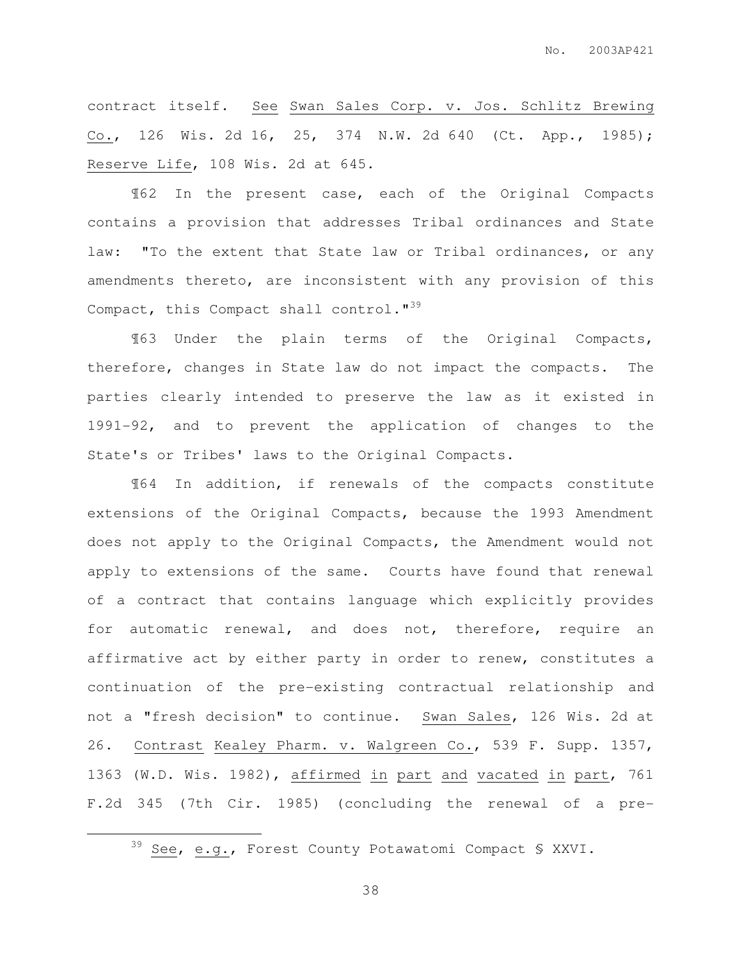contract itself. See Swan Sales Corp. v. Jos. Schlitz Brewing Co., 126 Wis. 2d 16, 25, 374 N.W. 2d 640 (Ct. App., 1985); Reserve Life, 108 Wis. 2d at 645.

¶62 In the present case, each of the Original Compacts contains a provision that addresses Tribal ordinances and State law: "To the extent that State law or Tribal ordinances, or any amendments thereto, are inconsistent with any provision of this Compact, this Compact shall control."<sup>39</sup>

¶63 Under the plain terms of the Original Compacts, therefore, changes in State law do not impact the compacts. The parties clearly intended to preserve the law as it existed in 1991-92, and to prevent the application of changes to the State's or Tribes' laws to the Original Compacts.

¶64 In addition, if renewals of the compacts constitute extensions of the Original Compacts, because the 1993 Amendment does not apply to the Original Compacts, the Amendment would not apply to extensions of the same. Courts have found that renewal of a contract that contains language which explicitly provides for automatic renewal, and does not, therefore, require an affirmative act by either party in order to renew, constitutes a continuation of the pre-existing contractual relationship and not a "fresh decision" to continue. Swan Sales, 126 Wis. 2d at 26. Contrast Kealey Pharm. v. Walgreen Co., 539 F. Supp. 1357, 1363 (W.D. Wis. 1982), affirmed in part and vacated in part, 761 F.2d 345 (7th Cir. 1985) (concluding the renewal of a pre-

 $\overline{a}$ 

<sup>39</sup> See, e.g., Forest County Potawatomi Compact § XXVI.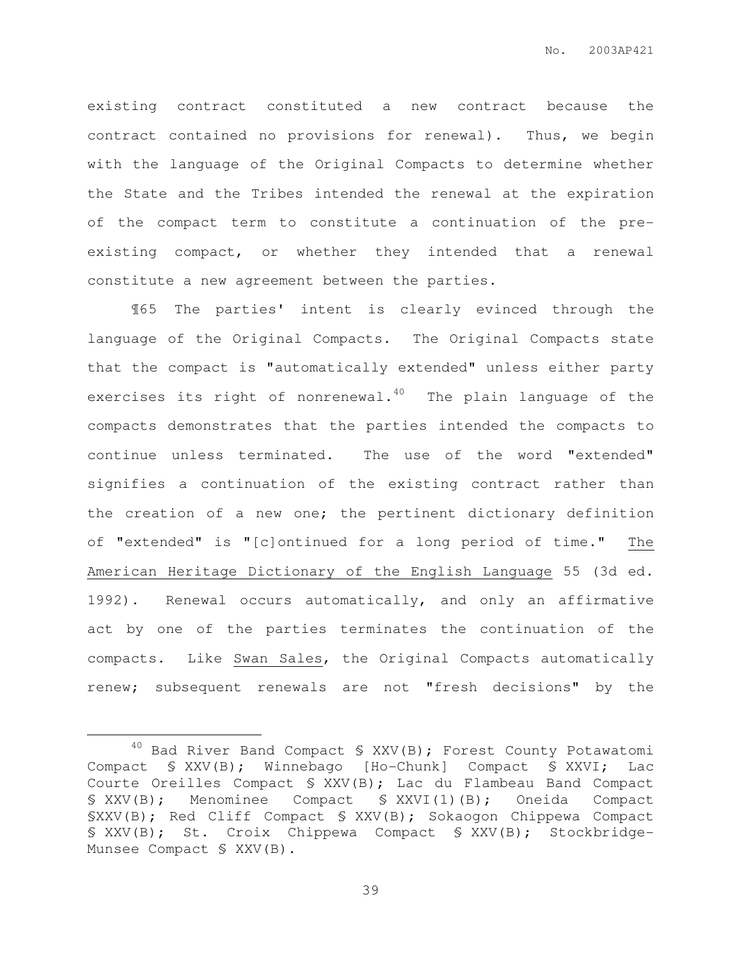existing contract constituted a new contract because the contract contained no provisions for renewal). Thus, we begin with the language of the Original Compacts to determine whether the State and the Tribes intended the renewal at the expiration of the compact term to constitute a continuation of the preexisting compact, or whether they intended that a renewal constitute a new agreement between the parties.

¶65 The parties' intent is clearly evinced through the language of the Original Compacts. The Original Compacts state that the compact is "automatically extended" unless either party exercises its right of nonrenewal. $40$  The plain language of the compacts demonstrates that the parties intended the compacts to continue unless terminated. The use of the word "extended" signifies a continuation of the existing contract rather than the creation of a new one; the pertinent dictionary definition of "extended" is "[c]ontinued for a long period of time." The American Heritage Dictionary of the English Language 55 (3d ed. 1992). Renewal occurs automatically, and only an affirmative act by one of the parties terminates the continuation of the compacts. Like Swan Sales, the Original Compacts automatically renew; subsequent renewals are not "fresh decisions" by the

 $\overline{a}$ 

<sup>40</sup> Bad River Band Compact § XXV(B); Forest County Potawatomi Compact § XXV(B); Winnebago [Ho-Chunk] Compact § XXVI; Lac Courte Oreilles Compact § XXV(B); Lac du Flambeau Band Compact § XXV(B); Menominee Compact § XXVI(1)(B); Oneida Compact §XXV(B); Red Cliff Compact § XXV(B); Sokaogon Chippewa Compact § XXV(B); St. Croix Chippewa Compact § XXV(B); Stockbridge-Munsee Compact § XXV(B).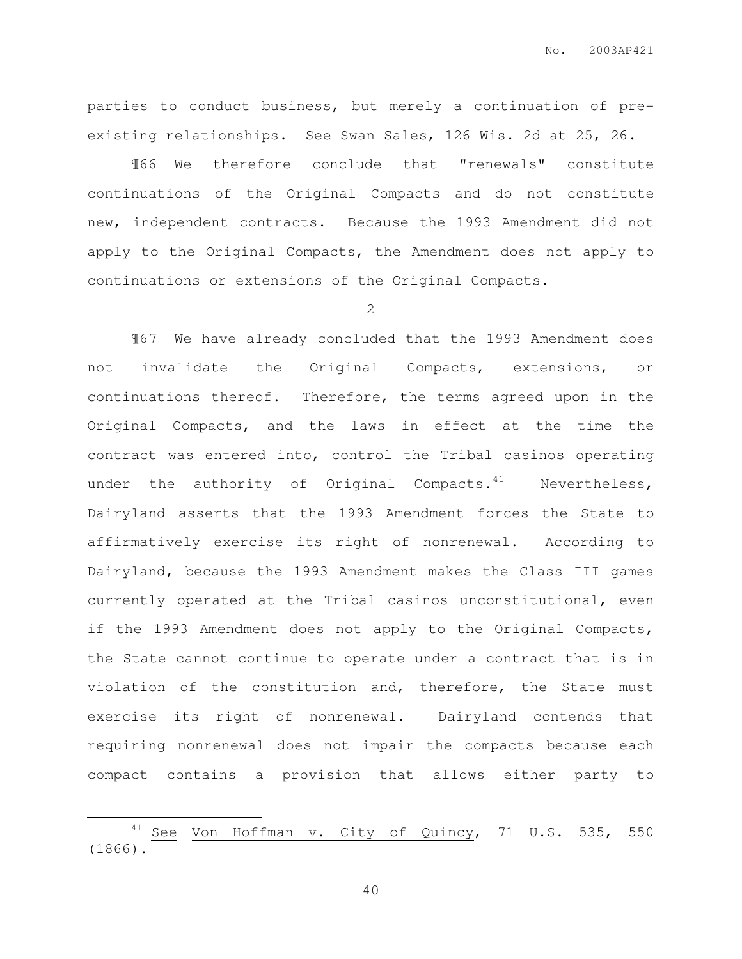parties to conduct business, but merely a continuation of preexisting relationships. See Swan Sales, 126 Wis. 2d at 25, 26.

¶66 We therefore conclude that "renewals" constitute continuations of the Original Compacts and do not constitute new, independent contracts. Because the 1993 Amendment did not apply to the Original Compacts, the Amendment does not apply to continuations or extensions of the Original Compacts.

2

¶67 We have already concluded that the 1993 Amendment does not invalidate the Original Compacts, extensions, or continuations thereof. Therefore, the terms agreed upon in the Original Compacts, and the laws in effect at the time the contract was entered into, control the Tribal casinos operating under the authority of Original Compacts. $41$  Nevertheless, Dairyland asserts that the 1993 Amendment forces the State to affirmatively exercise its right of nonrenewal. According to Dairyland, because the 1993 Amendment makes the Class III games currently operated at the Tribal casinos unconstitutional, even if the 1993 Amendment does not apply to the Original Compacts, the State cannot continue to operate under a contract that is in violation of the constitution and, therefore, the State must exercise its right of nonrenewal. Dairyland contends that requiring nonrenewal does not impair the compacts because each compact contains a provision that allows either party to

 $\overline{a}$ 

<sup>&</sup>lt;sup>41</sup> See Von Hoffman v. City of Quincy, 71 U.S. 535, 550 (1866).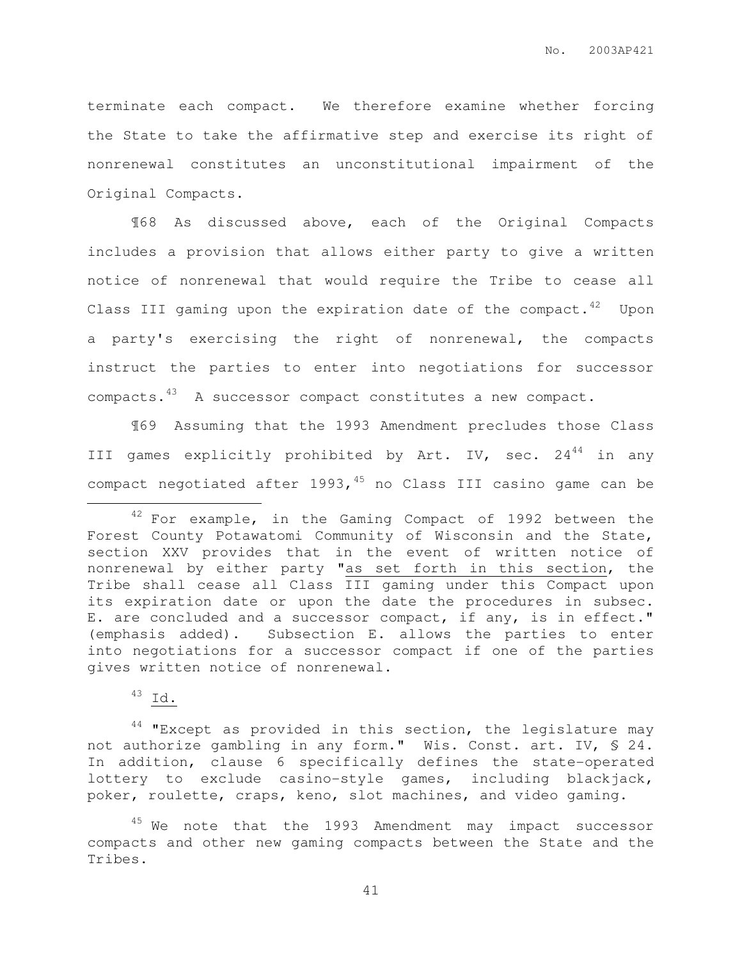terminate each compact. We therefore examine whether forcing the State to take the affirmative step and exercise its right of nonrenewal constitutes an unconstitutional impairment of the Original Compacts.

¶68 As discussed above, each of the Original Compacts includes a provision that allows either party to give a written notice of nonrenewal that would require the Tribe to cease all Class III gaming upon the expiration date of the compact. $42$  Upon a party's exercising the right of nonrenewal, the compacts instruct the parties to enter into negotiations for successor compacts.<sup>43</sup> A successor compact constitutes a new compact.

¶69 Assuming that the 1993 Amendment precludes those Class III games explicitly prohibited by Art. IV, sec.  $24^{44}$  in any compact negotiated after  $1993,$ <sup>45</sup> no Class III casino game can be

<sup>43</sup> Id.

 $\overline{a}$ 

 $44$  "Except as provided in this section, the legislature may not authorize gambling in any form." Wis. Const. art. IV, § 24. In addition, clause 6 specifically defines the state-operated lottery to exclude casino-style games, including blackjack, poker, roulette, craps, keno, slot machines, and video gaming.

<sup>&</sup>lt;sup>42</sup> For example, in the Gaming Compact of 1992 between the Forest County Potawatomi Community of Wisconsin and the State, section XXV provides that in the event of written notice of nonrenewal by either party "as set forth in this section, the Tribe shall cease all Class III gaming under this Compact upon its expiration date or upon the date the procedures in subsec. E. are concluded and a successor compact, if any, is in effect." (emphasis added). Subsection E. allows the parties to enter into negotiations for a successor compact if one of the parties gives written notice of nonrenewal.

<sup>&</sup>lt;sup>45</sup> We note that the 1993 Amendment may impact successor compacts and other new gaming compacts between the State and the Tribes.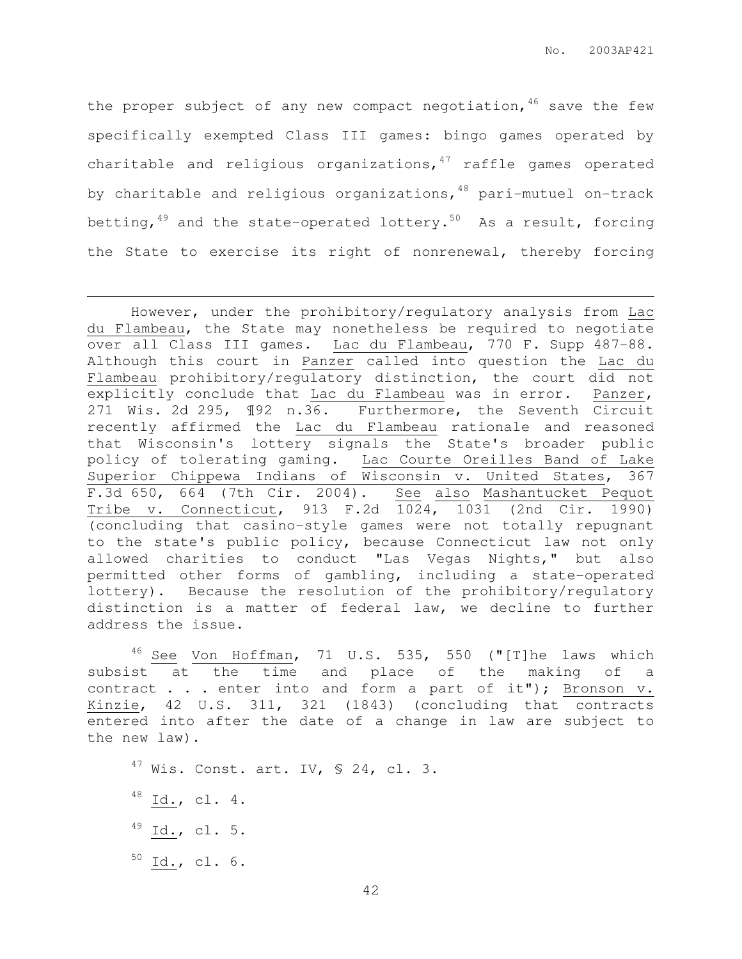the proper subject of any new compact negotiation,  $46$  save the few specifically exempted Class III games: bingo games operated by charitable and religious organizations, $47$  raffle games operated by charitable and religious organizations,  $48$  pari-mutuel on-track betting,  $49$  and the state-operated lottery.<sup>50</sup> As a result, forcing the State to exercise its right of nonrenewal, thereby forcing

 $46$  See Von Hoffman, 71 U.S. 535, 550 ("[T]he laws which subsist at the time and place of the making of a contract . . . enter into and form a part of it"); Bronson v. Kinzie, 42 U.S. 311, 321 (1843) (concluding that contracts entered into after the date of a change in law are subject to the new law).

 $47$  Wis. Const. art. IV, § 24, cl. 3.

 $^{48}$  Id., cl. 4.

 $\overline{a}$ 

- $^{49}$  Id., cl. 5.
- $^{50}$  Id., cl. 6.

However, under the prohibitory/regulatory analysis from Lac du Flambeau, the State may nonetheless be required to negotiate over all Class III games. Lac du Flambeau, 770 F. Supp 487-88. Although this court in Panzer called into question the Lac du Flambeau prohibitory/regulatory distinction, the court did not explicitly conclude that Lac du Flambeau was in error. Panzer, 271 Wis. 2d 295, ¶92 n.36. Furthermore, the Seventh Circuit recently affirmed the Lac du Flambeau rationale and reasoned that Wisconsin's lottery signals the State's broader public policy of tolerating gaming. Lac Courte Oreilles Band of Lake Superior Chippewa Indians of Wisconsin v. United States, 367 F.3d 650, 664 (7th Cir. 2004). See also Mashantucket Pequot Tribe v. Connecticut, 913 F.2d 1024, 1031 (2nd Cir. 1990) (concluding that casino-style games were not totally repugnant to the state's public policy, because Connecticut law not only allowed charities to conduct "Las Vegas Nights," but also permitted other forms of gambling, including a state-operated lottery). Because the resolution of the prohibitory/regulatory distinction is a matter of federal law, we decline to further address the issue.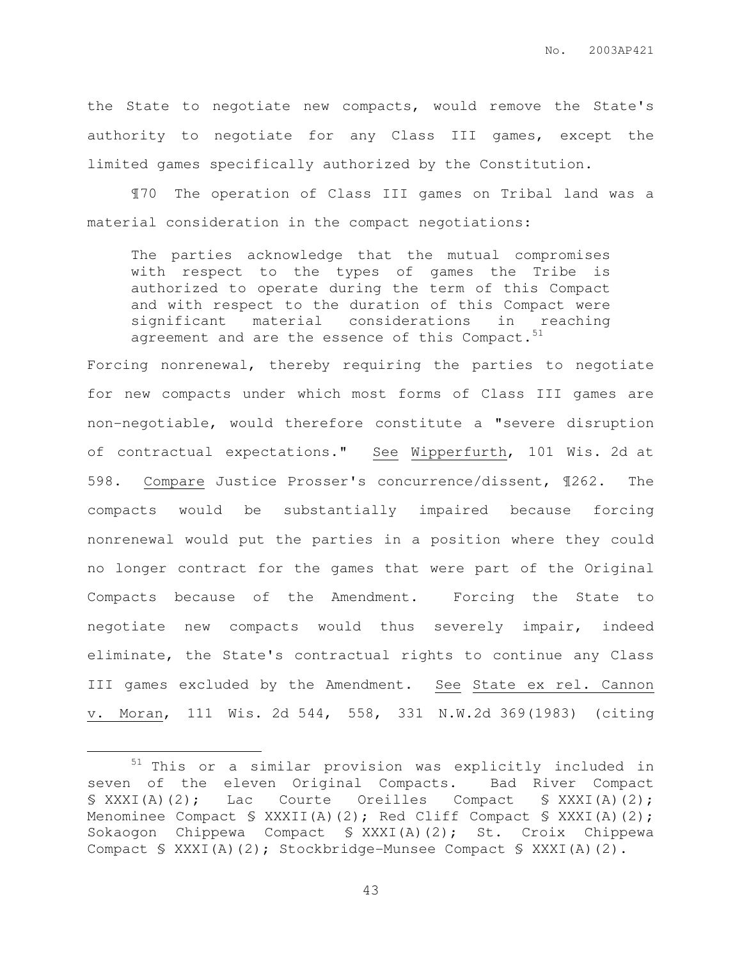the State to negotiate new compacts, would remove the State's authority to negotiate for any Class III games, except the limited games specifically authorized by the Constitution.

¶70 The operation of Class III games on Tribal land was a material consideration in the compact negotiations:

The parties acknowledge that the mutual compromises with respect to the types of games the Tribe is authorized to operate during the term of this Compact and with respect to the duration of this Compact were significant material considerations in reaching agreement and are the essence of this Compact. $51$ 

Forcing nonrenewal, thereby requiring the parties to negotiate for new compacts under which most forms of Class III games are non-negotiable, would therefore constitute a "severe disruption of contractual expectations." See Wipperfurth, 101 Wis. 2d at 598. Compare Justice Prosser's concurrence/dissent, ¶262. The compacts would be substantially impaired because forcing nonrenewal would put the parties in a position where they could no longer contract for the games that were part of the Original Compacts because of the Amendment. Forcing the State to negotiate new compacts would thus severely impair, indeed eliminate, the State's contractual rights to continue any Class III games excluded by the Amendment. See State ex rel. Cannon v. Moran, 111 Wis. 2d 544, 558, 331 N.W.2d 369(1983) (citing

 $\overline{a}$ 

 $51$  This or a similar provision was explicitly included in seven of the eleven Original Compacts. Bad River Compact § XXXI(A)(2); Lac Courte Oreilles Compact § XXXI(A)(2); Menominee Compact § XXXII(A)(2); Red Cliff Compact § XXXI(A)(2); Sokaogon Chippewa Compact § XXXI(A)(2); St. Croix Chippewa Compact § XXXI(A)(2); Stockbridge-Munsee Compact § XXXI(A)(2).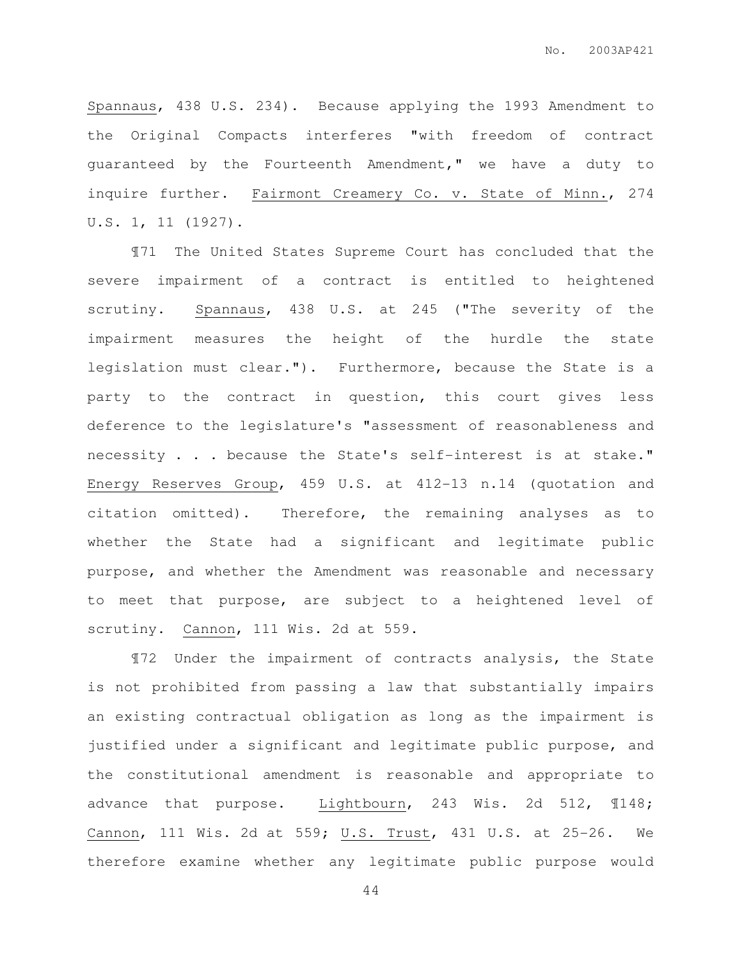Spannaus, 438 U.S. 234). Because applying the 1993 Amendment to the Original Compacts interferes "with freedom of contract guaranteed by the Fourteenth Amendment," we have a duty to inquire further. Fairmont Creamery Co. v. State of Minn., 274 U.S. 1, 11 (1927).

¶71 The United States Supreme Court has concluded that the severe impairment of a contract is entitled to heightened scrutiny. Spannaus, 438 U.S. at 245 ("The severity of the impairment measures the height of the hurdle the state legislation must clear."). Furthermore, because the State is a party to the contract in question, this court gives less deference to the legislature's "assessment of reasonableness and necessity . . . because the State's self-interest is at stake." Energy Reserves Group, 459 U.S. at 412-13 n.14 (quotation and citation omitted). Therefore, the remaining analyses as to whether the State had a significant and legitimate public purpose, and whether the Amendment was reasonable and necessary to meet that purpose, are subject to a heightened level of scrutiny. Cannon, 111 Wis. 2d at 559.

¶72 Under the impairment of contracts analysis, the State is not prohibited from passing a law that substantially impairs an existing contractual obligation as long as the impairment is justified under a significant and legitimate public purpose, and the constitutional amendment is reasonable and appropriate to advance that purpose. Lightbourn, 243 Wis. 2d 512, ¶148; Cannon, 111 Wis. 2d at 559; U.S. Trust, 431 U.S. at 25-26. We therefore examine whether any legitimate public purpose would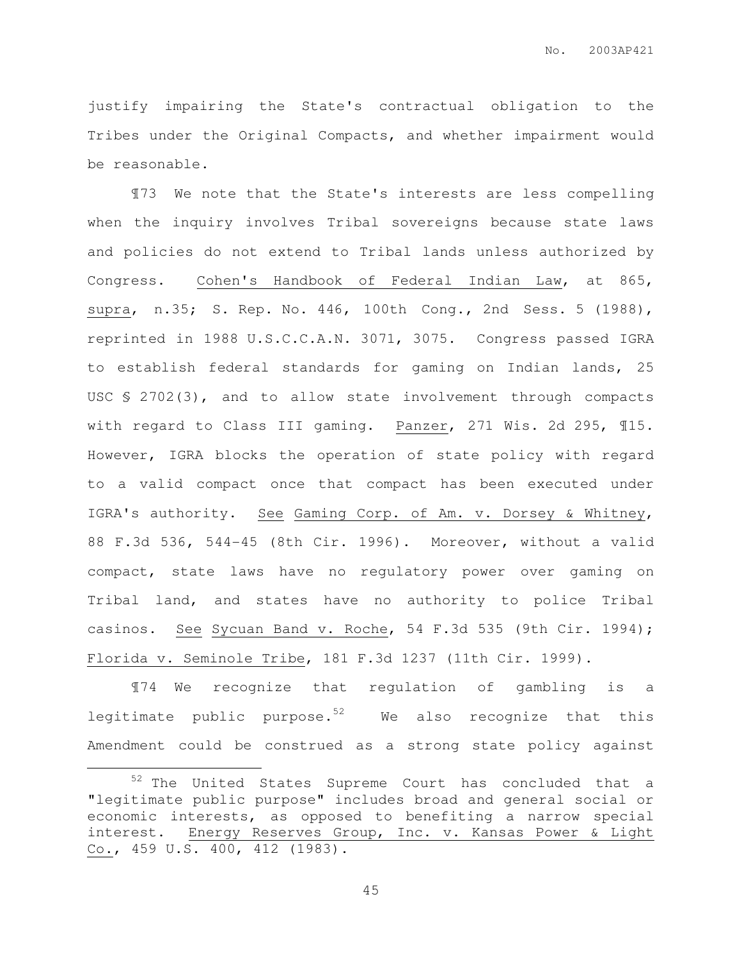justify impairing the State's contractual obligation to the Tribes under the Original Compacts, and whether impairment would be reasonable.

¶73 We note that the State's interests are less compelling when the inquiry involves Tribal sovereigns because state laws and policies do not extend to Tribal lands unless authorized by Congress. Cohen's Handbook of Federal Indian Law, at 865, supra, n.35; S. Rep. No. 446, 100th Cong., 2nd Sess. 5 (1988), reprinted in 1988 U.S.C.C.A.N. 3071, 3075. Congress passed IGRA to establish federal standards for gaming on Indian lands, 25 USC § 2702(3), and to allow state involvement through compacts with regard to Class III gaming. Panzer, 271 Wis. 2d 295, ¶15. However, IGRA blocks the operation of state policy with regard to a valid compact once that compact has been executed under IGRA's authority. See Gaming Corp. of Am. v. Dorsey & Whitney, 88 F.3d 536, 544-45 (8th Cir. 1996). Moreover, without a valid compact, state laws have no regulatory power over gaming on Tribal land, and states have no authority to police Tribal casinos. See Sycuan Band v. Roche, 54 F.3d 535 (9th Cir. 1994); Florida v. Seminole Tribe, 181 F.3d 1237 (11th Cir. 1999).

¶74 We recognize that regulation of gambling is a legitimate public purpose. $52$  We also recognize that this Amendment could be construed as a strong state policy against

 $\overline{a}$ 

<sup>52</sup> The United States Supreme Court has concluded that a "legitimate public purpose" includes broad and general social or economic interests, as opposed to benefiting a narrow special interest. Energy Reserves Group, Inc. v. Kansas Power & Light Co., 459 U.S. 400, 412 (1983).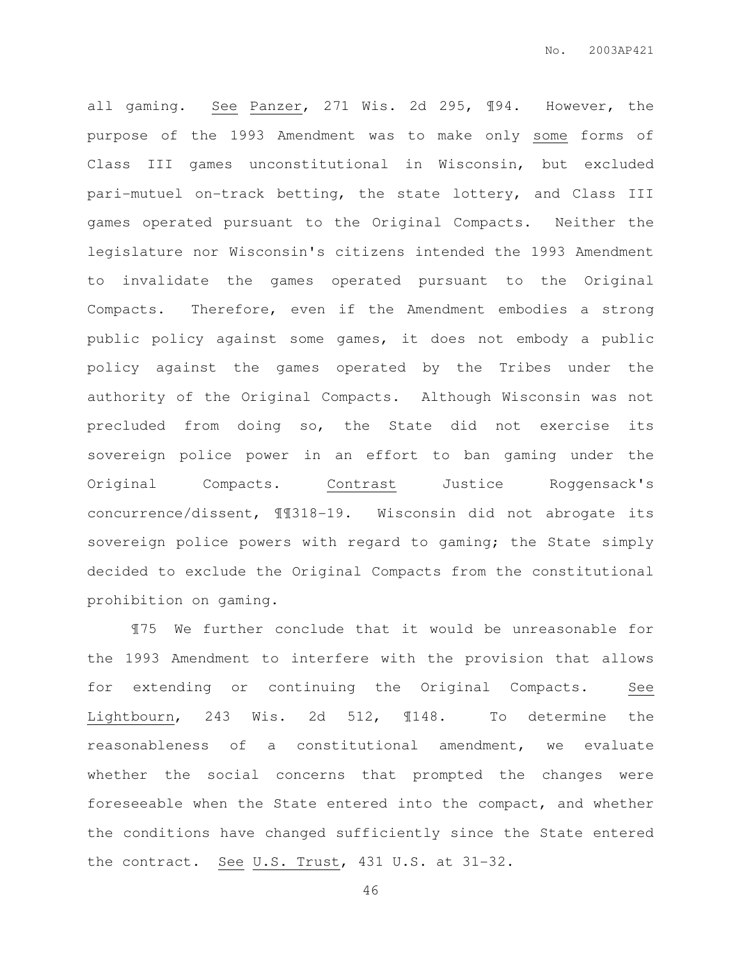all gaming. See Panzer, 271 Wis. 2d 295, ¶94. However, the purpose of the 1993 Amendment was to make only some forms of Class III games unconstitutional in Wisconsin, but excluded pari-mutuel on-track betting, the state lottery, and Class III games operated pursuant to the Original Compacts. Neither the legislature nor Wisconsin's citizens intended the 1993 Amendment to invalidate the games operated pursuant to the Original Compacts. Therefore, even if the Amendment embodies a strong public policy against some games, it does not embody a public policy against the games operated by the Tribes under the authority of the Original Compacts. Although Wisconsin was not precluded from doing so, the State did not exercise its sovereign police power in an effort to ban gaming under the Original Compacts. Contrast Justice Roggensack's concurrence/dissent, ¶¶318-19. Wisconsin did not abrogate its sovereign police powers with regard to gaming; the State simply decided to exclude the Original Compacts from the constitutional prohibition on gaming.

¶75 We further conclude that it would be unreasonable for the 1993 Amendment to interfere with the provision that allows for extending or continuing the Original Compacts. See Lightbourn, 243 Wis. 2d 512, ¶148. To determine the reasonableness of a constitutional amendment, we evaluate whether the social concerns that prompted the changes were foreseeable when the State entered into the compact, and whether the conditions have changed sufficiently since the State entered the contract. See U.S. Trust, 431 U.S. at 31-32.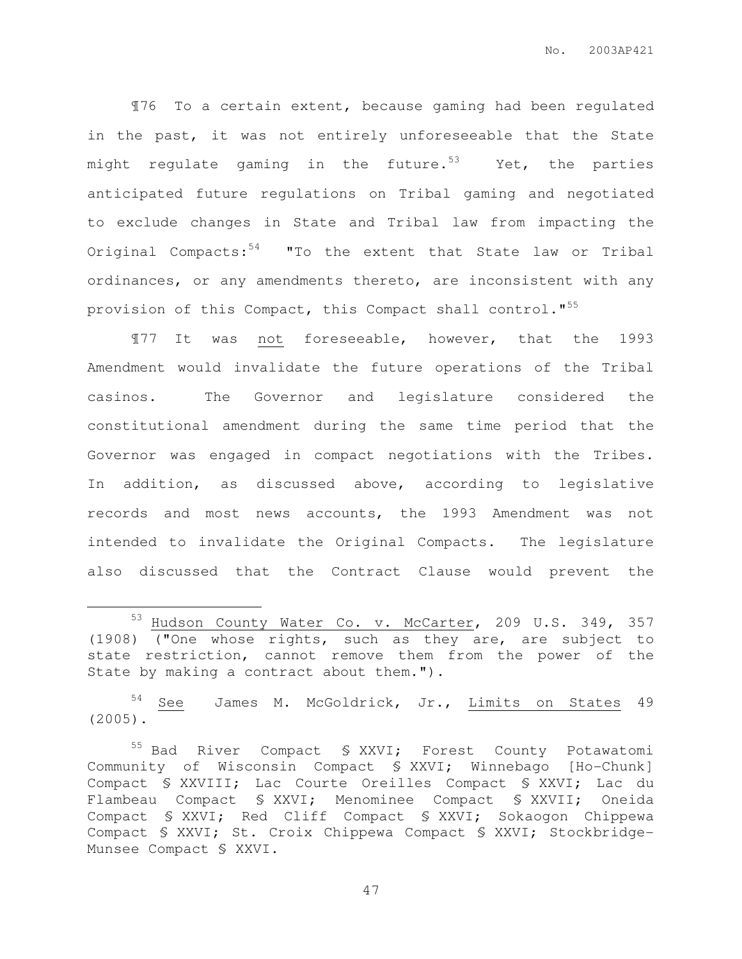¶76 To a certain extent, because gaming had been regulated in the past, it was not entirely unforeseeable that the State might regulate gaming in the future.<sup>53</sup> Yet, the parties anticipated future regulations on Tribal gaming and negotiated to exclude changes in State and Tribal law from impacting the Original Compacts: $54$  "To the extent that State law or Tribal ordinances, or any amendments thereto, are inconsistent with any provision of this Compact, this Compact shall control."<sup>55</sup>

¶77 It was not foreseeable, however, that the 1993 Amendment would invalidate the future operations of the Tribal casinos. The Governor and legislature considered the constitutional amendment during the same time period that the Governor was engaged in compact negotiations with the Tribes. In addition, as discussed above, according to legislative records and most news accounts, the 1993 Amendment was not intended to invalidate the Original Compacts. The legislature also discussed that the Contract Clause would prevent the

 $\overline{a}$ 

<sup>54</sup> See James M. McGoldrick, Jr., Limits on States 49 (2005).

<sup>53</sup> Hudson County Water Co. v. McCarter, 209 U.S. 349, 357 (1908) ("One whose rights, such as they are, are subject to state restriction, cannot remove them from the power of the State by making a contract about them.").

<sup>&</sup>lt;sup>55</sup> Bad River Compact § XXVI; Forest County Potawatomi Community of Wisconsin Compact § XXVI; Winnebago [Ho-Chunk] Compact § XXVIII; Lac Courte Oreilles Compact § XXVI; Lac du Flambeau Compact § XXVI; Menominee Compact § XXVII; Oneida Compact § XXVI; Red Cliff Compact § XXVI; Sokaogon Chippewa Compact § XXVI; St. Croix Chippewa Compact § XXVI; Stockbridge-Munsee Compact § XXVI.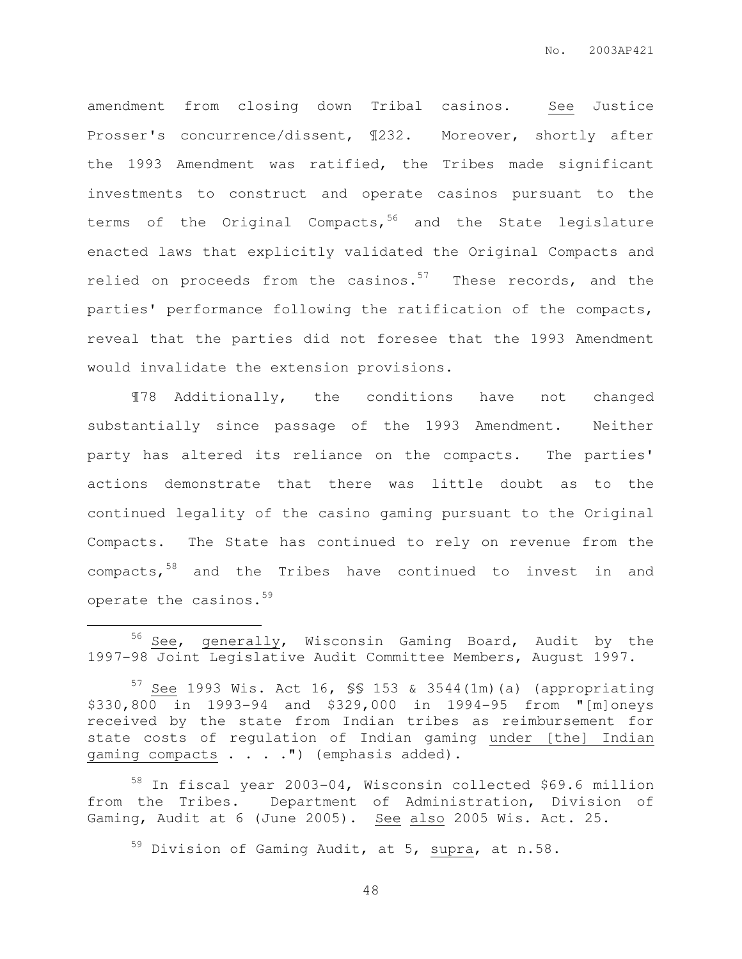amendment from closing down Tribal casinos. See Justice Prosser's concurrence/dissent, ¶232. Moreover, shortly after the 1993 Amendment was ratified, the Tribes made significant investments to construct and operate casinos pursuant to the terms of the Original Compacts,  $56$  and the State legislature enacted laws that explicitly validated the Original Compacts and relied on proceeds from the casinos.<sup>57</sup> These records, and the parties' performance following the ratification of the compacts, reveal that the parties did not foresee that the 1993 Amendment would invalidate the extension provisions.

¶78 Additionally, the conditions have not changed substantially since passage of the 1993 Amendment. Neither party has altered its reliance on the compacts. The parties' actions demonstrate that there was little doubt as to the continued legality of the casino gaming pursuant to the Original Compacts. The State has continued to rely on revenue from the compacts, 58 and the Tribes have continued to invest in and operate the casinos.<sup>59</sup>

 $\overline{a}$ 

<sup>58</sup> In fiscal year 2003-04, Wisconsin collected \$69.6 million from the Tribes. Department of Administration, Division of Gaming, Audit at 6 (June 2005). See also 2005 Wis. Act. 25.

<sup>59</sup> Division of Gaming Audit, at 5, supra, at n.58.

<sup>&</sup>lt;sup>56</sup> See, generally, Wisconsin Gaming Board, Audit by the 1997-98 Joint Legislative Audit Committee Members, August 1997.

 $57$  See 1993 Wis. Act 16, SS 153 & 3544(1m)(a) (appropriating \$330,800 in 1993-94 and \$329,000 in 1994-95 from "[m]oneys received by the state from Indian tribes as reimbursement for state costs of regulation of Indian gaming under [the] Indian gaming compacts . . . . ") (emphasis added).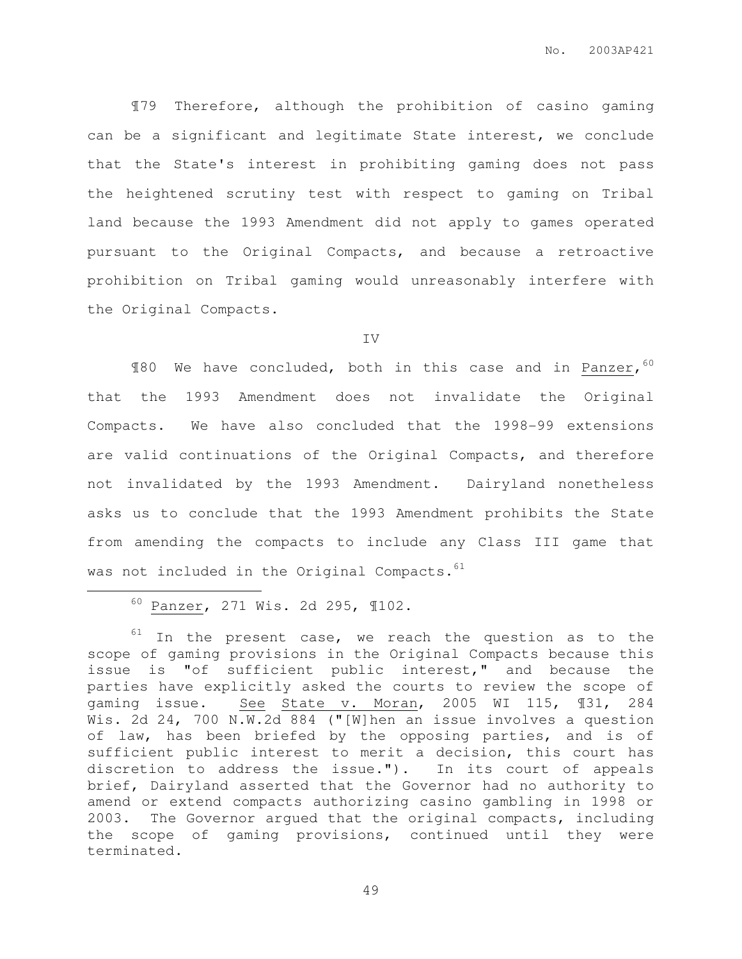¶79 Therefore, although the prohibition of casino gaming can be a significant and legitimate State interest, we conclude that the State's interest in prohibiting gaming does not pass the heightened scrutiny test with respect to gaming on Tribal land because the 1993 Amendment did not apply to games operated pursuant to the Original Compacts, and because a retroactive prohibition on Tribal gaming would unreasonably interfere with the Original Compacts.

IV

¶80 We have concluded, both in this case and in Panzer, 60 that the 1993 Amendment does not invalidate the Original Compacts. We have also concluded that the 1998-99 extensions are valid continuations of the Original Compacts, and therefore not invalidated by the 1993 Amendment. Dairyland nonetheless asks us to conclude that the 1993 Amendment prohibits the State from amending the compacts to include any Class III game that was not included in the Original Compacts.<sup>61</sup>

<sup>60</sup> Panzer, 271 Wis. 2d 295, ¶102.

 $\overline{a}$ 

 $61$  In the present case, we reach the question as to the scope of gaming provisions in the Original Compacts because this issue is "of sufficient public interest," and because the parties have explicitly asked the courts to review the scope of gaming issue. See State v. Moran, 2005 WI 115, ¶31, 284 Wis. 2d 24, 700 N.W.2d 884 ("[W]hen an issue involves a question of law, has been briefed by the opposing parties, and is of sufficient public interest to merit a decision, this court has discretion to address the issue."). In its court of appeals brief, Dairyland asserted that the Governor had no authority to amend or extend compacts authorizing casino gambling in 1998 or 2003. The Governor argued that the original compacts, including the scope of gaming provisions, continued until they were terminated.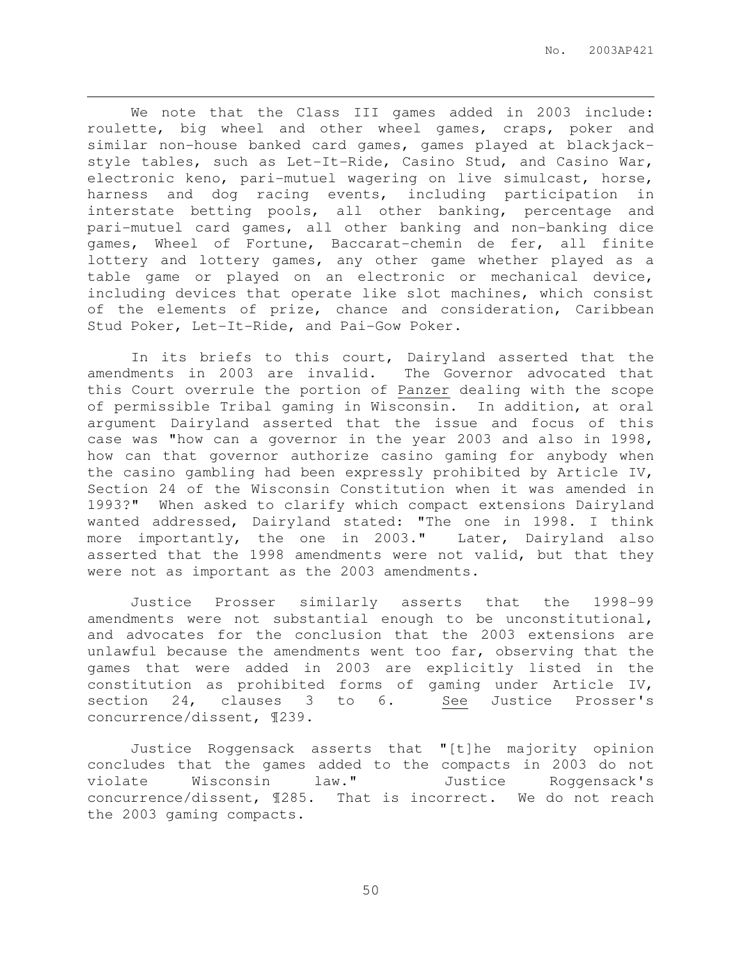We note that the Class III games added in 2003 include: roulette, big wheel and other wheel games, craps, poker and similar non-house banked card games, games played at blackjackstyle tables, such as Let-It-Ride, Casino Stud, and Casino War, electronic keno, pari-mutuel wagering on live simulcast, horse, harness and dog racing events, including participation in interstate betting pools, all other banking, percentage and pari-mutuel card games, all other banking and non-banking dice games, Wheel of Fortune, Baccarat-chemin de fer, all finite lottery and lottery games, any other game whether played as a table game or played on an electronic or mechanical device, including devices that operate like slot machines, which consist of the elements of prize, chance and consideration, Caribbean Stud Poker, Let-It-Ride, and Pai-Gow Poker.

 $\overline{a}$ 

In its briefs to this court, Dairyland asserted that the amendments in 2003 are invalid. The Governor advocated that this Court overrule the portion of Panzer dealing with the scope of permissible Tribal gaming in Wisconsin. In addition, at oral argument Dairyland asserted that the issue and focus of this case was "how can a governor in the year 2003 and also in 1998, how can that governor authorize casino gaming for anybody when the casino gambling had been expressly prohibited by Article IV, Section 24 of the Wisconsin Constitution when it was amended in 1993?" When asked to clarify which compact extensions Dairyland wanted addressed, Dairyland stated: "The one in 1998. I think more importantly, the one in 2003." Later, Dairyland also asserted that the 1998 amendments were not valid, but that they were not as important as the 2003 amendments.

Justice Prosser similarly asserts that the 1998-99 amendments were not substantial enough to be unconstitutional, and advocates for the conclusion that the 2003 extensions are unlawful because the amendments went too far, observing that the games that were added in 2003 are explicitly listed in the constitution as prohibited forms of gaming under Article IV, section 24, clauses 3 to 6. See Justice Prosser's concurrence/dissent, ¶239.

Justice Roggensack asserts that "[t]he majority opinion concludes that the games added to the compacts in 2003 do not violate Wisconsin law." Justice Roggensack's concurrence/dissent, ¶285. That is incorrect. We do not reach the 2003 gaming compacts.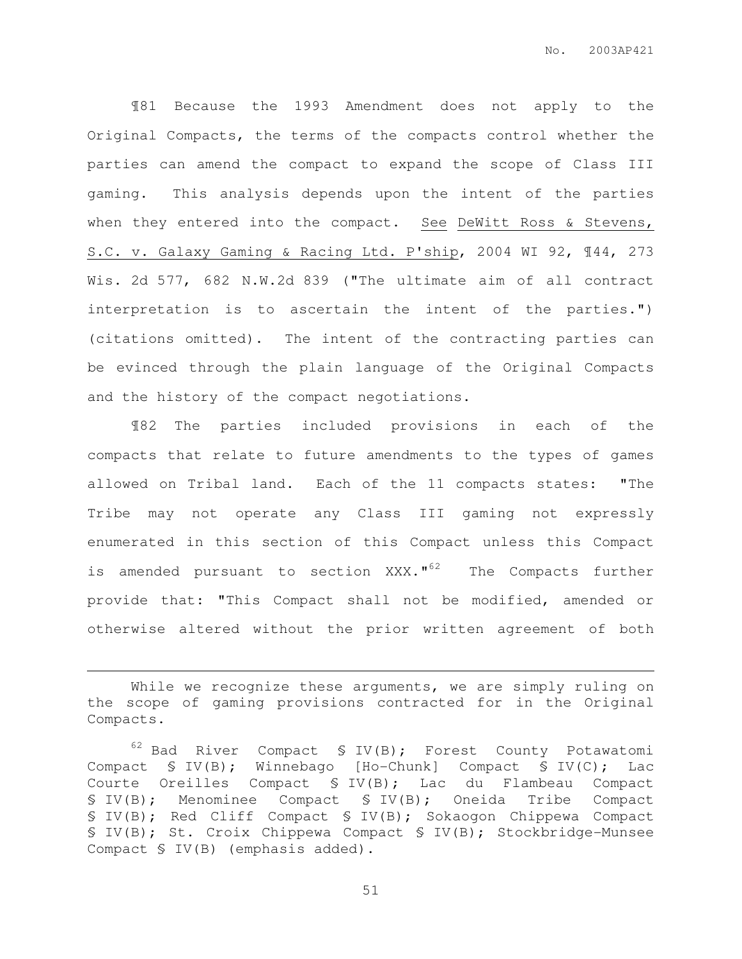¶81 Because the 1993 Amendment does not apply to the Original Compacts, the terms of the compacts control whether the parties can amend the compact to expand the scope of Class III gaming. This analysis depends upon the intent of the parties when they entered into the compact. See DeWitt Ross & Stevens, S.C. v. Galaxy Gaming & Racing Ltd. P'ship, 2004 WI 92, ¶44, 273 Wis. 2d 577, 682 N.W.2d 839 ("The ultimate aim of all contract interpretation is to ascertain the intent of the parties.") (citations omitted). The intent of the contracting parties can be evinced through the plain language of the Original Compacts and the history of the compact negotiations.

¶82 The parties included provisions in each of the compacts that relate to future amendments to the types of games allowed on Tribal land. Each of the 11 compacts states: "The Tribe may not operate any Class III gaming not expressly enumerated in this section of this Compact unless this Compact is amended pursuant to section XXX."<sup>62</sup> The Compacts further provide that: "This Compact shall not be modified, amended or otherwise altered without the prior written agreement of both

 $\overline{a}$ 

While we recognize these arguments, we are simply ruling on the scope of gaming provisions contracted for in the Original Compacts.

 $62$  Bad River Compact § IV(B); Forest County Potawatomi Compact § IV(B); Winnebago [Ho-Chunk] Compact § IV(C); Lac Courte Oreilles Compact § IV(B); Lac du Flambeau Compact § IV(B); Menominee Compact § IV(B); Oneida Tribe Compact § IV(B); Red Cliff Compact § IV(B); Sokaogon Chippewa Compact § IV(B); St. Croix Chippewa Compact § IV(B); Stockbridge-Munsee Compact § IV(B) (emphasis added).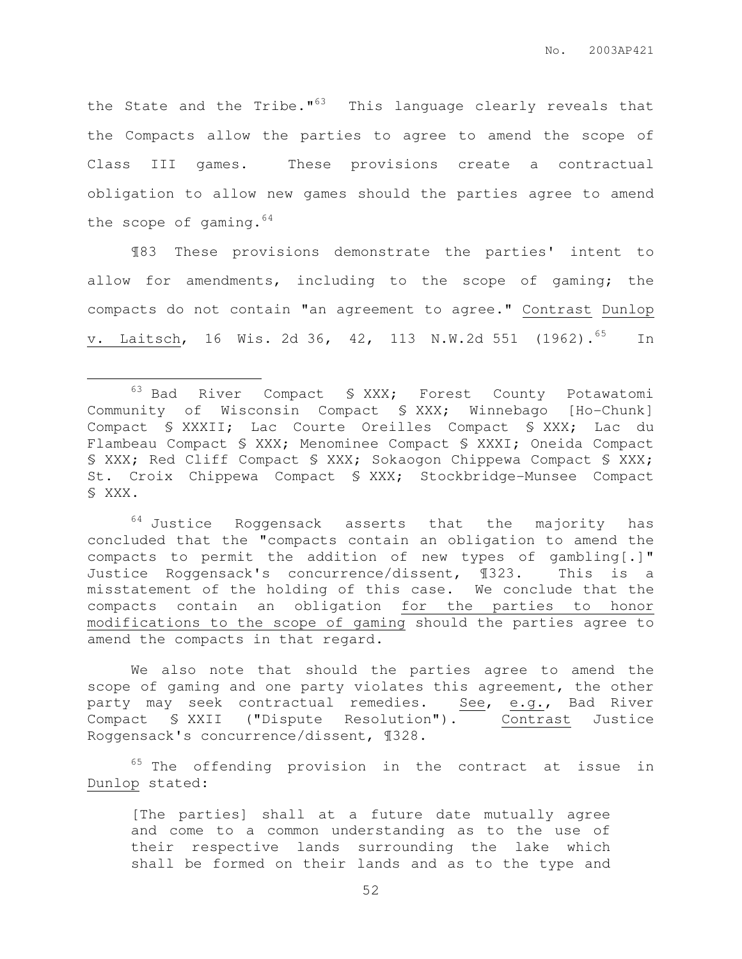the State and the Tribe."<sup>63</sup> This language clearly reveals that the Compacts allow the parties to agree to amend the scope of Class III games. These provisions create a contractual obligation to allow new games should the parties agree to amend the scope of gaming.<sup>64</sup>

 ¶83 These provisions demonstrate the parties' intent to allow for amendments, including to the scope of gaming; the compacts do not contain "an agreement to agree." Contrast Dunlop v. Laitsch, 16 Wis. 2d 36, 42, 113 N.W.2d 551 (1962).<sup>65</sup> In

 $\overline{a}$ 

 $64$  Justice Roggensack asserts that the majority has concluded that the "compacts contain an obligation to amend the compacts to permit the addition of new types of gambling[.]" Justice Roggensack's concurrence/dissent, ¶323. This is a misstatement of the holding of this case. We conclude that the compacts contain an obligation for the parties to honor modifications to the scope of gaming should the parties agree to amend the compacts in that regard.

We also note that should the parties agree to amend the scope of gaming and one party violates this agreement, the other party may seek contractual remedies. See, e.g., Bad River Compact § XXII ("Dispute Resolution"). Contrast Justice Roggensack's concurrence/dissent, ¶328.

 $65$  The offending provision in the contract at issue in Dunlop stated:

[The parties] shall at a future date mutually agree and come to a common understanding as to the use of their respective lands surrounding the lake which shall be formed on their lands and as to the type and

<sup>63</sup> Bad River Compact § XXX; Forest County Potawatomi Community of Wisconsin Compact § XXX; Winnebago [Ho-Chunk] Compact § XXXII; Lac Courte Oreilles Compact § XXX; Lac du Flambeau Compact § XXX; Menominee Compact § XXXI; Oneida Compact § XXX; Red Cliff Compact § XXX; Sokaogon Chippewa Compact § XXX; St. Croix Chippewa Compact § XXX; Stockbridge-Munsee Compact § XXX.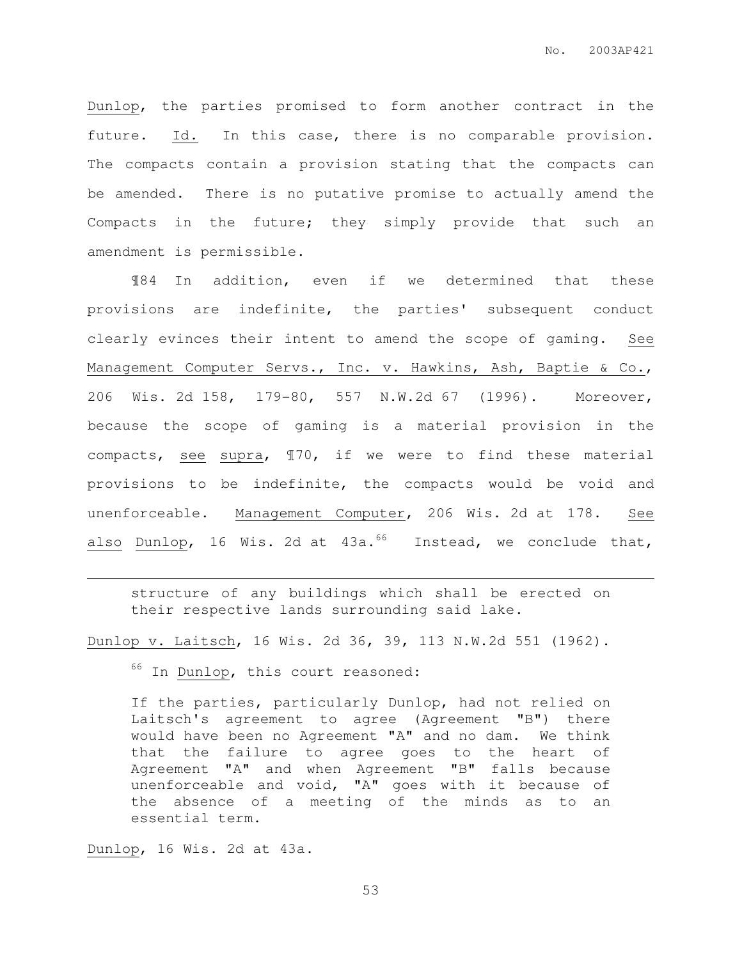Dunlop, the parties promised to form another contract in the future. Id. In this case, there is no comparable provision. The compacts contain a provision stating that the compacts can be amended. There is no putative promise to actually amend the Compacts in the future; they simply provide that such an amendment is permissible.

¶84 In addition, even if we determined that these provisions are indefinite, the parties' subsequent conduct clearly evinces their intent to amend the scope of gaming. See Management Computer Servs., Inc. v. Hawkins, Ash, Baptie & Co., 206 Wis. 2d 158, 179-80, 557 N.W.2d 67 (1996). Moreover, because the scope of gaming is a material provision in the compacts, see supra, ¶70, if we were to find these material provisions to be indefinite, the compacts would be void and unenforceable. Management Computer, 206 Wis. 2d at 178. See also Dunlop, 16 Wis. 2d at  $43a.^{66}$  Instead, we conclude that,

structure of any buildings which shall be erected on their respective lands surrounding said lake.

Dunlop v. Laitsch, 16 Wis. 2d 36, 39, 113 N.W.2d 551 (1962).

 $66$  In Dunlop, this court reasoned:

If the parties, particularly Dunlop, had not relied on Laitsch's agreement to agree (Agreement "B") there would have been no Agreement "A" and no dam. We think that the failure to agree goes to the heart of Agreement "A" and when Agreement "B" falls because unenforceable and void, "A" goes with it because of the absence of a meeting of the minds as to an essential term.

Dunlop, 16 Wis. 2d at 43a.

 $\overline{a}$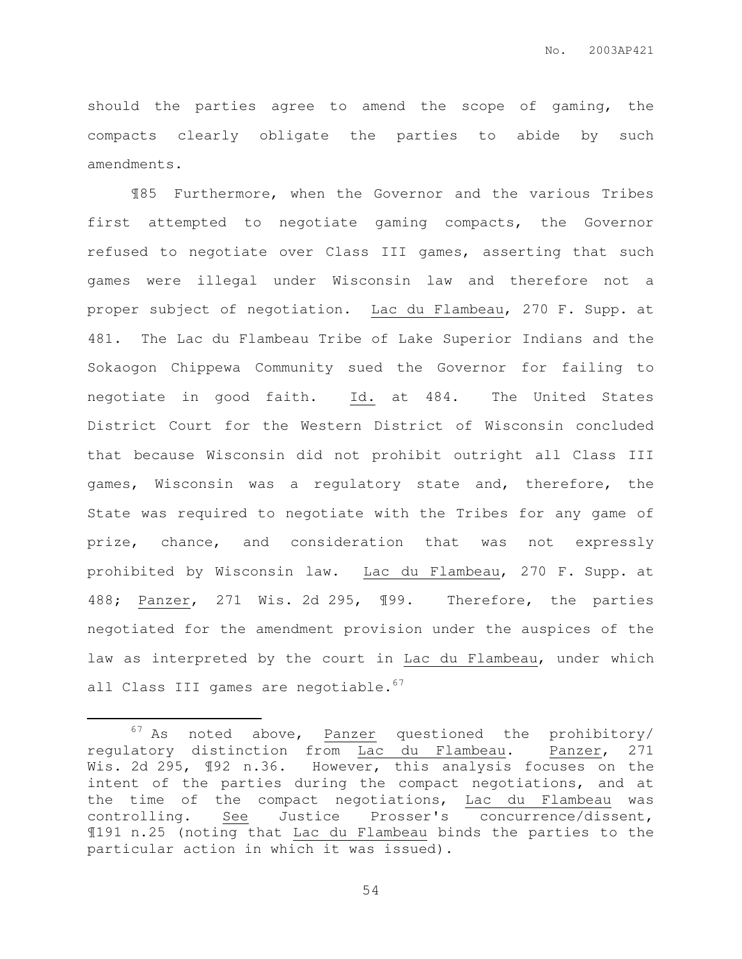should the parties agree to amend the scope of gaming, the compacts clearly obligate the parties to abide by such amendments.

¶85 Furthermore, when the Governor and the various Tribes first attempted to negotiate gaming compacts, the Governor refused to negotiate over Class III games, asserting that such games were illegal under Wisconsin law and therefore not a proper subject of negotiation. Lac du Flambeau, 270 F. Supp. at 481. The Lac du Flambeau Tribe of Lake Superior Indians and the Sokaogon Chippewa Community sued the Governor for failing to negotiate in good faith. Id. at 484. The United States District Court for the Western District of Wisconsin concluded that because Wisconsin did not prohibit outright all Class III games, Wisconsin was a regulatory state and, therefore, the State was required to negotiate with the Tribes for any game of prize, chance, and consideration that was not expressly prohibited by Wisconsin law. Lac du Flambeau, 270 F. Supp. at 488; Panzer, 271 Wis. 2d 295, ¶99. Therefore, the parties negotiated for the amendment provision under the auspices of the law as interpreted by the court in Lac du Flambeau, under which all Class III games are negotiable.<sup>67</sup>

 $\overline{a}$ 

 $67$  As noted above,  $Panser$  questioned the prohibitory/ regulatory distinction from Lac du Flambeau. Panzer, 271 Wis. 2d 295, 192 n.36. However, this analysis focuses on the intent of the parties during the compact negotiations, and at the time of the compact negotiations, Lac du Flambeau was controlling. See Justice Prosser's concurrence/dissent, ¶191 n.25 (noting that Lac du Flambeau binds the parties to the particular action in which it was issued).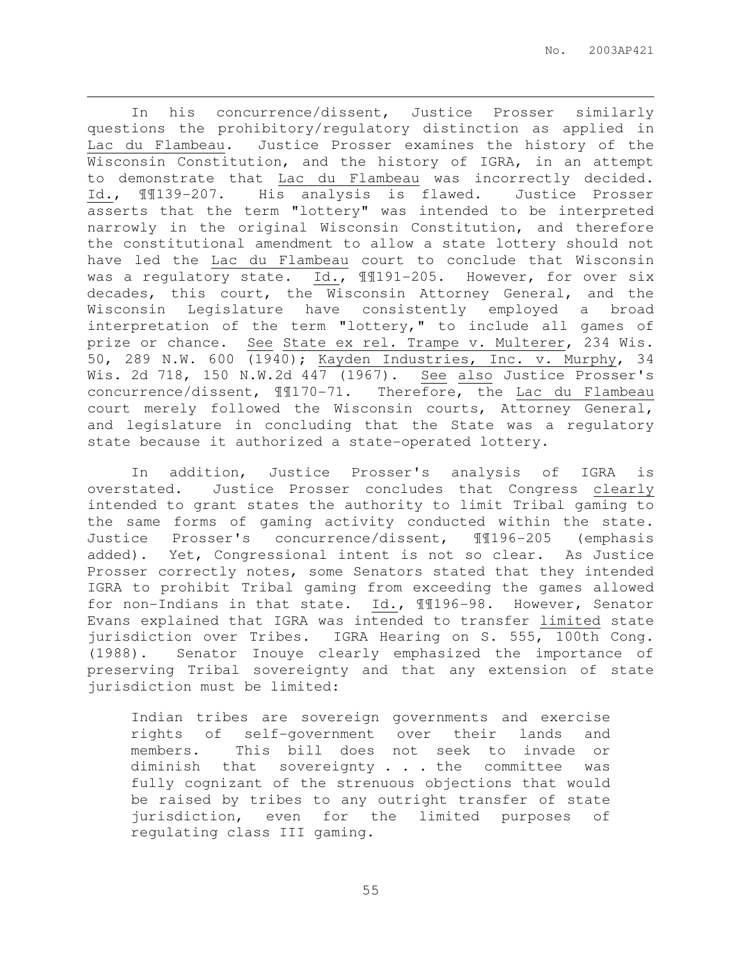In his concurrence/dissent, Justice Prosser similarly questions the prohibitory/regulatory distinction as applied in Lac du Flambeau. Justice Prosser examines the history of the Wisconsin Constitution, and the history of IGRA, in an attempt to demonstrate that Lac du Flambeau was incorrectly decided. Id., ¶¶139-207. His analysis is flawed. Justice Prosser asserts that the term "lottery" was intended to be interpreted narrowly in the original Wisconsin Constitution, and therefore the constitutional amendment to allow a state lottery should not have led the Lac du Flambeau court to conclude that Wisconsin was a regulatory state. Id., 1191-205. However, for over six decades, this court, the Wisconsin Attorney General, and the Wisconsin Legislature have consistently employed a broad interpretation of the term "lottery," to include all games of prize or chance. See State ex rel. Trampe v. Multerer, 234 Wis. 50, 289 N.W. 600 (1940); Kayden Industries, Inc. v. Murphy, 34 Wis. 2d 718, 150 N.W.2d 447 (1967). See also Justice Prosser's concurrence/dissent, ¶¶170-71. Therefore, the Lac du Flambeau court merely followed the Wisconsin courts, Attorney General, and legislature in concluding that the State was a regulatory state because it authorized a state-operated lottery.

 $\overline{a}$ 

In addition, Justice Prosser's analysis of IGRA is overstated. Justice Prosser concludes that Congress clearly intended to grant states the authority to limit Tribal gaming to the same forms of gaming activity conducted within the state. Justice Prosser's concurrence/dissent, ¶¶196-205 (emphasis added). Yet, Congressional intent is not so clear. As Justice Prosser correctly notes, some Senators stated that they intended IGRA to prohibit Tribal gaming from exceeding the games allowed for non-Indians in that state. Id., ¶¶196-98. However, Senator Evans explained that IGRA was intended to transfer limited state jurisdiction over Tribes. IGRA Hearing on S. 555, 100th Cong. (1988). Senator Inouye clearly emphasized the importance of preserving Tribal sovereignty and that any extension of state jurisdiction must be limited:

Indian tribes are sovereign governments and exercise rights of self-government over their lands and members. This bill does not seek to invade or diminish that sovereignty . . . the committee was fully cognizant of the strenuous objections that would be raised by tribes to any outright transfer of state jurisdiction, even for the limited purposes of regulating class III gaming.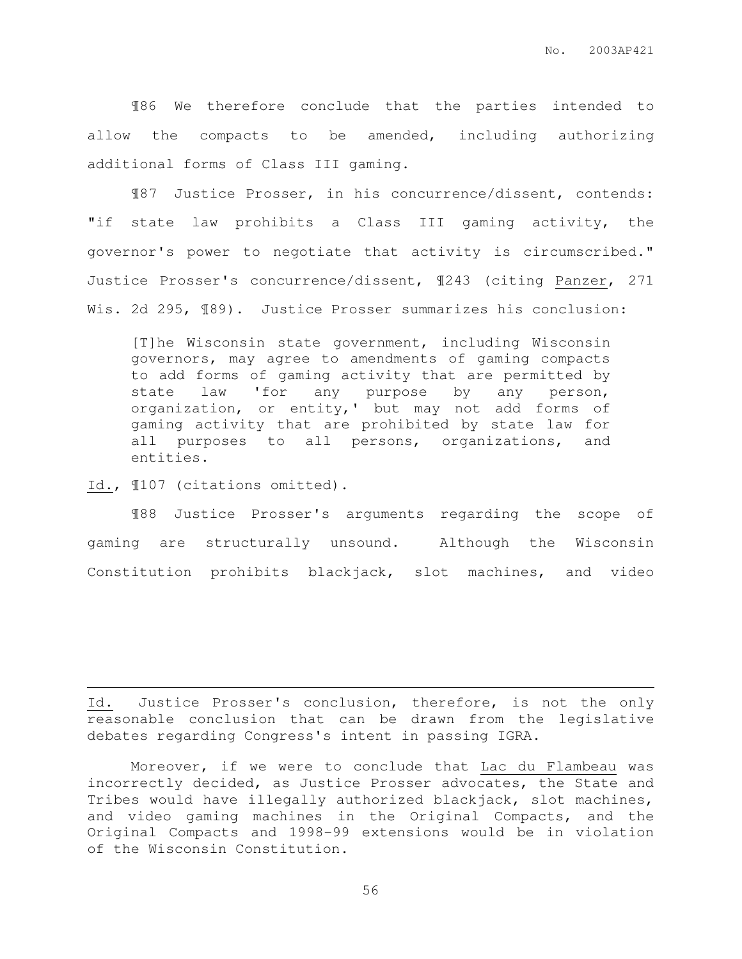¶86 We therefore conclude that the parties intended to allow the compacts to be amended, including authorizing additional forms of Class III gaming.

¶87 Justice Prosser, in his concurrence/dissent, contends: "if state law prohibits a Class III gaming activity, the governor's power to negotiate that activity is circumscribed." Justice Prosser's concurrence/dissent, ¶243 (citing Panzer, 271 Wis. 2d 295, ¶89). Justice Prosser summarizes his conclusion:

[T]he Wisconsin state government, including Wisconsin governors, may agree to amendments of gaming compacts to add forms of gaming activity that are permitted by state law 'for any purpose by any person, organization, or entity,' but may not add forms of gaming activity that are prohibited by state law for all purposes to all persons, organizations, and entities.

Id., ¶107 (citations omitted).

 $\overline{a}$ 

¶88 Justice Prosser's arguments regarding the scope of gaming are structurally unsound. Although the Wisconsin Constitution prohibits blackjack, slot machines, and video

Id. Justice Prosser's conclusion, therefore, is not the only reasonable conclusion that can be drawn from the legislative debates regarding Congress's intent in passing IGRA.

Moreover, if we were to conclude that Lac du Flambeau was incorrectly decided, as Justice Prosser advocates, the State and Tribes would have illegally authorized blackjack, slot machines, and video gaming machines in the Original Compacts, and the Original Compacts and 1998-99 extensions would be in violation of the Wisconsin Constitution.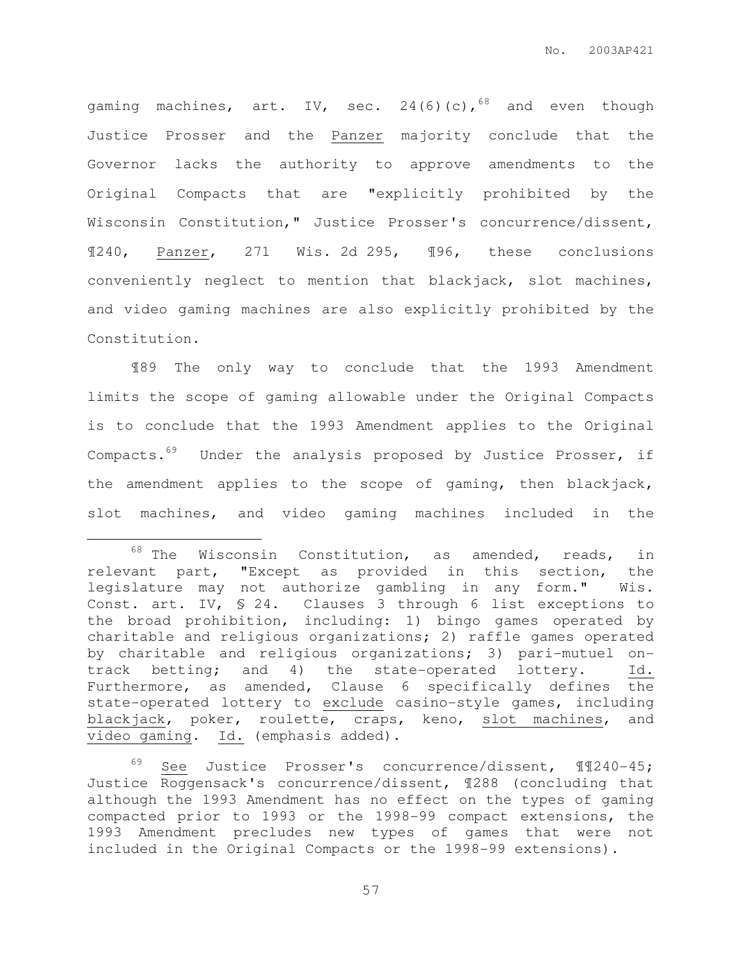gaming machines, art. IV, sec.  $24(6)(c)$ ,  $68$  and even though Justice Prosser and the Panzer majority conclude that the Governor lacks the authority to approve amendments to the Original Compacts that are "explicitly prohibited by the Wisconsin Constitution," Justice Prosser's concurrence/dissent, ¶240, Panzer, 271 Wis. 2d 295, ¶96, these conclusions conveniently neglect to mention that blackjack, slot machines, and video gaming machines are also explicitly prohibited by the Constitution.

¶89 The only way to conclude that the 1993 Amendment limits the scope of gaming allowable under the Original Compacts is to conclude that the 1993 Amendment applies to the Original Compacts.<sup>69</sup> Under the analysis proposed by Justice Prosser, if the amendment applies to the scope of gaming, then blackjack, slot machines, and video gaming machines included in the

 $\overline{a}$ 

 $68$  The Wisconsin Constitution, as amended, reads, in relevant part, "Except as provided in this section, the legislature may not authorize gambling in any form." Wis. Const. art. IV, § 24. Clauses 3 through 6 list exceptions to the broad prohibition, including: 1) bingo games operated by charitable and religious organizations; 2) raffle games operated by charitable and religious organizations; 3) pari-mutuel ontrack betting; and 4) the state-operated lottery. Id. Furthermore, as amended, Clause 6 specifically defines the state-operated lottery to exclude casino-style games, including blackjack, poker, roulette, craps, keno, slot machines, and video gaming. Id. (emphasis added).

<sup>69</sup> See Justice Prosser's concurrence/dissent, ¶¶240-45; Justice Roggensack's concurrence/dissent, ¶288 (concluding that although the 1993 Amendment has no effect on the types of gaming compacted prior to 1993 or the 1998-99 compact extensions, the 1993 Amendment precludes new types of games that were not included in the Original Compacts or the 1998-99 extensions).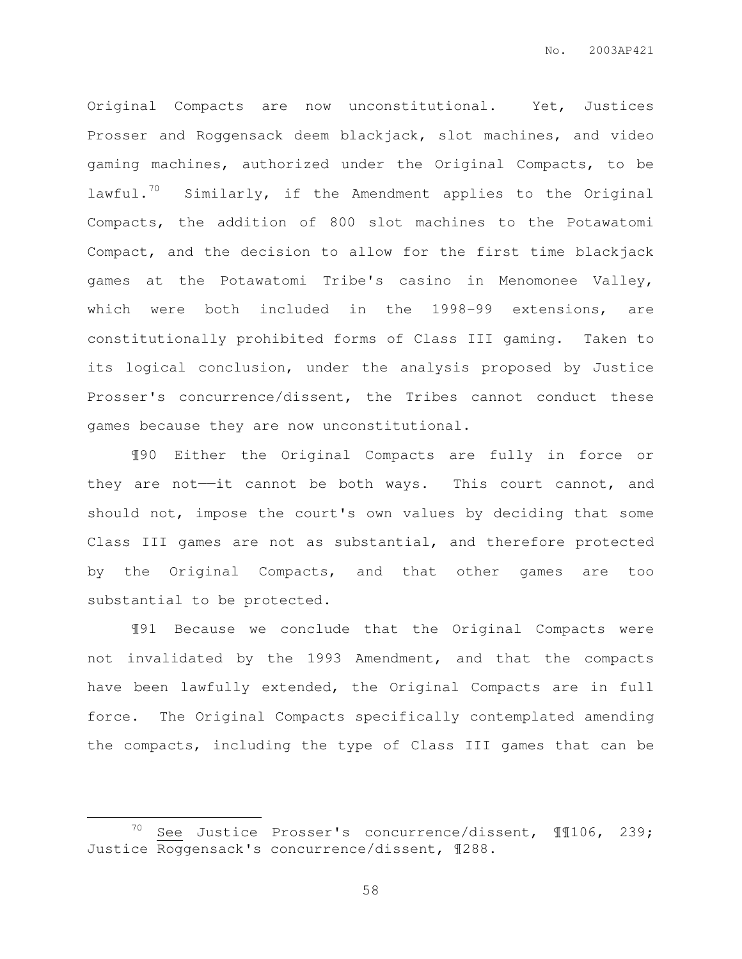Original Compacts are now unconstitutional. Yet, Justices Prosser and Roggensack deem blackjack, slot machines, and video gaming machines, authorized under the Original Compacts, to be lawful.<sup>70</sup> Similarly, if the Amendment applies to the Original Compacts, the addition of 800 slot machines to the Potawatomi Compact, and the decision to allow for the first time blackjack games at the Potawatomi Tribe's casino in Menomonee Valley, which were both included in the 1998-99 extensions, are constitutionally prohibited forms of Class III gaming. Taken to its logical conclusion, under the analysis proposed by Justice Prosser's concurrence/dissent, the Tribes cannot conduct these games because they are now unconstitutional.

¶90 Either the Original Compacts are fully in force or they are not—it cannot be both ways. This court cannot, and should not, impose the court's own values by deciding that some Class III games are not as substantial, and therefore protected by the Original Compacts, and that other games are too substantial to be protected.

¶91 Because we conclude that the Original Compacts were not invalidated by the 1993 Amendment, and that the compacts have been lawfully extended, the Original Compacts are in full force. The Original Compacts specifically contemplated amending the compacts, including the type of Class III games that can be

 $\overline{a}$ 

<sup>&</sup>lt;sup>70</sup> See Justice Prosser's concurrence/dissent,  $\text{\textsterling}106$ , 239; Justice Roggensack's concurrence/dissent, ¶288.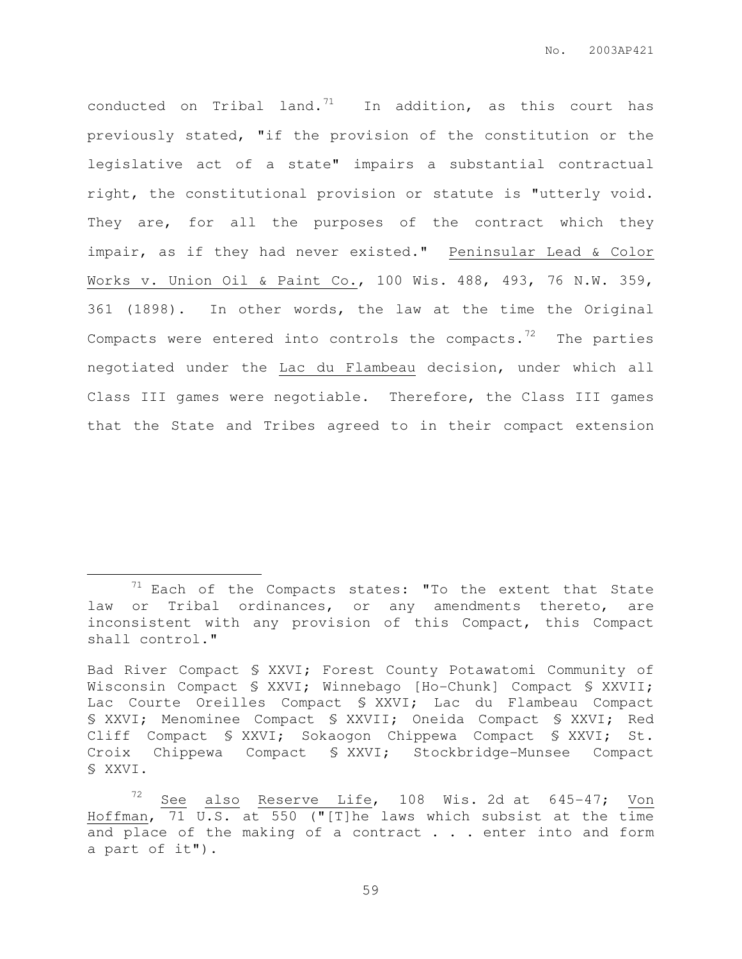conducted on Tribal land.<sup>71</sup> In addition, as this court has previously stated, "if the provision of the constitution or the legislative act of a state" impairs a substantial contractual right, the constitutional provision or statute is "utterly void. They are, for all the purposes of the contract which they impair, as if they had never existed." Peninsular Lead & Color Works v. Union Oil & Paint Co., 100 Wis. 488, 493, 76 N.W. 359, 361 (1898). In other words, the law at the time the Original Compacts were entered into controls the compacts. $72$  The parties negotiated under the Lac du Flambeau decision, under which all Class III games were negotiable. Therefore, the Class III games that the State and Tribes agreed to in their compact extension

 $\overline{a}$ 

 $71$  Each of the Compacts states: "To the extent that State law or Tribal ordinances, or any amendments thereto, are inconsistent with any provision of this Compact, this Compact shall control."

Bad River Compact § XXVI; Forest County Potawatomi Community of Wisconsin Compact § XXVI; Winnebago [Ho-Chunk] Compact § XXVII; Lac Courte Oreilles Compact § XXVI; Lac du Flambeau Compact § XXVI; Menominee Compact § XXVII; Oneida Compact § XXVI; Red Cliff Compact § XXVI; Sokaogon Chippewa Compact § XXVI; St. Croix Chippewa Compact § XXVI; Stockbridge-Munsee Compact § XXVI.

See also Reserve Life, 108 Wis. 2d at 645-47; Von Hoffman, 71 U.S. at 550 ("[T]he laws which subsist at the time and place of the making of a contract . . . enter into and form a part of it").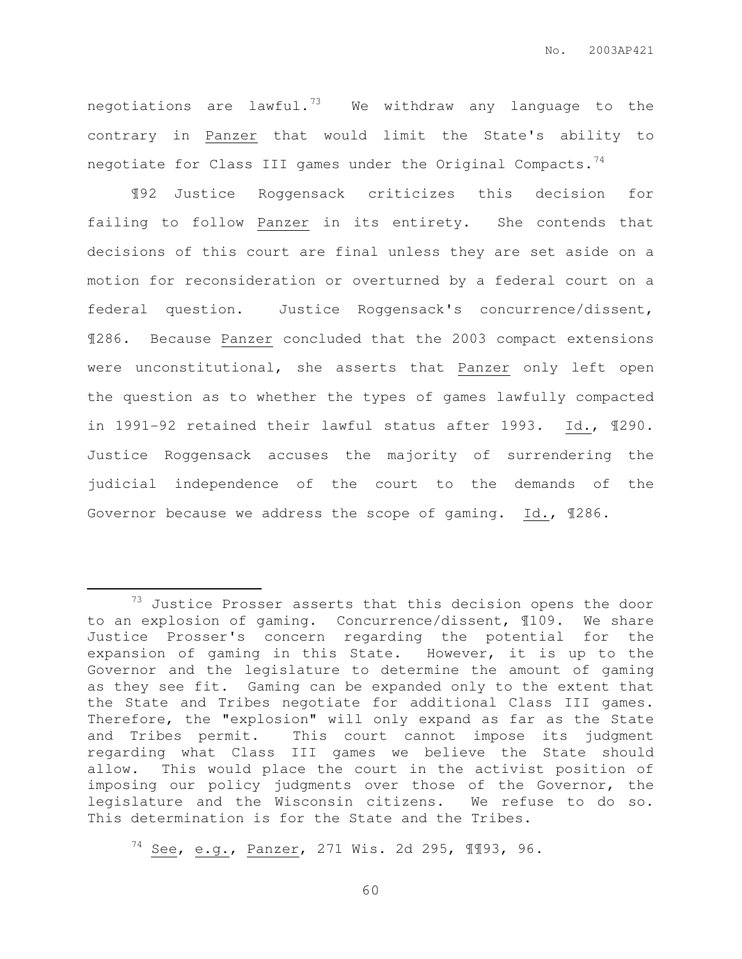negotiations are lawful.<sup>73</sup> We withdraw any language to the contrary in Panzer that would limit the State's ability to negotiate for Class III games under the Original Compacts.<sup>74</sup>

 ¶92 Justice Roggensack criticizes this decision for failing to follow Panzer in its entirety. She contends that decisions of this court are final unless they are set aside on a motion for reconsideration or overturned by a federal court on a federal question. Justice Roggensack's concurrence/dissent, ¶286. Because Panzer concluded that the 2003 compact extensions were unconstitutional, she asserts that Panzer only left open the question as to whether the types of games lawfully compacted in 1991-92 retained their lawful status after 1993. Id., ¶290. Justice Roggensack accuses the majority of surrendering the judicial independence of the court to the demands of the Governor because we address the scope of gaming. Id., ¶286.

 $\overline{a}$ 

 $73$  Justice Prosser asserts that this decision opens the door to an explosion of gaming. Concurrence/dissent, ¶109. We share Justice Prosser's concern regarding the potential for the expansion of gaming in this State. However, it is up to the Governor and the legislature to determine the amount of gaming as they see fit. Gaming can be expanded only to the extent that the State and Tribes negotiate for additional Class III games. Therefore, the "explosion" will only expand as far as the State and Tribes permit. This court cannot impose its judgment regarding what Class III games we believe the State should allow. This would place the court in the activist position of imposing our policy judgments over those of the Governor, the legislature and the Wisconsin citizens. We refuse to do so. This determination is for the State and the Tribes.

<sup>74</sup> See, e.g., Panzer, 271 Wis. 2d 295, ¶¶93, 96.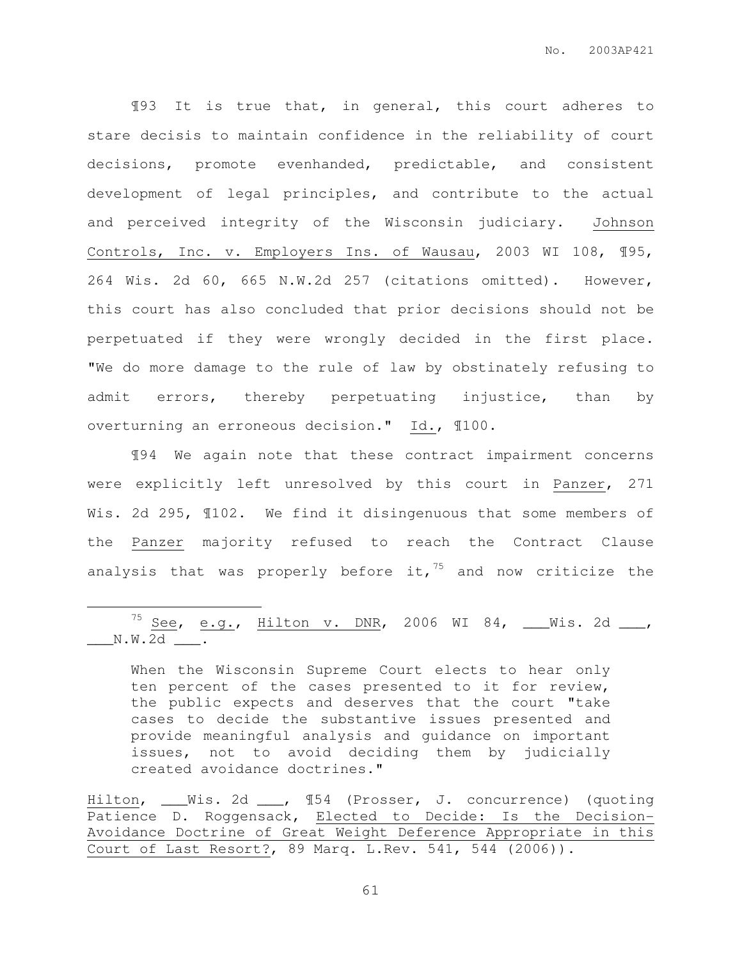¶93 It is true that, in general, this court adheres to stare decisis to maintain confidence in the reliability of court decisions, promote evenhanded, predictable, and consistent development of legal principles, and contribute to the actual and perceived integrity of the Wisconsin judiciary. Johnson Controls, Inc. v. Employers Ins. of Wausau, 2003 WI 108, ¶95, 264 Wis. 2d 60, 665 N.W.2d 257 (citations omitted). However, this court has also concluded that prior decisions should not be perpetuated if they were wrongly decided in the first place. "We do more damage to the rule of law by obstinately refusing to admit errors, thereby perpetuating injustice, than by overturning an erroneous decision." Id., ¶100.

¶94 We again note that these contract impairment concerns were explicitly left unresolved by this court in Panzer, 271 Wis. 2d 295,  $\text{\texttt{N102.}}$  We find it disingenuous that some members of the Panzer majority refused to reach the Contract Clause analysis that was properly before it,  $75$  and now criticize the

 $75$  See, e.g., Hilton v. DNR, 2006 WI 84, \_\_\_Wis. 2d \_\_\_,  $\sqrt{\text{N.W.2d}}$  .

 $\overline{a}$ 

When the Wisconsin Supreme Court elects to hear only ten percent of the cases presented to it for review, the public expects and deserves that the court "take cases to decide the substantive issues presented and provide meaningful analysis and guidance on important issues, not to avoid deciding them by judicially created avoidance doctrines."

Hilton, \_\_\_Wis. 2d \_\_\_, ¶54 (Prosser, J. concurrence) (quoting Patience D. Roggensack, Elected to Decide: Is the Decision-Avoidance Doctrine of Great Weight Deference Appropriate in this Court of Last Resort?, 89 Marq. L.Rev. 541, 544 (2006)).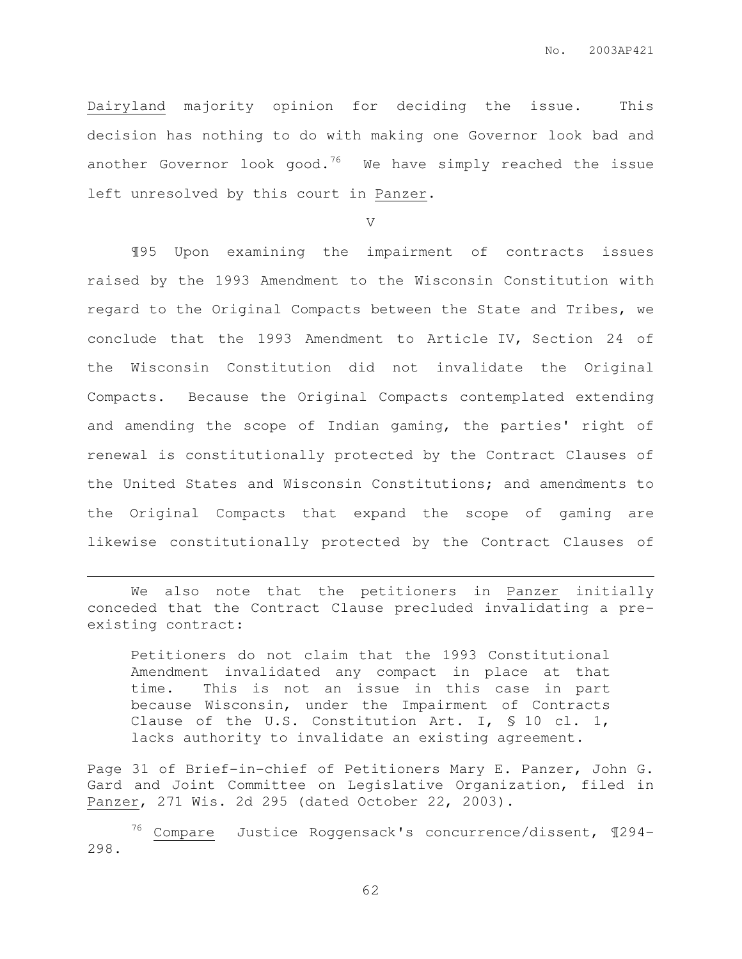Dairyland majority opinion for deciding the issue. This decision has nothing to do with making one Governor look bad and another Governor look good.<sup>76</sup> We have simply reached the issue left unresolved by this court in Panzer.

V

¶95 Upon examining the impairment of contracts issues raised by the 1993 Amendment to the Wisconsin Constitution with regard to the Original Compacts between the State and Tribes, we conclude that the 1993 Amendment to Article IV, Section 24 of the Wisconsin Constitution did not invalidate the Original Compacts. Because the Original Compacts contemplated extending and amending the scope of Indian gaming, the parties' right of renewal is constitutionally protected by the Contract Clauses of the United States and Wisconsin Constitutions; and amendments to the Original Compacts that expand the scope of gaming are likewise constitutionally protected by the Contract Clauses of

We also note that the petitioners in Panzer initially conceded that the Contract Clause precluded invalidating a preexisting contract:

 $\overline{a}$ 

Petitioners do not claim that the 1993 Constitutional Amendment invalidated any compact in place at that time. This is not an issue in this case in part because Wisconsin, under the Impairment of Contracts Clause of the U.S. Constitution Art. I, § 10 cl. 1, lacks authority to invalidate an existing agreement.

Page 31 of Brief-in-chief of Petitioners Mary E. Panzer, John G. Gard and Joint Committee on Legislative Organization, filed in Panzer, 271 Wis. 2d 295 (dated October 22, 2003).

 $76$  Compare Justice Roggensack's concurrence/dissent,  $1294-$ 298.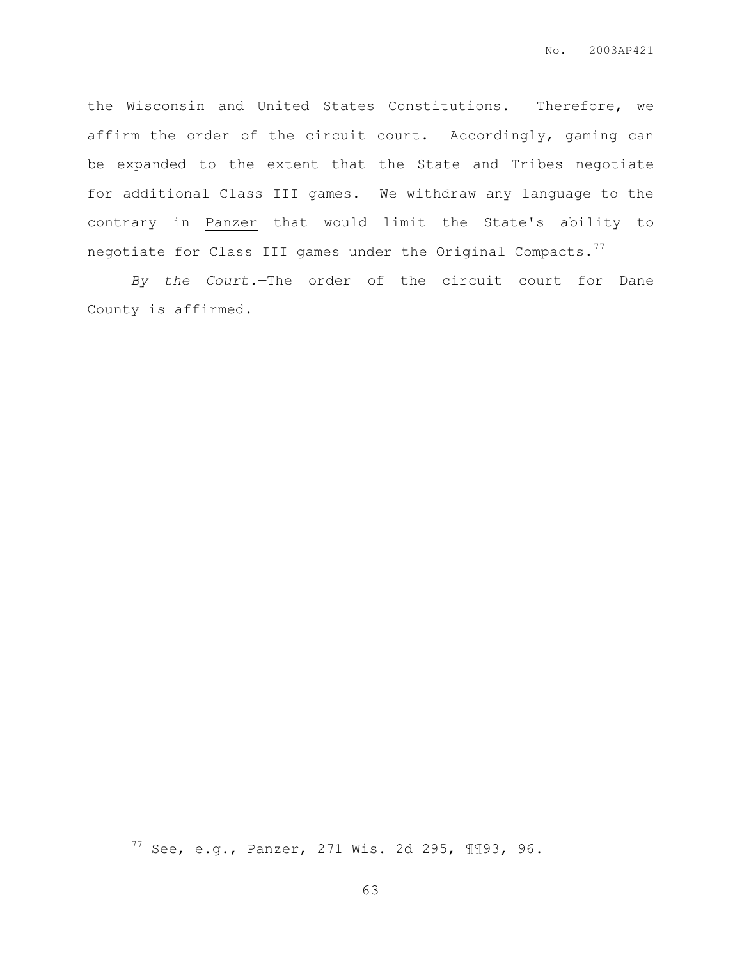the Wisconsin and United States Constitutions. Therefore, we affirm the order of the circuit court. Accordingly, gaming can be expanded to the extent that the State and Tribes negotiate for additional Class III games. We withdraw any language to the contrary in Panzer that would limit the State's ability to negotiate for Class III games under the Original Compacts.<sup>77</sup>

By the Court.—The order of the circuit court for Dane County is affirmed.

 $\overline{a}$ 

<sup>77</sup> See, e.g., Panzer, 271 Wis. 2d 295, ¶¶93, 96.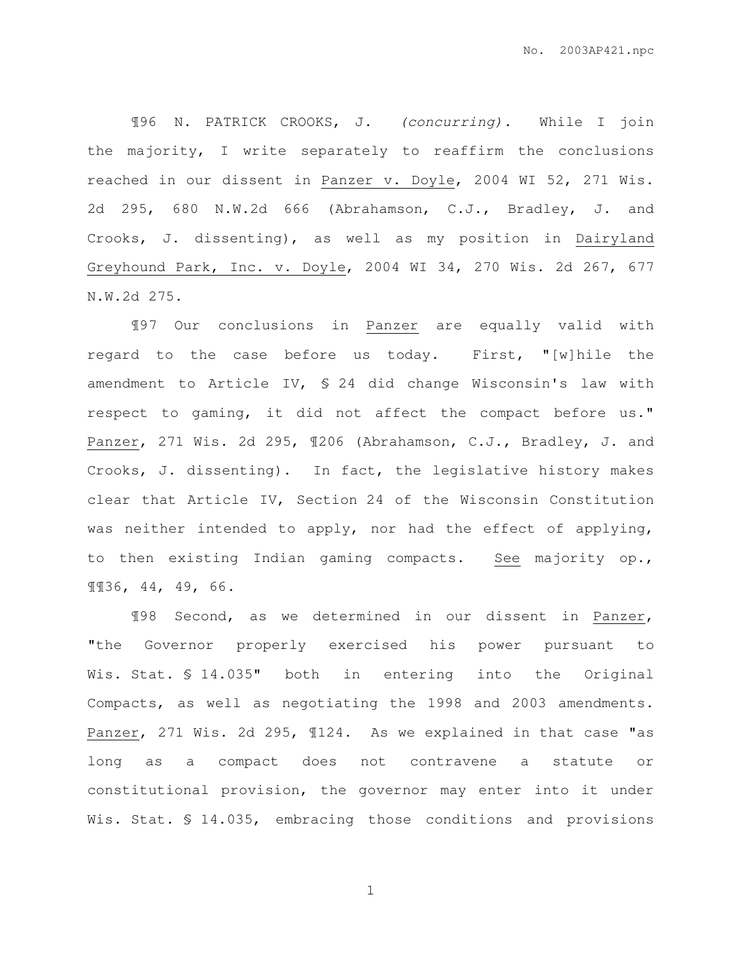¶96 N. PATRICK CROOKS, J. (concurring). While I join the majority, I write separately to reaffirm the conclusions reached in our dissent in Panzer v. Doyle, 2004 WI 52, 271 Wis. 2d 295, 680 N.W.2d 666 (Abrahamson, C.J., Bradley, J. and Crooks, J. dissenting), as well as my position in Dairyland Greyhound Park, Inc. v. Doyle, 2004 WI 34, 270 Wis. 2d 267, 677 N.W.2d 275.

¶97 Our conclusions in Panzer are equally valid with regard to the case before us today. First, "[w]hile the amendment to Article IV, § 24 did change Wisconsin's law with respect to gaming, it did not affect the compact before us." Panzer, 271 Wis. 2d 295, ¶206 (Abrahamson, C.J., Bradley, J. and Crooks, J. dissenting). In fact, the legislative history makes clear that Article IV, Section 24 of the Wisconsin Constitution was neither intended to apply, nor had the effect of applying, to then existing Indian gaming compacts. See majority op., ¶¶36, 44, 49, 66.

¶98 Second, as we determined in our dissent in Panzer, "the Governor properly exercised his power pursuant to Wis. Stat. § 14.035" both in entering into the Original Compacts, as well as negotiating the 1998 and 2003 amendments. Panzer, 271 Wis. 2d 295, ¶124. As we explained in that case "as long as a compact does not contravene a statute or constitutional provision, the governor may enter into it under Wis. Stat. § 14.035, embracing those conditions and provisions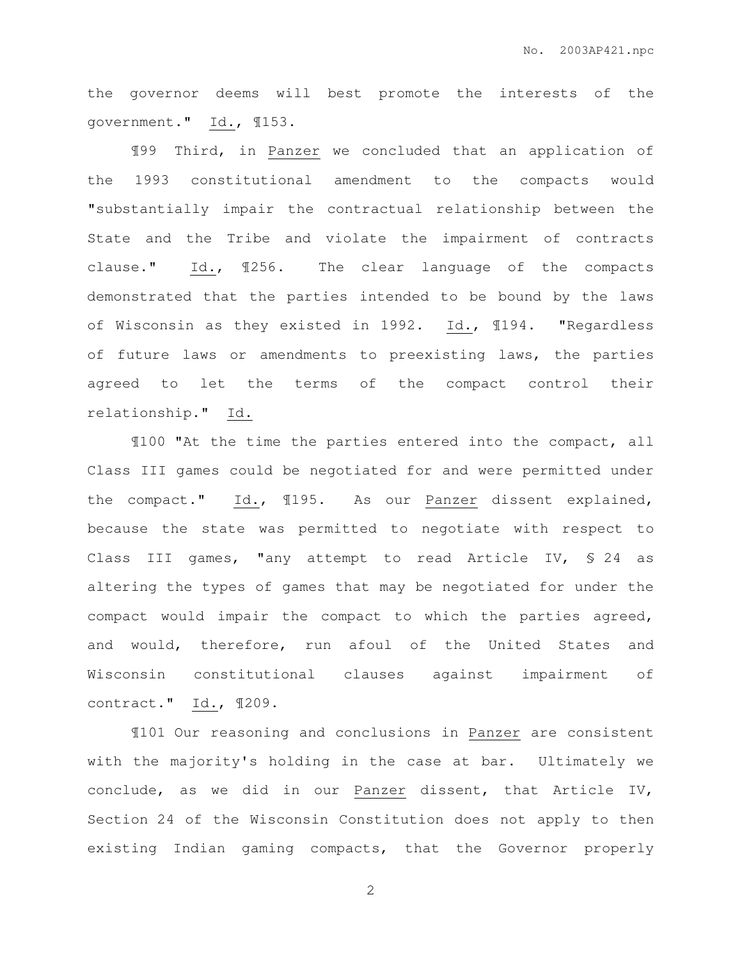the governor deems will best promote the interests of the government." Id., ¶153.

¶99 Third, in Panzer we concluded that an application of the 1993 constitutional amendment to the compacts would "substantially impair the contractual relationship between the State and the Tribe and violate the impairment of contracts clause." Id., ¶256. The clear language of the compacts demonstrated that the parties intended to be bound by the laws of Wisconsin as they existed in 1992. Id., ¶194. "Regardless of future laws or amendments to preexisting laws, the parties agreed to let the terms of the compact control their relationship." Id.

¶100 "At the time the parties entered into the compact, all Class III games could be negotiated for and were permitted under the compact." Id., ¶195. As our Panzer dissent explained, because the state was permitted to negotiate with respect to Class III games, "any attempt to read Article IV, § 24 as altering the types of games that may be negotiated for under the compact would impair the compact to which the parties agreed, and would, therefore, run afoul of the United States and Wisconsin constitutional clauses against impairment of contract." Id., ¶209.

¶101 Our reasoning and conclusions in Panzer are consistent with the majority's holding in the case at bar. Ultimately we conclude, as we did in our Panzer dissent, that Article IV, Section 24 of the Wisconsin Constitution does not apply to then existing Indian gaming compacts, that the Governor properly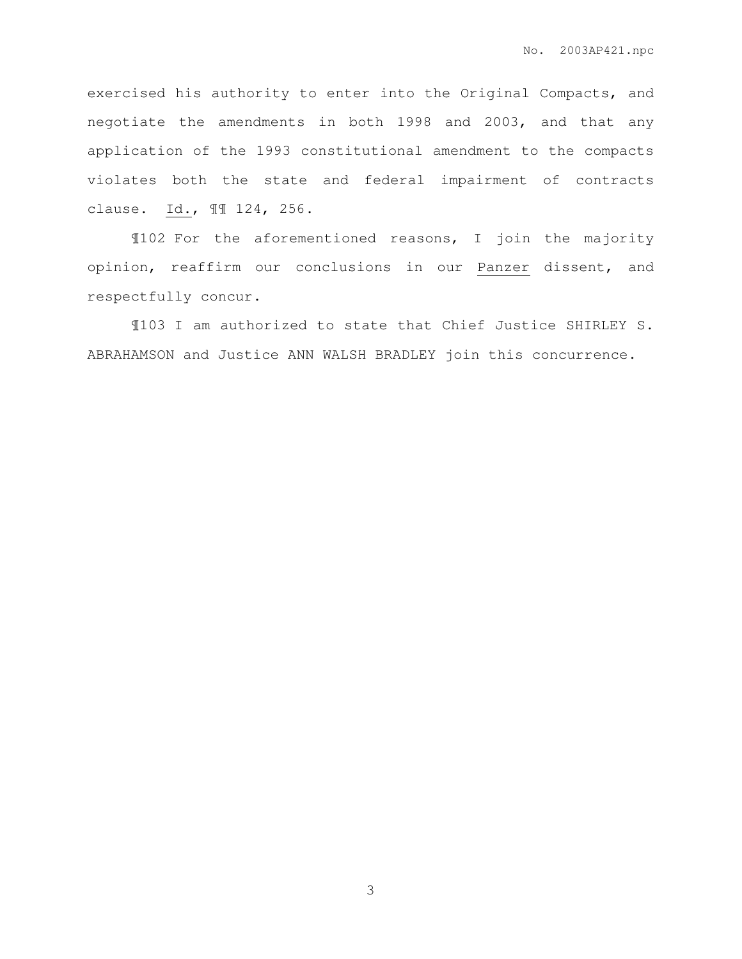exercised his authority to enter into the Original Compacts, and negotiate the amendments in both 1998 and 2003, and that any application of the 1993 constitutional amendment to the compacts violates both the state and federal impairment of contracts clause. Id., ¶¶ 124, 256.

¶102 For the aforementioned reasons, I join the majority opinion, reaffirm our conclusions in our Panzer dissent, and respectfully concur.

¶103 I am authorized to state that Chief Justice SHIRLEY S. ABRAHAMSON and Justice ANN WALSH BRADLEY join this concurrence.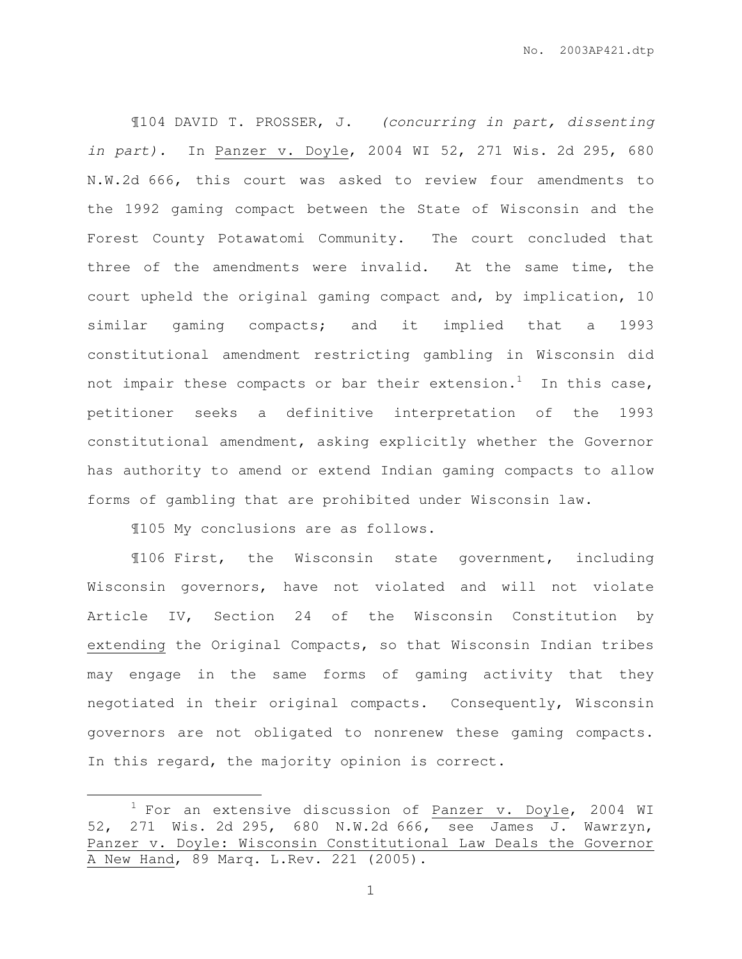¶104 DAVID T. PROSSER, J. (concurring in part, dissenting in part). In Panzer v. Doyle, 2004 WI 52, 271 Wis. 2d 295, 680 N.W.2d 666, this court was asked to review four amendments to the 1992 gaming compact between the State of Wisconsin and the Forest County Potawatomi Community. The court concluded that three of the amendments were invalid. At the same time, the court upheld the original gaming compact and, by implication, 10 similar gaming compacts; and it implied that a 1993 constitutional amendment restricting gambling in Wisconsin did not impair these compacts or bar their extension.<sup>1</sup> In this case, petitioner seeks a definitive interpretation of the 1993 constitutional amendment, asking explicitly whether the Governor has authority to amend or extend Indian gaming compacts to allow forms of gambling that are prohibited under Wisconsin law.

¶105 My conclusions are as follows.

 $\overline{a}$ 

¶106 First, the Wisconsin state government, including Wisconsin governors, have not violated and will not violate Article IV, Section 24 of the Wisconsin Constitution by extending the Original Compacts, so that Wisconsin Indian tribes may engage in the same forms of gaming activity that they negotiated in their original compacts. Consequently, Wisconsin governors are not obligated to nonrenew these gaming compacts. In this regard, the majority opinion is correct.

 $1$  For an extensive discussion of Panzer v. Doyle, 2004 WI 52, 271 Wis. 2d 295, 680 N.W.2d 666, see James J. Wawrzyn, Panzer v. Doyle: Wisconsin Constitutional Law Deals the Governor A New Hand, 89 Marq. L.Rev. 221 (2005).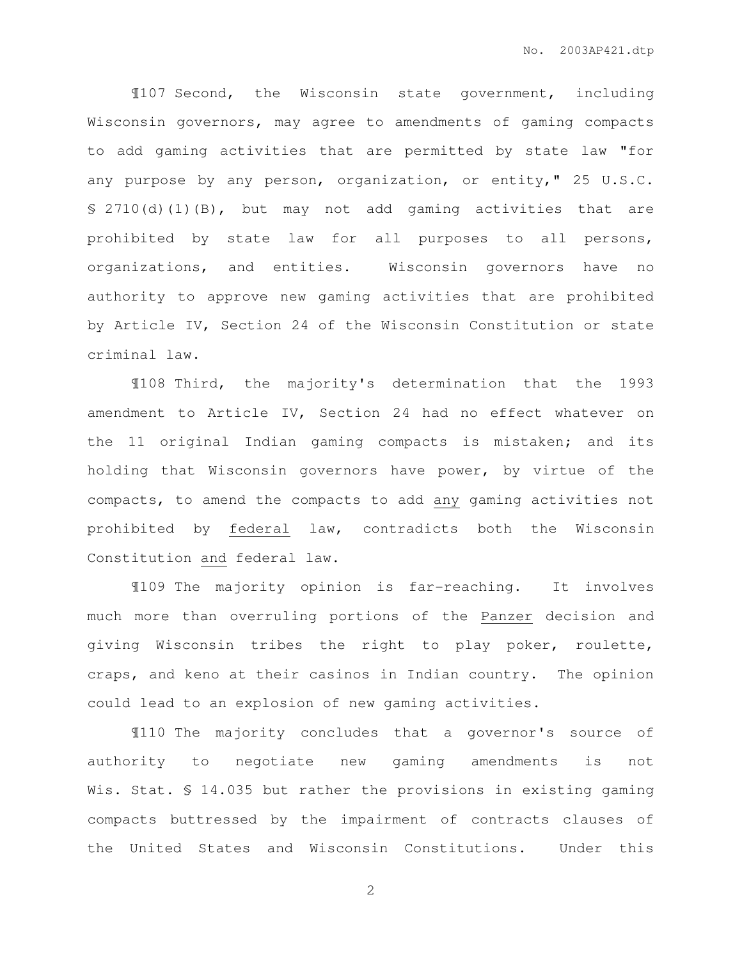¶107 Second, the Wisconsin state government, including Wisconsin governors, may agree to amendments of gaming compacts to add gaming activities that are permitted by state law "for any purpose by any person, organization, or entity," 25 U.S.C. § 2710(d)(1)(B), but may not add gaming activities that are prohibited by state law for all purposes to all persons, organizations, and entities. Wisconsin governors have no authority to approve new gaming activities that are prohibited by Article IV, Section 24 of the Wisconsin Constitution or state criminal law.

¶108 Third, the majority's determination that the 1993 amendment to Article IV, Section 24 had no effect whatever on the 11 original Indian gaming compacts is mistaken; and its holding that Wisconsin governors have power, by virtue of the compacts, to amend the compacts to add any gaming activities not prohibited by federal law, contradicts both the Wisconsin Constitution and federal law.

¶109 The majority opinion is far-reaching. It involves much more than overruling portions of the Panzer decision and giving Wisconsin tribes the right to play poker, roulette, craps, and keno at their casinos in Indian country. The opinion could lead to an explosion of new gaming activities.

¶110 The majority concludes that a governor's source of authority to negotiate new gaming amendments is not Wis. Stat. § 14.035 but rather the provisions in existing gaming compacts buttressed by the impairment of contracts clauses of the United States and Wisconsin Constitutions. Under this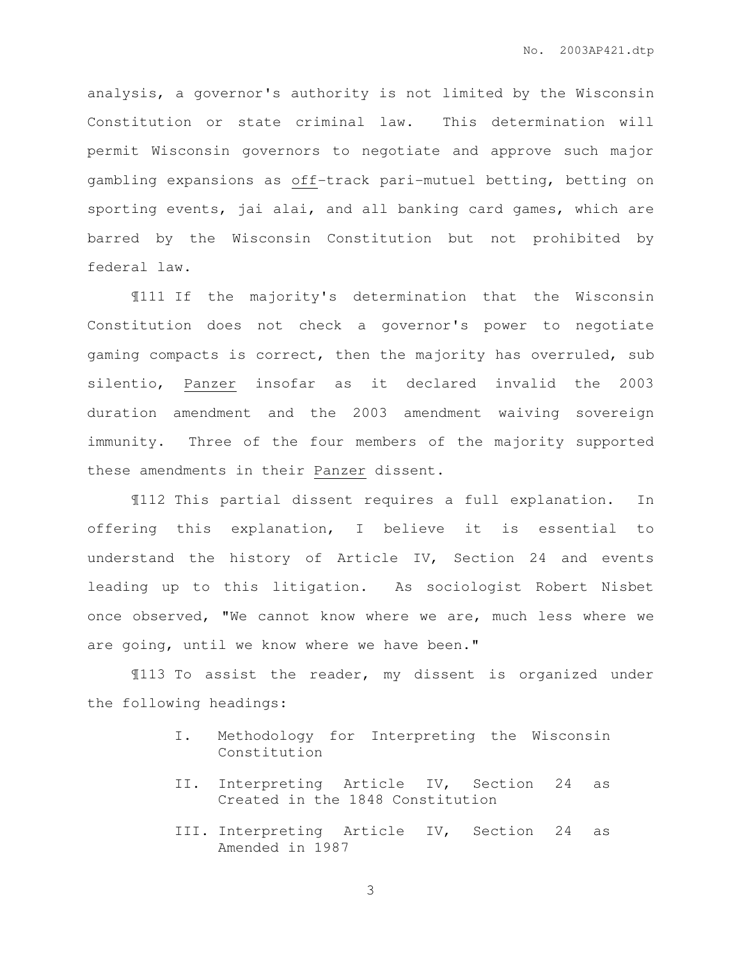analysis, a governor's authority is not limited by the Wisconsin Constitution or state criminal law. This determination will permit Wisconsin governors to negotiate and approve such major gambling expansions as off-track pari-mutuel betting, betting on sporting events, jai alai, and all banking card games, which are barred by the Wisconsin Constitution but not prohibited by federal law.

¶111 If the majority's determination that the Wisconsin Constitution does not check a governor's power to negotiate gaming compacts is correct, then the majority has overruled, sub silentio, Panzer insofar as it declared invalid the 2003 duration amendment and the 2003 amendment waiving sovereign immunity. Three of the four members of the majority supported these amendments in their Panzer dissent.

 ¶112 This partial dissent requires a full explanation. In offering this explanation, I believe it is essential to understand the history of Article IV, Section 24 and events leading up to this litigation. As sociologist Robert Nisbet once observed, "We cannot know where we are, much less where we are going, until we know where we have been."

 ¶113 To assist the reader, my dissent is organized under the following headings:

- I. Methodology for Interpreting the Wisconsin Constitution
- II. Interpreting Article IV, Section 24 as Created in the 1848 Constitution
- III. Interpreting Article IV, Section 24 as Amended in 1987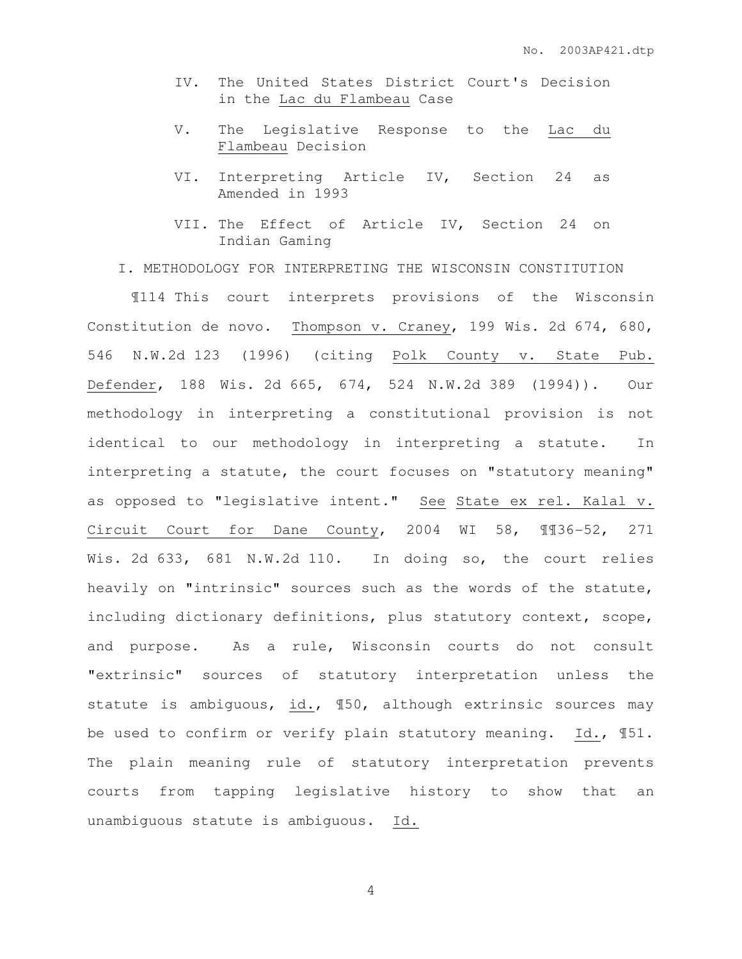- IV. The United States District Court's Decision in the Lac du Flambeau Case
- V. The Legislative Response to the Lac du Flambeau Decision
- VI. Interpreting Article IV, Section 24 as Amended in 1993
- VII. The Effect of Article IV, Section 24 on Indian Gaming
- I. METHODOLOGY FOR INTERPRETING THE WISCONSIN CONSTITUTION

 ¶114 This court interprets provisions of the Wisconsin Constitution de novo. Thompson v. Craney, 199 Wis. 2d 674, 680, 546 N.W.2d 123 (1996) (citing Polk County v. State Pub. Defender, 188 Wis. 2d 665, 674, 524 N.W.2d 389 (1994)). Our methodology in interpreting a constitutional provision is not identical to our methodology in interpreting a statute. In interpreting a statute, the court focuses on "statutory meaning" as opposed to "legislative intent." See State ex rel. Kalal v. Circuit Court for Dane County, 2004 WI 58, ¶¶36-52, 271 Wis. 2d 633, 681 N.W.2d 110. In doing so, the court relies heavily on "intrinsic" sources such as the words of the statute, including dictionary definitions, plus statutory context, scope, and purpose. As a rule, Wisconsin courts do not consult "extrinsic" sources of statutory interpretation unless the statute is ambiguous, id., ¶50, although extrinsic sources may be used to confirm or verify plain statutory meaning. Id., ¶51. The plain meaning rule of statutory interpretation prevents courts from tapping legislative history to show that an unambiguous statute is ambiguous. Id.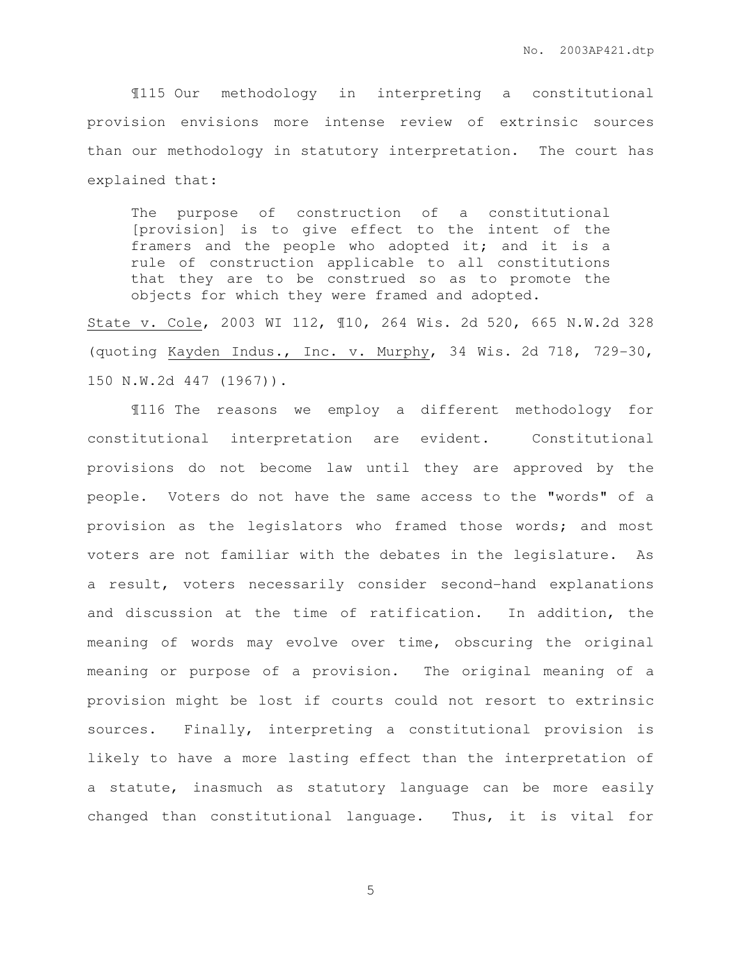¶115 Our methodology in interpreting a constitutional provision envisions more intense review of extrinsic sources than our methodology in statutory interpretation. The court has explained that:

The purpose of construction of a constitutional [provision] is to give effect to the intent of the framers and the people who adopted it; and it is a rule of construction applicable to all constitutions that they are to be construed so as to promote the objects for which they were framed and adopted.

State v. Cole, 2003 WI 112, ¶10, 264 Wis. 2d 520, 665 N.W.2d 328 (quoting Kayden Indus., Inc. v. Murphy, 34 Wis. 2d 718, 729-30, 150 N.W.2d 447 (1967)).

¶116 The reasons we employ a different methodology for constitutional interpretation are evident. Constitutional provisions do not become law until they are approved by the people. Voters do not have the same access to the "words" of a provision as the legislators who framed those words; and most voters are not familiar with the debates in the legislature. As a result, voters necessarily consider second-hand explanations and discussion at the time of ratification. In addition, the meaning of words may evolve over time, obscuring the original meaning or purpose of a provision. The original meaning of a provision might be lost if courts could not resort to extrinsic sources. Finally, interpreting a constitutional provision is likely to have a more lasting effect than the interpretation of a statute, inasmuch as statutory language can be more easily changed than constitutional language. Thus, it is vital for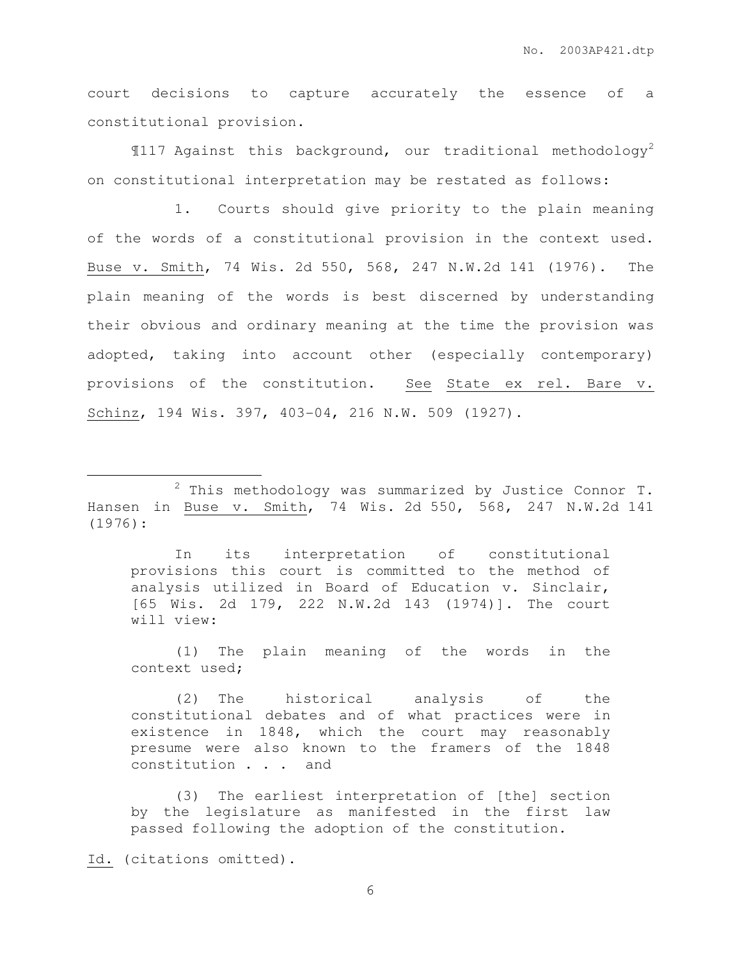court decisions to capture accurately the essence of a constitutional provision.

 $\P$ 117 Against this background, our traditional methodology<sup>2</sup> on constitutional interpretation may be restated as follows:

 1. Courts should give priority to the plain meaning of the words of a constitutional provision in the context used. Buse v. Smith, 74 Wis. 2d 550, 568, 247 N.W.2d 141 (1976). The plain meaning of the words is best discerned by understanding their obvious and ordinary meaning at the time the provision was adopted, taking into account other (especially contemporary) provisions of the constitution. See State ex rel. Bare v. Schinz, 194 Wis. 397, 403-04, 216 N.W. 509 (1927).

In its interpretation of constitutional provisions this court is committed to the method of analysis utilized in Board of Education v. Sinclair, [65 Wis. 2d 179, 222 N.W.2d 143 (1974)]. The court will view:

(1) The plain meaning of the words in the context used;

(2) The historical analysis of the constitutional debates and of what practices were in existence in 1848, which the court may reasonably presume were also known to the framers of the 1848 constitution . . . and

(3) The earliest interpretation of [the] section by the legislature as manifested in the first law passed following the adoption of the constitution.

Id. (citations omitted).

 $\overline{a}$ 

 $2$  This methodology was summarized by Justice Connor T. Hansen in Buse v. Smith, 74 Wis. 2d 550, 568, 247 N.W.2d 141 (1976):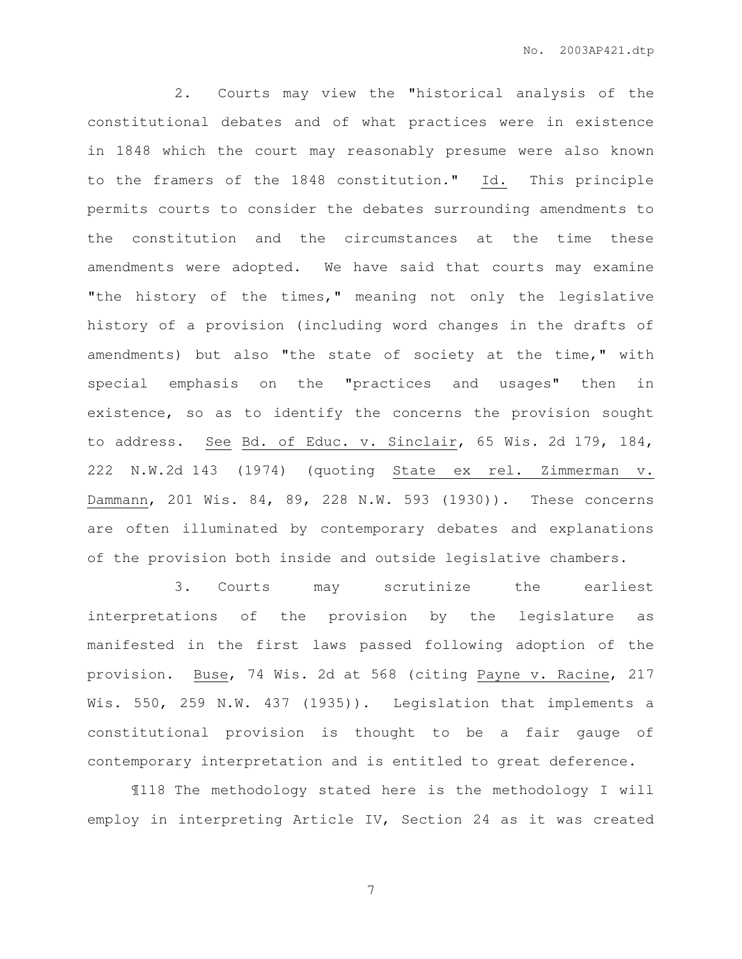2. Courts may view the "historical analysis of the constitutional debates and of what practices were in existence in 1848 which the court may reasonably presume were also known to the framers of the 1848 constitution." Id. This principle permits courts to consider the debates surrounding amendments to the constitution and the circumstances at the time these amendments were adopted. We have said that courts may examine "the history of the times," meaning not only the legislative history of a provision (including word changes in the drafts of amendments) but also "the state of society at the time," with special emphasis on the "practices and usages" then in existence, so as to identify the concerns the provision sought to address. See Bd. of Educ. v. Sinclair, 65 Wis. 2d 179, 184, 222 N.W.2d 143 (1974) (quoting State ex rel. Zimmerman v. Dammann, 201 Wis. 84, 89, 228 N.W. 593 (1930)). These concerns are often illuminated by contemporary debates and explanations of the provision both inside and outside legislative chambers.

 3. Courts may scrutinize the earliest interpretations of the provision by the legislature as manifested in the first laws passed following adoption of the provision. Buse, 74 Wis. 2d at 568 (citing Payne v. Racine, 217 Wis. 550, 259 N.W. 437 (1935)). Legislation that implements a constitutional provision is thought to be a fair gauge of contemporary interpretation and is entitled to great deference.

 ¶118 The methodology stated here is the methodology I will employ in interpreting Article IV, Section 24 as it was created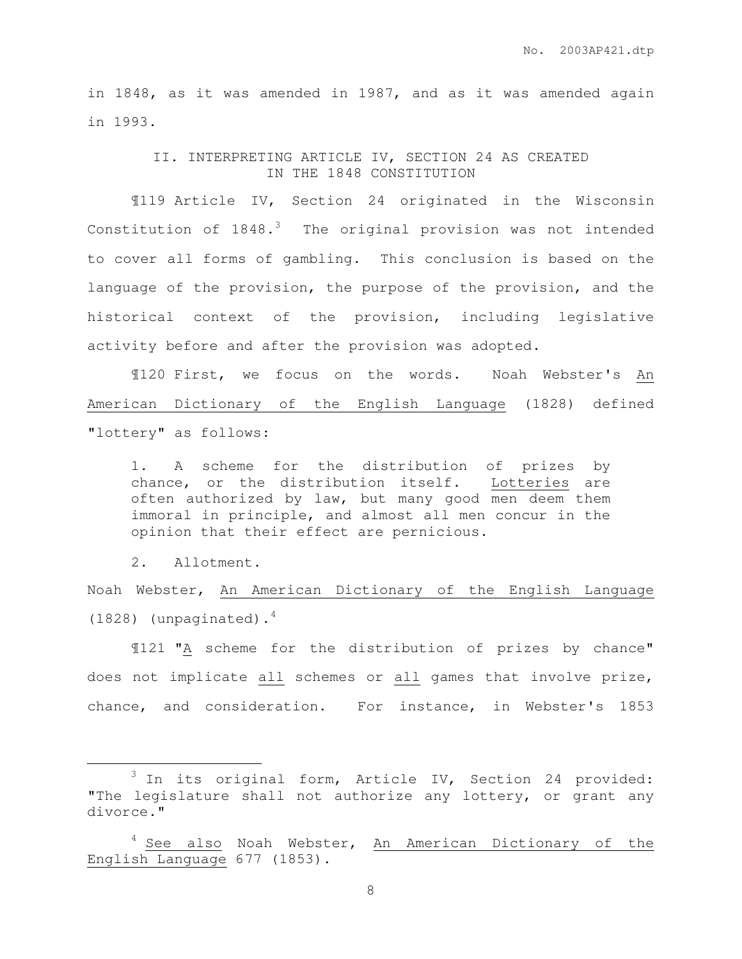in 1848, as it was amended in 1987, and as it was amended again in 1993.

> II. INTERPRETING ARTICLE IV, SECTION 24 AS CREATED IN THE 1848 CONSTITUTION

¶119 Article IV, Section 24 originated in the Wisconsin Constitution of  $1848.^3$  The original provision was not intended to cover all forms of gambling. This conclusion is based on the language of the provision, the purpose of the provision, and the historical context of the provision, including legislative activity before and after the provision was adopted.

¶120 First, we focus on the words. Noah Webster's An American Dictionary of the English Language (1828) defined "lottery" as follows:

1. A scheme for the distribution of prizes by chance, or the distribution itself. Lotteries are often authorized by law, but many good men deem them immoral in principle, and almost all men concur in the opinion that their effect are pernicious.

2. Allotment.

 $\overline{a}$ 

Noah Webster, An American Dictionary of the English Language  $(1828)$  (unpaginated).<sup>4</sup>

¶121 "A scheme for the distribution of prizes by chance" does not implicate all schemes or all games that involve prize, chance, and consideration. For instance, in Webster's 1853

 $3$  In its original form, Article IV, Section 24 provided: "The legislature shall not authorize any lottery, or grant any divorce."

 $4$  See also Noah Webster, An American Dictionary of the English Language 677 (1853).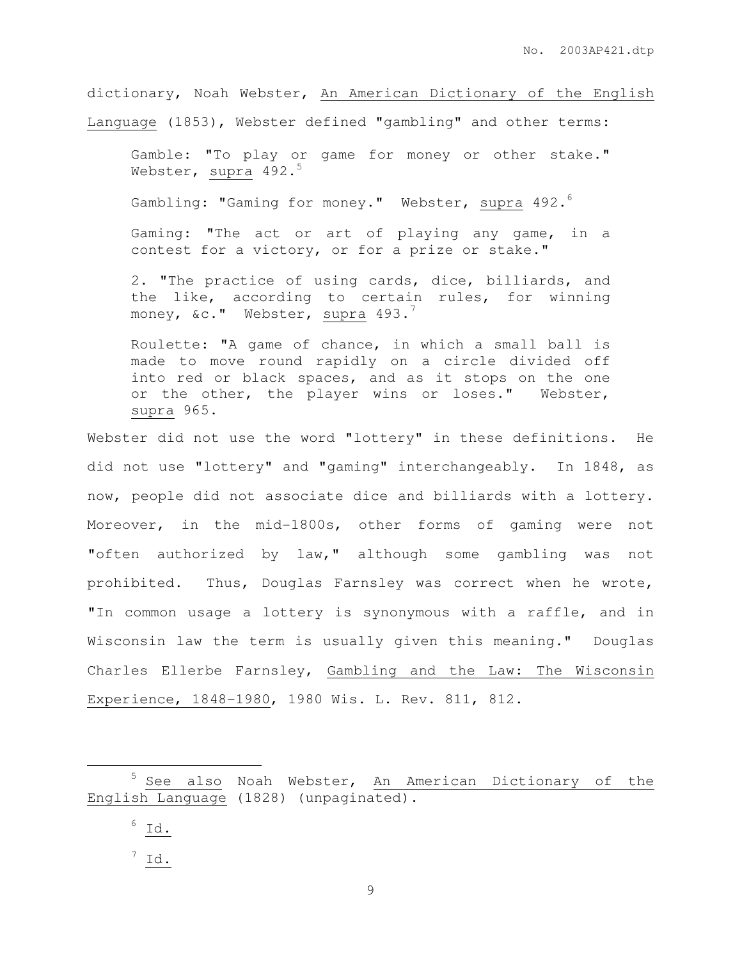dictionary, Noah Webster, An American Dictionary of the English Language (1853), Webster defined "gambling" and other terms:

Gamble: "To play or game for money or other stake." Webster, supra  $492.^5$ 

Gambling: "Gaming for money." Webster, supra 492.

Gaming: "The act or art of playing any game, in a contest for a victory, or for a prize or stake."

2. "The practice of using cards, dice, billiards, and the like, according to certain rules, for winning money,  $\&c.$ " Webster, supra 493.<sup>7</sup>

Roulette: "A game of chance, in which a small ball is made to move round rapidly on a circle divided off into red or black spaces, and as it stops on the one or the other, the player wins or loses." Webster, supra 965.

Webster did not use the word "lottery" in these definitions. He did not use "lottery" and "gaming" interchangeably. In 1848, as now, people did not associate dice and billiards with a lottery. Moreover, in the mid-1800s, other forms of gaming were not "often authorized by law," although some gambling was not prohibited. Thus, Douglas Farnsley was correct when he wrote, "In common usage a lottery is synonymous with a raffle, and in Wisconsin law the term is usually given this meaning." Douglas Charles Ellerbe Farnsley, Gambling and the Law: The Wisconsin Experience, 1848-1980, 1980 Wis. L. Rev. 811, 812.

 $6$  Id.

 $\overline{a}$ 

 $7 \underline{Id.}$ 

<sup>&</sup>lt;sup>5</sup> See also Noah Webster, An American Dictionary of the English Language (1828) (unpaginated).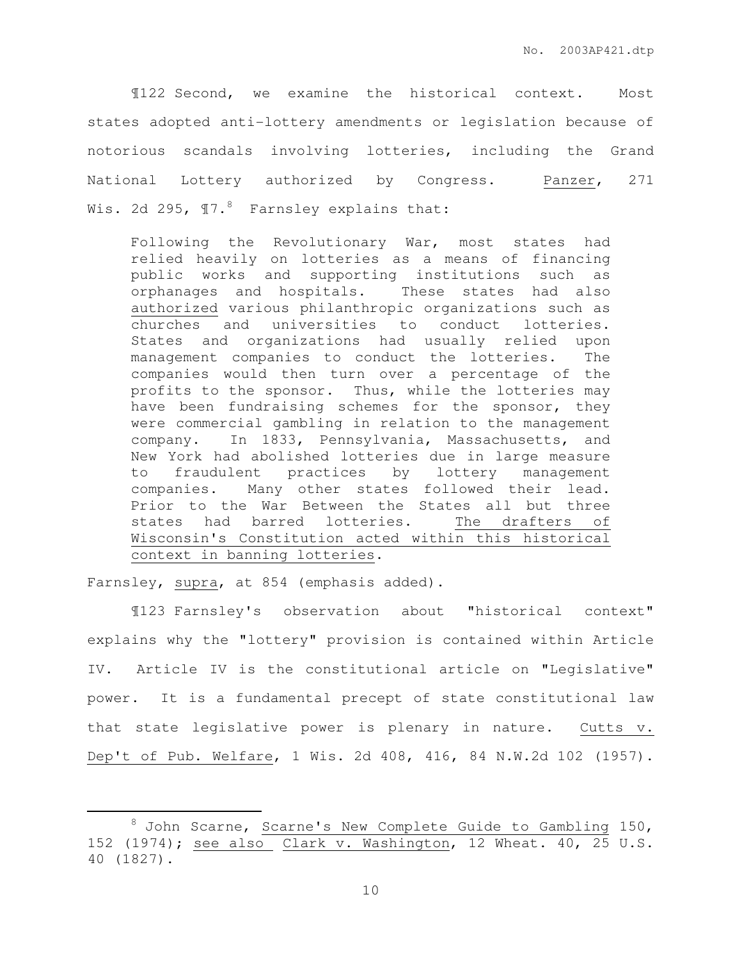¶122 Second, we examine the historical context. Most states adopted anti-lottery amendments or legislation because of notorious scandals involving lotteries, including the Grand National Lottery authorized by Congress. Panzer, 271 Wis. 2d 295,  $\P$ 7.<sup>8</sup> Farnsley explains that:

Following the Revolutionary War, most states had relied heavily on lotteries as a means of financing public works and supporting institutions such as orphanages and hospitals. These states had also authorized various philanthropic organizations such as churches and universities to conduct lotteries. States and organizations had usually relied upon management companies to conduct the lotteries. The companies would then turn over a percentage of the profits to the sponsor. Thus, while the lotteries may have been fundraising schemes for the sponsor, they were commercial gambling in relation to the management company. In 1833, Pennsylvania, Massachusetts, and New York had abolished lotteries due in large measure to fraudulent practices by lottery management companies. Many other states followed their lead. Prior to the War Between the States all but three states had barred lotteries. The drafters of Wisconsin's Constitution acted within this historical context in banning lotteries.

Farnsley, supra, at 854 (emphasis added).

 $\overline{a}$ 

 ¶123 Farnsley's observation about "historical context" explains why the "lottery" provision is contained within Article IV. Article IV is the constitutional article on "Legislative" power. It is a fundamental precept of state constitutional law that state legislative power is plenary in nature. Cutts v. Dep't of Pub. Welfare, 1 Wis. 2d 408, 416, 84 N.W.2d 102 (1957).

<sup>&</sup>lt;sup>8</sup> John Scarne, Scarne's New Complete Guide to Gambling 150, 152 (1974); see also Clark v. Washington, 12 Wheat. 40, 25 U.S. 40 (1827).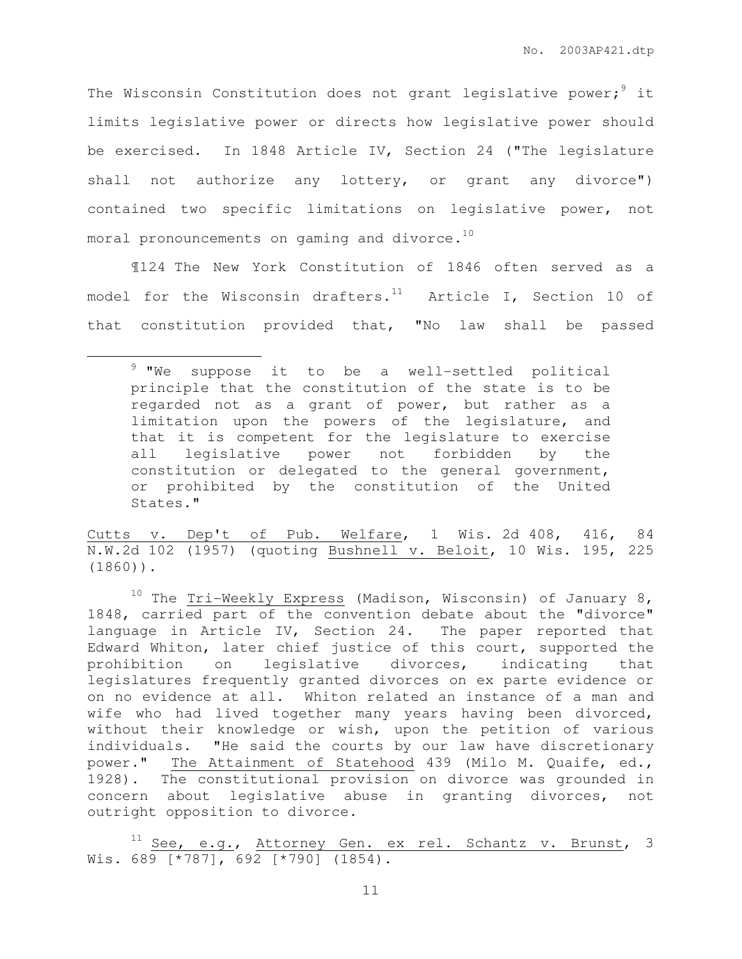The Wisconsin Constitution does not grant legislative power;<sup>9</sup> it limits legislative power or directs how legislative power should be exercised. In 1848 Article IV, Section 24 ("The legislature shall not authorize any lottery, or grant any divorce") contained two specific limitations on legislative power, not moral pronouncements on gaming and divorce.<sup>10</sup>

¶124 The New York Constitution of 1846 often served as a model for the Wisconsin drafters. $11$  Article I, Section 10 of that constitution provided that, "No law shall be passed

l.

Cutts v. Dep't of Pub. Welfare, 1 Wis. 2d 408, 416, 84 N.W.2d 102 (1957) (quoting Bushnell v. Beloit, 10 Wis. 195, 225 (1860)).

<sup>9</sup> "We suppose it to be a well-settled political principle that the constitution of the state is to be regarded not as a grant of power, but rather as a limitation upon the powers of the legislature, and that it is competent for the legislature to exercise all legislative power not forbidden by the constitution or delegated to the general government, or prohibited by the constitution of the United States."

<sup>&</sup>lt;sup>10</sup> The Tri-Weekly Express (Madison, Wisconsin) of January 8, 1848, carried part of the convention debate about the "divorce" language in Article IV, Section 24. The paper reported that Edward Whiton, later chief justice of this court, supported the prohibition on legislative divorces, indicating that legislatures frequently granted divorces on ex parte evidence or on no evidence at all. Whiton related an instance of a man and wife who had lived together many years having been divorced, without their knowledge or wish, upon the petition of various individuals. "He said the courts by our law have discretionary power." The Attainment of Statehood 439 (Milo M. Quaife, ed., 1928). The constitutional provision on divorce was grounded in concern about legislative abuse in granting divorces, not outright opposition to divorce.

See, e.g., Attorney Gen. ex rel. Schantz v. Brunst, 3 Wis. 689 [\*787], 692 [\*790] (1854).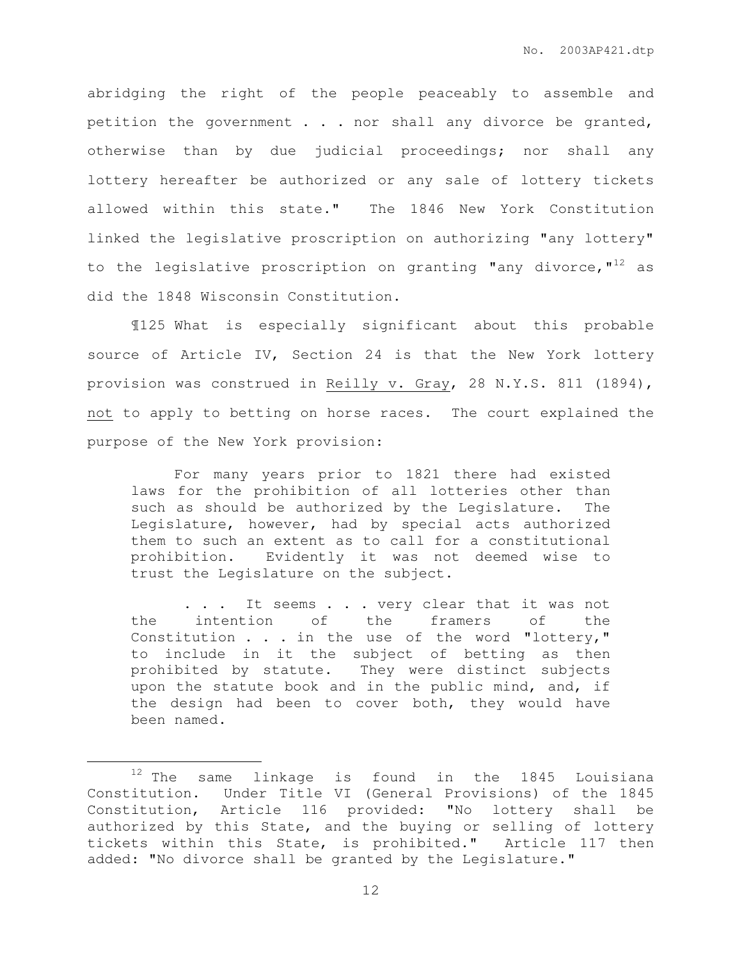abridging the right of the people peaceably to assemble and petition the government . . . nor shall any divorce be granted, otherwise than by due judicial proceedings; nor shall any lottery hereafter be authorized or any sale of lottery tickets allowed within this state." The 1846 New York Constitution linked the legislative proscription on authorizing "any lottery" to the legislative proscription on granting "any divorce," $12$  as did the 1848 Wisconsin Constitution.

¶125 What is especially significant about this probable source of Article IV, Section 24 is that the New York lottery provision was construed in Reilly v. Gray, 28 N.Y.S. 811 (1894), not to apply to betting on horse races. The court explained the purpose of the New York provision:

 For many years prior to 1821 there had existed laws for the prohibition of all lotteries other than such as should be authorized by the Legislature. The Legislature, however, had by special acts authorized them to such an extent as to call for a constitutional prohibition. Evidently it was not deemed wise to trust the Legislature on the subject.

. . . It seems . . . very clear that it was not the intention of the framers of the Constitution  $\ldots$  in the use of the word "lottery," to include in it the subject of betting as then prohibited by statute. They were distinct subjects upon the statute book and in the public mind, and, if the design had been to cover both, they would have been named.

 $\overline{a}$ 

 $12$  The same linkage is found in the 1845 Louisiana Constitution. Under Title VI (General Provisions) of the 1845 Constitution, Article 116 provided: "No lottery shall be authorized by this State, and the buying or selling of lottery tickets within this State, is prohibited." Article 117 then added: "No divorce shall be granted by the Legislature."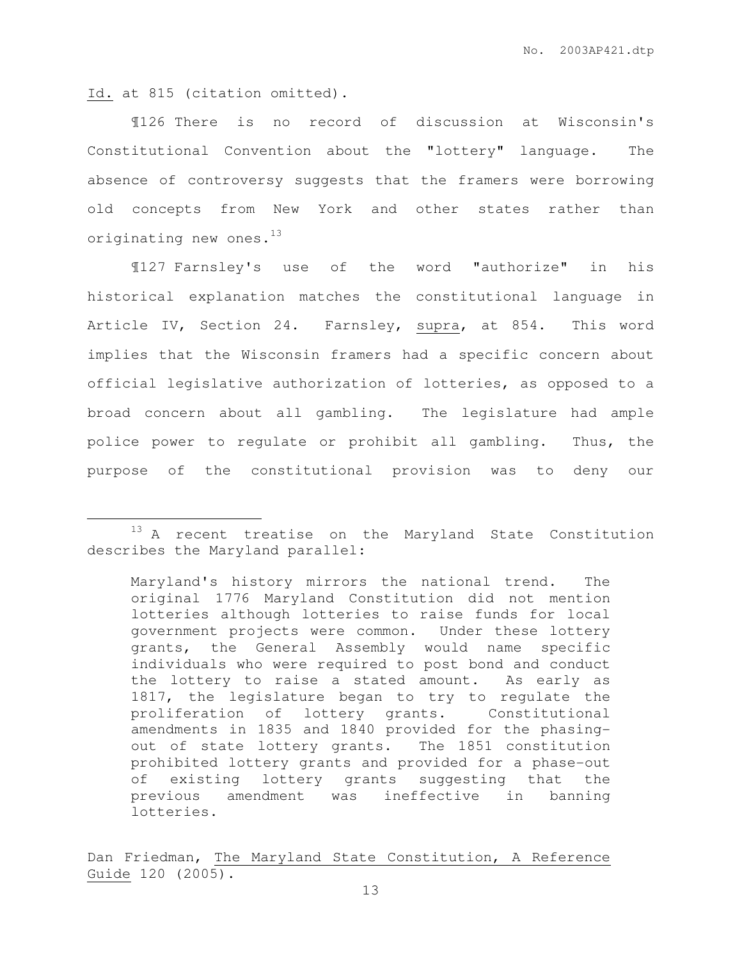Id. at 815 (citation omitted).

 $\overline{a}$ 

¶126 There is no record of discussion at Wisconsin's Constitutional Convention about the "lottery" language. The absence of controversy suggests that the framers were borrowing old concepts from New York and other states rather than originating new ones.<sup>13</sup>

 ¶127 Farnsley's use of the word "authorize" in his historical explanation matches the constitutional language in Article IV, Section 24. Farnsley, supra, at 854. This word implies that the Wisconsin framers had a specific concern about official legislative authorization of lotteries, as opposed to a broad concern about all gambling. The legislature had ample police power to regulate or prohibit all gambling. Thus, the purpose of the constitutional provision was to deny our

<sup>&</sup>lt;sup>13</sup> A recent treatise on the Maryland State Constitution describes the Maryland parallel:

Maryland's history mirrors the national trend. The original 1776 Maryland Constitution did not mention lotteries although lotteries to raise funds for local government projects were common. Under these lottery grants, the General Assembly would name specific individuals who were required to post bond and conduct the lottery to raise a stated amount. As early as 1817, the legislature began to try to regulate the proliferation of lottery grants. Constitutional amendments in 1835 and 1840 provided for the phasingout of state lottery grants. The 1851 constitution prohibited lottery grants and provided for a phase-out of existing lottery grants suggesting that the previous amendment was ineffective in banning lotteries.

Dan Friedman, The Maryland State Constitution, A Reference Guide 120 (2005).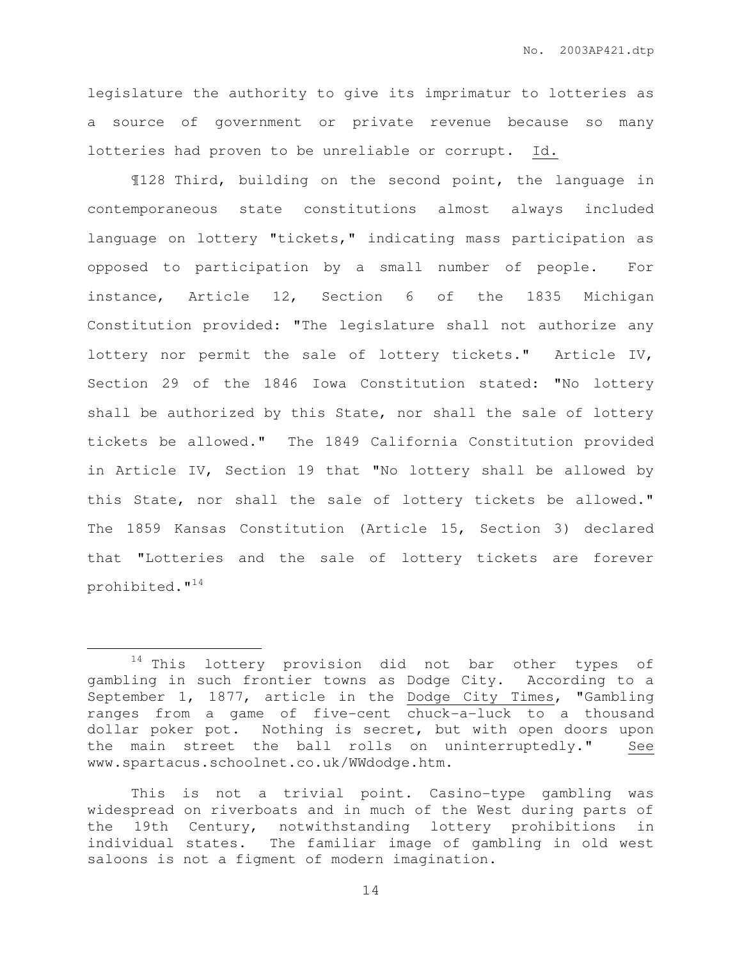legislature the authority to give its imprimatur to lotteries as a source of government or private revenue because so many lotteries had proven to be unreliable or corrupt. Id.

 ¶128 Third, building on the second point, the language in contemporaneous state constitutions almost always included language on lottery "tickets," indicating mass participation as opposed to participation by a small number of people. For instance, Article 12, Section 6 of the 1835 Michigan Constitution provided: "The legislature shall not authorize any lottery nor permit the sale of lottery tickets." Article IV, Section 29 of the 1846 Iowa Constitution stated: "No lottery shall be authorized by this State, nor shall the sale of lottery tickets be allowed." The 1849 California Constitution provided in Article IV, Section 19 that "No lottery shall be allowed by this State, nor shall the sale of lottery tickets be allowed." The 1859 Kansas Constitution (Article 15, Section 3) declared that "Lotteries and the sale of lottery tickets are forever prohibited."<sup>14</sup>

 $\overline{a}$ 

<sup>14</sup> This lottery provision did not bar other types of gambling in such frontier towns as Dodge City. According to a September 1, 1877, article in the Dodge City Times, "Gambling ranges from a game of five-cent chuck-a-luck to a thousand dollar poker pot. Nothing is secret, but with open doors upon the main street the ball rolls on uninterruptedly." See www.spartacus.schoolnet.co.uk/WWdodge.htm.

This is not a trivial point. Casino-type gambling was widespread on riverboats and in much of the West during parts of the 19th Century, notwithstanding lottery prohibitions in individual states. The familiar image of gambling in old west saloons is not a figment of modern imagination.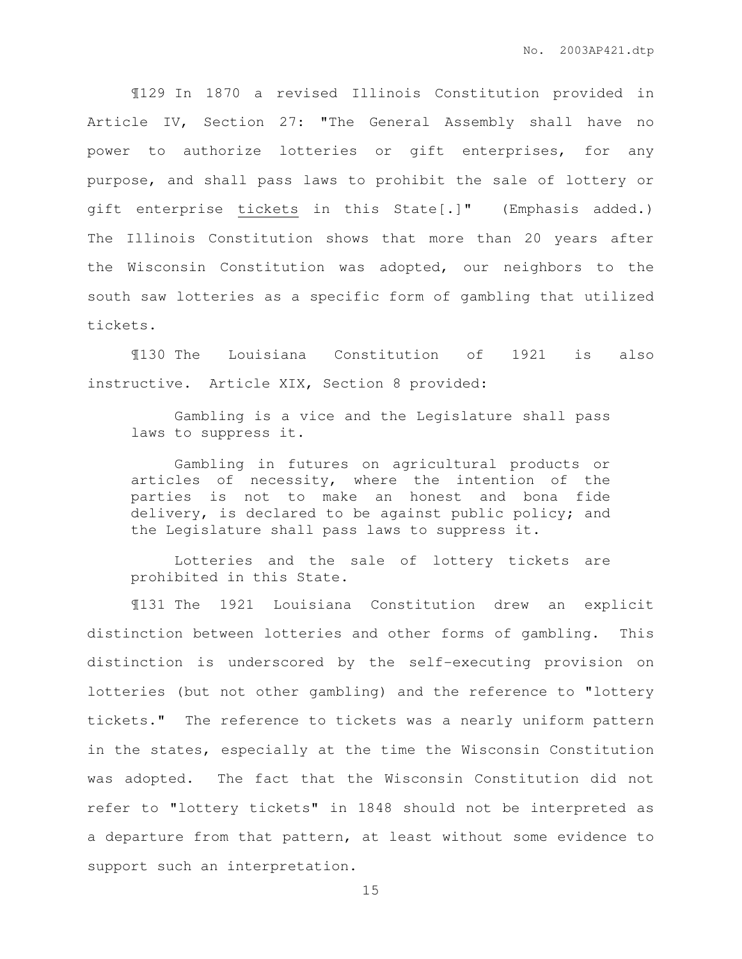¶129 In 1870 a revised Illinois Constitution provided in Article IV, Section 27: "The General Assembly shall have no power to authorize lotteries or gift enterprises, for any purpose, and shall pass laws to prohibit the sale of lottery or gift enterprise tickets in this State[.]" (Emphasis added.) The Illinois Constitution shows that more than 20 years after the Wisconsin Constitution was adopted, our neighbors to the south saw lotteries as a specific form of gambling that utilized tickets.

 ¶130 The Louisiana Constitution of 1921 is also instructive. Article XIX, Section 8 provided:

Gambling is a vice and the Legislature shall pass laws to suppress it.

 Gambling in futures on agricultural products or articles of necessity, where the intention of the parties is not to make an honest and bona fide delivery, is declared to be against public policy; and the Legislature shall pass laws to suppress it.

 Lotteries and the sale of lottery tickets are prohibited in this State.

¶131 The 1921 Louisiana Constitution drew an explicit distinction between lotteries and other forms of gambling. This distinction is underscored by the self-executing provision on lotteries (but not other gambling) and the reference to "lottery tickets." The reference to tickets was a nearly uniform pattern in the states, especially at the time the Wisconsin Constitution was adopted. The fact that the Wisconsin Constitution did not refer to "lottery tickets" in 1848 should not be interpreted as a departure from that pattern, at least without some evidence to support such an interpretation.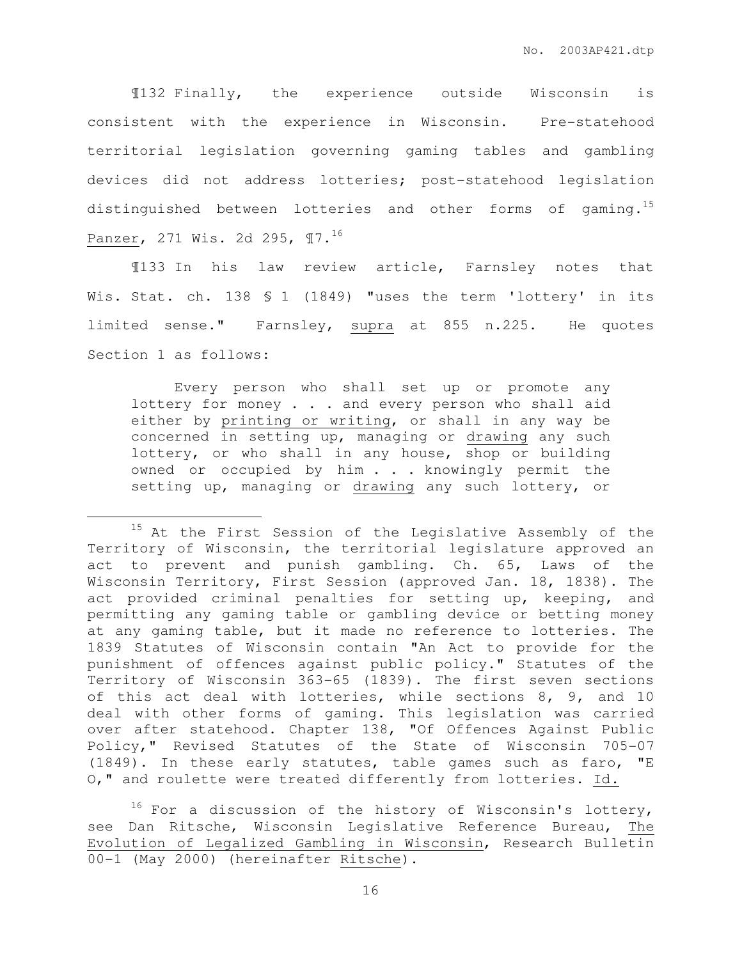¶132 Finally, the experience outside Wisconsin is consistent with the experience in Wisconsin. Pre-statehood territorial legislation governing gaming tables and gambling devices did not address lotteries; post-statehood legislation distinguished between lotteries and other forms of gaming.<sup>15</sup> Panzer, 271 Wis. 2d 295, ¶7.<sup>16</sup>

 ¶133 In his law review article, Farnsley notes that Wis. Stat. ch. 138 \$ 1 (1849) "uses the term 'lottery' in its limited sense." Farnsley, supra at 855 n.225. He quotes Section 1 as follows:

 Every person who shall set up or promote any lottery for money . . . and every person who shall aid either by printing or writing, or shall in any way be concerned in setting up, managing or drawing any such lottery, or who shall in any house, shop or building owned or occupied by him . . . knowingly permit the setting up, managing or drawing any such lottery, or

 $\overline{a}$ 

 $^{15}$  At the First Session of the Legislative Assembly of the Territory of Wisconsin, the territorial legislature approved an act to prevent and punish gambling. Ch. 65, Laws of the Wisconsin Territory, First Session (approved Jan. 18, 1838). The act provided criminal penalties for setting up, keeping, and permitting any gaming table or gambling device or betting money at any gaming table, but it made no reference to lotteries. The 1839 Statutes of Wisconsin contain "An Act to provide for the punishment of offences against public policy." Statutes of the Territory of Wisconsin 363-65 (1839). The first seven sections of this act deal with lotteries, while sections 8, 9, and 10 deal with other forms of gaming. This legislation was carried over after statehood. Chapter 138, "Of Offences Against Public Policy," Revised Statutes of the State of Wisconsin 705-07 (1849). In these early statutes, table games such as faro, "E O," and roulette were treated differently from lotteries. Id.

 $16$  For a discussion of the history of Wisconsin's lottery, see Dan Ritsche, Wisconsin Legislative Reference Bureau, The Evolution of Legalized Gambling in Wisconsin, Research Bulletin 00-1 (May 2000) (hereinafter Ritsche).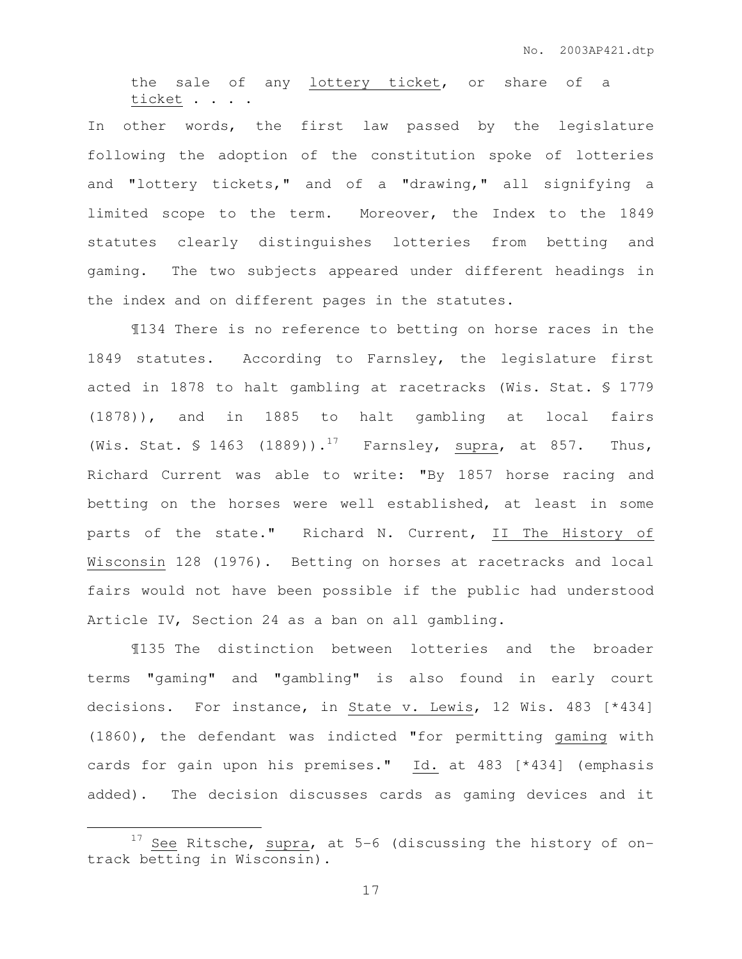the sale of any lottery ticket, or share of a ticket . . . .

In other words, the first law passed by the legislature following the adoption of the constitution spoke of lotteries and "lottery tickets," and of a "drawing," all signifying a limited scope to the term. Moreover, the Index to the 1849 statutes clearly distinguishes lotteries from betting and gaming. The two subjects appeared under different headings in the index and on different pages in the statutes.

 ¶134 There is no reference to betting on horse races in the 1849 statutes. According to Farnsley, the legislature first acted in 1878 to halt gambling at racetracks (Wis. Stat. § 1779 (1878)), and in 1885 to halt gambling at local fairs (Wis. Stat. § 1463 (1889)).<sup>17</sup> Farnsley, supra, at 857. Thus, Richard Current was able to write: "By 1857 horse racing and betting on the horses were well established, at least in some parts of the state." Richard N. Current, II The History of Wisconsin 128 (1976). Betting on horses at racetracks and local fairs would not have been possible if the public had understood Article IV, Section 24 as a ban on all gambling.

¶135 The distinction between lotteries and the broader terms "gaming" and "gambling" is also found in early court decisions. For instance, in State v. Lewis, 12 Wis. 483 [\*434] (1860), the defendant was indicted "for permitting gaming with cards for gain upon his premises." Id. at 483 [\*434] (emphasis added). The decision discusses cards as gaming devices and it

 $\overline{a}$ 

 $17$  See Ritsche, supra, at 5-6 (discussing the history of ontrack betting in Wisconsin).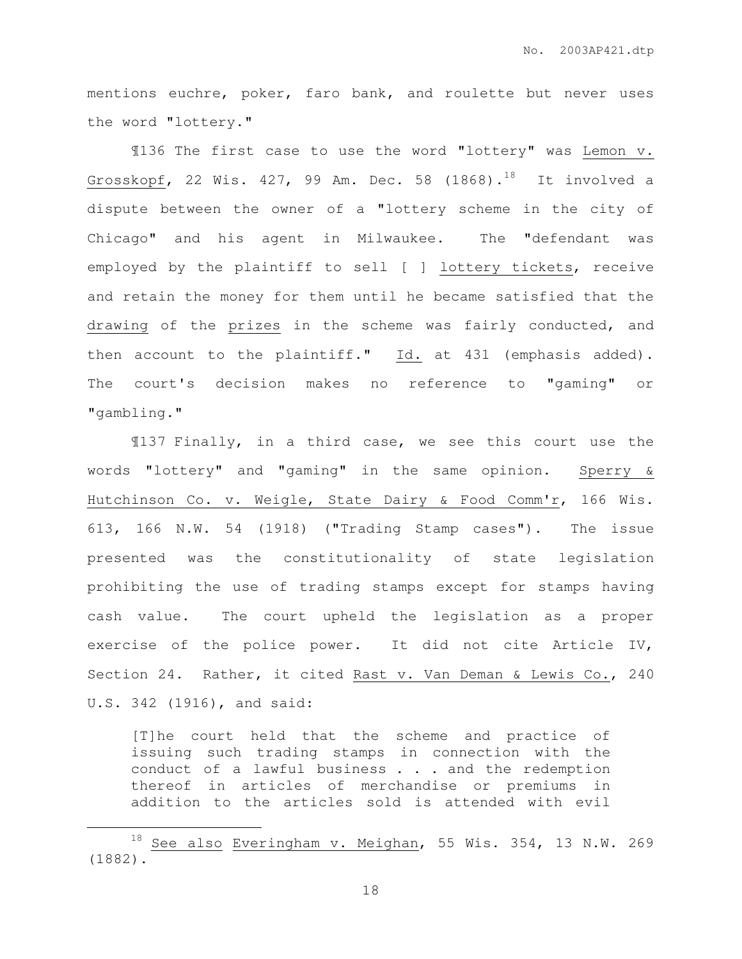mentions euchre, poker, faro bank, and roulette but never uses the word "lottery."

¶136 The first case to use the word "lottery" was Lemon v. Grosskopf, 22 Wis. 427, 99 Am. Dec. 58  $(1868)$ .<sup>18</sup> It involved a dispute between the owner of a "lottery scheme in the city of Chicago" and his agent in Milwaukee. The "defendant was employed by the plaintiff to sell [ ] lottery tickets, receive and retain the money for them until he became satisfied that the drawing of the prizes in the scheme was fairly conducted, and then account to the plaintiff." Id. at 431 (emphasis added). The court's decision makes no reference to "gaming" or "gambling."

¶137 Finally, in a third case, we see this court use the words "lottery" and "gaming" in the same opinion. Sperry & Hutchinson Co. v. Weigle, State Dairy & Food Comm'r, 166 Wis. 613, 166 N.W. 54 (1918) ("Trading Stamp cases"). The issue presented was the constitutionality of state legislation prohibiting the use of trading stamps except for stamps having cash value. The court upheld the legislation as a proper exercise of the police power. It did not cite Article IV, Section 24. Rather, it cited Rast v. Van Deman & Lewis Co., 240 U.S. 342 (1916), and said:

[T]he court held that the scheme and practice of issuing such trading stamps in connection with the conduct of a lawful business . . . and the redemption thereof in articles of merchandise or premiums in addition to the articles sold is attended with evil

 $\overline{a}$ 

<sup>18</sup> See also Everingham v. Meighan, 55 Wis. 354, 13 N.W. 269 (1882).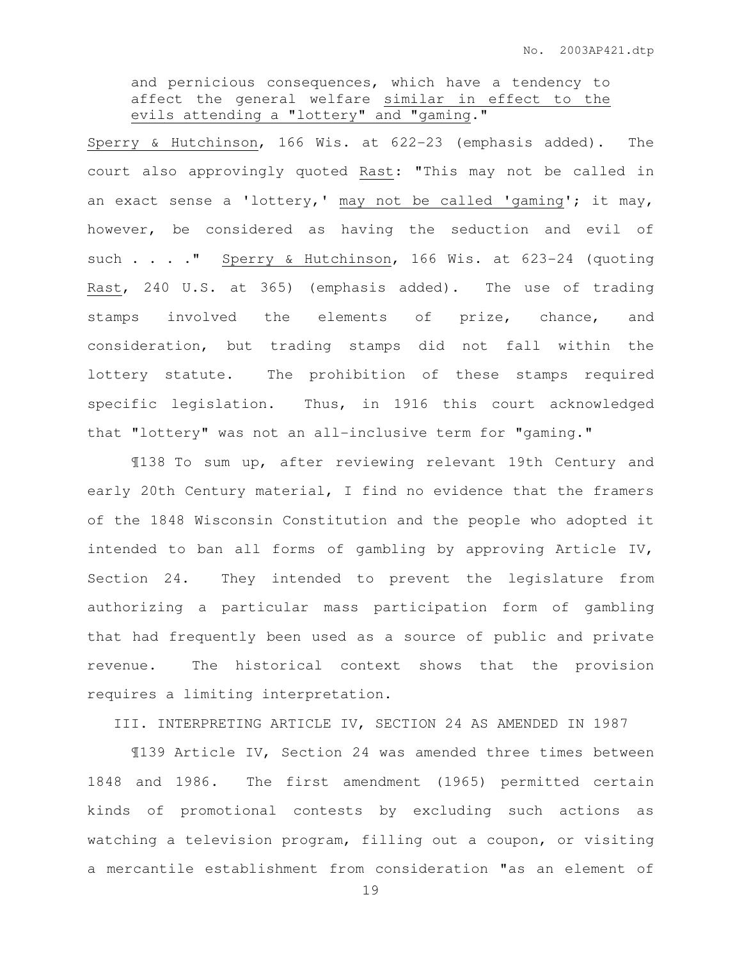and pernicious consequences, which have a tendency to affect the general welfare similar in effect to the evils attending a "lottery" and "gaming."

Sperry & Hutchinson, 166 Wis. at 622-23 (emphasis added). The court also approvingly quoted Rast: "This may not be called in an exact sense a 'lottery,' may not be called 'gaming'; it may, however, be considered as having the seduction and evil of such . . . . " Sperry & Hutchinson, 166 Wis. at 623-24 (quoting Rast, 240 U.S. at 365) (emphasis added). The use of trading stamps involved the elements of prize, chance, and consideration, but trading stamps did not fall within the lottery statute. The prohibition of these stamps required specific legislation. Thus, in 1916 this court acknowledged that "lottery" was not an all-inclusive term for "gaming."

¶138 To sum up, after reviewing relevant 19th Century and early 20th Century material, I find no evidence that the framers of the 1848 Wisconsin Constitution and the people who adopted it intended to ban all forms of gambling by approving Article IV, Section 24. They intended to prevent the legislature from authorizing a particular mass participation form of gambling that had frequently been used as a source of public and private revenue. The historical context shows that the provision requires a limiting interpretation.

III. INTERPRETING ARTICLE IV, SECTION 24 AS AMENDED IN 1987

 ¶139 Article IV, Section 24 was amended three times between 1848 and 1986. The first amendment (1965) permitted certain kinds of promotional contests by excluding such actions as watching a television program, filling out a coupon, or visiting a mercantile establishment from consideration "as an element of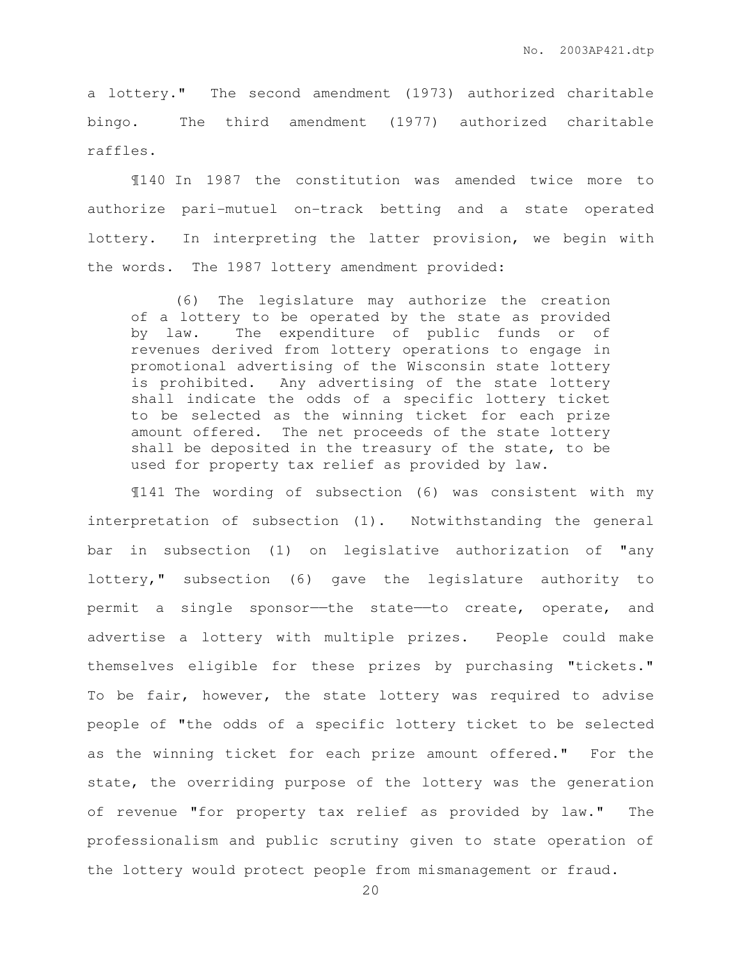a lottery." The second amendment (1973) authorized charitable bingo. The third amendment (1977) authorized charitable raffles.

¶140 In 1987 the constitution was amended twice more to authorize pari-mutuel on-track betting and a state operated lottery. In interpreting the latter provision, we begin with the words. The 1987 lottery amendment provided:

 (6) The legislature may authorize the creation of a lottery to be operated by the state as provided by law. The expenditure of public funds or of revenues derived from lottery operations to engage in promotional advertising of the Wisconsin state lottery is prohibited. Any advertising of the state lottery shall indicate the odds of a specific lottery ticket to be selected as the winning ticket for each prize amount offered. The net proceeds of the state lottery shall be deposited in the treasury of the state, to be used for property tax relief as provided by law.

¶141 The wording of subsection (6) was consistent with my interpretation of subsection (1). Notwithstanding the general bar in subsection (1) on legislative authorization of "any lottery," subsection (6) gave the legislature authority to permit a single sponsor—the state—to create, operate, and advertise a lottery with multiple prizes. People could make themselves eligible for these prizes by purchasing "tickets." To be fair, however, the state lottery was required to advise people of "the odds of a specific lottery ticket to be selected as the winning ticket for each prize amount offered." For the state, the overriding purpose of the lottery was the generation of revenue "for property tax relief as provided by law." The professionalism and public scrutiny given to state operation of the lottery would protect people from mismanagement or fraud.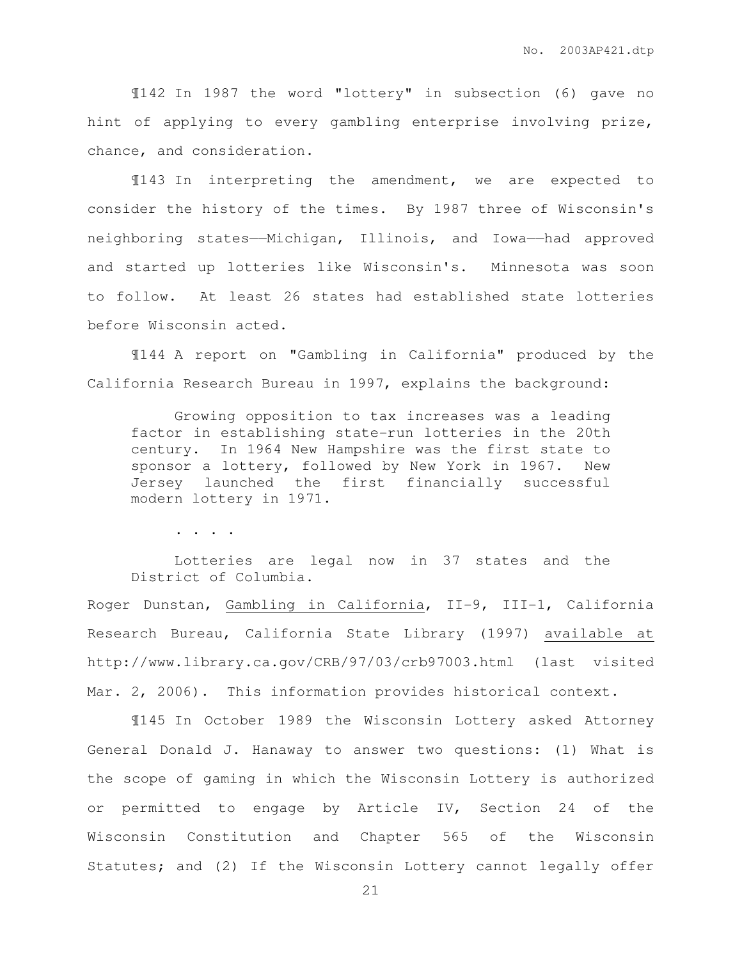¶142 In 1987 the word "lottery" in subsection (6) gave no hint of applying to every gambling enterprise involving prize, chance, and consideration.

¶143 In interpreting the amendment, we are expected to consider the history of the times. By 1987 three of Wisconsin's neighboring states——Michigan, Illinois, and Iowa——had approved and started up lotteries like Wisconsin's. Minnesota was soon to follow. At least 26 states had established state lotteries before Wisconsin acted.

¶144 A report on "Gambling in California" produced by the California Research Bureau in 1997, explains the background:

 Growing opposition to tax increases was a leading factor in establishing state-run lotteries in the 20th century. In 1964 New Hampshire was the first state to sponsor a lottery, followed by New York in 1967. New Jersey launched the first financially successful modern lottery in 1971.

. . . .

 Lotteries are legal now in 37 states and the District of Columbia.

Roger Dunstan, Gambling in California, II-9, III-1, California Research Bureau, California State Library (1997) available at http://www.library.ca.gov/CRB/97/03/crb97003.html (last visited Mar. 2, 2006). This information provides historical context.

¶145 In October 1989 the Wisconsin Lottery asked Attorney General Donald J. Hanaway to answer two questions: (1) What is the scope of gaming in which the Wisconsin Lottery is authorized or permitted to engage by Article IV, Section 24 of the Wisconsin Constitution and Chapter 565 of the Wisconsin Statutes; and (2) If the Wisconsin Lottery cannot legally offer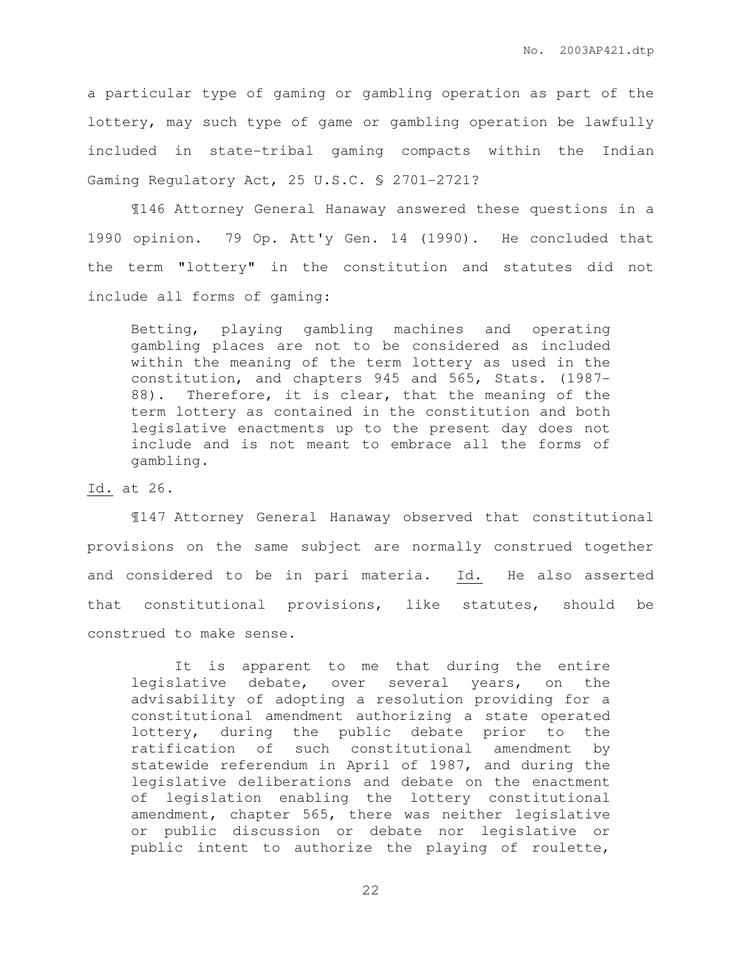a particular type of gaming or gambling operation as part of the lottery, may such type of game or gambling operation be lawfully included in state-tribal gaming compacts within the Indian Gaming Regulatory Act, 25 U.S.C. § 2701-2721?

¶146 Attorney General Hanaway answered these questions in a 1990 opinion. 79 Op. Att'y Gen. 14 (1990). He concluded that the term "lottery" in the constitution and statutes did not include all forms of gaming:

Betting, playing gambling machines and operating gambling places are not to be considered as included within the meaning of the term lottery as used in the constitution, and chapters 945 and 565, Stats. (1987- 88). Therefore, it is clear, that the meaning of the term lottery as contained in the constitution and both legislative enactments up to the present day does not include and is not meant to embrace all the forms of gambling.

Id. at 26.

¶147 Attorney General Hanaway observed that constitutional provisions on the same subject are normally construed together and considered to be in pari materia. Id. He also asserted that constitutional provisions, like statutes, should be construed to make sense.

It is apparent to me that during the entire legislative debate, over several years, on the advisability of adopting a resolution providing for a constitutional amendment authorizing a state operated lottery, during the public debate prior to the ratification of such constitutional amendment by statewide referendum in April of 1987, and during the legislative deliberations and debate on the enactment of legislation enabling the lottery constitutional amendment, chapter 565, there was neither legislative or public discussion or debate nor legislative or public intent to authorize the playing of roulette,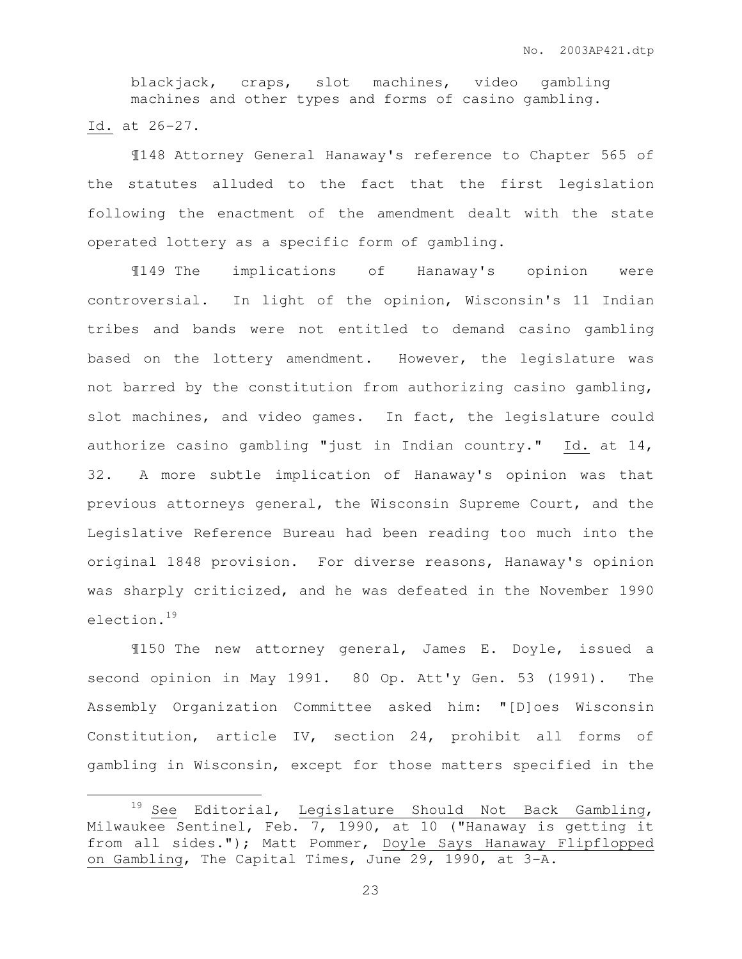blackjack, craps, slot machines, video gambling machines and other types and forms of casino gambling. Id. at 26-27.

¶148 Attorney General Hanaway's reference to Chapter 565 of the statutes alluded to the fact that the first legislation following the enactment of the amendment dealt with the state operated lottery as a specific form of gambling.

¶149 The implications of Hanaway's opinion were controversial. In light of the opinion, Wisconsin's 11 Indian tribes and bands were not entitled to demand casino gambling based on the lottery amendment. However, the legislature was not barred by the constitution from authorizing casino gambling, slot machines, and video games. In fact, the legislature could authorize casino gambling "just in Indian country." Id. at 14, 32. A more subtle implication of Hanaway's opinion was that previous attorneys general, the Wisconsin Supreme Court, and the Legislative Reference Bureau had been reading too much into the original 1848 provision. For diverse reasons, Hanaway's opinion was sharply criticized, and he was defeated in the November 1990 election.<sup>19</sup>

¶150 The new attorney general, James E. Doyle, issued a second opinion in May 1991. 80 Op. Att'y Gen. 53 (1991). The Assembly Organization Committee asked him: "[D]oes Wisconsin Constitution, article IV, section 24, prohibit all forms of gambling in Wisconsin, except for those matters specified in the

 $\overline{a}$ 

<sup>&</sup>lt;sup>19</sup> See Editorial, Legislature Should Not Back Gambling, Milwaukee Sentinel, Feb. 7, 1990, at 10 ("Hanaway is getting it from all sides."); Matt Pommer, Doyle Says Hanaway Flipflopped on Gambling, The Capital Times, June 29, 1990, at 3-A.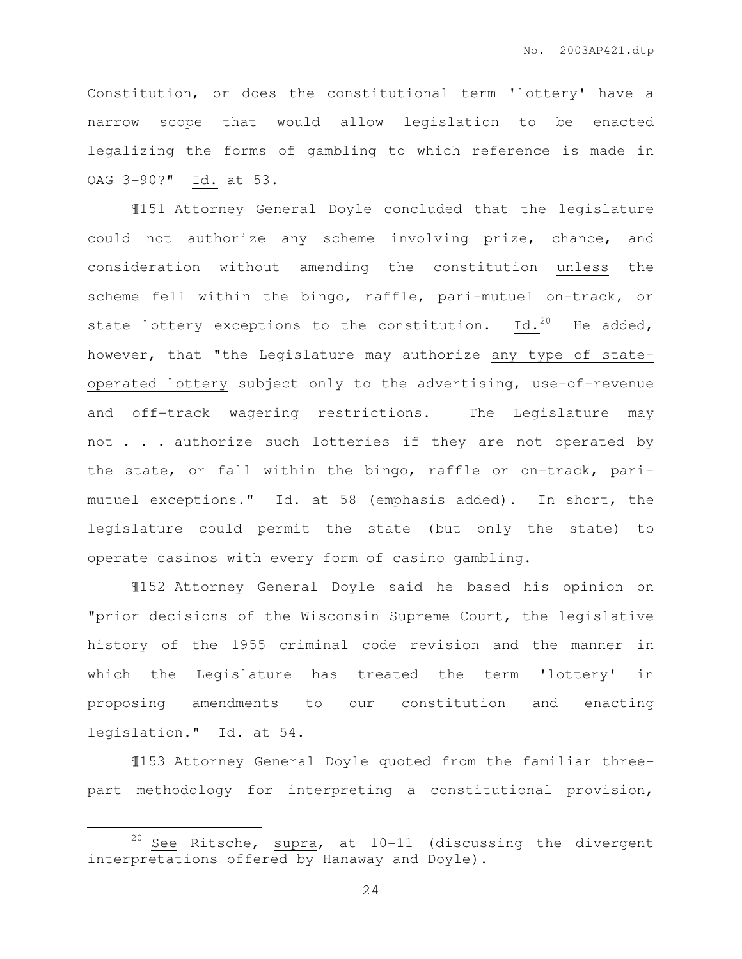Constitution, or does the constitutional term 'lottery' have a narrow scope that would allow legislation to be enacted legalizing the forms of gambling to which reference is made in OAG 3-90?" Id. at 53.

¶151 Attorney General Doyle concluded that the legislature could not authorize any scheme involving prize, chance, and consideration without amending the constitution unless the scheme fell within the bingo, raffle, pari-mutuel on-track, or state lottery exceptions to the constitution. Id.<sup>20</sup> He added, however, that "the Legislature may authorize any type of stateoperated lottery subject only to the advertising, use-of-revenue and off-track wagering restrictions. The Legislature may not . . . authorize such lotteries if they are not operated by the state, or fall within the bingo, raffle or on-track, parimutuel exceptions." Id. at 58 (emphasis added). In short, the legislature could permit the state (but only the state) to operate casinos with every form of casino gambling.

¶152 Attorney General Doyle said he based his opinion on "prior decisions of the Wisconsin Supreme Court, the legislative history of the 1955 criminal code revision and the manner in which the Legislature has treated the term 'lottery' in proposing amendments to our constitution and enacting legislation." Id. at 54.

¶153 Attorney General Doyle quoted from the familiar threepart methodology for interpreting a constitutional provision,

 $\overline{a}$ 

<sup>&</sup>lt;sup>20</sup> See Ritsche, supra, at  $10-11$  (discussing the divergent interpretations offered by Hanaway and Doyle).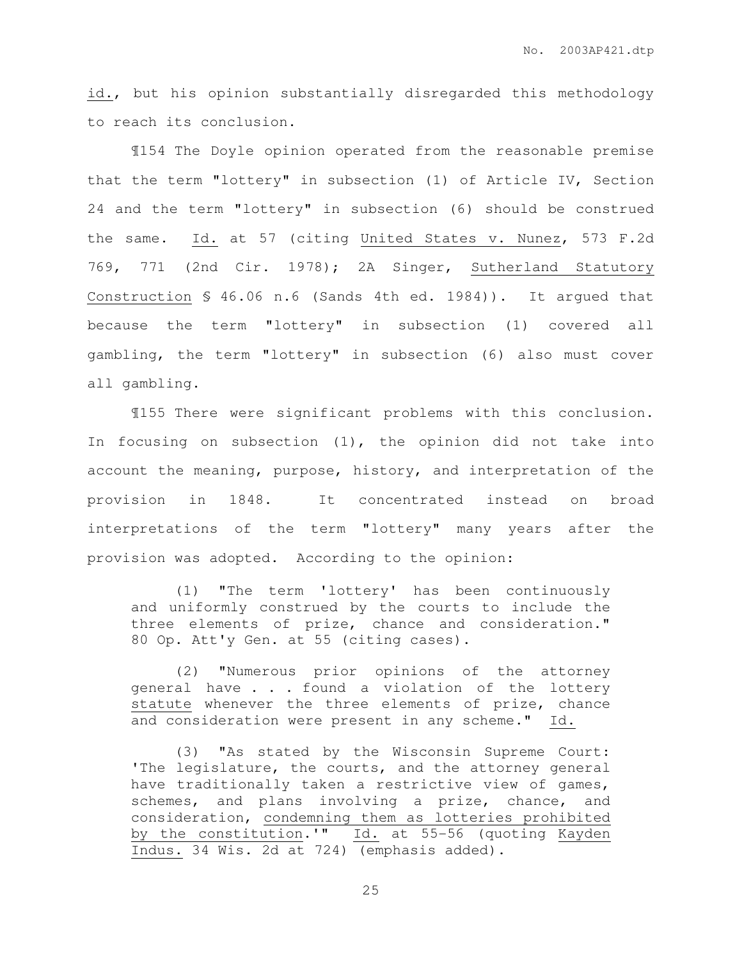id., but his opinion substantially disregarded this methodology to reach its conclusion.

¶154 The Doyle opinion operated from the reasonable premise that the term "lottery" in subsection (1) of Article IV, Section 24 and the term "lottery" in subsection (6) should be construed the same. Id. at 57 (citing United States v. Nunez, 573 F.2d 769, 771 (2nd Cir. 1978); 2A Singer, Sutherland Statutory Construction § 46.06 n.6 (Sands 4th ed. 1984)). It argued that because the term "lottery" in subsection (1) covered all gambling, the term "lottery" in subsection (6) also must cover all gambling.

¶155 There were significant problems with this conclusion. In focusing on subsection (1), the opinion did not take into account the meaning, purpose, history, and interpretation of the provision in 1848. It concentrated instead on broad interpretations of the term "lottery" many years after the provision was adopted. According to the opinion:

(1) "The term 'lottery' has been continuously and uniformly construed by the courts to include the three elements of prize, chance and consideration." 80 Op. Att'y Gen. at 55 (citing cases).

(2) "Numerous prior opinions of the attorney general have . . . found a violation of the lottery statute whenever the three elements of prize, chance and consideration were present in any scheme." Id.

(3) "As stated by the Wisconsin Supreme Court: 'The legislature, the courts, and the attorney general have traditionally taken a restrictive view of games, schemes, and plans involving a prize, chance, and consideration, condemning them as lotteries prohibited by the constitution.'" Id. at 55-56 (quoting Kayden Indus. 34 Wis. 2d at 724) (emphasis added).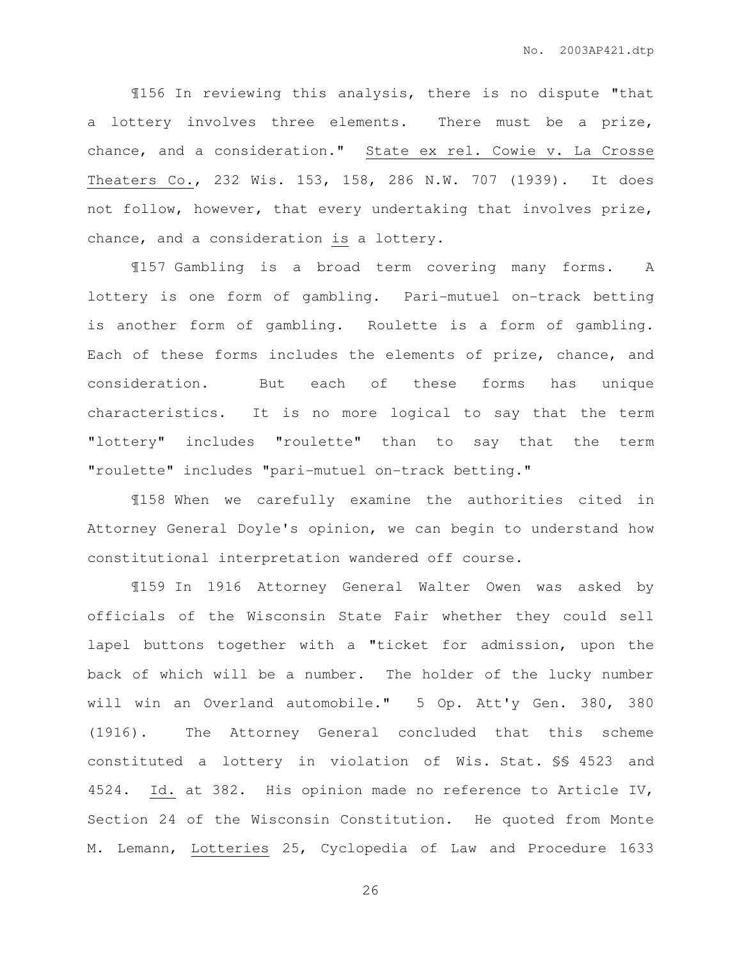¶156 In reviewing this analysis, there is no dispute "that a lottery involves three elements. There must be a prize, chance, and a consideration." State ex rel. Cowie v. La Crosse Theaters Co., 232 Wis. 153, 158, 286 N.W. 707 (1939). It does not follow, however, that every undertaking that involves prize, chance, and a consideration is a lottery.

¶157 Gambling is a broad term covering many forms. A lottery is one form of gambling. Pari-mutuel on-track betting is another form of gambling. Roulette is a form of gambling. Each of these forms includes the elements of prize, chance, and consideration. But each of these forms has unique characteristics. It is no more logical to say that the term "lottery" includes "roulette" than to say that the term "roulette" includes "pari-mutuel on-track betting."

¶158 When we carefully examine the authorities cited in Attorney General Doyle's opinion, we can begin to understand how constitutional interpretation wandered off course.

¶159 In 1916 Attorney General Walter Owen was asked by officials of the Wisconsin State Fair whether they could sell lapel buttons together with a "ticket for admission, upon the back of which will be a number. The holder of the lucky number will win an Overland automobile." 5 Op. Att'y Gen. 380, 380 (1916). The Attorney General concluded that this scheme constituted a lottery in violation of Wis. Stat. §§ 4523 and 4524. Id. at 382. His opinion made no reference to Article IV, Section 24 of the Wisconsin Constitution. He quoted from Monte M. Lemann, Lotteries 25, Cyclopedia of Law and Procedure 1633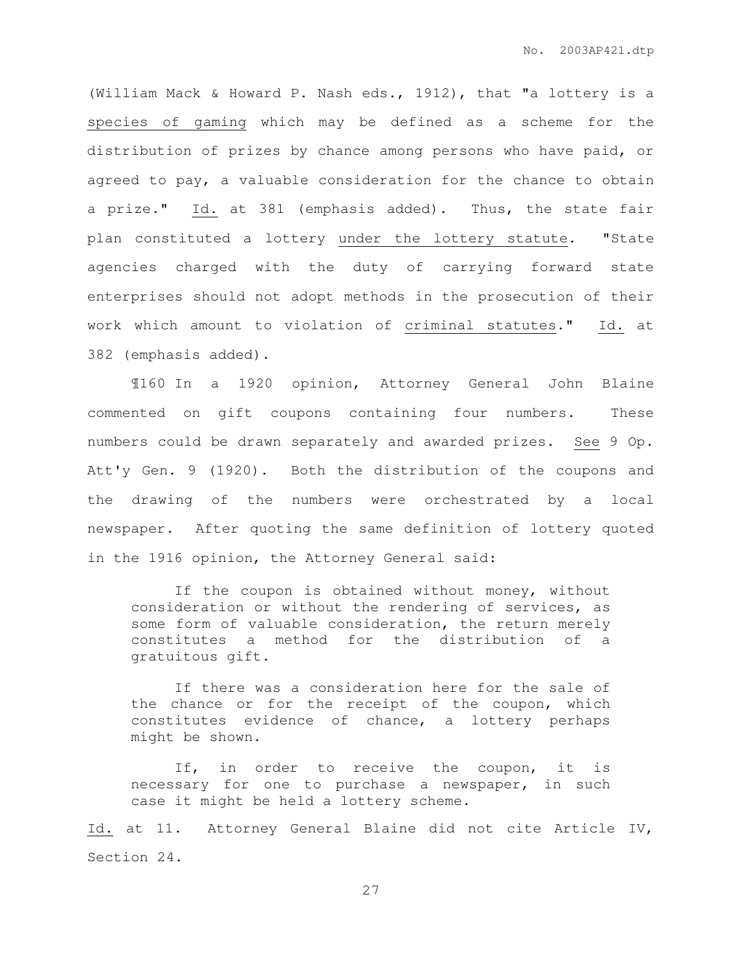(William Mack & Howard P. Nash eds., 1912), that "a lottery is a species of gaming which may be defined as a scheme for the distribution of prizes by chance among persons who have paid, or agreed to pay, a valuable consideration for the chance to obtain a prize." Id. at 381 (emphasis added). Thus, the state fair plan constituted a lottery under the lottery statute. "State agencies charged with the duty of carrying forward state enterprises should not adopt methods in the prosecution of their work which amount to violation of criminal statutes." Id. at 382 (emphasis added).

¶160 In a 1920 opinion, Attorney General John Blaine commented on gift coupons containing four numbers. These numbers could be drawn separately and awarded prizes. See 9 Op. Att'y Gen. 9 (1920). Both the distribution of the coupons and the drawing of the numbers were orchestrated by a local newspaper. After quoting the same definition of lottery quoted in the 1916 opinion, the Attorney General said:

 If the coupon is obtained without money, without consideration or without the rendering of services, as some form of valuable consideration, the return merely constitutes a method for the distribution of a gratuitous gift.

 If there was a consideration here for the sale of the chance or for the receipt of the coupon, which constitutes evidence of chance, a lottery perhaps might be shown.

 If, in order to receive the coupon, it is necessary for one to purchase a newspaper, in such case it might be held a lottery scheme.

Id. at 11. Attorney General Blaine did not cite Article IV, Section 24.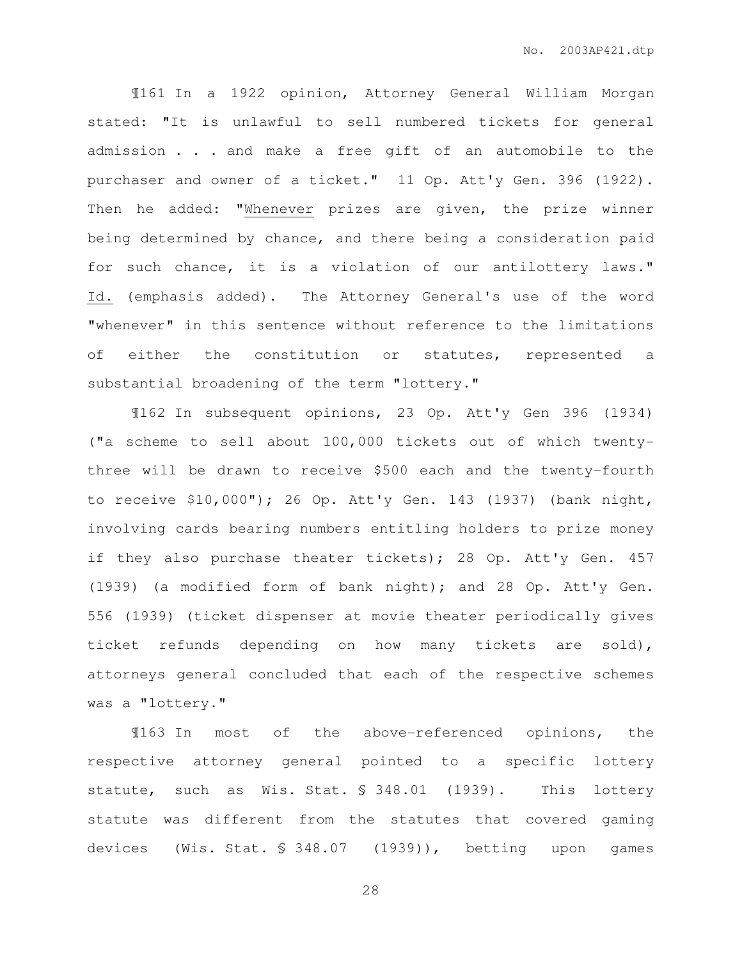¶161 In a 1922 opinion, Attorney General William Morgan stated: "It is unlawful to sell numbered tickets for general admission . . . and make a free gift of an automobile to the purchaser and owner of a ticket." 11 Op. Att'y Gen. 396 (1922). Then he added: "Whenever prizes are given, the prize winner being determined by chance, and there being a consideration paid for such chance, it is a violation of our antilottery laws." Id. (emphasis added). The Attorney General's use of the word "whenever" in this sentence without reference to the limitations of either the constitution or statutes, represented a substantial broadening of the term "lottery."

¶162 In subsequent opinions, 23 Op. Att'y Gen 396 (1934) ("a scheme to sell about 100,000 tickets out of which twentythree will be drawn to receive \$500 each and the twenty-fourth to receive \$10,000"); 26 Op. Att'y Gen. 143 (1937) (bank night, involving cards bearing numbers entitling holders to prize money if they also purchase theater tickets); 28 Op. Att'y Gen. 457 (1939) (a modified form of bank night); and 28 Op. Att'y Gen. 556 (1939) (ticket dispenser at movie theater periodically gives ticket refunds depending on how many tickets are sold), attorneys general concluded that each of the respective schemes was a "lottery."

¶163 In most of the above-referenced opinions, the respective attorney general pointed to a specific lottery statute, such as Wis. Stat. § 348.01 (1939). This lottery statute was different from the statutes that covered gaming devices (Wis. Stat. § 348.07 (1939)), betting upon games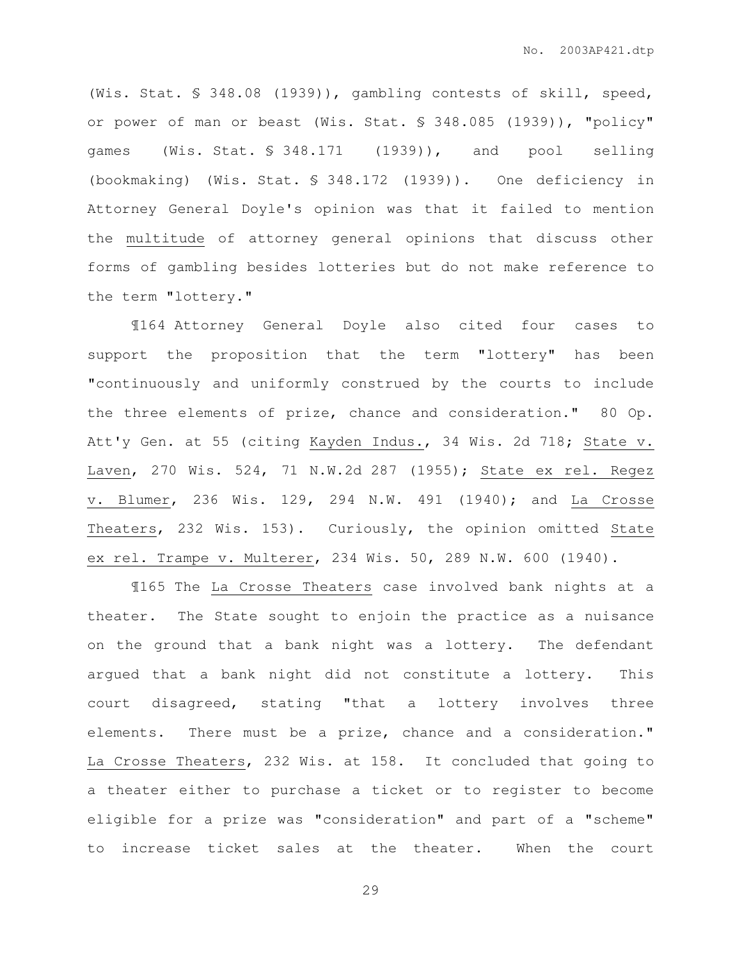(Wis. Stat. § 348.08 (1939)), gambling contests of skill, speed, or power of man or beast (Wis. Stat. § 348.085 (1939)), "policy" games (Wis. Stat. § 348.171 (1939)), and pool selling (bookmaking) (Wis. Stat. § 348.172 (1939)). One deficiency in Attorney General Doyle's opinion was that it failed to mention the multitude of attorney general opinions that discuss other forms of gambling besides lotteries but do not make reference to the term "lottery."

¶164 Attorney General Doyle also cited four cases to support the proposition that the term "lottery" has been "continuously and uniformly construed by the courts to include the three elements of prize, chance and consideration." 80 Op. Att'y Gen. at 55 (citing Kayden Indus., 34 Wis. 2d 718; State v. Laven, 270 Wis. 524, 71 N.W.2d 287 (1955); State ex rel. Regez v. Blumer, 236 Wis. 129, 294 N.W. 491 (1940); and La Crosse Theaters, 232 Wis. 153). Curiously, the opinion omitted State ex rel. Trampe v. Multerer, 234 Wis. 50, 289 N.W. 600 (1940).

¶165 The La Crosse Theaters case involved bank nights at a theater. The State sought to enjoin the practice as a nuisance on the ground that a bank night was a lottery. The defendant argued that a bank night did not constitute a lottery. This court disagreed, stating "that a lottery involves three elements. There must be a prize, chance and a consideration." La Crosse Theaters, 232 Wis. at 158. It concluded that going to a theater either to purchase a ticket or to register to become eligible for a prize was "consideration" and part of a "scheme" to increase ticket sales at the theater. When the court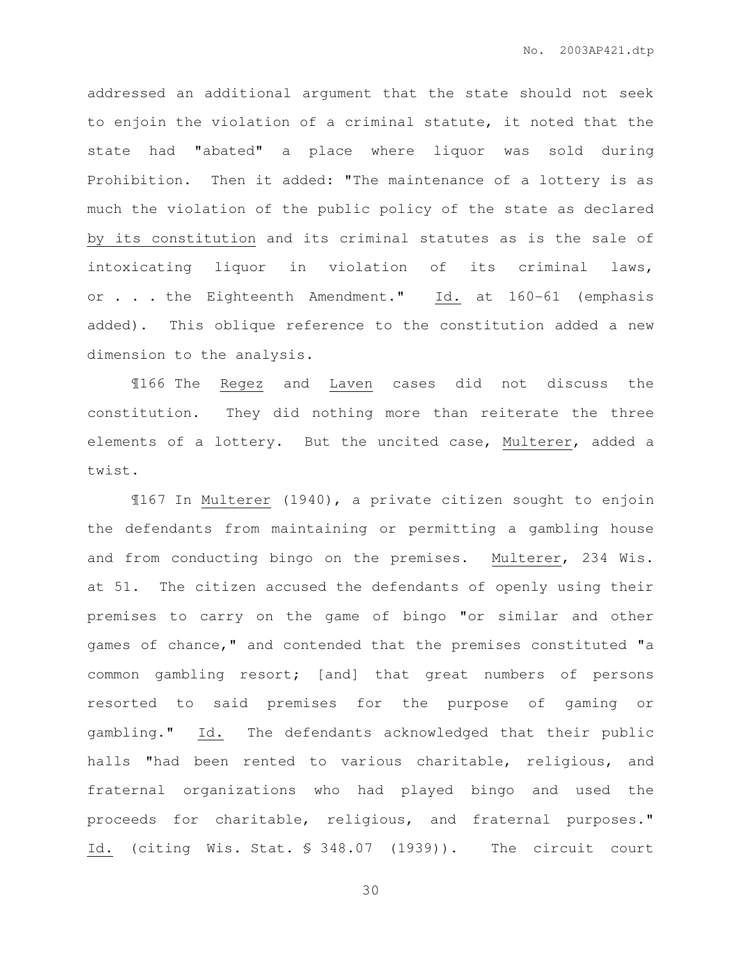addressed an additional argument that the state should not seek to enjoin the violation of a criminal statute, it noted that the state had "abated" a place where liquor was sold during Prohibition. Then it added: "The maintenance of a lottery is as much the violation of the public policy of the state as declared by its constitution and its criminal statutes as is the sale of intoxicating liquor in violation of its criminal laws, or . . . the Eighteenth Amendment." Id. at 160-61 (emphasis added). This oblique reference to the constitution added a new dimension to the analysis.

¶166 The Regez and Laven cases did not discuss the constitution. They did nothing more than reiterate the three elements of a lottery. But the uncited case, Multerer, added a twist.

¶167 In Multerer (1940), a private citizen sought to enjoin the defendants from maintaining or permitting a gambling house and from conducting bingo on the premises. Multerer, 234 Wis. at 51. The citizen accused the defendants of openly using their premises to carry on the game of bingo "or similar and other games of chance," and contended that the premises constituted "a common gambling resort; [and] that great numbers of persons resorted to said premises for the purpose of gaming or gambling." Id. The defendants acknowledged that their public halls "had been rented to various charitable, religious, and fraternal organizations who had played bingo and used the proceeds for charitable, religious, and fraternal purposes." Id. (citing Wis. Stat. § 348.07 (1939)). The circuit court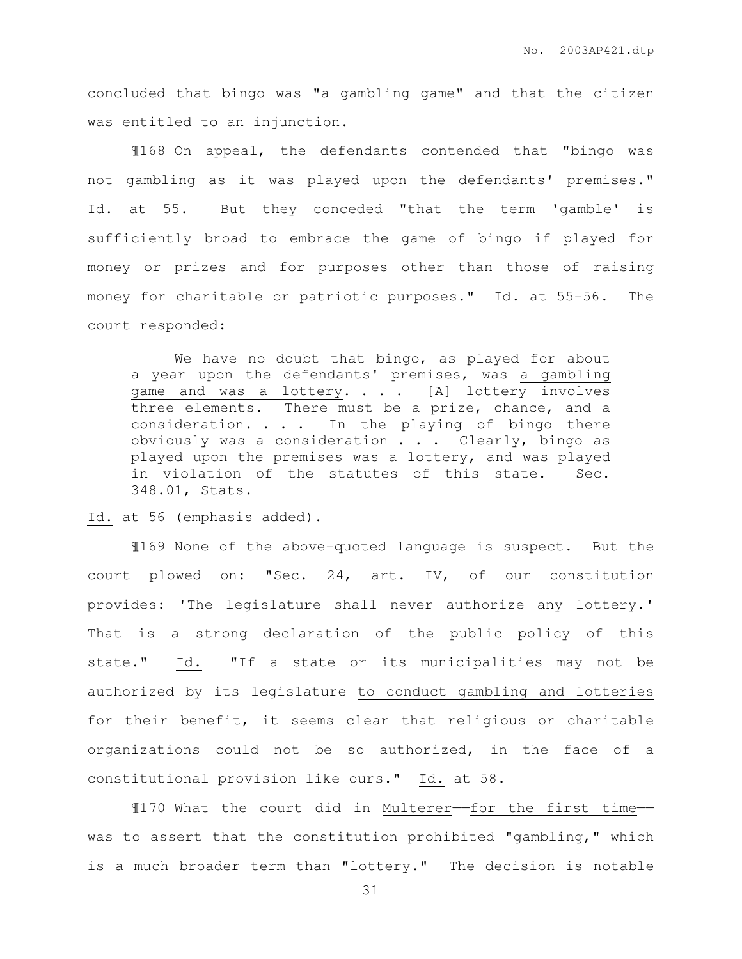concluded that bingo was "a gambling game" and that the citizen was entitled to an injunction.

¶168 On appeal, the defendants contended that "bingo was not gambling as it was played upon the defendants' premises." Id. at 55. But they conceded "that the term 'gamble' is sufficiently broad to embrace the game of bingo if played for money or prizes and for purposes other than those of raising money for charitable or patriotic purposes." Id. at 55-56. The court responded:

 We have no doubt that bingo, as played for about a year upon the defendants' premises, was a gambling game and was a lottery. . . . [A] lottery involves three elements. There must be a prize, chance, and a consideration.  $\ldots$  . In the playing of bingo there obviously was a consideration . . . Clearly, bingo as played upon the premises was a lottery, and was played in violation of the statutes of this state. Sec. 348.01, Stats.

Id. at 56 (emphasis added).

 ¶169 None of the above-quoted language is suspect. But the court plowed on: "Sec. 24, art. IV, of our constitution provides: 'The legislature shall never authorize any lottery.' That is a strong declaration of the public policy of this state." Id. "If a state or its municipalities may not be authorized by its legislature to conduct gambling and lotteries for their benefit, it seems clear that religious or charitable organizations could not be so authorized, in the face of a constitutional provision like ours." Id. at 58.

 ¶170 What the court did in Multerer——for the first time— was to assert that the constitution prohibited "gambling," which is a much broader term than "lottery." The decision is notable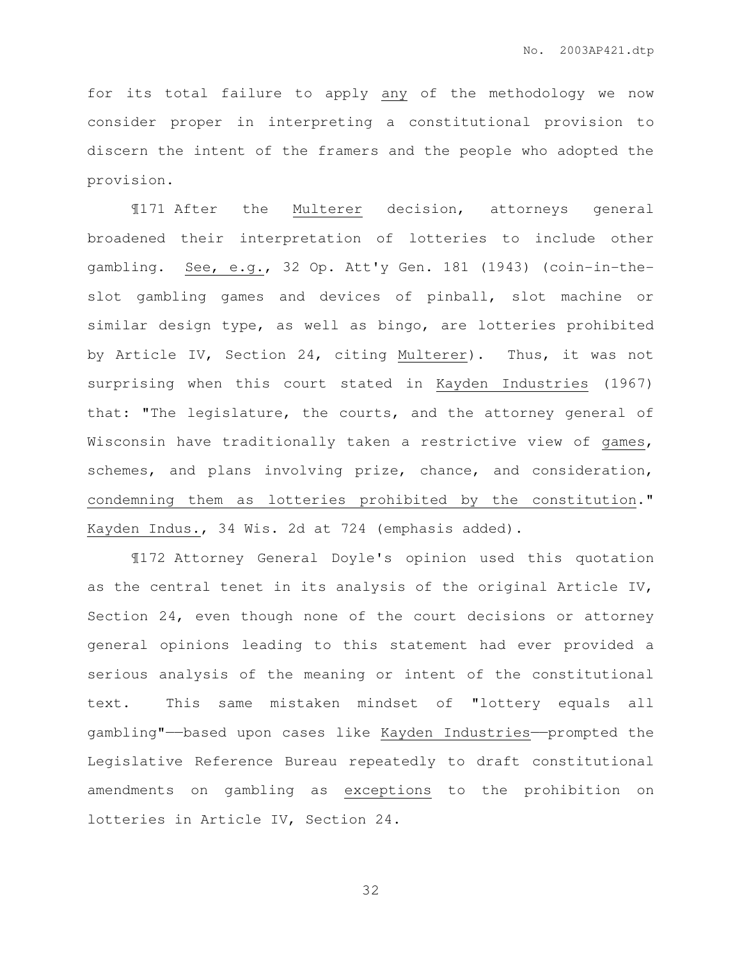for its total failure to apply any of the methodology we now consider proper in interpreting a constitutional provision to discern the intent of the framers and the people who adopted the provision.

 ¶171 After the Multerer decision, attorneys general broadened their interpretation of lotteries to include other gambling. See, e.g., 32 Op. Att'y Gen. 181 (1943) (coin-in-theslot gambling games and devices of pinball, slot machine or similar design type, as well as bingo, are lotteries prohibited by Article IV, Section 24, citing Multerer). Thus, it was not surprising when this court stated in Kayden Industries (1967) that: "The legislature, the courts, and the attorney general of Wisconsin have traditionally taken a restrictive view of games, schemes, and plans involving prize, chance, and consideration, condemning them as lotteries prohibited by the constitution." Kayden Indus., 34 Wis. 2d at 724 (emphasis added).

 ¶172 Attorney General Doyle's opinion used this quotation as the central tenet in its analysis of the original Article IV, Section 24, even though none of the court decisions or attorney general opinions leading to this statement had ever provided a serious analysis of the meaning or intent of the constitutional text. This same mistaken mindset of "lottery equals all gambling"——based upon cases like Kayden Industries——prompted the Legislative Reference Bureau repeatedly to draft constitutional amendments on gambling as exceptions to the prohibition on lotteries in Article IV, Section 24.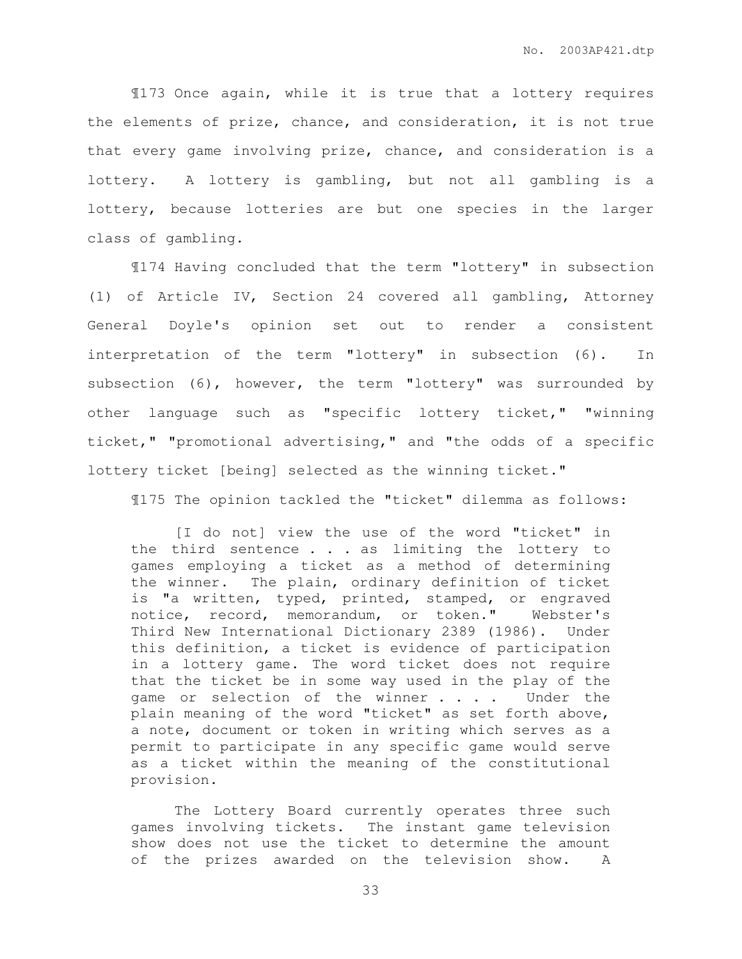¶173 Once again, while it is true that a lottery requires the elements of prize, chance, and consideration, it is not true that every game involving prize, chance, and consideration is a lottery. A lottery is gambling, but not all gambling is a lottery, because lotteries are but one species in the larger class of gambling.

 ¶174 Having concluded that the term "lottery" in subsection (1) of Article IV, Section 24 covered all gambling, Attorney General Doyle's opinion set out to render a consistent interpretation of the term "lottery" in subsection (6). In subsection (6), however, the term "lottery" was surrounded by other language such as "specific lottery ticket," "winning ticket," "promotional advertising," and "the odds of a specific lottery ticket [being] selected as the winning ticket."

¶175 The opinion tackled the "ticket" dilemma as follows:

 [I do not] view the use of the word "ticket" in the third sentence . . . as limiting the lottery to games employing a ticket as a method of determining the winner. The plain, ordinary definition of ticket is "a written, typed, printed, stamped, or engraved notice, record, memorandum, or token." Webster's Third New International Dictionary 2389 (1986). Under this definition, a ticket is evidence of participation in a lottery game. The word ticket does not require that the ticket be in some way used in the play of the game or selection of the winner . . . . Under the plain meaning of the word "ticket" as set forth above, a note, document or token in writing which serves as a permit to participate in any specific game would serve as a ticket within the meaning of the constitutional provision.

 The Lottery Board currently operates three such games involving tickets. The instant game television show does not use the ticket to determine the amount of the prizes awarded on the television show. A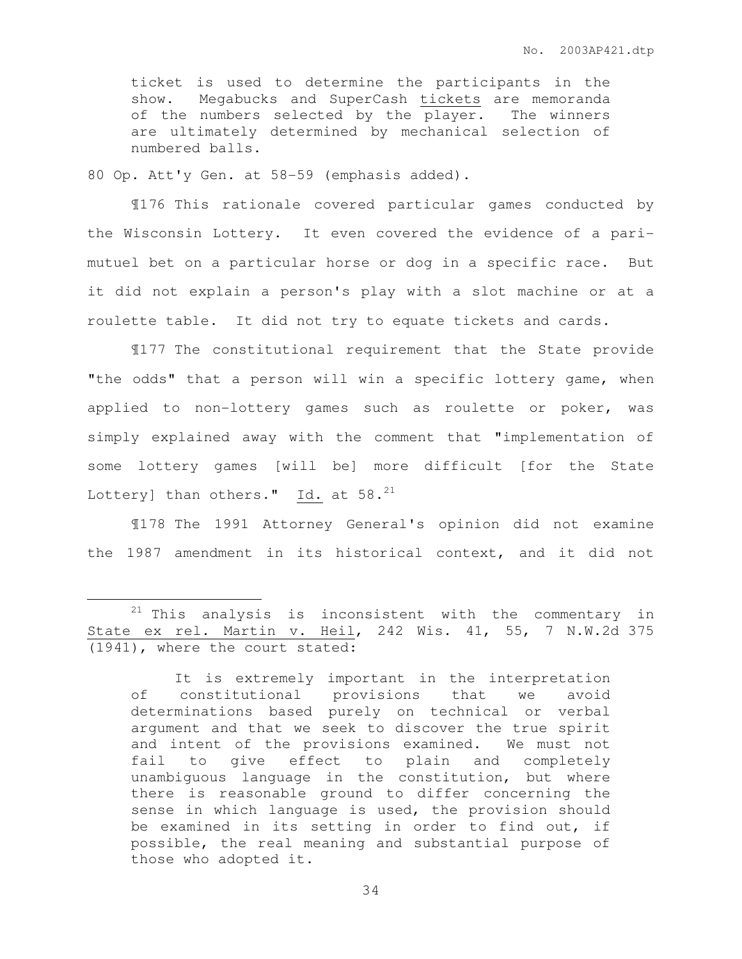ticket is used to determine the participants in the show. Megabucks and SuperCash tickets are memoranda of the numbers selected by the player. The winners are ultimately determined by mechanical selection of numbered balls.

80 Op. Att'y Gen. at 58-59 (emphasis added).

 $\overline{a}$ 

 ¶176 This rationale covered particular games conducted by the Wisconsin Lottery. It even covered the evidence of a parimutuel bet on a particular horse or dog in a specific race. But it did not explain a person's play with a slot machine or at a roulette table. It did not try to equate tickets and cards.

¶177 The constitutional requirement that the State provide "the odds" that a person will win a specific lottery game, when applied to non-lottery games such as roulette or poker, was simply explained away with the comment that "implementation of some lottery games [will be] more difficult [for the State Lottery] than others." Id. at  $58.^{21}$ 

¶178 The 1991 Attorney General's opinion did not examine the 1987 amendment in its historical context, and it did not

 $21$  This analysis is inconsistent with the commentary in State ex rel. Martin v. Heil, 242 Wis. 41, 55, 7 N.W.2d 375 (1941), where the court stated:

It is extremely important in the interpretation of constitutional provisions that we avoid determinations based purely on technical or verbal argument and that we seek to discover the true spirit and intent of the provisions examined. We must not fail to give effect to plain and completely unambiguous language in the constitution, but where there is reasonable ground to differ concerning the sense in which language is used, the provision should be examined in its setting in order to find out, if possible, the real meaning and substantial purpose of those who adopted it.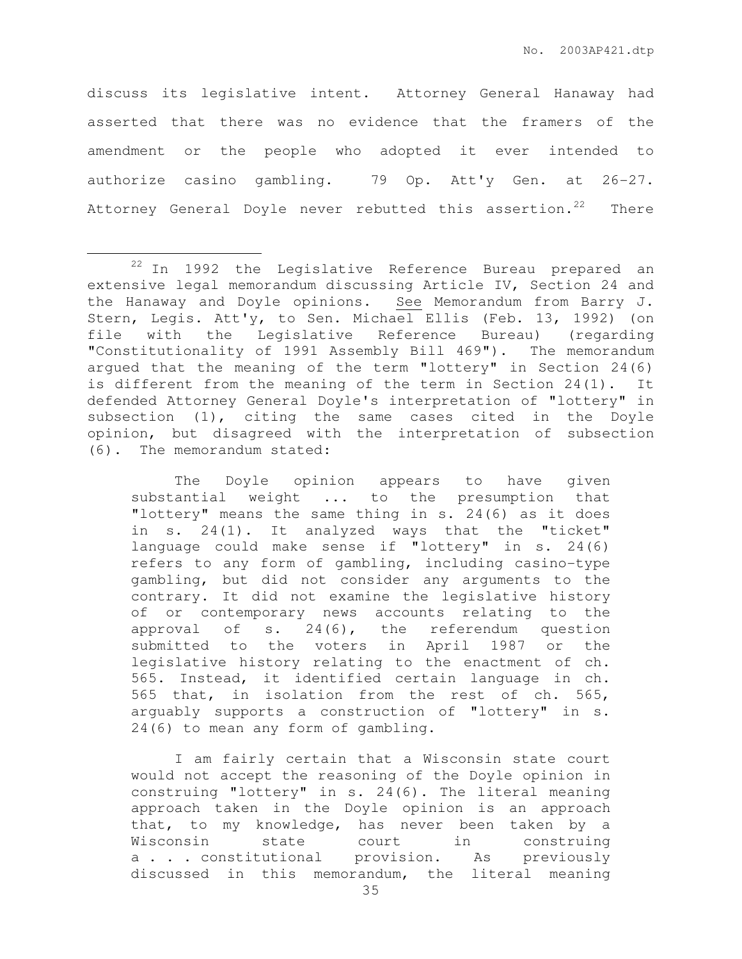discuss its legislative intent. Attorney General Hanaway had asserted that there was no evidence that the framers of the amendment or the people who adopted it ever intended to authorize casino gambling. 79 Op. Att'y Gen. at 26-27. Attorney General Doyle never rebutted this assertion.<sup>22</sup> There

 $\overline{a}$ 

The Doyle opinion appears to have given substantial weight ... to the presumption that "lottery" means the same thing in s. 24(6) as it does in s. 24(1). It analyzed ways that the "ticket" language could make sense if "lottery" in s. 24(6) refers to any form of gambling, including casino-type gambling, but did not consider any arguments to the contrary. It did not examine the legislative history of or contemporary news accounts relating to the approval of s. 24(6), the referendum question submitted to the voters in April 1987 or the legislative history relating to the enactment of ch. 565. Instead, it identified certain language in ch. 565 that, in isolation from the rest of ch. 565, arguably supports a construction of "lottery" in s. 24(6) to mean any form of gambling.

I am fairly certain that a Wisconsin state court would not accept the reasoning of the Doyle opinion in construing "lottery" in s. 24(6). The literal meaning approach taken in the Doyle opinion is an approach that, to my knowledge, has never been taken by a Wisconsin state court in construing a . . . constitutional provision. As previously discussed in this memorandum, the literal meaning

<sup>22</sup> In 1992 the Legislative Reference Bureau prepared an extensive legal memorandum discussing Article IV, Section 24 and the Hanaway and Doyle opinions. See Memorandum from Barry J. Stern, Legis. Att'y, to Sen. Michael Ellis (Feb. 13, 1992) (on file with the Legislative Reference Bureau) (regarding "Constitutionality of 1991 Assembly Bill 469"). The memorandum argued that the meaning of the term "lottery" in Section 24(6) is different from the meaning of the term in Section 24(1). It defended Attorney General Doyle's interpretation of "lottery" in subsection (1), citing the same cases cited in the Doyle opinion, but disagreed with the interpretation of subsection (6). The memorandum stated: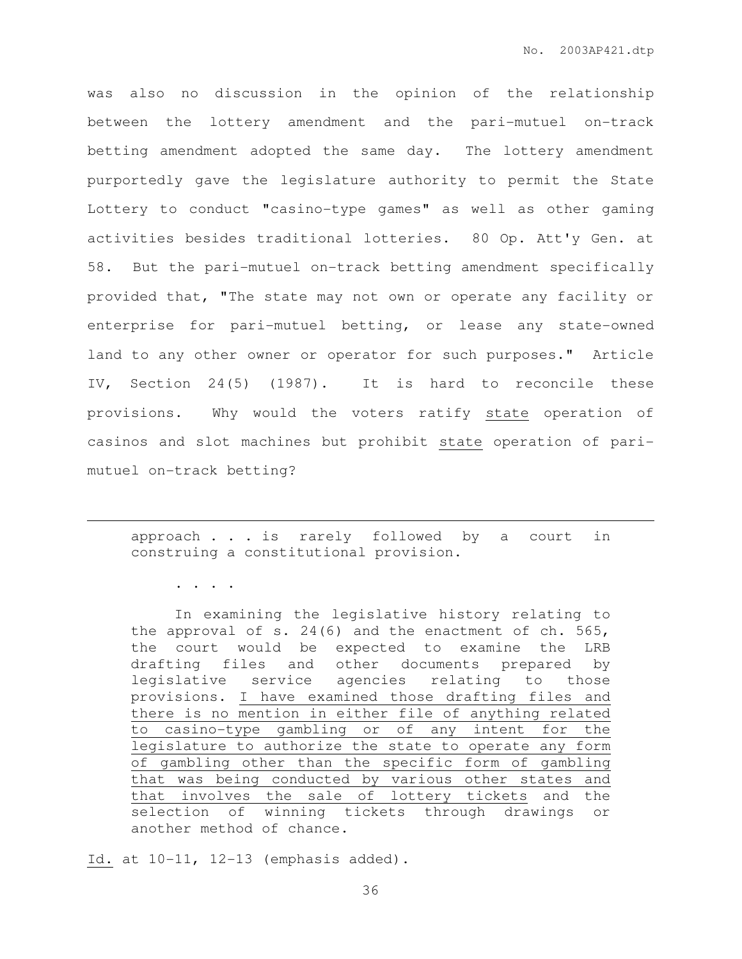was also no discussion in the opinion of the relationship between the lottery amendment and the pari-mutuel on-track betting amendment adopted the same day. The lottery amendment purportedly gave the legislature authority to permit the State Lottery to conduct "casino-type games" as well as other gaming activities besides traditional lotteries. 80 Op. Att'y Gen. at 58. But the pari-mutuel on-track betting amendment specifically provided that, "The state may not own or operate any facility or enterprise for pari-mutuel betting, or lease any state-owned land to any other owner or operator for such purposes." Article IV, Section 24(5) (1987). It is hard to reconcile these provisions. Why would the voters ratify state operation of casinos and slot machines but prohibit state operation of parimutuel on-track betting?

approach . . . is rarely followed by a court in construing a constitutional provision.

. . . .

 $\overline{a}$ 

In examining the legislative history relating to the approval of s. 24(6) and the enactment of ch. 565, the court would be expected to examine the LRB drafting files and other documents prepared by legislative service agencies relating to those provisions. I have examined those drafting files and there is no mention in either file of anything related to casino-type gambling or of any intent for the legislature to authorize the state to operate any form of gambling other than the specific form of gambling that was being conducted by various other states and that involves the sale of lottery tickets and the selection of winning tickets through drawings or another method of chance.

Id. at 10-11, 12-13 (emphasis added).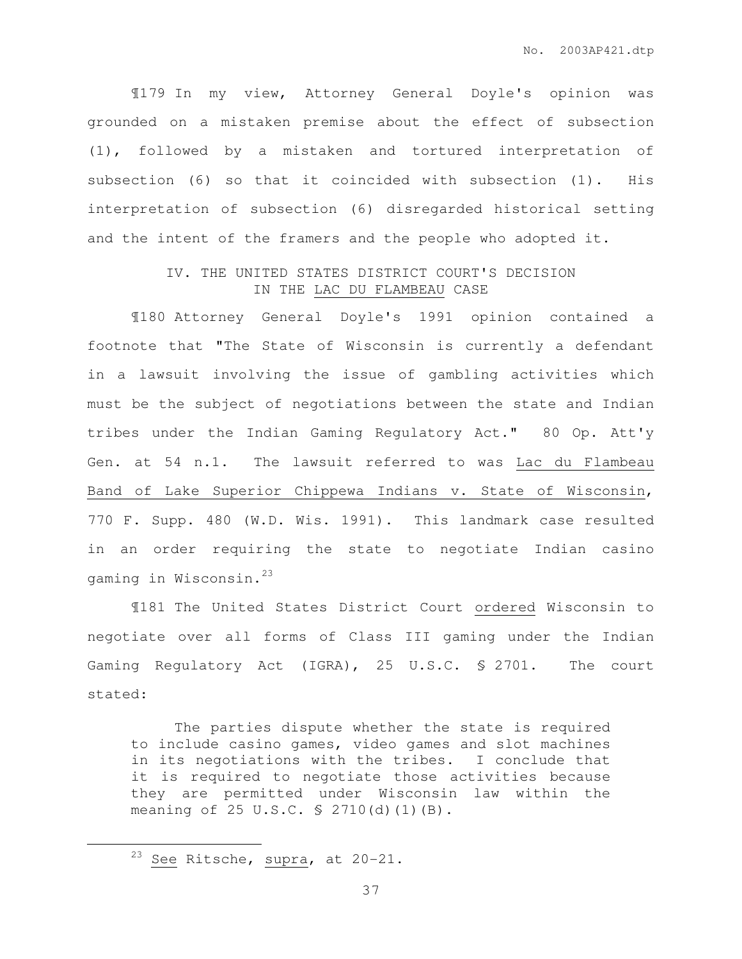¶179 In my view, Attorney General Doyle's opinion was grounded on a mistaken premise about the effect of subsection (1), followed by a mistaken and tortured interpretation of subsection (6) so that it coincided with subsection (1). His interpretation of subsection (6) disregarded historical setting and the intent of the framers and the people who adopted it.

## IV. THE UNITED STATES DISTRICT COURT'S DECISION IN THE LAC DU FLAMBEAU CASE

¶180 Attorney General Doyle's 1991 opinion contained a footnote that "The State of Wisconsin is currently a defendant in a lawsuit involving the issue of gambling activities which must be the subject of negotiations between the state and Indian tribes under the Indian Gaming Regulatory Act." 80 Op. Att'y Gen. at 54 n.1. The lawsuit referred to was Lac du Flambeau Band of Lake Superior Chippewa Indians v. State of Wisconsin, 770 F. Supp. 480 (W.D. Wis. 1991). This landmark case resulted in an order requiring the state to negotiate Indian casino gaming in Wisconsin.<sup>23</sup>

¶181 The United States District Court ordered Wisconsin to negotiate over all forms of Class III gaming under the Indian Gaming Regulatory Act (IGRA), 25 U.S.C. § 2701. The court stated:

 The parties dispute whether the state is required to include casino games, video games and slot machines in its negotiations with the tribes. I conclude that it is required to negotiate those activities because they are permitted under Wisconsin law within the meaning of 25 U.S.C. § 2710(d)(1)(B).

 $\overline{a}$ 

<sup>&</sup>lt;sup>23</sup> See Ritsche,  $\frac{\text{supra}}{\text{supn}}$ , at 20-21.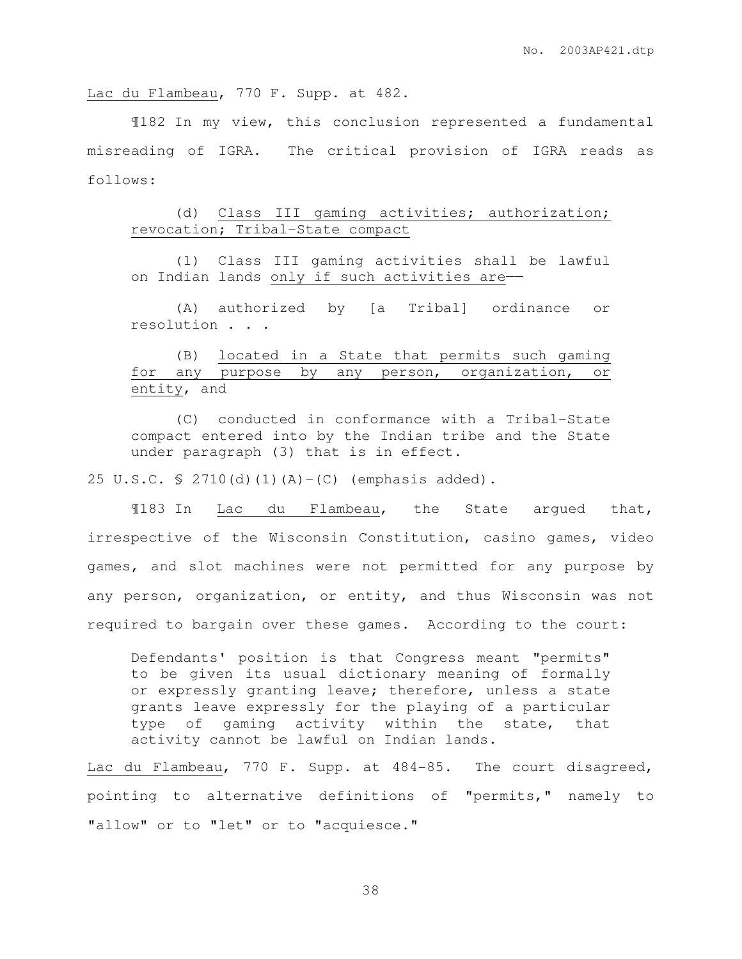Lac du Flambeau, 770 F. Supp. at 482.

¶182 In my view, this conclusion represented a fundamental misreading of IGRA. The critical provision of IGRA reads as follows:

## (d) Class III gaming activities; authorization; revocation; Tribal-State compact

 (1) Class III gaming activities shall be lawful on Indian lands only if such activities are-

 (A) authorized by [a Tribal] ordinance or resolution . . .

## (B) located in a State that permits such gaming for any purpose by any person, organization, or entity, and

 (C) conducted in conformance with a Tribal-State compact entered into by the Indian tribe and the State under paragraph (3) that is in effect.

25 U.S.C. § 2710(d)(1)(A)-(C) (emphasis added).

 ¶183 In Lac du Flambeau, the State argued that, irrespective of the Wisconsin Constitution, casino games, video games, and slot machines were not permitted for any purpose by any person, organization, or entity, and thus Wisconsin was not required to bargain over these games. According to the court:

Defendants' position is that Congress meant "permits" to be given its usual dictionary meaning of formally or expressly granting leave; therefore, unless a state grants leave expressly for the playing of a particular type of gaming activity within the state, that activity cannot be lawful on Indian lands.

Lac du Flambeau, 770 F. Supp. at 484-85. The court disagreed, pointing to alternative definitions of "permits," namely to "allow" or to "let" or to "acquiesce."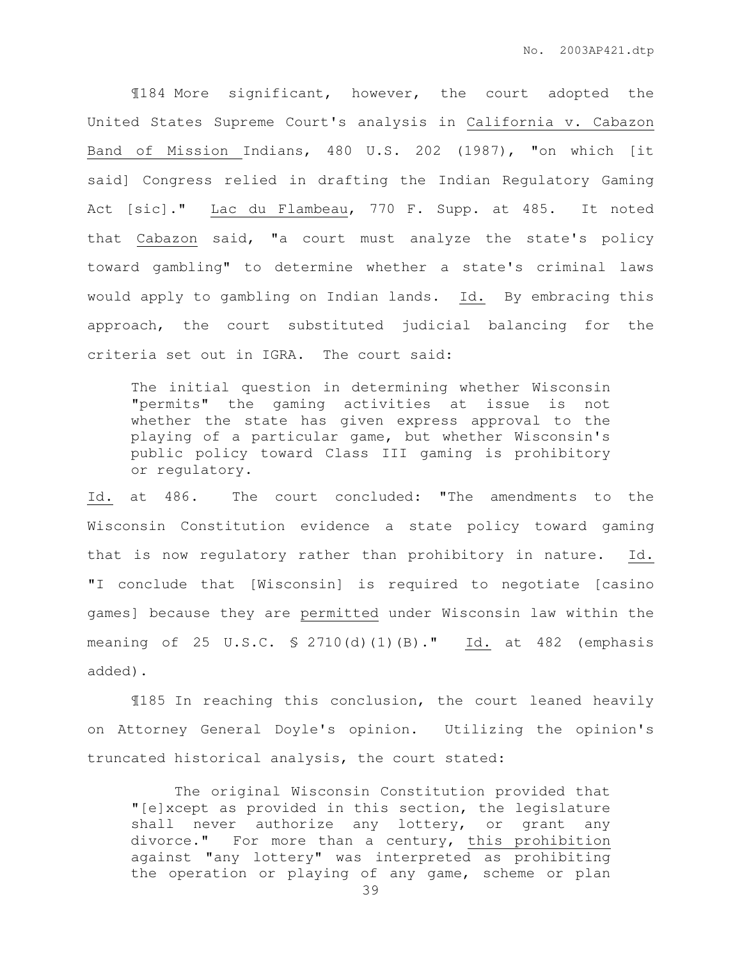¶184 More significant, however, the court adopted the United States Supreme Court's analysis in California v. Cabazon Band of Mission Indians, 480 U.S. 202 (1987), "on which [it said] Congress relied in drafting the Indian Regulatory Gaming Act [sic]." Lac du Flambeau, 770 F. Supp. at 485. It noted that Cabazon said, "a court must analyze the state's policy toward gambling" to determine whether a state's criminal laws would apply to gambling on Indian lands. Id. By embracing this approach, the court substituted judicial balancing for the criteria set out in IGRA. The court said:

The initial question in determining whether Wisconsin "permits" the gaming activities at issue is not whether the state has given express approval to the playing of a particular game, but whether Wisconsin's public policy toward Class III gaming is prohibitory or regulatory.

Id. at 486. The court concluded: "The amendments to the Wisconsin Constitution evidence a state policy toward gaming that is now regulatory rather than prohibitory in nature. Id. "I conclude that [Wisconsin] is required to negotiate [casino games] because they are permitted under Wisconsin law within the meaning of 25 U.S.C. § 2710(d)(1)(B)." Id. at 482 (emphasis added).

¶185 In reaching this conclusion, the court leaned heavily on Attorney General Doyle's opinion. Utilizing the opinion's truncated historical analysis, the court stated:

 The original Wisconsin Constitution provided that "[e]xcept as provided in this section, the legislature shall never authorize any lottery, or grant any divorce." For more than a century, this prohibition against "any lottery" was interpreted as prohibiting the operation or playing of any game, scheme or plan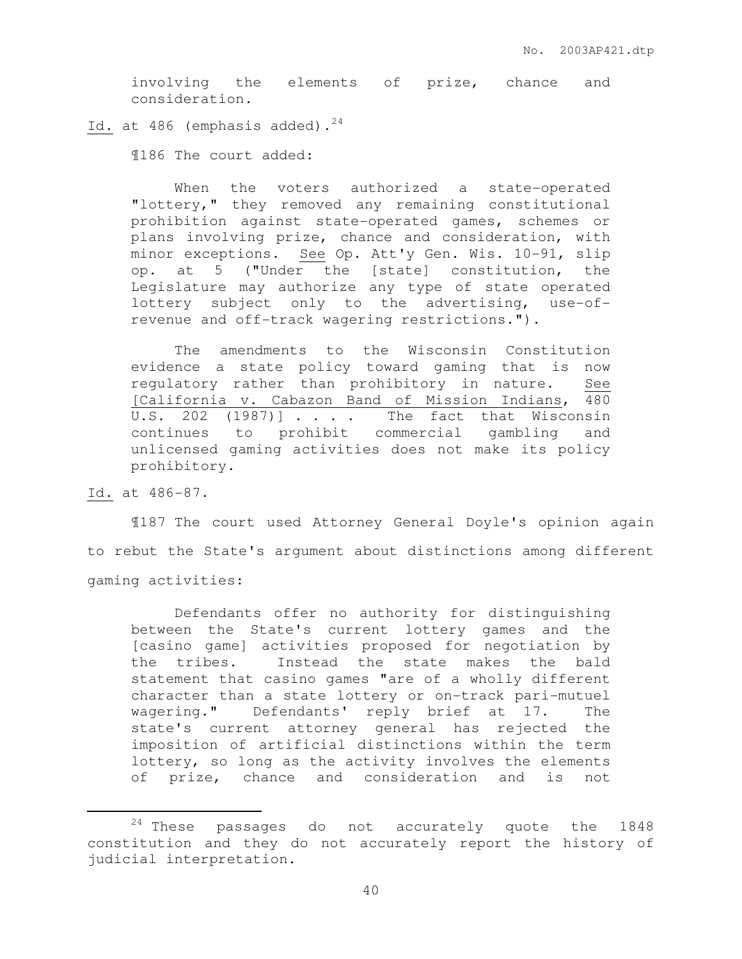involving the elements of prize, chance and consideration.

Id. at  $486$  (emphasis added).<sup>24</sup>

¶186 The court added:

When the voters authorized a state-operated "lottery," they removed any remaining constitutional prohibition against state-operated games, schemes or plans involving prize, chance and consideration, with minor exceptions. See Op. Att'y Gen. Wis. 10-91, slip op. at 5 ("Under the [state] constitution, the Legislature may authorize any type of state operated lottery subject only to the advertising, use-ofrevenue and off-track wagering restrictions.").

 The amendments to the Wisconsin Constitution evidence a state policy toward gaming that is now regulatory rather than prohibitory in nature. See [California v. Cabazon Band of Mission Indians, 480 U.S. 202  $(1987)$ ]  $\ldots$  . The fact that Wisconsin continues to prohibit commercial gambling and unlicensed gaming activities does not make its policy prohibitory.

Id. at 486-87.

 $\overline{a}$ 

 ¶187 The court used Attorney General Doyle's opinion again to rebut the State's argument about distinctions among different gaming activities:

 Defendants offer no authority for distinguishing between the State's current lottery games and the [casino game] activities proposed for negotiation by the tribes. Instead the state makes the bald statement that casino games "are of a wholly different character than a state lottery or on-track pari-mutuel wagering." Defendants' reply brief at 17. The state's current attorney general has rejected the imposition of artificial distinctions within the term lottery, so long as the activity involves the elements of prize, chance and consideration and is not

<sup>24</sup> These passages do not accurately quote the 1848 constitution and they do not accurately report the history of judicial interpretation.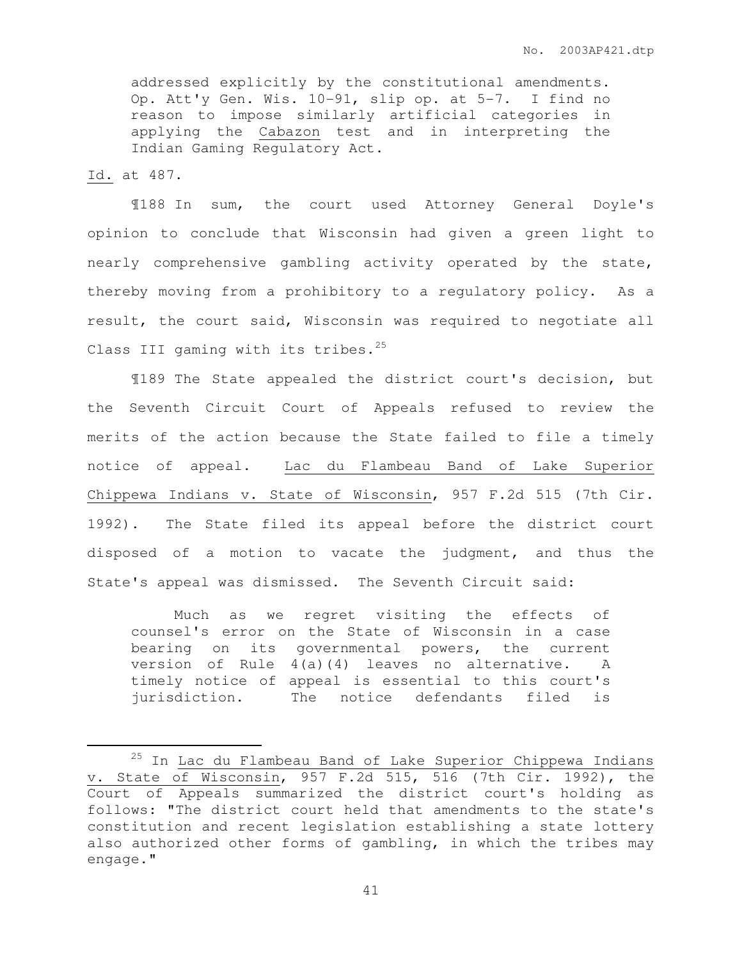addressed explicitly by the constitutional amendments. Op. Att'y Gen. Wis. 10-91, slip op. at 5-7. I find no reason to impose similarly artificial categories in applying the Cabazon test and in interpreting the Indian Gaming Regulatory Act.

Id. at 487.

 $\overline{a}$ 

 ¶188 In sum, the court used Attorney General Doyle's opinion to conclude that Wisconsin had given a green light to nearly comprehensive gambling activity operated by the state, thereby moving from a prohibitory to a regulatory policy. As a result, the court said, Wisconsin was required to negotiate all Class III gaming with its tribes. $25$ 

 ¶189 The State appealed the district court's decision, but the Seventh Circuit Court of Appeals refused to review the merits of the action because the State failed to file a timely notice of appeal. Lac du Flambeau Band of Lake Superior Chippewa Indians v. State of Wisconsin, 957 F.2d 515 (7th Cir. 1992). The State filed its appeal before the district court disposed of a motion to vacate the judgment, and thus the State's appeal was dismissed. The Seventh Circuit said:

 Much as we regret visiting the effects of counsel's error on the State of Wisconsin in a case bearing on its governmental powers, the current version of Rule 4(a)(4) leaves no alternative. A timely notice of appeal is essential to this court's jurisdiction. The notice defendants filed is

<sup>&</sup>lt;sup>25</sup> In Lac du Flambeau Band of Lake Superior Chippewa Indians v. State of Wisconsin, 957 F.2d 515, 516 (7th Cir. 1992), the Court of Appeals summarized the district court's holding as follows: "The district court held that amendments to the state's constitution and recent legislation establishing a state lottery also authorized other forms of gambling, in which the tribes may engage."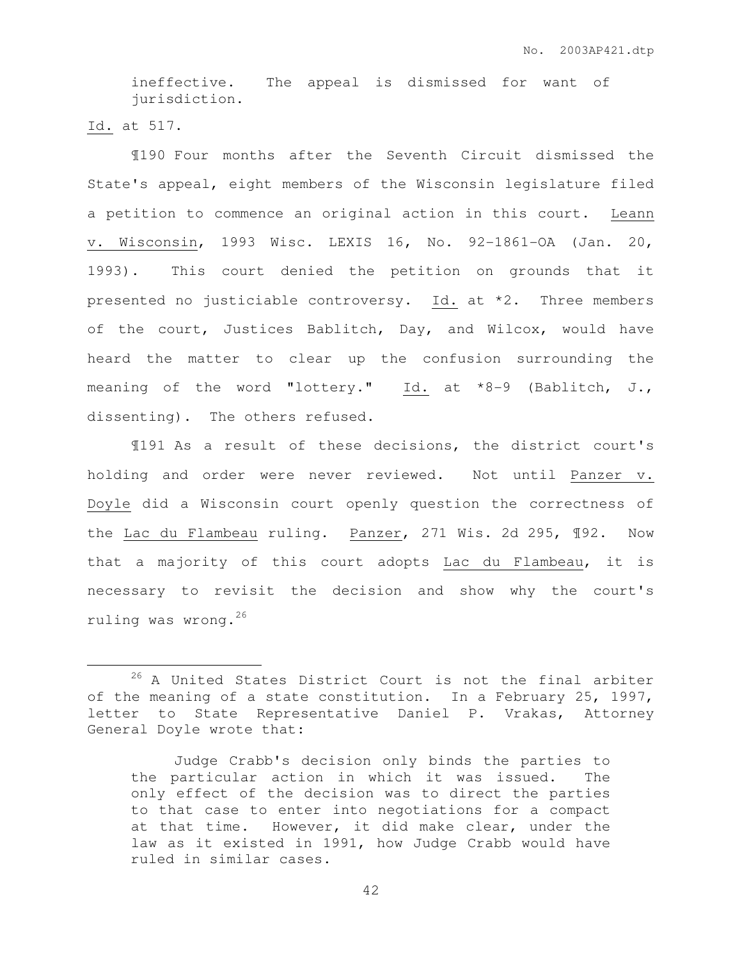ineffective. The appeal is dismissed for want of jurisdiction.

Id. at 517.

 $\overline{a}$ 

 ¶190 Four months after the Seventh Circuit dismissed the State's appeal, eight members of the Wisconsin legislature filed a petition to commence an original action in this court. Leann v. Wisconsin, 1993 Wisc. LEXIS 16, No. 92-1861-OA (Jan. 20, 1993). This court denied the petition on grounds that it presented no justiciable controversy. Id. at \*2. Three members of the court, Justices Bablitch, Day, and Wilcox, would have heard the matter to clear up the confusion surrounding the meaning of the word "lottery." Id. at \*8-9 (Bablitch, J., dissenting). The others refused.

 ¶191 As a result of these decisions, the district court's holding and order were never reviewed. Not until Panzer v. Doyle did a Wisconsin court openly question the correctness of the Lac du Flambeau ruling. Panzer, 271 Wis. 2d 295, ¶92. Now that a majority of this court adopts Lac du Flambeau, it is necessary to revisit the decision and show why the court's ruling was wrong.<sup>26</sup>

<sup>&</sup>lt;sup>26</sup> A United States District Court is not the final arbiter of the meaning of a state constitution. In a February 25, 1997, letter to State Representative Daniel P. Vrakas, Attorney General Doyle wrote that:

Judge Crabb's decision only binds the parties to the particular action in which it was issued. The only effect of the decision was to direct the parties to that case to enter into negotiations for a compact at that time. However, it did make clear, under the law as it existed in 1991, how Judge Crabb would have ruled in similar cases.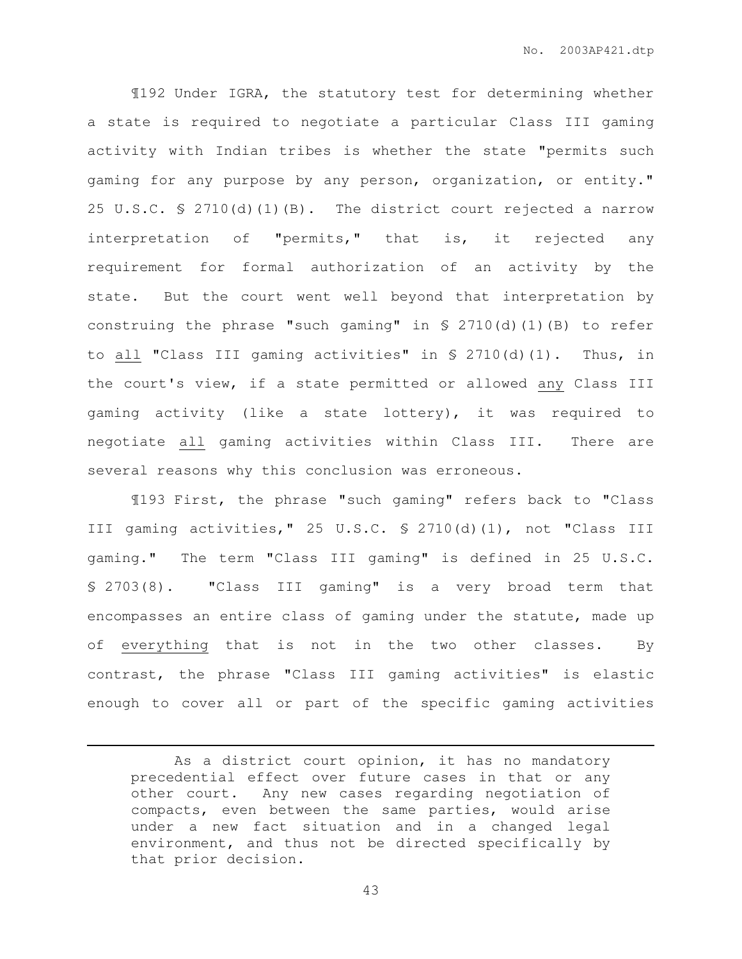¶192 Under IGRA, the statutory test for determining whether a state is required to negotiate a particular Class III gaming activity with Indian tribes is whether the state "permits such gaming for any purpose by any person, organization, or entity." 25 U.S.C. § 2710(d)(1)(B). The district court rejected a narrow interpretation of "permits," that is, it rejected any requirement for formal authorization of an activity by the state. But the court went well beyond that interpretation by construing the phrase "such gaming" in § 2710(d)(1)(B) to refer to all "Class III gaming activities" in § 2710(d)(1). Thus, in the court's view, if a state permitted or allowed any Class III gaming activity (like a state lottery), it was required to negotiate all gaming activities within Class III. There are several reasons why this conclusion was erroneous.

 ¶193 First, the phrase "such gaming" refers back to "Class III gaming activities," 25 U.S.C. § 2710(d)(1), not "Class III gaming." The term "Class III gaming" is defined in 25 U.S.C. § 2703(8). "Class III gaming" is a very broad term that encompasses an entire class of gaming under the statute, made up of everything that is not in the two other classes. By contrast, the phrase "Class III gaming activities" is elastic enough to cover all or part of the specific gaming activities

 $\overline{a}$ 

As a district court opinion, it has no mandatory precedential effect over future cases in that or any other court. Any new cases regarding negotiation of compacts, even between the same parties, would arise under a new fact situation and in a changed legal environment, and thus not be directed specifically by that prior decision.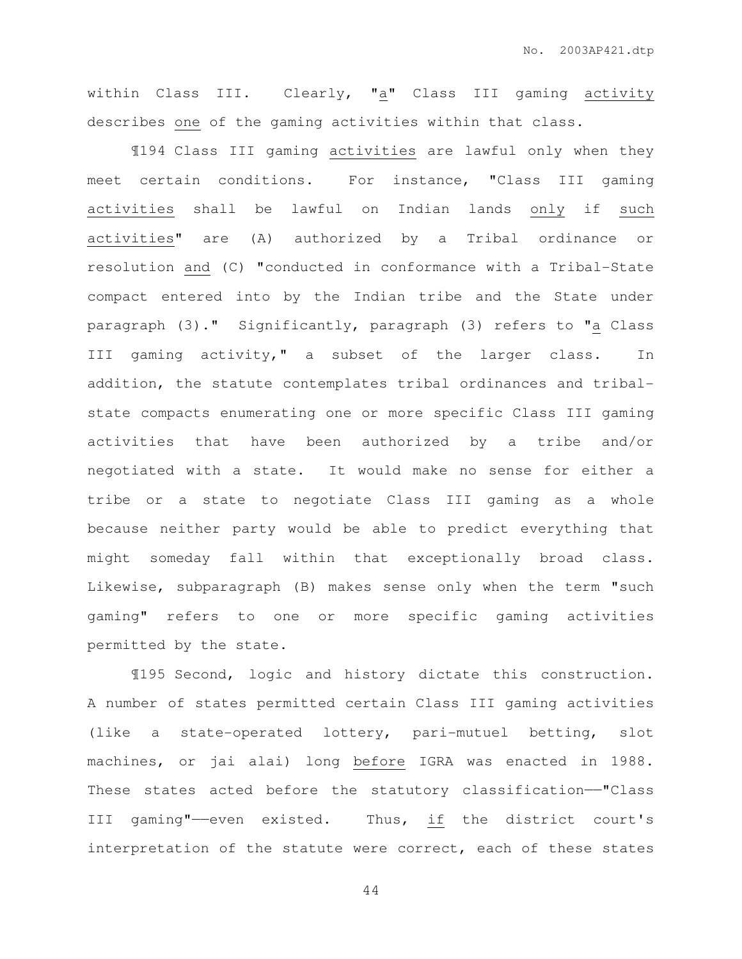within Class III. Clearly, "a" Class III gaming activity describes one of the gaming activities within that class.

¶194 Class III gaming activities are lawful only when they meet certain conditions. For instance, "Class III gaming activities shall be lawful on Indian lands only if such activities" are (A) authorized by a Tribal ordinance or resolution and (C) "conducted in conformance with a Tribal-State compact entered into by the Indian tribe and the State under paragraph (3)." Significantly, paragraph (3) refers to "a Class III gaming activity," a subset of the larger class. In addition, the statute contemplates tribal ordinances and tribalstate compacts enumerating one or more specific Class III gaming activities that have been authorized by a tribe and/or negotiated with a state. It would make no sense for either a tribe or a state to negotiate Class III gaming as a whole because neither party would be able to predict everything that might someday fall within that exceptionally broad class. Likewise, subparagraph (B) makes sense only when the term "such gaming" refers to one or more specific gaming activities permitted by the state.

 ¶195 Second, logic and history dictate this construction. A number of states permitted certain Class III gaming activities (like a state-operated lottery, pari-mutuel betting, slot machines, or jai alai) long before IGRA was enacted in 1988. These states acted before the statutory classification-"Class III gaming"——even existed. Thus, if the district court's interpretation of the statute were correct, each of these states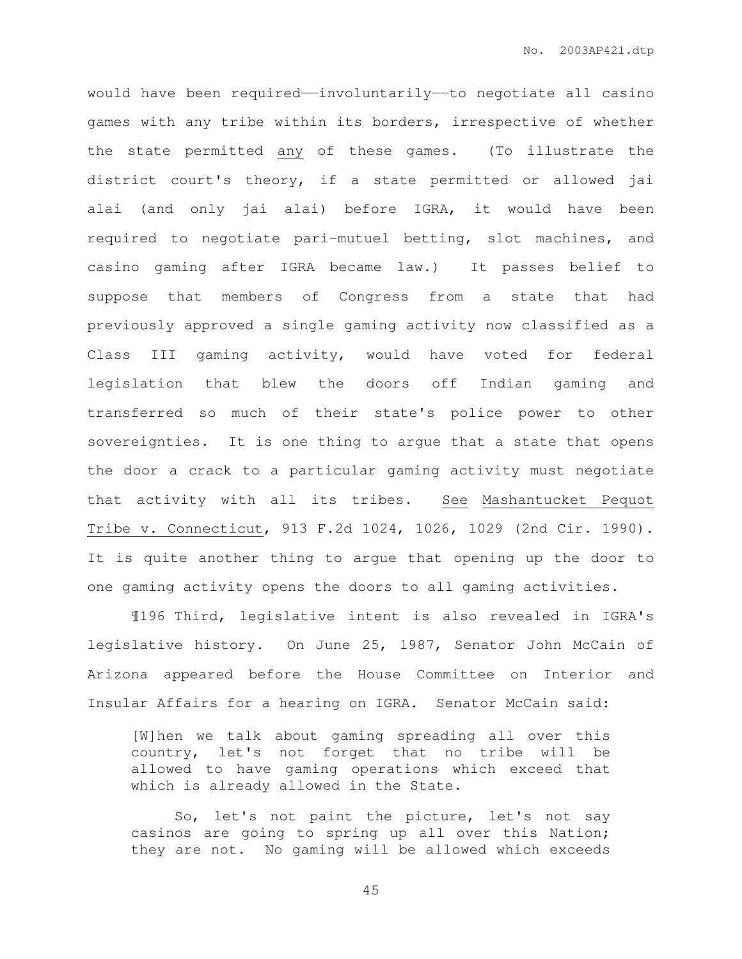would have been required—involuntarily—to negotiate all casino games with any tribe within its borders, irrespective of whether the state permitted any of these games. (To illustrate the district court's theory, if a state permitted or allowed jai alai (and only jai alai) before IGRA, it would have been required to negotiate pari-mutuel betting, slot machines, and casino gaming after IGRA became law.) It passes belief to suppose that members of Congress from a state that had previously approved a single gaming activity now classified as a Class III gaming activity, would have voted for federal legislation that blew the doors off Indian gaming and transferred so much of their state's police power to other sovereignties. It is one thing to argue that a state that opens the door a crack to a particular gaming activity must negotiate that activity with all its tribes. See Mashantucket Pequot Tribe v. Connecticut, 913 F.2d 1024, 1026, 1029 (2nd Cir. 1990). It is quite another thing to argue that opening up the door to one gaming activity opens the doors to all gaming activities.

 ¶196 Third, legislative intent is also revealed in IGRA's legislative history. On June 25, 1987, Senator John McCain of Arizona appeared before the House Committee on Interior and Insular Affairs for a hearing on IGRA. Senator McCain said:

[W]hen we talk about gaming spreading all over this country, let's not forget that no tribe will be allowed to have gaming operations which exceed that which is already allowed in the State.

 So, let's not paint the picture, let's not say casinos are going to spring up all over this Nation; they are not. No gaming will be allowed which exceeds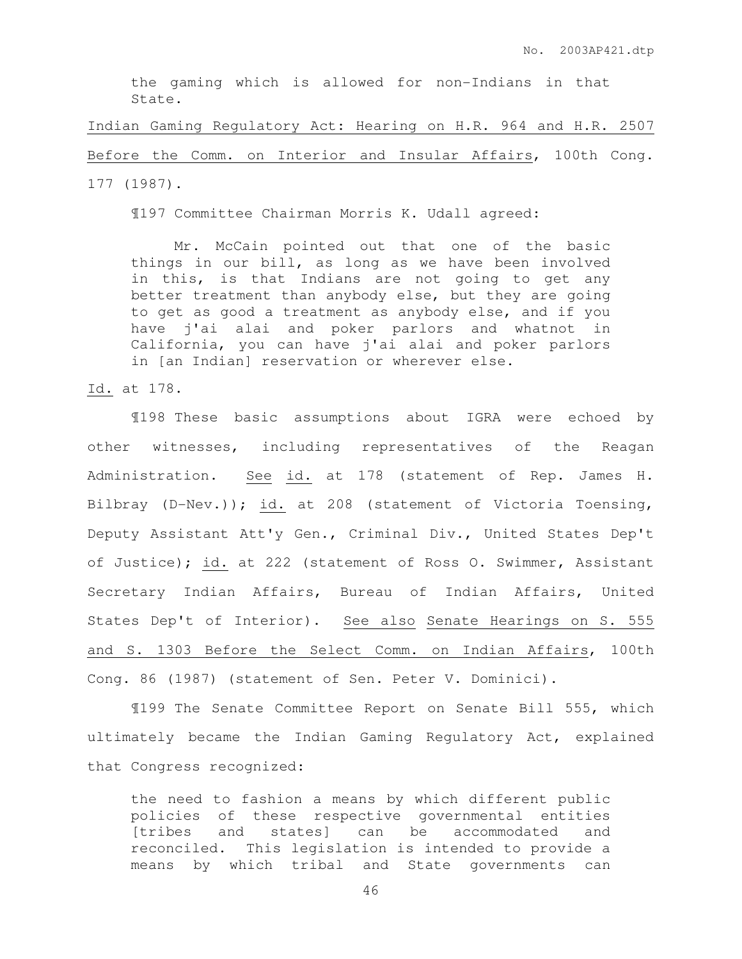the gaming which is allowed for non-Indians in that State.

Indian Gaming Regulatory Act: Hearing on H.R. 964 and H.R. 2507 Before the Comm. on Interior and Insular Affairs, 100th Cong. 177 (1987).

¶197 Committee Chairman Morris K. Udall agreed:

 Mr. McCain pointed out that one of the basic things in our bill, as long as we have been involved in this, is that Indians are not going to get any better treatment than anybody else, but they are going to get as good a treatment as anybody else, and if you have j'ai alai and poker parlors and whatnot in California, you can have j'ai alai and poker parlors in [an Indian] reservation or wherever else.

Id. at 178.

 ¶198 These basic assumptions about IGRA were echoed by other witnesses, including representatives of the Reagan Administration. See id. at 178 (statement of Rep. James H. Bilbray (D-Nev.)); id. at 208 (statement of Victoria Toensing, Deputy Assistant Att'y Gen., Criminal Div., United States Dep't of Justice); id. at 222 (statement of Ross O. Swimmer, Assistant Secretary Indian Affairs, Bureau of Indian Affairs, United States Dep't of Interior). See also Senate Hearings on S. 555 and S. 1303 Before the Select Comm. on Indian Affairs, 100th Cong. 86 (1987) (statement of Sen. Peter V. Dominici).

 ¶199 The Senate Committee Report on Senate Bill 555, which ultimately became the Indian Gaming Regulatory Act, explained that Congress recognized:

the need to fashion a means by which different public policies of these respective governmental entities [tribes and states] can be accommodated and reconciled. This legislation is intended to provide a means by which tribal and State governments can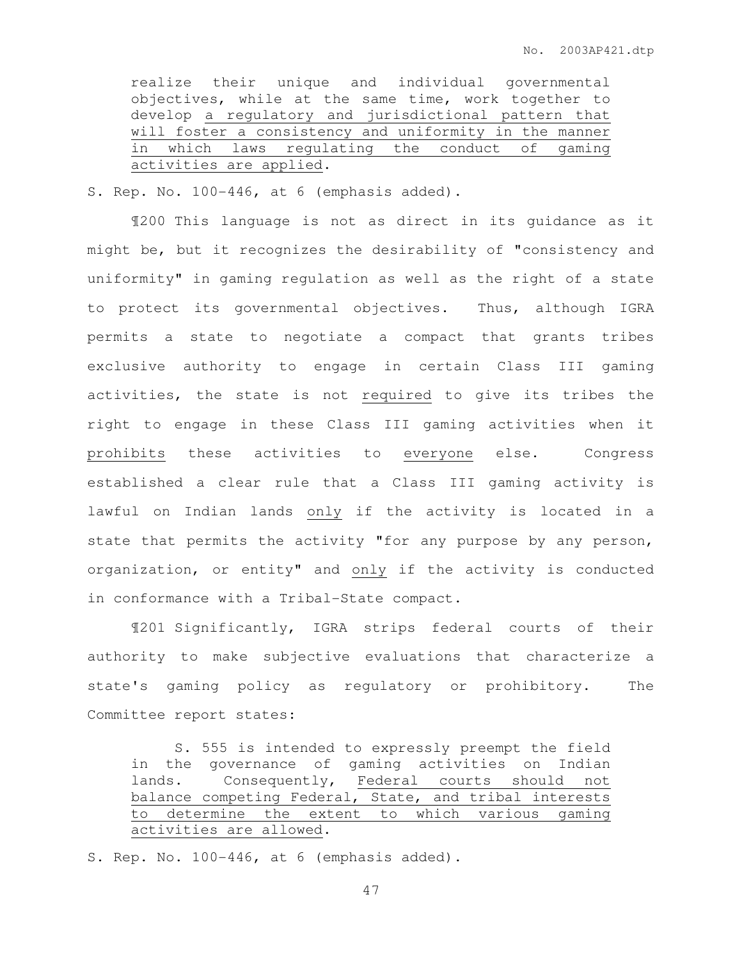realize their unique and individual governmental objectives, while at the same time, work together to develop a regulatory and jurisdictional pattern that will foster a consistency and uniformity in the manner in which laws regulating the conduct of gaming activities are applied.

S. Rep. No. 100-446, at 6 (emphasis added).

 ¶200 This language is not as direct in its guidance as it might be, but it recognizes the desirability of "consistency and uniformity" in gaming regulation as well as the right of a state to protect its governmental objectives. Thus, although IGRA permits a state to negotiate a compact that grants tribes exclusive authority to engage in certain Class III gaming activities, the state is not required to give its tribes the right to engage in these Class III gaming activities when it prohibits these activities to everyone else. Congress established a clear rule that a Class III gaming activity is lawful on Indian lands only if the activity is located in a state that permits the activity "for any purpose by any person, organization, or entity" and only if the activity is conducted in conformance with a Tribal-State compact.

 ¶201 Significantly, IGRA strips federal courts of their authority to make subjective evaluations that characterize a state's gaming policy as regulatory or prohibitory. The Committee report states:

 S. 555 is intended to expressly preempt the field in the governance of gaming activities on Indian lands. Consequently, Federal courts should not balance competing Federal, State, and tribal interests to determine the extent to which various gaming activities are allowed.

S. Rep. No. 100-446, at 6 (emphasis added).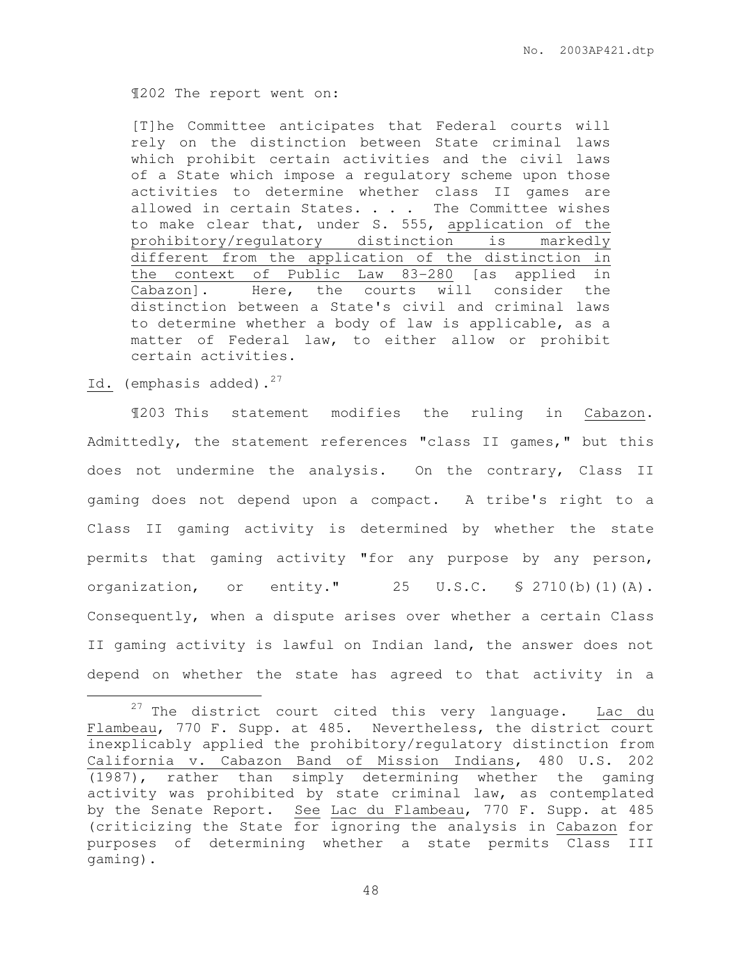¶202 The report went on:

[T]he Committee anticipates that Federal courts will rely on the distinction between State criminal laws which prohibit certain activities and the civil laws of a State which impose a regulatory scheme upon those activities to determine whether class II games are allowed in certain States. . . . The Committee wishes to make clear that, under S. 555, application of the prohibitory/regulatory distinction is markedly different from the application of the distinction in the context of Public Law 83-280 [as applied in Cabazon]. Here, the courts will consider the distinction between a State's civil and criminal laws to determine whether a body of law is applicable, as a matter of Federal law, to either allow or prohibit certain activities.

## Id. (emphasis added).<sup>27</sup>

 $\overline{a}$ 

¶203 This statement modifies the ruling in Cabazon. Admittedly, the statement references "class II games," but this does not undermine the analysis. On the contrary, Class II gaming does not depend upon a compact. A tribe's right to a Class II gaming activity is determined by whether the state permits that gaming activity "for any purpose by any person, organization, or entity." 25 U.S.C. § 2710(b)(1)(A). Consequently, when a dispute arises over whether a certain Class II gaming activity is lawful on Indian land, the answer does not depend on whether the state has agreed to that activity in a

<sup>&</sup>lt;sup>27</sup> The district court cited this very language.  $\frac{Lac}{d}$   $\frac{du}{dt}$ Flambeau, 770 F. Supp. at 485. Nevertheless, the district court inexplicably applied the prohibitory/regulatory distinction from California v. Cabazon Band of Mission Indians, 480 U.S. 202 (1987), rather than simply determining whether the gaming activity was prohibited by state criminal law, as contemplated by the Senate Report. See Lac du Flambeau, 770 F. Supp. at 485 (criticizing the State for ignoring the analysis in Cabazon for purposes of determining whether a state permits Class III gaming).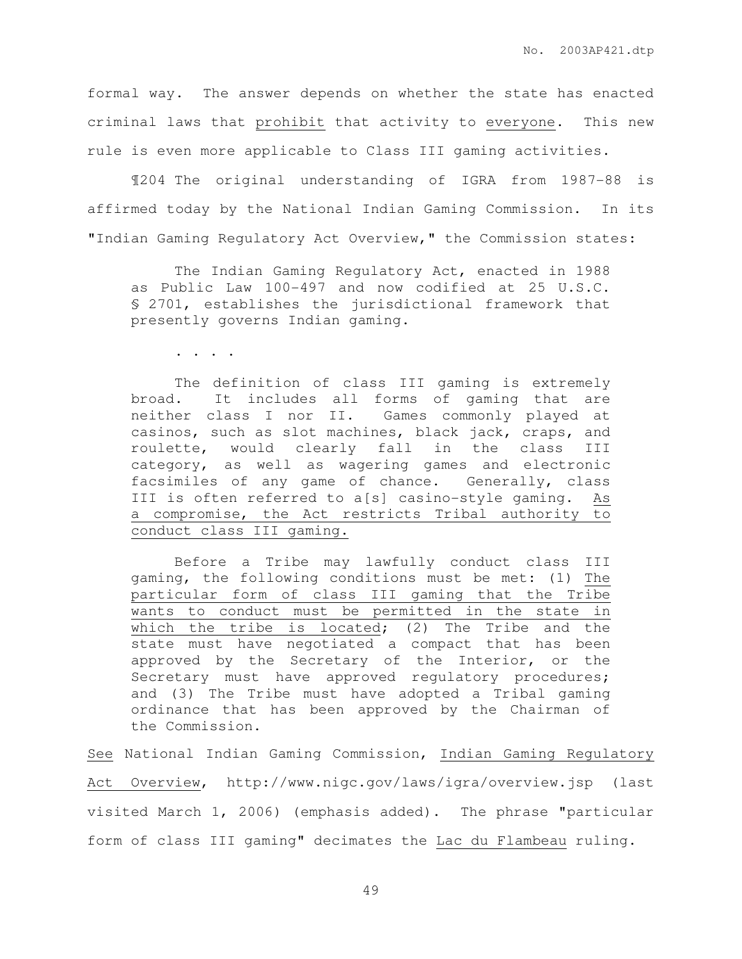formal way. The answer depends on whether the state has enacted criminal laws that prohibit that activity to everyone. This new rule is even more applicable to Class III gaming activities.

¶204 The original understanding of IGRA from 1987-88 is affirmed today by the National Indian Gaming Commission. In its "Indian Gaming Regulatory Act Overview," the Commission states:

The Indian Gaming Regulatory Act, enacted in 1988 as Public Law 100-497 and now codified at 25 U.S.C. § 2701, establishes the jurisdictional framework that presently governs Indian gaming.

. . . .

 The definition of class III gaming is extremely broad. It includes all forms of gaming that are neither class I nor II. Games commonly played at casinos, such as slot machines, black jack, craps, and roulette, would clearly fall in the class III category, as well as wagering games and electronic facsimiles of any game of chance. Generally, class III is often referred to a[s] casino-style gaming. As a compromise, the Act restricts Tribal authority to conduct class III gaming.

 Before a Tribe may lawfully conduct class III gaming, the following conditions must be met: (1) The particular form of class III gaming that the Tribe wants to conduct must be permitted in the state in which the tribe is located; (2) The Tribe and the state must have negotiated a compact that has been approved by the Secretary of the Interior, or the Secretary must have approved regulatory procedures; and (3) The Tribe must have adopted a Tribal gaming ordinance that has been approved by the Chairman of the Commission.

See National Indian Gaming Commission, Indian Gaming Regulatory Act Overview, http://www.nigc.gov/laws/igra/overview.jsp (last visited March 1, 2006) (emphasis added). The phrase "particular form of class III gaming" decimates the Lac du Flambeau ruling.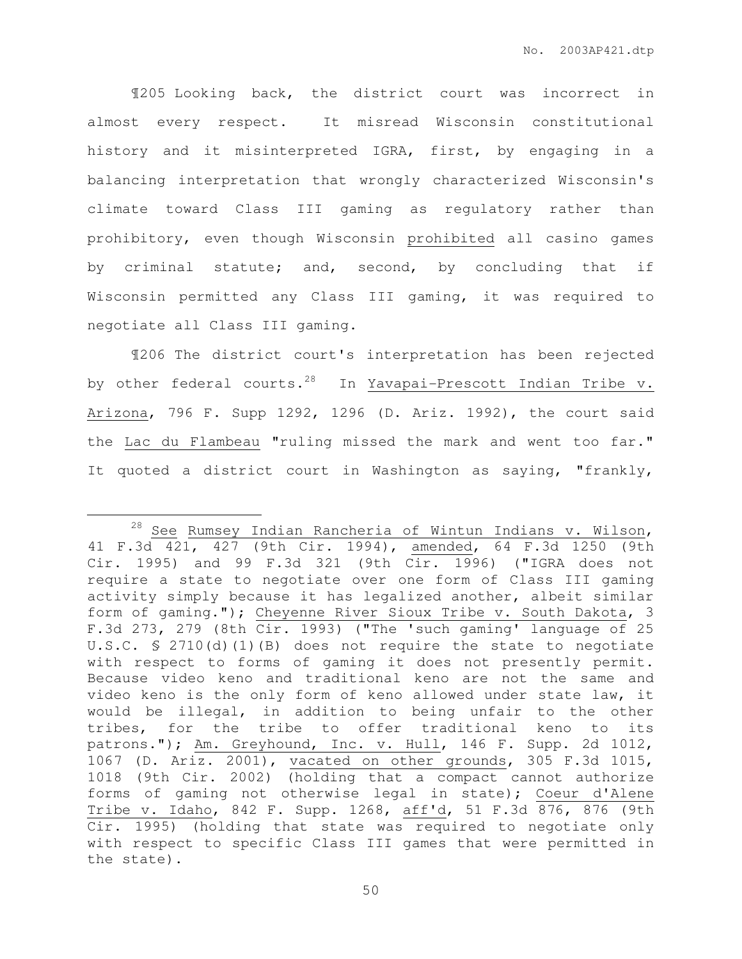¶205 Looking back, the district court was incorrect in almost every respect. It misread Wisconsin constitutional history and it misinterpreted IGRA, first, by engaging in a balancing interpretation that wrongly characterized Wisconsin's climate toward Class III gaming as regulatory rather than prohibitory, even though Wisconsin prohibited all casino games by criminal statute; and, second, by concluding that if Wisconsin permitted any Class III gaming, it was required to negotiate all Class III gaming.

¶206 The district court's interpretation has been rejected by other federal courts.<sup>28</sup> In Yavapai-Prescott Indian Tribe v. Arizona, 796 F. Supp 1292, 1296 (D. Ariz. 1992), the court said the Lac du Flambeau "ruling missed the mark and went too far." It quoted a district court in Washington as saying, "frankly,

 $\overline{a}$ 

<sup>&</sup>lt;sup>28</sup> See Rumsey Indian Rancheria of Wintun Indians v. Wilson, 41 F.3d 421, 427 (9th Cir. 1994), amended, 64 F.3d 1250 (9th Cir. 1995) and 99 F.3d 321 (9th Cir. 1996) ("IGRA does not require a state to negotiate over one form of Class III gaming activity simply because it has legalized another, albeit similar form of gaming."); Cheyenne River Sioux Tribe v. South Dakota, 3 F.3d 273, 279 (8th Cir. 1993) ("The 'such gaming' language of 25 U.S.C. § 2710(d)(1)(B) does not require the state to negotiate with respect to forms of gaming it does not presently permit. Because video keno and traditional keno are not the same and video keno is the only form of keno allowed under state law, it would be illegal, in addition to being unfair to the other tribes, for the tribe to offer traditional keno to its patrons."); Am. Greyhound, Inc. v. Hull, 146 F. Supp. 2d 1012, 1067 (D. Ariz. 2001), vacated on other grounds, 305 F.3d 1015, 1018 (9th Cir. 2002) (holding that a compact cannot authorize forms of gaming not otherwise legal in state); Coeur d'Alene Tribe v. Idaho, 842 F. Supp. 1268, aff'd, 51 F.3d 876, 876 (9th Cir. 1995) (holding that state was required to negotiate only with respect to specific Class III games that were permitted in the state).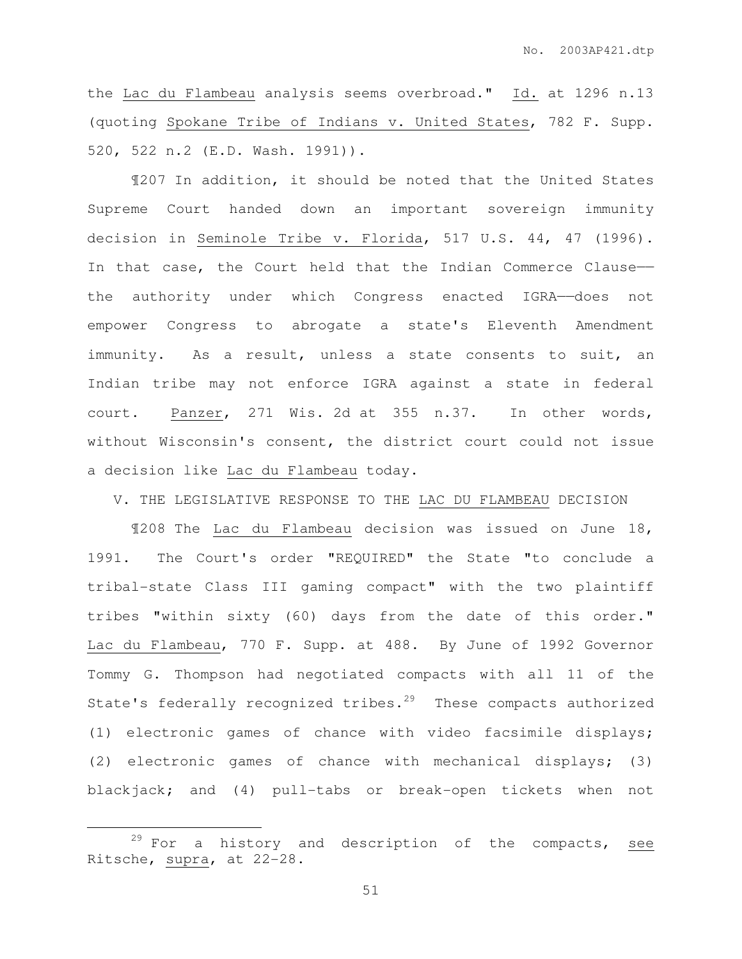the Lac du Flambeau analysis seems overbroad." Id. at 1296 n.13 (quoting Spokane Tribe of Indians v. United States, 782 F. Supp. 520, 522 n.2 (E.D. Wash. 1991)).

 ¶207 In addition, it should be noted that the United States Supreme Court handed down an important sovereign immunity decision in Seminole Tribe v. Florida, 517 U.S. 44, 47 (1996). In that case, the Court held that the Indian Commerce Clause— the authority under which Congress enacted IGRA——does not empower Congress to abrogate a state's Eleventh Amendment immunity. As a result, unless a state consents to suit, an Indian tribe may not enforce IGRA against a state in federal court. Panzer, 271 Wis. 2d at 355 n.37. In other words, without Wisconsin's consent, the district court could not issue a decision like Lac du Flambeau today.

V. THE LEGISLATIVE RESPONSE TO THE LAC DU FLAMBEAU DECISION

 ¶208 The Lac du Flambeau decision was issued on June 18, 1991. The Court's order "REQUIRED" the State "to conclude a tribal-state Class III gaming compact" with the two plaintiff tribes "within sixty (60) days from the date of this order." Lac du Flambeau, 770 F. Supp. at 488. By June of 1992 Governor Tommy G. Thompson had negotiated compacts with all 11 of the State's federally recognized tribes.<sup>29</sup> These compacts authorized (1) electronic games of chance with video facsimile displays; (2) electronic games of chance with mechanical displays; (3) blackjack; and (4) pull-tabs or break-open tickets when not

 $\overline{a}$ 

 $29$  For a history and description of the compacts, see Ritsche, supra, at 22-28.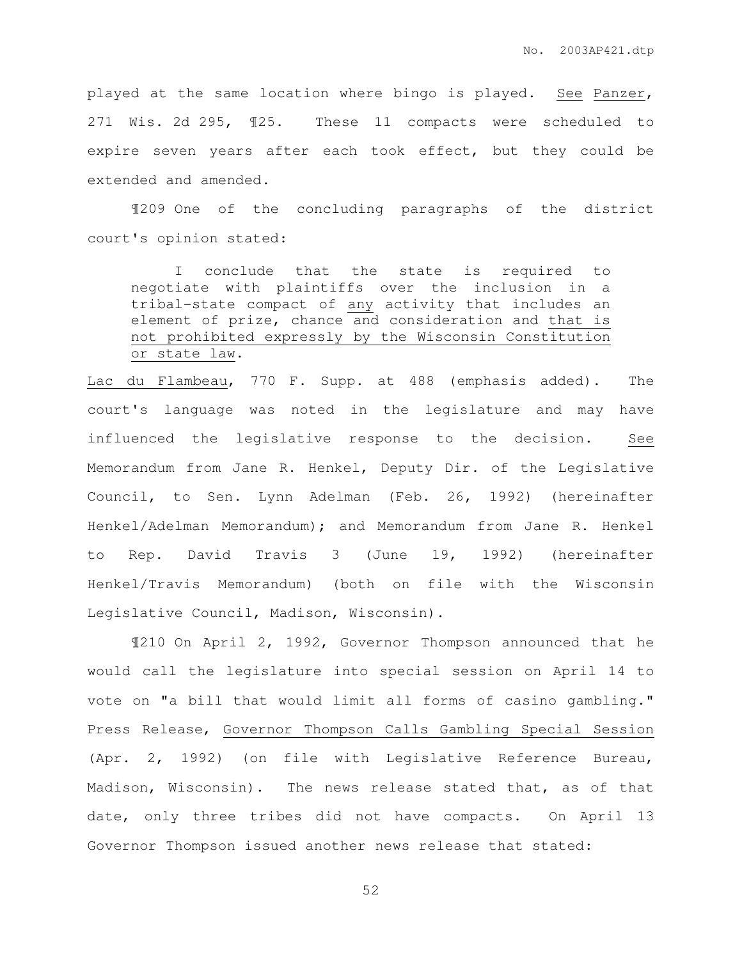played at the same location where bingo is played. See Panzer, 271 Wis. 2d 295, ¶25. These 11 compacts were scheduled to expire seven years after each took effect, but they could be extended and amended.

 ¶209 One of the concluding paragraphs of the district court's opinion stated:

 I conclude that the state is required to negotiate with plaintiffs over the inclusion in a tribal-state compact of any activity that includes an element of prize, chance and consideration and that is not prohibited expressly by the Wisconsin Constitution or state law.

Lac du Flambeau, 770 F. Supp. at 488 (emphasis added). The court's language was noted in the legislature and may have influenced the legislative response to the decision. See Memorandum from Jane R. Henkel, Deputy Dir. of the Legislative Council, to Sen. Lynn Adelman (Feb. 26, 1992) (hereinafter Henkel/Adelman Memorandum); and Memorandum from Jane R. Henkel to Rep. David Travis 3 (June 19, 1992) (hereinafter Henkel/Travis Memorandum) (both on file with the Wisconsin Legislative Council, Madison, Wisconsin).

 ¶210 On April 2, 1992, Governor Thompson announced that he would call the legislature into special session on April 14 to vote on "a bill that would limit all forms of casino gambling." Press Release, Governor Thompson Calls Gambling Special Session (Apr. 2, 1992) (on file with Legislative Reference Bureau, Madison, Wisconsin). The news release stated that, as of that date, only three tribes did not have compacts. On April 13 Governor Thompson issued another news release that stated: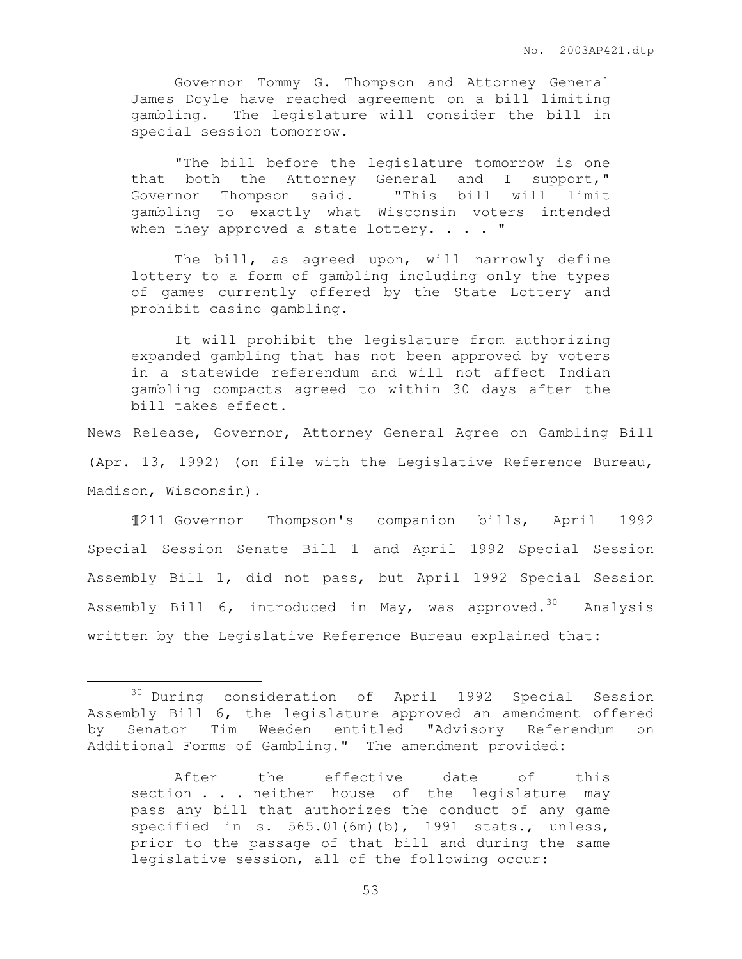Governor Tommy G. Thompson and Attorney General James Doyle have reached agreement on a bill limiting gambling. The legislature will consider the bill in special session tomorrow.

"The bill before the legislature tomorrow is one that both the Attorney General and I support," Governor Thompson said. "This bill will limit gambling to exactly what Wisconsin voters intended when they approved a state lottery.  $\ldots$  "

The bill, as agreed upon, will narrowly define lottery to a form of gambling including only the types of games currently offered by the State Lottery and prohibit casino gambling.

It will prohibit the legislature from authorizing expanded gambling that has not been approved by voters in a statewide referendum and will not affect Indian gambling compacts agreed to within 30 days after the bill takes effect.

News Release, Governor, Attorney General Agree on Gambling Bill (Apr. 13, 1992) (on file with the Legislative Reference Bureau, Madison, Wisconsin).

 ¶211 Governor Thompson's companion bills, April 1992 Special Session Senate Bill 1 and April 1992 Special Session Assembly Bill 1, did not pass, but April 1992 Special Session Assembly Bill 6, introduced in May, was approved.<sup>30</sup> Analysis written by the Legislative Reference Bureau explained that:

 $\overline{a}$ 

<sup>30</sup> During consideration of April 1992 Special Session Assembly Bill 6, the legislature approved an amendment offered by Senator Tim Weeden entitled "Advisory Referendum on Additional Forms of Gambling." The amendment provided:

After the effective date of this section . . . neither house of the legislature may pass any bill that authorizes the conduct of any game specified in s. 565.01(6m)(b), 1991 stats., unless, prior to the passage of that bill and during the same legislative session, all of the following occur: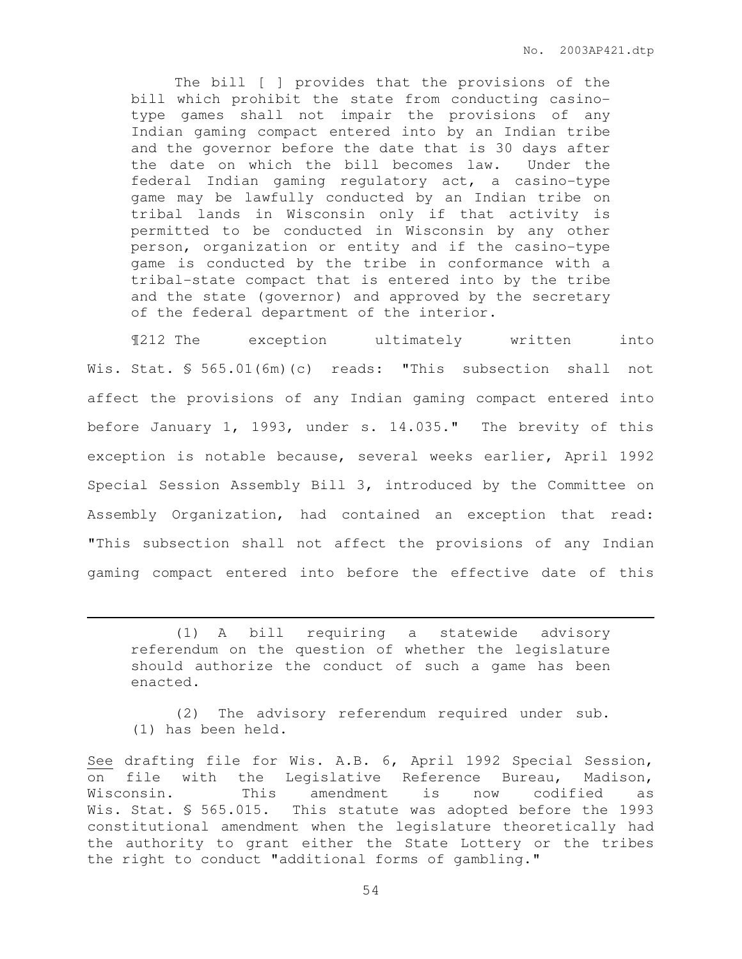The bill [ ] provides that the provisions of the bill which prohibit the state from conducting casinotype games shall not impair the provisions of any Indian gaming compact entered into by an Indian tribe and the governor before the date that is 30 days after the date on which the bill becomes law. Under the federal Indian gaming regulatory act, a casino-type game may be lawfully conducted by an Indian tribe on tribal lands in Wisconsin only if that activity is permitted to be conducted in Wisconsin by any other person, organization or entity and if the casino-type game is conducted by the tribe in conformance with a tribal-state compact that is entered into by the tribe and the state (governor) and approved by the secretary of the federal department of the interior.

¶212 The exception ultimately written into Wis. Stat. § 565.01(6m)(c) reads: "This subsection shall not affect the provisions of any Indian gaming compact entered into before January 1, 1993, under s. 14.035." The brevity of this exception is notable because, several weeks earlier, April 1992 Special Session Assembly Bill 3, introduced by the Committee on Assembly Organization, had contained an exception that read: "This subsection shall not affect the provisions of any Indian gaming compact entered into before the effective date of this

 (1) A bill requiring a statewide advisory referendum on the question of whether the legislature should authorize the conduct of such a game has been enacted.

 $\overline{a}$ 

 (2) The advisory referendum required under sub. (1) has been held.

See drafting file for Wis. A.B. 6, April 1992 Special Session, on file with the Legislative Reference Bureau, Madison, Wisconsin. This amendment is now codified as Wis. Stat. § 565.015. This statute was adopted before the 1993 constitutional amendment when the legislature theoretically had the authority to grant either the State Lottery or the tribes the right to conduct "additional forms of gambling."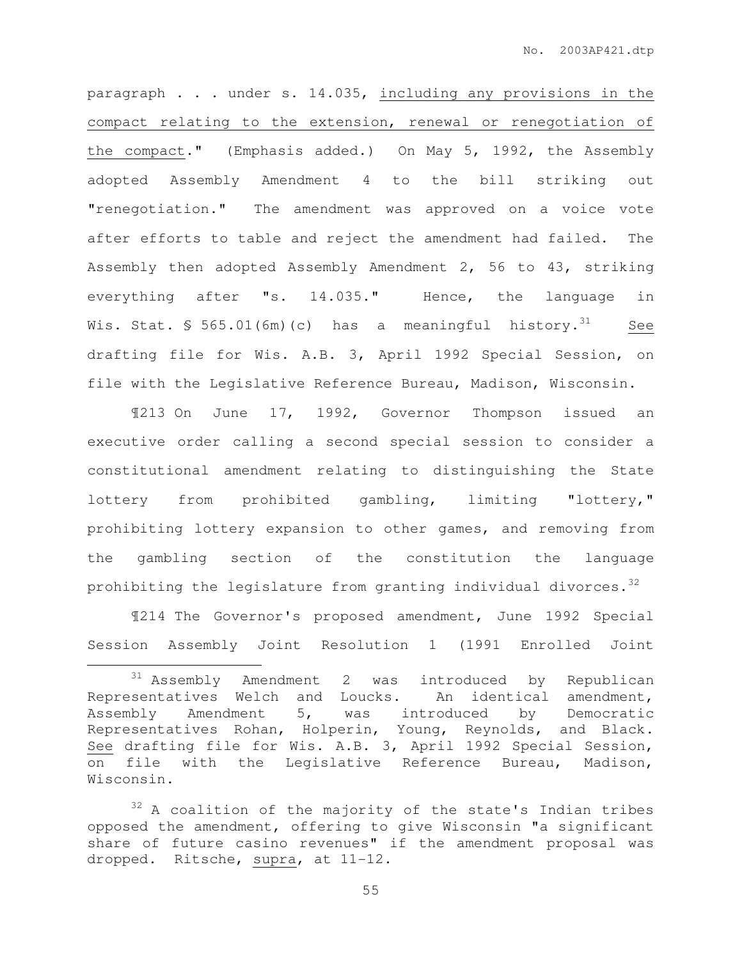paragraph . . . under s. 14.035, including any provisions in the compact relating to the extension, renewal or renegotiation of the compact." (Emphasis added.) On May 5, 1992, the Assembly adopted Assembly Amendment 4 to the bill striking out "renegotiation." The amendment was approved on a voice vote after efforts to table and reject the amendment had failed. The Assembly then adopted Assembly Amendment 2, 56 to 43, striking everything after "s. 14.035." Hence, the language in Wis. Stat.  $\frac{1}{565.01(6m)(c)}$  has a meaningful history.<sup>31</sup> See drafting file for Wis. A.B. 3, April 1992 Special Session, on file with the Legislative Reference Bureau, Madison, Wisconsin.

 ¶213 On June 17, 1992, Governor Thompson issued an executive order calling a second special session to consider a constitutional amendment relating to distinguishing the State lottery from prohibited gambling, limiting "lottery," prohibiting lottery expansion to other games, and removing from the gambling section of the constitution the language prohibiting the legislature from granting individual divorces.  $32$ 

 ¶214 The Governor's proposed amendment, June 1992 Special Session Assembly Joint Resolution 1 (1991 Enrolled Joint

 $\overline{a}$ 

<sup>31</sup> Assembly Amendment 2 was introduced by Republican Representatives Welch and Loucks. An identical amendment, Assembly Amendment 5, was introduced by Democratic Representatives Rohan, Holperin, Young, Reynolds, and Black. See drafting file for Wis. A.B. 3, April 1992 Special Session, on file with the Legislative Reference Bureau, Madison, Wisconsin.

<sup>&</sup>lt;sup>32</sup> A coalition of the majority of the state's Indian tribes opposed the amendment, offering to give Wisconsin "a significant share of future casino revenues" if the amendment proposal was dropped. Ritsche, supra, at 11-12.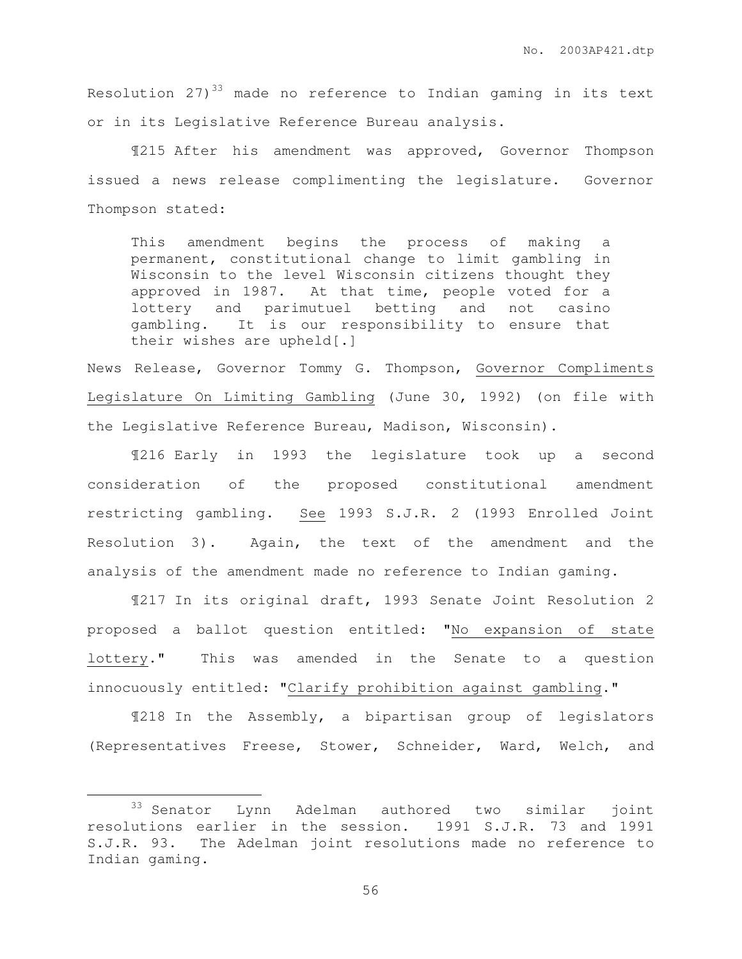Resolution  $27)^{33}$  made no reference to Indian gaming in its text or in its Legislative Reference Bureau analysis.

 ¶215 After his amendment was approved, Governor Thompson issued a news release complimenting the legislature. Governor Thompson stated:

This amendment begins the process of making a permanent, constitutional change to limit gambling in Wisconsin to the level Wisconsin citizens thought they approved in 1987. At that time, people voted for a lottery and parimutuel betting and not casino gambling. It is our responsibility to ensure that their wishes are upheld[.]

News Release, Governor Tommy G. Thompson, Governor Compliments Legislature On Limiting Gambling (June 30, 1992) (on file with the Legislative Reference Bureau, Madison, Wisconsin).

 ¶216 Early in 1993 the legislature took up a second consideration of the proposed constitutional amendment restricting gambling. See 1993 S.J.R. 2 (1993 Enrolled Joint Resolution 3). Again, the text of the amendment and the analysis of the amendment made no reference to Indian gaming.

 ¶217 In its original draft, 1993 Senate Joint Resolution 2 proposed a ballot question entitled: "No expansion of state lottery." This was amended in the Senate to a question innocuously entitled: "Clarify prohibition against gambling."

 ¶218 In the Assembly, a bipartisan group of legislators (Representatives Freese, Stower, Schneider, Ward, Welch, and

 $\overline{a}$ 

<sup>33</sup> Senator Lynn Adelman authored two similar joint resolutions earlier in the session. 1991 S.J.R. 73 and 1991 S.J.R. 93. The Adelman joint resolutions made no reference to Indian gaming.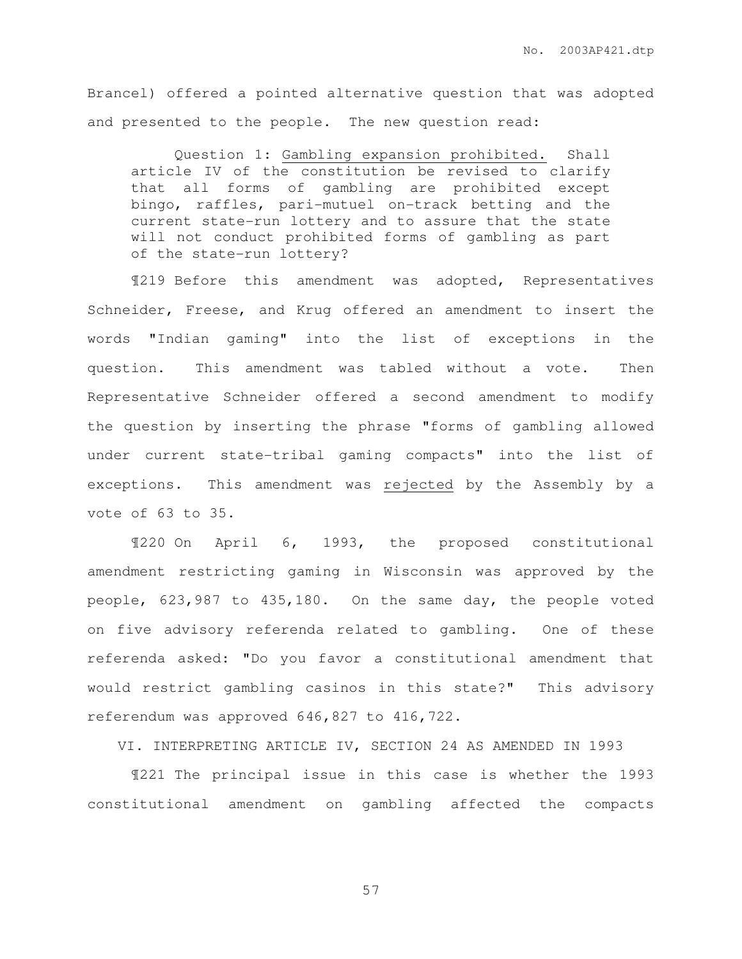Brancel) offered a pointed alternative question that was adopted and presented to the people. The new question read:

 Question 1: Gambling expansion prohibited. Shall article IV of the constitution be revised to clarify that all forms of gambling are prohibited except bingo, raffles, pari-mutuel on-track betting and the current state-run lottery and to assure that the state will not conduct prohibited forms of gambling as part of the state-run lottery?

¶219 Before this amendment was adopted, Representatives Schneider, Freese, and Krug offered an amendment to insert the words "Indian gaming" into the list of exceptions in the question. This amendment was tabled without a vote. Then Representative Schneider offered a second amendment to modify the question by inserting the phrase "forms of gambling allowed under current state-tribal gaming compacts" into the list of exceptions. This amendment was rejected by the Assembly by a vote of 63 to 35.

¶220 On April 6, 1993, the proposed constitutional amendment restricting gaming in Wisconsin was approved by the people, 623,987 to 435,180. On the same day, the people voted on five advisory referenda related to gambling. One of these referenda asked: "Do you favor a constitutional amendment that would restrict gambling casinos in this state?" This advisory referendum was approved 646,827 to 416,722.

VI. INTERPRETING ARTICLE IV, SECTION 24 AS AMENDED IN 1993

 ¶221 The principal issue in this case is whether the 1993 constitutional amendment on gambling affected the compacts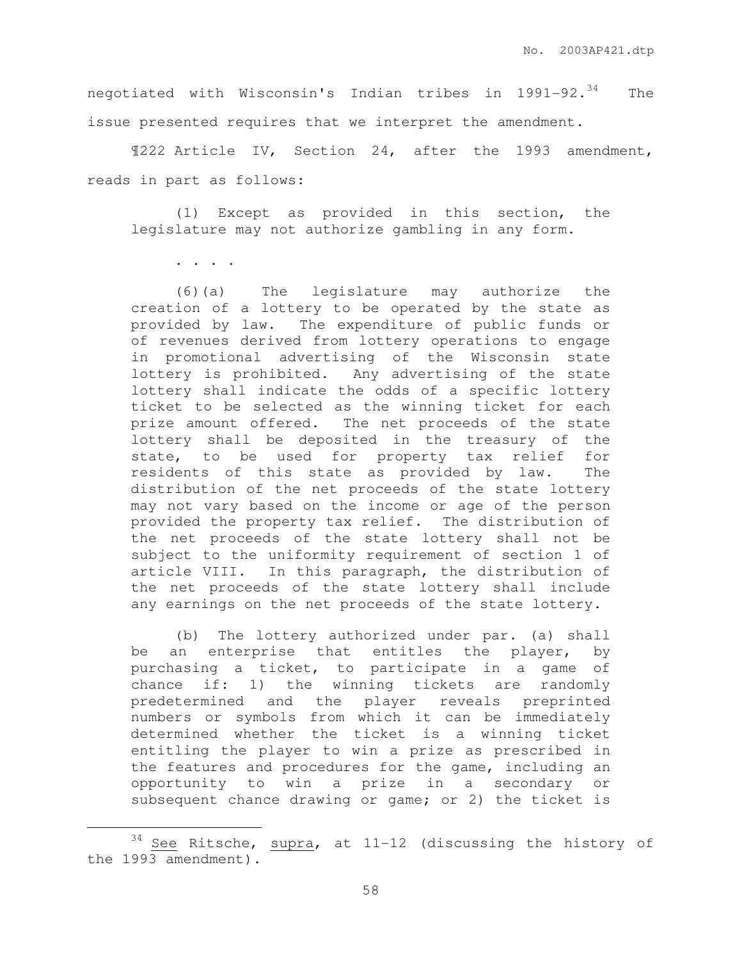negotiated with Wisconsin's Indian tribes in 1991-92.<sup>34</sup> The issue presented requires that we interpret the amendment.

¶222 Article IV, Section 24, after the 1993 amendment, reads in part as follows:

 (1) Except as provided in this section, the legislature may not authorize gambling in any form.

. . . .

 $\overline{a}$ 

 (6)(a) The legislature may authorize the creation of a lottery to be operated by the state as provided by law. The expenditure of public funds or of revenues derived from lottery operations to engage in promotional advertising of the Wisconsin state lottery is prohibited. Any advertising of the state lottery shall indicate the odds of a specific lottery ticket to be selected as the winning ticket for each prize amount offered. The net proceeds of the state lottery shall be deposited in the treasury of the state, to be used for property tax relief for residents of this state as provided by law. The distribution of the net proceeds of the state lottery may not vary based on the income or age of the person provided the property tax relief. The distribution of the net proceeds of the state lottery shall not be subject to the uniformity requirement of section 1 of article VIII. In this paragraph, the distribution of the net proceeds of the state lottery shall include any earnings on the net proceeds of the state lottery.

 (b) The lottery authorized under par. (a) shall be an enterprise that entitles the player, by purchasing a ticket, to participate in a game of chance if: 1) the winning tickets are randomly predetermined and the player reveals preprinted numbers or symbols from which it can be immediately determined whether the ticket is a winning ticket entitling the player to win a prize as prescribed in the features and procedures for the game, including an opportunity to win a prize in a secondary or subsequent chance drawing or game; or 2) the ticket is

 $34$  See Ritsche, supra, at 11-12 (discussing the history of the 1993 amendment).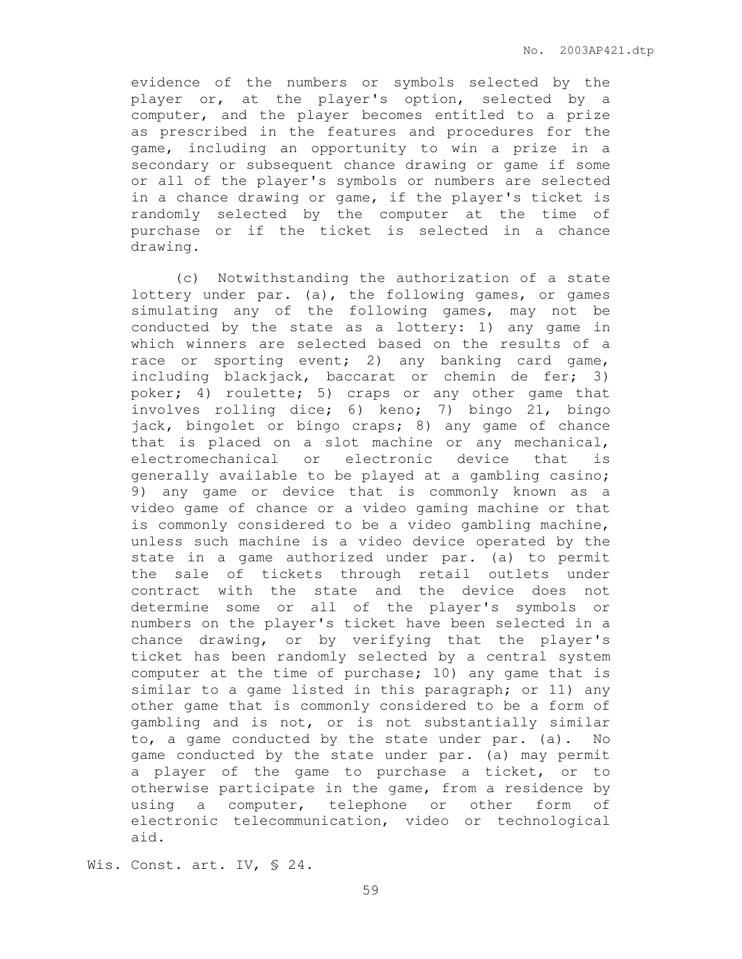evidence of the numbers or symbols selected by the player or, at the player's option, selected by a computer, and the player becomes entitled to a prize as prescribed in the features and procedures for the game, including an opportunity to win a prize in a secondary or subsequent chance drawing or game if some or all of the player's symbols or numbers are selected in a chance drawing or game, if the player's ticket is randomly selected by the computer at the time of purchase or if the ticket is selected in a chance drawing.

 (c) Notwithstanding the authorization of a state lottery under par. (a), the following games, or games simulating any of the following games, may not be conducted by the state as a lottery: 1) any game in which winners are selected based on the results of a race or sporting event; 2) any banking card game, including blackjack, baccarat or chemin de fer; 3) poker; 4) roulette; 5) craps or any other game that involves rolling dice; 6) keno; 7) bingo 21, bingo jack, bingolet or bingo craps; 8) any game of chance that is placed on a slot machine or any mechanical, electromechanical or electronic device that is generally available to be played at a gambling casino; 9) any game or device that is commonly known as a video game of chance or a video gaming machine or that is commonly considered to be a video gambling machine, unless such machine is a video device operated by the state in a game authorized under par. (a) to permit the sale of tickets through retail outlets under contract with the state and the device does not determine some or all of the player's symbols or numbers on the player's ticket have been selected in a chance drawing, or by verifying that the player's ticket has been randomly selected by a central system computer at the time of purchase; 10) any game that is similar to a game listed in this paragraph; or 11) any other game that is commonly considered to be a form of gambling and is not, or is not substantially similar to, a game conducted by the state under par. (a). No game conducted by the state under par. (a) may permit a player of the game to purchase a ticket, or to otherwise participate in the game, from a residence by using a computer, telephone or other form of electronic telecommunication, video or technological aid.

Wis. Const. art. IV, § 24.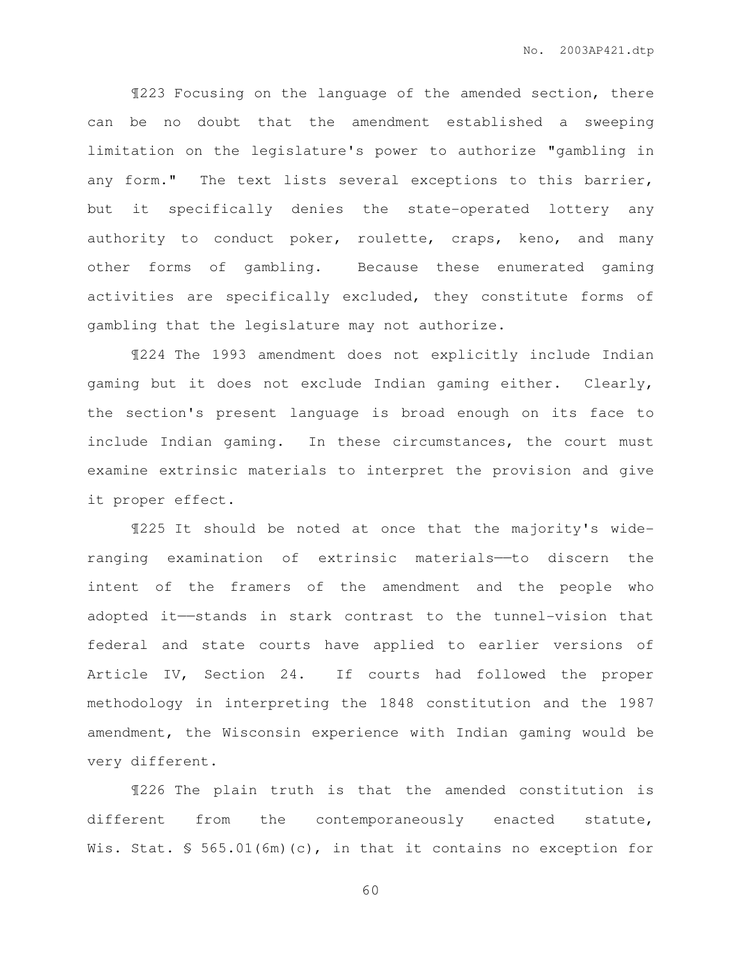¶223 Focusing on the language of the amended section, there can be no doubt that the amendment established a sweeping limitation on the legislature's power to authorize "gambling in any form." The text lists several exceptions to this barrier, but it specifically denies the state-operated lottery any authority to conduct poker, roulette, craps, keno, and many other forms of gambling. Because these enumerated gaming activities are specifically excluded, they constitute forms of gambling that the legislature may not authorize.

 ¶224 The 1993 amendment does not explicitly include Indian gaming but it does not exclude Indian gaming either. Clearly, the section's present language is broad enough on its face to include Indian gaming. In these circumstances, the court must examine extrinsic materials to interpret the provision and give it proper effect.

¶225 It should be noted at once that the majority's wideranging examination of extrinsic materials——to discern the intent of the framers of the amendment and the people who adopted it——stands in stark contrast to the tunnel-vision that federal and state courts have applied to earlier versions of Article IV, Section 24. If courts had followed the proper methodology in interpreting the 1848 constitution and the 1987 amendment, the Wisconsin experience with Indian gaming would be very different.

 ¶226 The plain truth is that the amended constitution is different from the contemporaneously enacted statute, Wis. Stat. § 565.01(6m)(c), in that it contains no exception for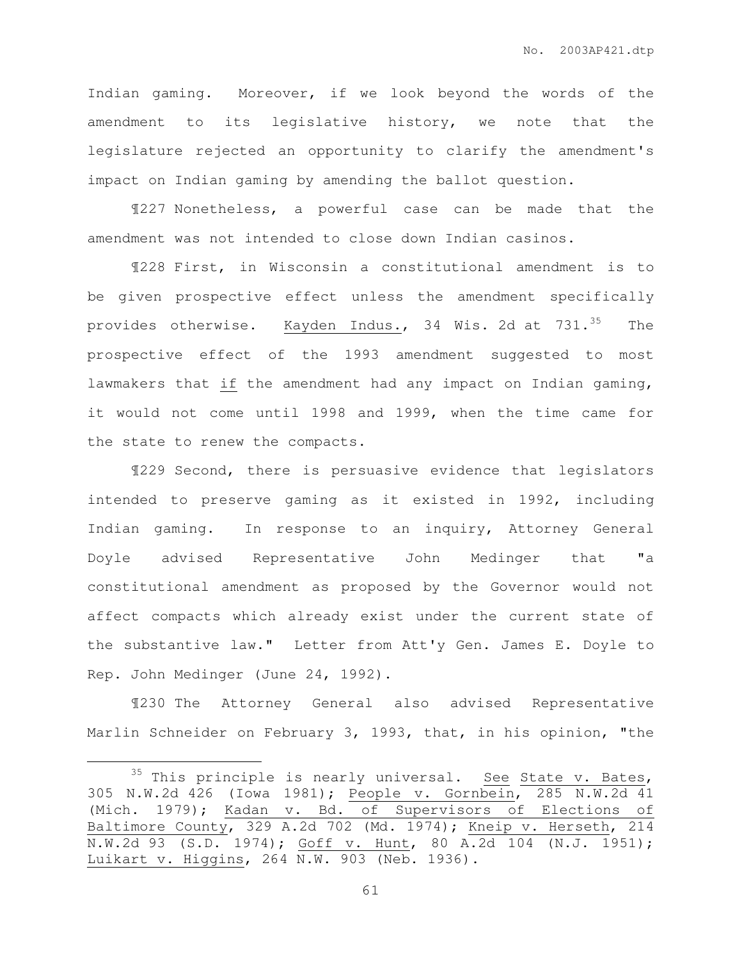Indian gaming. Moreover, if we look beyond the words of the amendment to its legislative history, we note that the legislature rejected an opportunity to clarify the amendment's impact on Indian gaming by amending the ballot question.

¶227 Nonetheless, a powerful case can be made that the amendment was not intended to close down Indian casinos.

 ¶228 First, in Wisconsin a constitutional amendment is to be given prospective effect unless the amendment specifically provides otherwise. Kayden Indus., 34 Wis. 2d at 731.<sup>35</sup> The prospective effect of the 1993 amendment suggested to most lawmakers that if the amendment had any impact on Indian gaming, it would not come until 1998 and 1999, when the time came for the state to renew the compacts.

 ¶229 Second, there is persuasive evidence that legislators intended to preserve gaming as it existed in 1992, including Indian gaming. In response to an inquiry, Attorney General Doyle advised Representative John Medinger that "a constitutional amendment as proposed by the Governor would not affect compacts which already exist under the current state of the substantive law." Letter from Att'y Gen. James E. Doyle to Rep. John Medinger (June 24, 1992).

 ¶230 The Attorney General also advised Representative Marlin Schneider on February 3, 1993, that, in his opinion, "the

 $\overline{a}$ 

 $35$  This principle is nearly universal. See State v. Bates, 305 N.W.2d 426 (Iowa 1981); People v. Gornbein, 285 N.W.2d 41 (Mich. 1979); Kadan v. Bd. of Supervisors of Elections of Baltimore County, 329 A.2d 702 (Md. 1974); Kneip v. Herseth, 214 N.W.2d 93 (S.D. 1974); Goff v. Hunt, 80 A.2d 104 (N.J. 1951); Luikart v. Higgins, 264 N.W. 903 (Neb. 1936).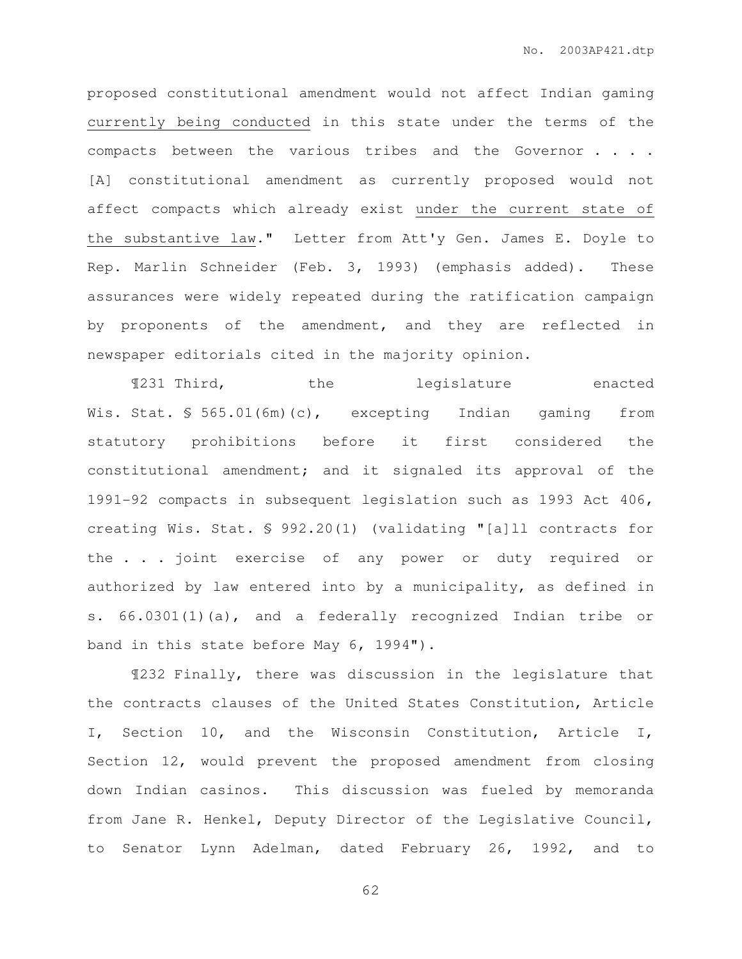proposed constitutional amendment would not affect Indian gaming currently being conducted in this state under the terms of the compacts between the various tribes and the Governor . . . . [A] constitutional amendment as currently proposed would not affect compacts which already exist under the current state of the substantive law." Letter from Att'y Gen. James E. Doyle to Rep. Marlin Schneider (Feb. 3, 1993) (emphasis added). These assurances were widely repeated during the ratification campaign by proponents of the amendment, and they are reflected in newspaper editorials cited in the majority opinion.

 ¶231 Third, the legislature enacted Wis. Stat. § 565.01(6m)(c), excepting Indian gaming from statutory prohibitions before it first considered the constitutional amendment; and it signaled its approval of the 1991-92 compacts in subsequent legislation such as 1993 Act 406, creating Wis. Stat. § 992.20(1) (validating "[a]ll contracts for the . . . joint exercise of any power or duty required or authorized by law entered into by a municipality, as defined in s. 66.0301(1)(a), and a federally recognized Indian tribe or band in this state before May 6, 1994").

 ¶232 Finally, there was discussion in the legislature that the contracts clauses of the United States Constitution, Article I, Section 10, and the Wisconsin Constitution, Article I, Section 12, would prevent the proposed amendment from closing down Indian casinos. This discussion was fueled by memoranda from Jane R. Henkel, Deputy Director of the Legislative Council, to Senator Lynn Adelman, dated February 26, 1992, and to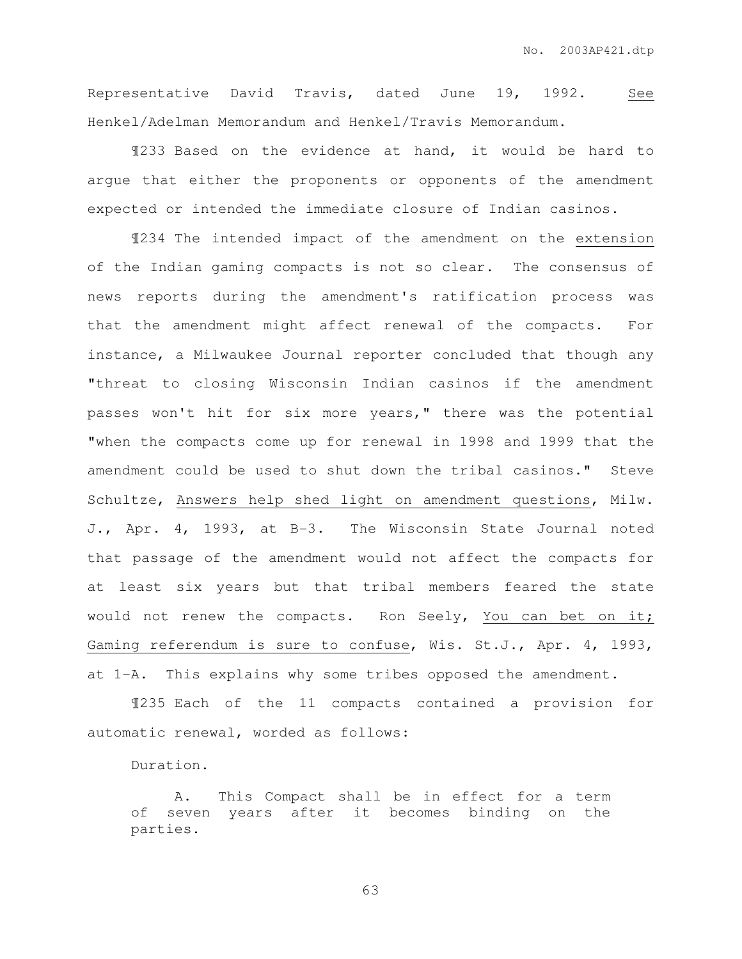Representative David Travis, dated June 19, 1992. See Henkel/Adelman Memorandum and Henkel/Travis Memorandum.

 ¶233 Based on the evidence at hand, it would be hard to argue that either the proponents or opponents of the amendment expected or intended the immediate closure of Indian casinos.

¶234 The intended impact of the amendment on the extension of the Indian gaming compacts is not so clear. The consensus of news reports during the amendment's ratification process was that the amendment might affect renewal of the compacts. For instance, a Milwaukee Journal reporter concluded that though any "threat to closing Wisconsin Indian casinos if the amendment passes won't hit for six more years," there was the potential "when the compacts come up for renewal in 1998 and 1999 that the amendment could be used to shut down the tribal casinos." Steve Schultze, Answers help shed light on amendment questions, Milw. J., Apr. 4, 1993, at B-3. The Wisconsin State Journal noted that passage of the amendment would not affect the compacts for at least six years but that tribal members feared the state would not renew the compacts. Ron Seely, You can bet on it; Gaming referendum is sure to confuse, Wis. St.J., Apr. 4, 1993, at 1-A. This explains why some tribes opposed the amendment.

¶235 Each of the 11 compacts contained a provision for automatic renewal, worded as follows:

Duration.

A. This Compact shall be in effect for a term of seven years after it becomes binding on the parties.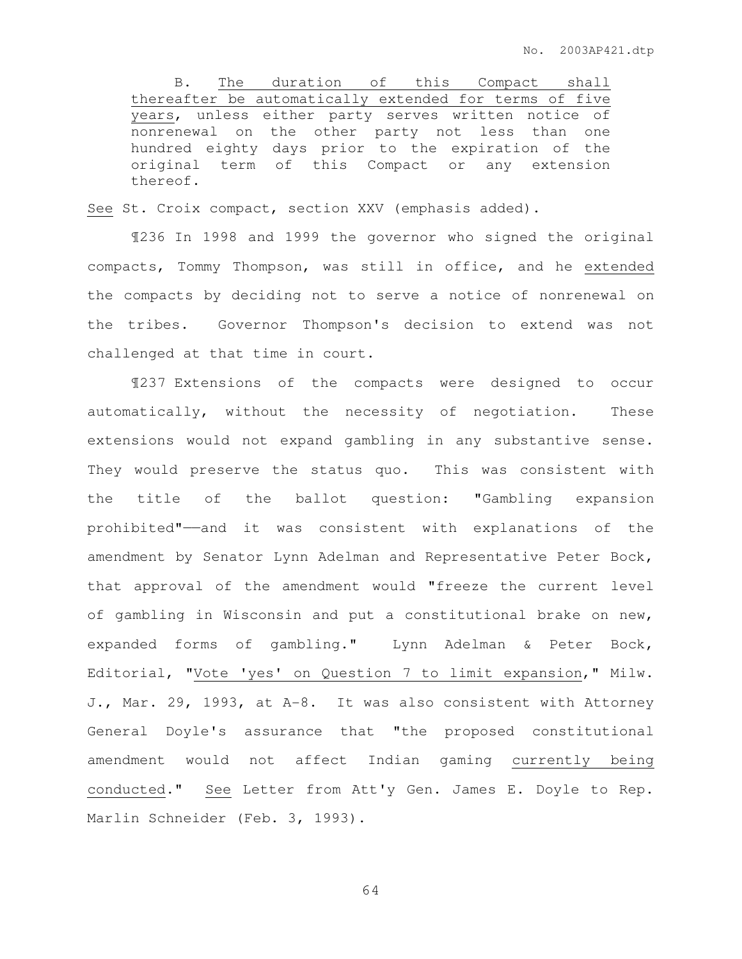B. The duration of this Compact shall thereafter be automatically extended for terms of five years, unless either party serves written notice of nonrenewal on the other party not less than one hundred eighty days prior to the expiration of the original term of this Compact or any extension thereof.

See St. Croix compact, section XXV (emphasis added).

 ¶236 In 1998 and 1999 the governor who signed the original compacts, Tommy Thompson, was still in office, and he extended the compacts by deciding not to serve a notice of nonrenewal on the tribes. Governor Thompson's decision to extend was not challenged at that time in court.

 ¶237 Extensions of the compacts were designed to occur automatically, without the necessity of negotiation. These extensions would not expand gambling in any substantive sense. They would preserve the status quo. This was consistent with the title of the ballot question: "Gambling expansion prohibited"——and it was consistent with explanations of the amendment by Senator Lynn Adelman and Representative Peter Bock, that approval of the amendment would "freeze the current level of gambling in Wisconsin and put a constitutional brake on new, expanded forms of gambling." Lynn Adelman & Peter Bock, Editorial, "Vote 'yes' on Question 7 to limit expansion," Milw. J., Mar. 29, 1993, at A-8. It was also consistent with Attorney General Doyle's assurance that "the proposed constitutional amendment would not affect Indian gaming currently being conducted." See Letter from Att'y Gen. James E. Doyle to Rep. Marlin Schneider (Feb. 3, 1993).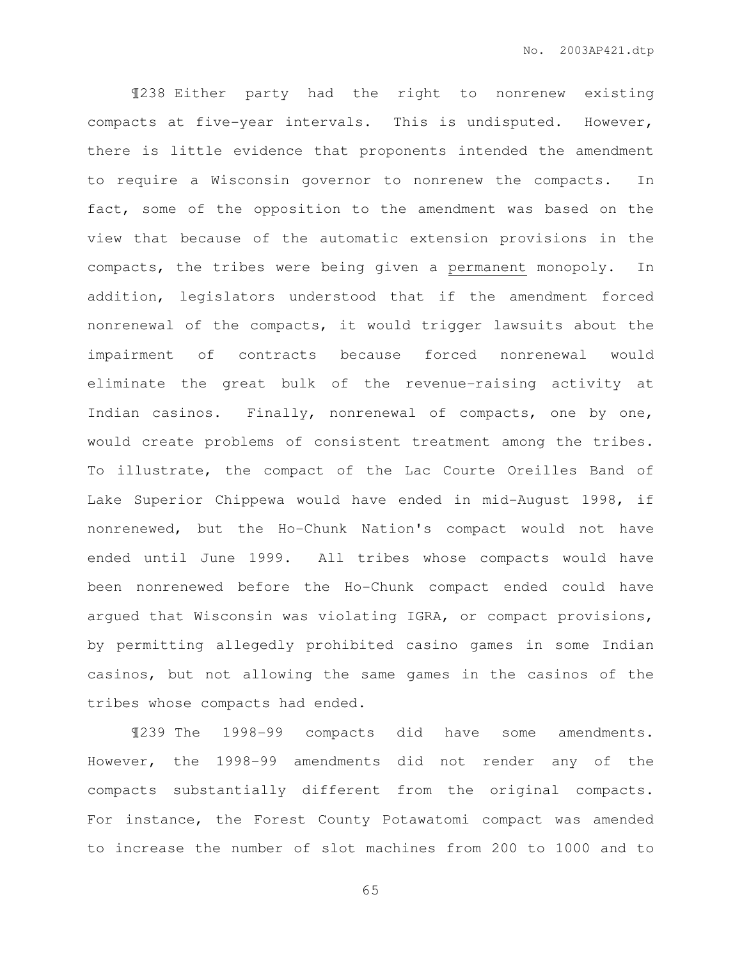¶238 Either party had the right to nonrenew existing compacts at five-year intervals. This is undisputed. However, there is little evidence that proponents intended the amendment to require a Wisconsin governor to nonrenew the compacts. In fact, some of the opposition to the amendment was based on the view that because of the automatic extension provisions in the compacts, the tribes were being given a permanent monopoly. In addition, legislators understood that if the amendment forced nonrenewal of the compacts, it would trigger lawsuits about the impairment of contracts because forced nonrenewal would eliminate the great bulk of the revenue-raising activity at Indian casinos. Finally, nonrenewal of compacts, one by one, would create problems of consistent treatment among the tribes. To illustrate, the compact of the Lac Courte Oreilles Band of Lake Superior Chippewa would have ended in mid-August 1998, if nonrenewed, but the Ho-Chunk Nation's compact would not have ended until June 1999. All tribes whose compacts would have been nonrenewed before the Ho-Chunk compact ended could have argued that Wisconsin was violating IGRA, or compact provisions, by permitting allegedly prohibited casino games in some Indian casinos, but not allowing the same games in the casinos of the tribes whose compacts had ended.

 ¶239 The 1998-99 compacts did have some amendments. However, the 1998-99 amendments did not render any of the compacts substantially different from the original compacts. For instance, the Forest County Potawatomi compact was amended to increase the number of slot machines from 200 to 1000 and to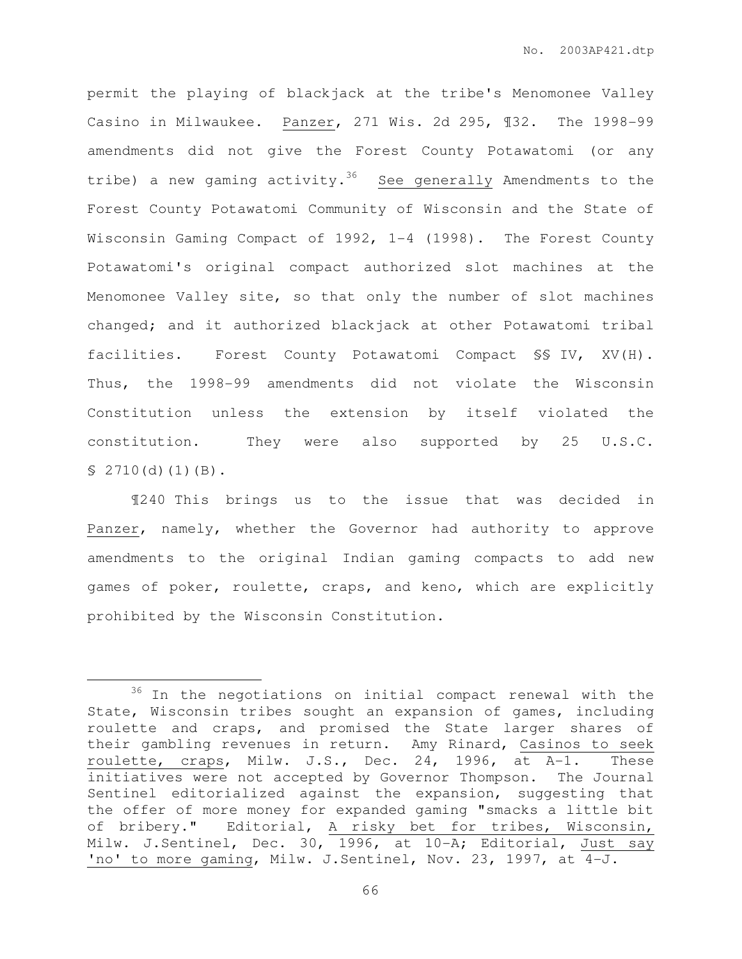permit the playing of blackjack at the tribe's Menomonee Valley Casino in Milwaukee. Panzer, 271 Wis. 2d 295, ¶32. The 1998-99 amendments did not give the Forest County Potawatomi (or any tribe) a new gaming activity.<sup>36</sup> See generally Amendments to the Forest County Potawatomi Community of Wisconsin and the State of Wisconsin Gaming Compact of 1992, 1-4 (1998). The Forest County Potawatomi's original compact authorized slot machines at the Menomonee Valley site, so that only the number of slot machines changed; and it authorized blackjack at other Potawatomi tribal facilities. Forest County Potawatomi Compact §§ IV, XV(H). Thus, the 1998-99 amendments did not violate the Wisconsin Constitution unless the extension by itself violated the constitution. They were also supported by 25 U.S.C.  $$2710(d)(1)(B).$ 

¶240 This brings us to the issue that was decided in Panzer, namely, whether the Governor had authority to approve amendments to the original Indian gaming compacts to add new games of poker, roulette, craps, and keno, which are explicitly prohibited by the Wisconsin Constitution.

 $\overline{a}$ 

 $36$  In the negotiations on initial compact renewal with the State, Wisconsin tribes sought an expansion of games, including roulette and craps, and promised the State larger shares of their gambling revenues in return. Amy Rinard, Casinos to seek roulette, craps, Milw. J.S., Dec. 24, 1996, at A-1. These initiatives were not accepted by Governor Thompson. The Journal Sentinel editorialized against the expansion, suggesting that the offer of more money for expanded gaming "smacks a little bit of bribery." Editorial, A risky bet for tribes, Wisconsin, Milw. J.Sentinel, Dec. 30, 1996, at 10-A; Editorial, Just say 'no' to more gaming, Milw. J.Sentinel, Nov. 23, 1997, at 4-J.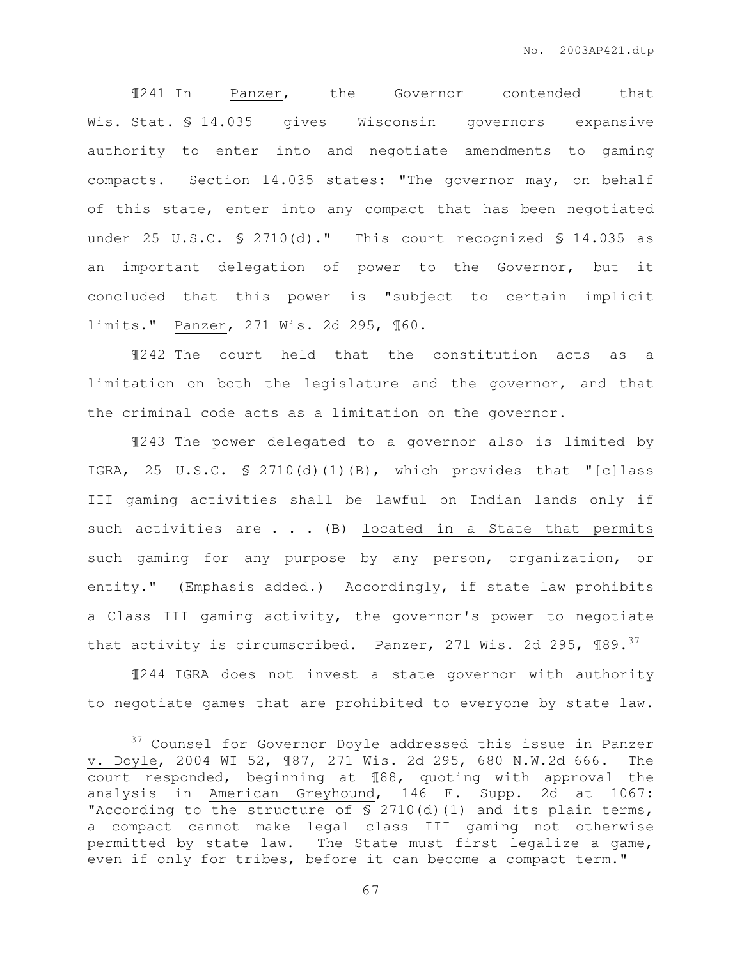¶241 In Panzer, the Governor contended that Wis. Stat. § 14.035 gives Wisconsin governors expansive authority to enter into and negotiate amendments to gaming compacts. Section 14.035 states: "The governor may, on behalf of this state, enter into any compact that has been negotiated under 25 U.S.C. § 2710(d)." This court recognized § 14.035 as an important delegation of power to the Governor, but it concluded that this power is "subject to certain implicit limits." Panzer, 271 Wis. 2d 295, ¶60.

¶242 The court held that the constitution acts as a limitation on both the legislature and the governor, and that the criminal code acts as a limitation on the governor.

¶243 The power delegated to a governor also is limited by IGRA, 25 U.S.C. § 2710(d)(1)(B), which provides that "[c]lass III gaming activities shall be lawful on Indian lands only if such activities are . . . (B) located in a State that permits such gaming for any purpose by any person, organization, or entity." (Emphasis added.) Accordingly, if state law prohibits a Class III gaming activity, the governor's power to negotiate that activity is circumscribed. Panzer, 271 Wis. 2d 295, 189.<sup>37</sup>

¶244 IGRA does not invest a state governor with authority to negotiate games that are prohibited to everyone by state law.

 $\overline{a}$ 

<sup>&</sup>lt;sup>37</sup> Counsel for Governor Doyle addressed this issue in Panzer v. Doyle, 2004 WI 52, ¶87, 271 Wis. 2d 295, 680 N.W.2d 666. The court responded, beginning at ¶88, quoting with approval the analysis in American Greyhound, 146 F. Supp. 2d at 1067: "According to the structure of  $S$  2710(d)(1) and its plain terms, a compact cannot make legal class III gaming not otherwise permitted by state law. The State must first legalize a game, even if only for tribes, before it can become a compact term."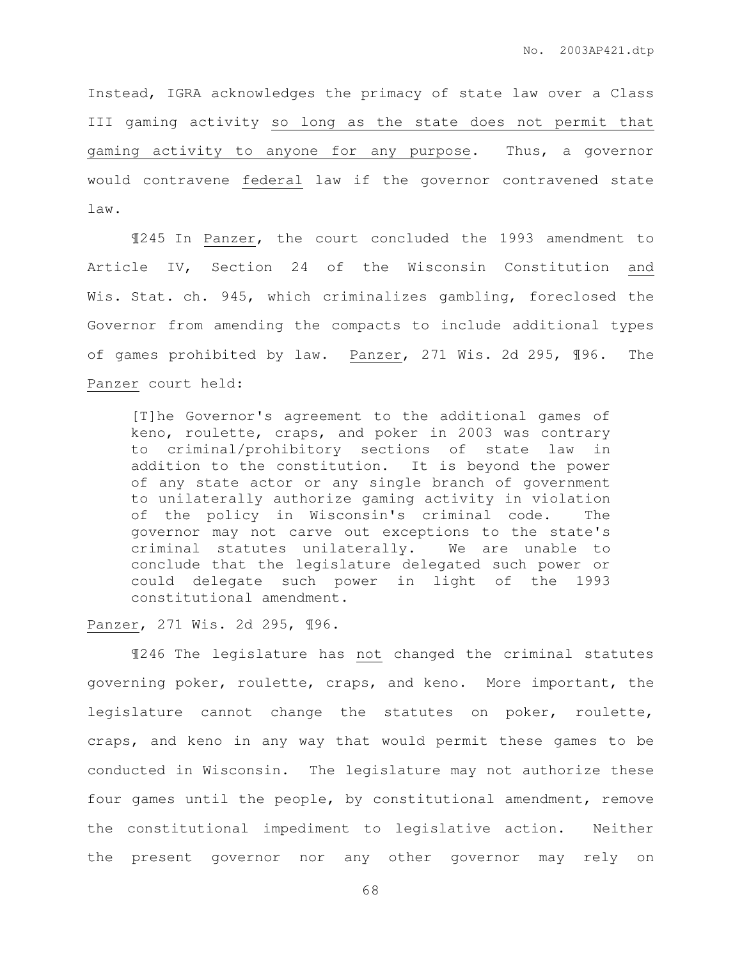Instead, IGRA acknowledges the primacy of state law over a Class III gaming activity so long as the state does not permit that gaming activity to anyone for any purpose. Thus, a governor would contravene federal law if the governor contravened state law.

¶245 In Panzer, the court concluded the 1993 amendment to Article IV, Section 24 of the Wisconsin Constitution and Wis. Stat. ch. 945, which criminalizes gambling, foreclosed the Governor from amending the compacts to include additional types of games prohibited by law. Panzer, 271 Wis. 2d 295, ¶96. The Panzer court held:

[T]he Governor's agreement to the additional games of keno, roulette, craps, and poker in 2003 was contrary to criminal/prohibitory sections of state law in addition to the constitution. It is beyond the power of any state actor or any single branch of government to unilaterally authorize gaming activity in violation of the policy in Wisconsin's criminal code. The governor may not carve out exceptions to the state's criminal statutes unilaterally. We are unable to conclude that the legislature delegated such power or could delegate such power in light of the 1993 constitutional amendment.

## Panzer, 271 Wis. 2d 295, ¶96.

 ¶246 The legislature has not changed the criminal statutes governing poker, roulette, craps, and keno. More important, the legislature cannot change the statutes on poker, roulette, craps, and keno in any way that would permit these games to be conducted in Wisconsin. The legislature may not authorize these four games until the people, by constitutional amendment, remove the constitutional impediment to legislative action. Neither the present governor nor any other governor may rely on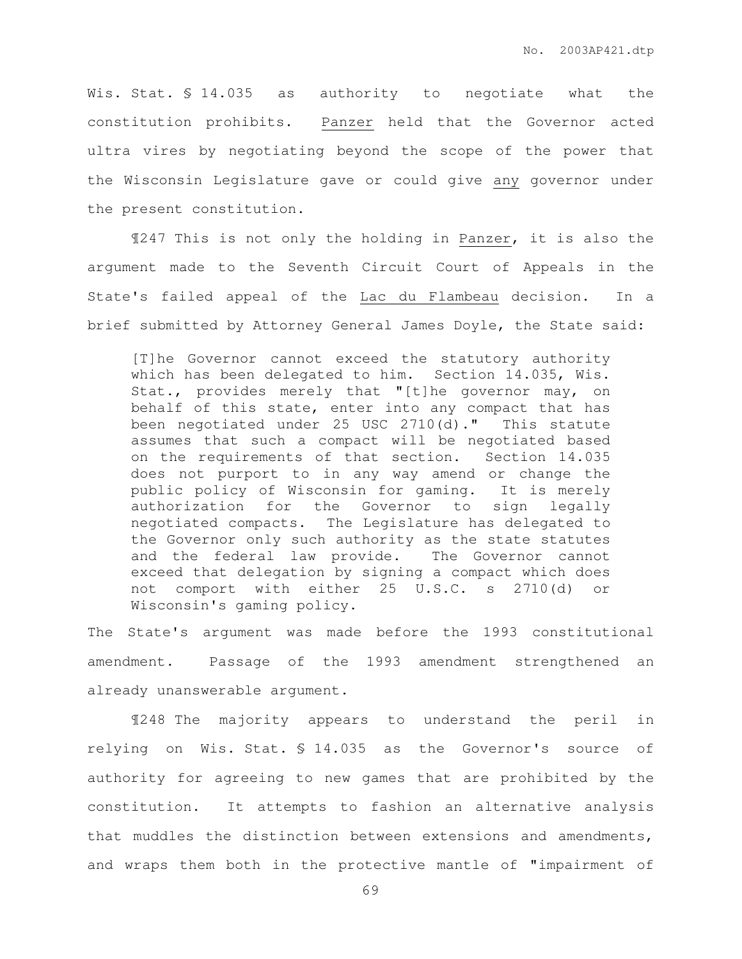Wis. Stat. § 14.035 as authority to negotiate what the constitution prohibits. Panzer held that the Governor acted ultra vires by negotiating beyond the scope of the power that the Wisconsin Legislature gave or could give any governor under the present constitution.

 ¶247 This is not only the holding in Panzer, it is also the argument made to the Seventh Circuit Court of Appeals in the State's failed appeal of the Lac du Flambeau decision. In a brief submitted by Attorney General James Doyle, the State said:

[T]he Governor cannot exceed the statutory authority which has been delegated to him. Section 14.035, Wis. Stat., provides merely that "[t]he governor may, on behalf of this state, enter into any compact that has been negotiated under 25 USC 2710(d)." This statute assumes that such a compact will be negotiated based on the requirements of that section. Section 14.035 does not purport to in any way amend or change the public policy of Wisconsin for gaming. It is merely authorization for the Governor to sign legally negotiated compacts. The Legislature has delegated to the Governor only such authority as the state statutes and the federal law provide. The Governor cannot exceed that delegation by signing a compact which does not comport with either 25 U.S.C. s 2710(d) or Wisconsin's gaming policy.

The State's argument was made before the 1993 constitutional amendment. Passage of the 1993 amendment strengthened an already unanswerable argument.

 ¶248 The majority appears to understand the peril in relying on Wis. Stat. § 14.035 as the Governor's source of authority for agreeing to new games that are prohibited by the constitution. It attempts to fashion an alternative analysis that muddles the distinction between extensions and amendments, and wraps them both in the protective mantle of "impairment of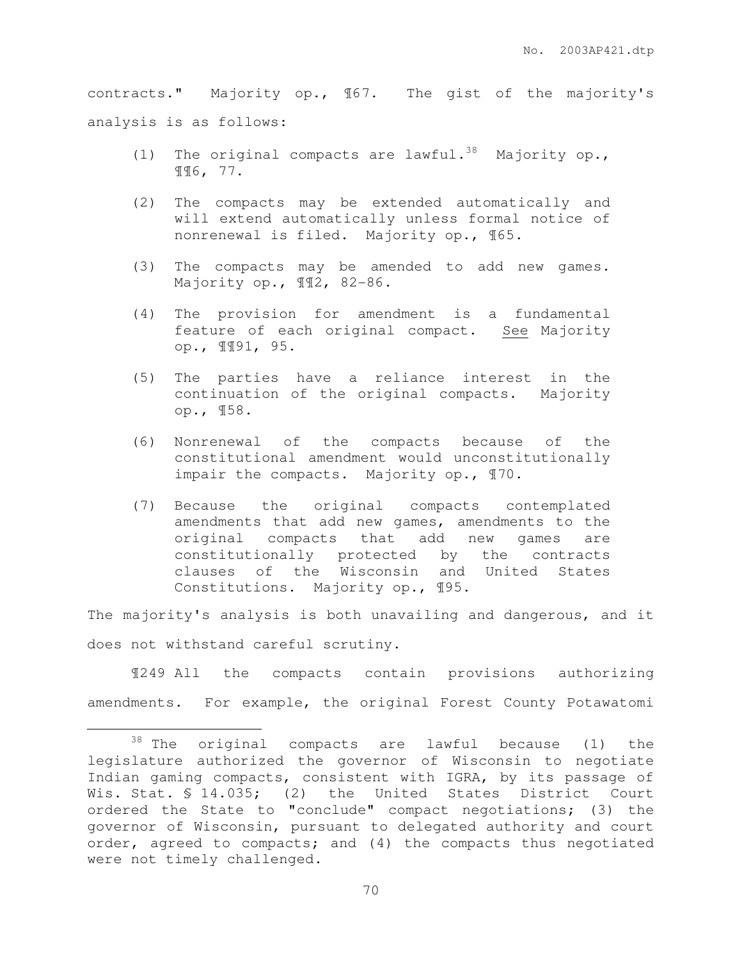contracts." Majority op., ¶67. The gist of the majority's analysis is as follows:

- (1) The original compacts are lawful.<sup>38</sup> Majority op., ¶¶6, 77.
- (2) The compacts may be extended automatically and will extend automatically unless formal notice of nonrenewal is filed. Majority op., ¶65.
- (3) The compacts may be amended to add new games. Majority op., 112, 82-86.
- (4) The provision for amendment is a fundamental feature of each original compact. See Majority op., ¶¶91, 95.
- (5) The parties have a reliance interest in the continuation of the original compacts. Majority op., ¶58.
- (6) Nonrenewal of the compacts because of the constitutional amendment would unconstitutionally impair the compacts. Majority op., ¶70.
- (7) Because the original compacts contemplated amendments that add new games, amendments to the original compacts that add new games are constitutionally protected by the contracts clauses of the Wisconsin and United States Constitutions. Majority op., ¶95.

The majority's analysis is both unavailing and dangerous, and it does not withstand careful scrutiny.

¶249 All the compacts contain provisions authorizing amendments. For example, the original Forest County Potawatomi

 $\overline{a}$ 

 $38$  The original compacts are lawful because (1) the legislature authorized the governor of Wisconsin to negotiate Indian gaming compacts, consistent with IGRA, by its passage of Wis. Stat. § 14.035; (2) the United States District Court ordered the State to "conclude" compact negotiations; (3) the governor of Wisconsin, pursuant to delegated authority and court order, agreed to compacts; and (4) the compacts thus negotiated were not timely challenged.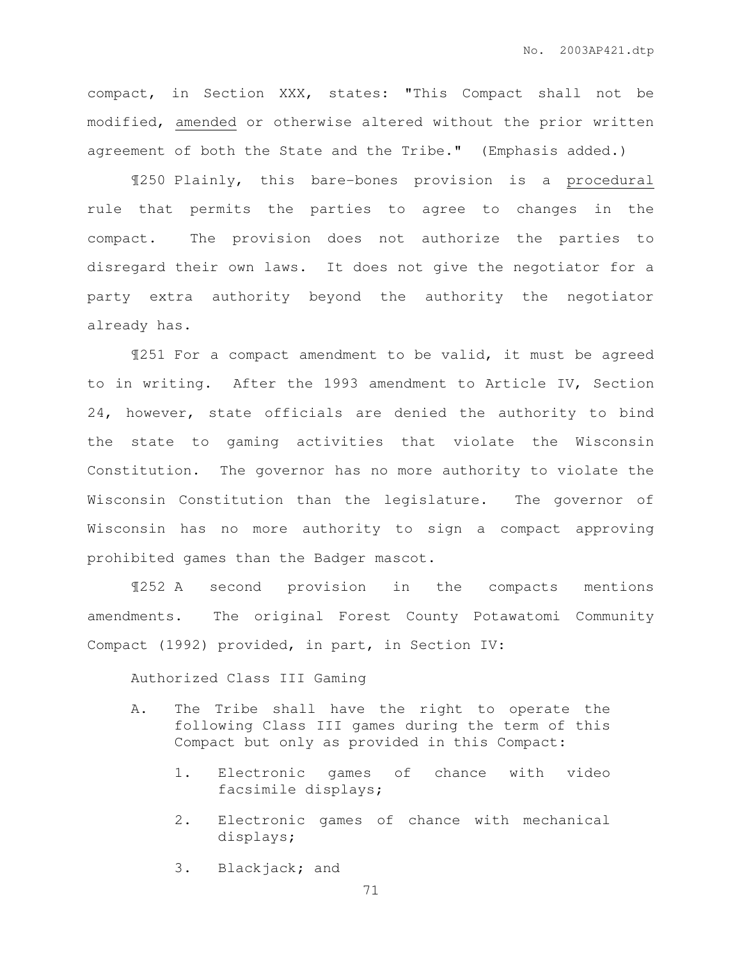compact, in Section XXX, states: "This Compact shall not be modified, amended or otherwise altered without the prior written agreement of both the State and the Tribe." (Emphasis added.)

¶250 Plainly, this bare-bones provision is a procedural rule that permits the parties to agree to changes in the compact. The provision does not authorize the parties to disregard their own laws. It does not give the negotiator for a party extra authority beyond the authority the negotiator already has.

¶251 For a compact amendment to be valid, it must be agreed to in writing. After the 1993 amendment to Article IV, Section 24, however, state officials are denied the authority to bind the state to gaming activities that violate the Wisconsin Constitution. The governor has no more authority to violate the Wisconsin Constitution than the legislature. The governor of Wisconsin has no more authority to sign a compact approving prohibited games than the Badger mascot.

¶252 A second provision in the compacts mentions amendments. The original Forest County Potawatomi Community Compact (1992) provided, in part, in Section IV:

Authorized Class III Gaming

- A. The Tribe shall have the right to operate the following Class III games during the term of this Compact but only as provided in this Compact:
	- 1. Electronic games of chance with video facsimile displays;
	- 2. Electronic games of chance with mechanical displays;
	- 3. Blackjack; and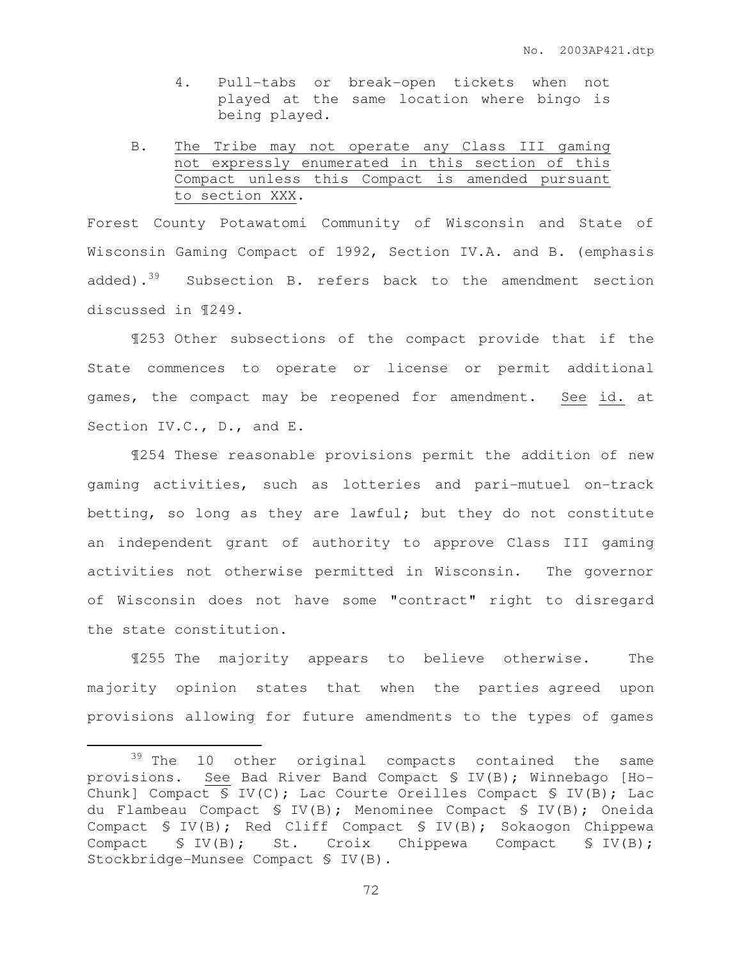- 4. Pull-tabs or break-open tickets when not played at the same location where bingo is being played.
- B. The Tribe may not operate any Class III gaming not expressly enumerated in this section of this Compact unless this Compact is amended pursuant to section XXX.

Forest County Potawatomi Community of Wisconsin and State of Wisconsin Gaming Compact of 1992, Section IV.A. and B. (emphasis added). $39$  Subsection B. refers back to the amendment section discussed in ¶249.

 ¶253 Other subsections of the compact provide that if the State commences to operate or license or permit additional games, the compact may be reopened for amendment. See id. at Section IV.C., D., and E.

¶254 These reasonable provisions permit the addition of new gaming activities, such as lotteries and pari-mutuel on-track betting, so long as they are lawful; but they do not constitute an independent grant of authority to approve Class III gaming activities not otherwise permitted in Wisconsin. The governor of Wisconsin does not have some "contract" right to disregard the state constitution.

¶255 The majority appears to believe otherwise. The majority opinion states that when the parties agreed upon provisions allowing for future amendments to the types of games

 $\overline{a}$ 

<sup>&</sup>lt;sup>39</sup> The 10 other original compacts contained the same provisions. See Bad River Band Compact § IV(B); Winnebago [Ho-Chunk] Compact  $\{S\ IV(C)\}$ ; Lac Courte Oreilles Compact  $\{S\ IV(B)\}$ ; Lac du Flambeau Compact § IV(B); Menominee Compact § IV(B); Oneida Compact § IV(B); Red Cliff Compact § IV(B); Sokaogon Chippewa Compact § IV(B); St. Croix Chippewa Compact § IV(B); Stockbridge-Munsee Compact § IV(B).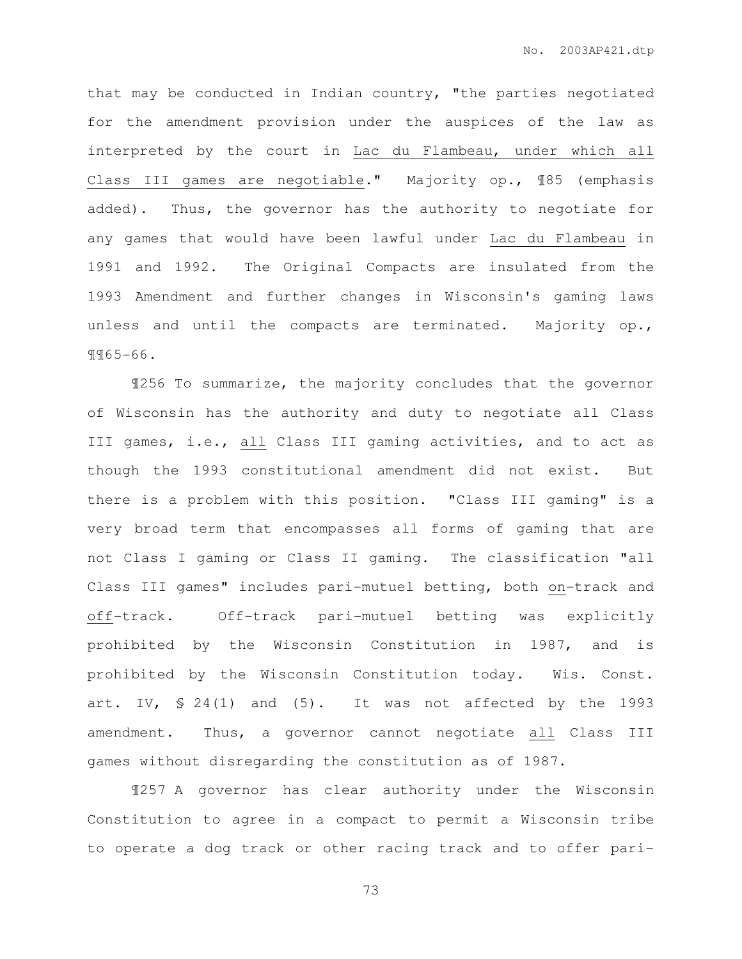that may be conducted in Indian country, "the parties negotiated for the amendment provision under the auspices of the law as interpreted by the court in Lac du Flambeau, under which all Class III games are negotiable." Majority op., ¶85 (emphasis added). Thus, the governor has the authority to negotiate for any games that would have been lawful under Lac du Flambeau in 1991 and 1992. The Original Compacts are insulated from the 1993 Amendment and further changes in Wisconsin's gaming laws unless and until the compacts are terminated. Majority op., ¶¶65-66.

 ¶256 To summarize, the majority concludes that the governor of Wisconsin has the authority and duty to negotiate all Class III games, i.e., all Class III gaming activities, and to act as though the 1993 constitutional amendment did not exist. But there is a problem with this position. "Class III gaming" is a very broad term that encompasses all forms of gaming that are not Class I gaming or Class II gaming. The classification "all Class III games" includes pari-mutuel betting, both on-track and off-track. Off-track pari-mutuel betting was explicitly prohibited by the Wisconsin Constitution in 1987, and is prohibited by the Wisconsin Constitution today. Wis. Const. art. IV,  $\$ 24(1)$  and  $(5)$ . It was not affected by the 1993 amendment. Thus, a governor cannot negotiate all Class III games without disregarding the constitution as of 1987.

¶257 A governor has clear authority under the Wisconsin Constitution to agree in a compact to permit a Wisconsin tribe to operate a dog track or other racing track and to offer pari-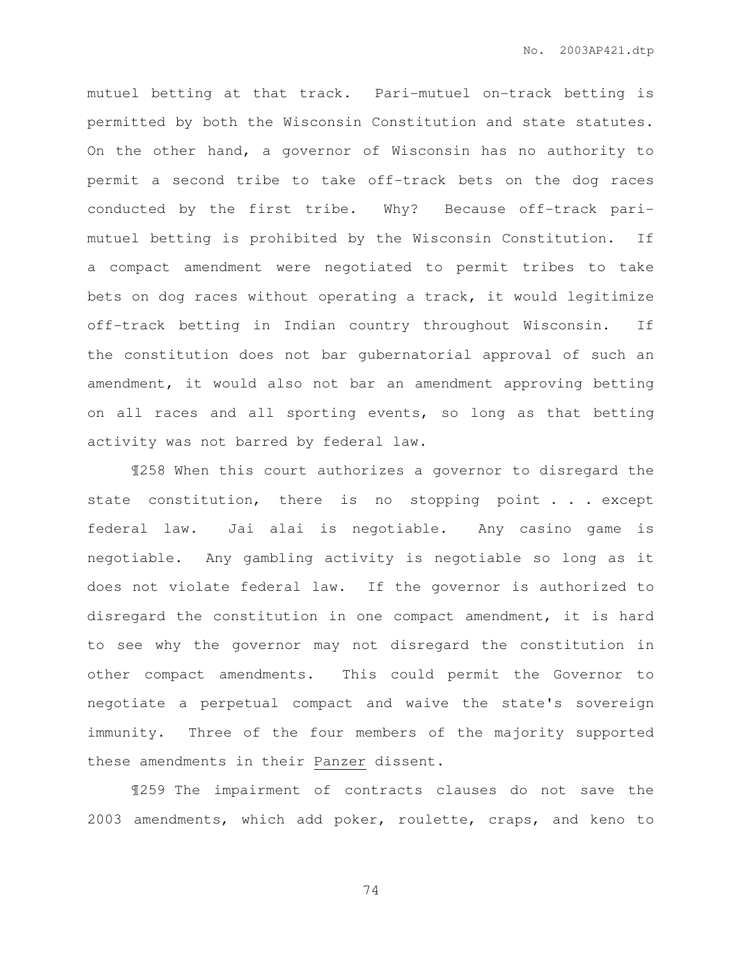mutuel betting at that track. Pari-mutuel on-track betting is permitted by both the Wisconsin Constitution and state statutes. On the other hand, a governor of Wisconsin has no authority to permit a second tribe to take off-track bets on the dog races conducted by the first tribe. Why? Because off-track parimutuel betting is prohibited by the Wisconsin Constitution. If a compact amendment were negotiated to permit tribes to take bets on dog races without operating a track, it would legitimize off-track betting in Indian country throughout Wisconsin. If the constitution does not bar gubernatorial approval of such an amendment, it would also not bar an amendment approving betting on all races and all sporting events, so long as that betting activity was not barred by federal law.

 ¶258 When this court authorizes a governor to disregard the state constitution, there is no stopping point . . . except federal law. Jai alai is negotiable. Any casino game is negotiable. Any gambling activity is negotiable so long as it does not violate federal law. If the governor is authorized to disregard the constitution in one compact amendment, it is hard to see why the governor may not disregard the constitution in other compact amendments. This could permit the Governor to negotiate a perpetual compact and waive the state's sovereign immunity. Three of the four members of the majority supported these amendments in their Panzer dissent.

 ¶259 The impairment of contracts clauses do not save the 2003 amendments, which add poker, roulette, craps, and keno to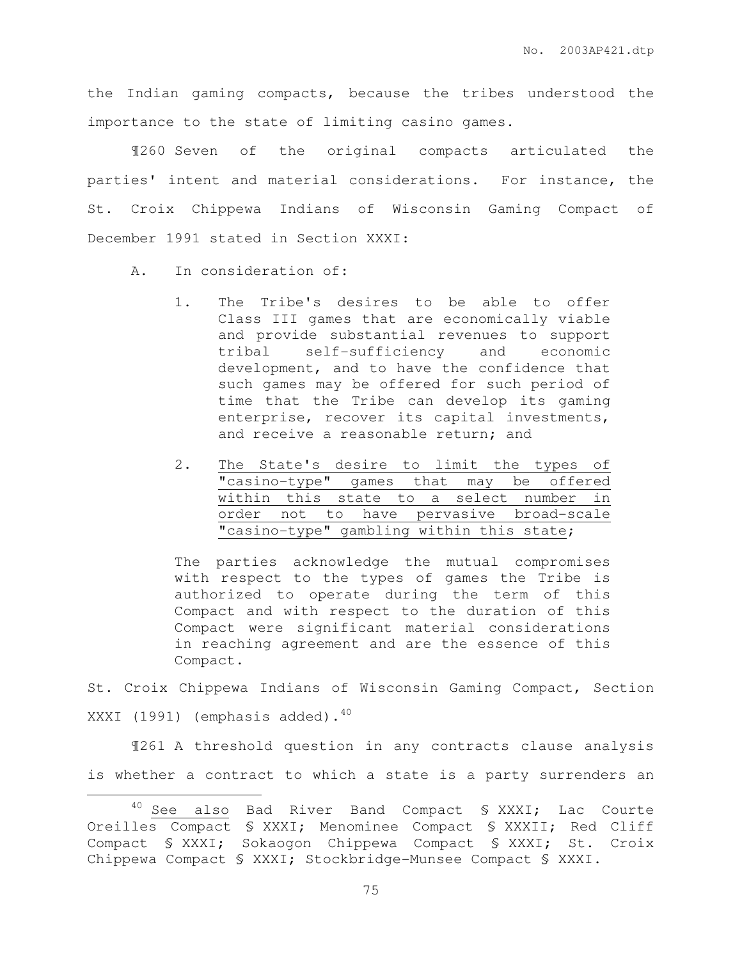the Indian gaming compacts, because the tribes understood the importance to the state of limiting casino games.

¶260 Seven of the original compacts articulated the parties' intent and material considerations. For instance, the St. Croix Chippewa Indians of Wisconsin Gaming Compact of December 1991 stated in Section XXXI:

A. In consideration of:

 $\overline{a}$ 

- 1. The Tribe's desires to be able to offer Class III games that are economically viable and provide substantial revenues to support tribal self-sufficiency and economic development, and to have the confidence that such games may be offered for such period of time that the Tribe can develop its gaming enterprise, recover its capital investments, and receive a reasonable return; and
- 2. The State's desire to limit the types of "casino-type" games that may be offered within this state to a select number in order not to have pervasive broad-scale "casino-type" gambling within this state;

The parties acknowledge the mutual compromises with respect to the types of games the Tribe is authorized to operate during the term of this Compact and with respect to the duration of this Compact were significant material considerations in reaching agreement and are the essence of this Compact.

St. Croix Chippewa Indians of Wisconsin Gaming Compact, Section XXXI (1991) (emphasis added).<sup>40</sup>

¶261 A threshold question in any contracts clause analysis is whether a contract to which a state is a party surrenders an

<sup>40</sup> See also Bad River Band Compact § XXXI; Lac Courte Oreilles Compact § XXXI; Menominee Compact § XXXII; Red Cliff Compact § XXXI; Sokaogon Chippewa Compact § XXXI; St. Croix Chippewa Compact § XXXI; Stockbridge-Munsee Compact § XXXI.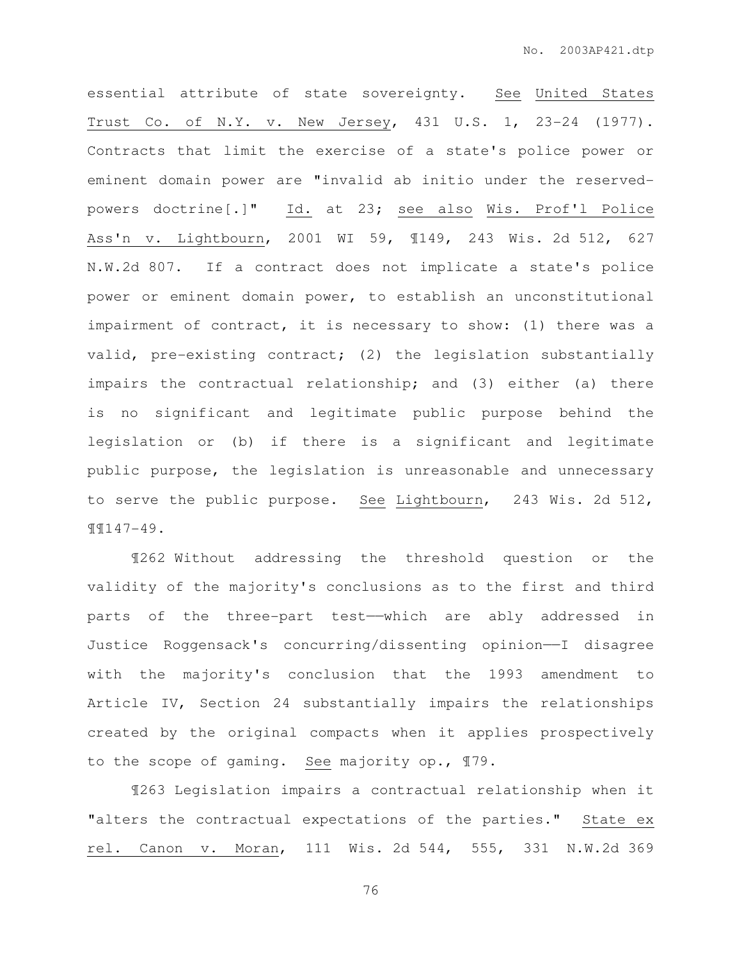essential attribute of state sovereignty. See United States Trust Co. of N.Y. v. New Jersey, 431 U.S. 1, 23-24 (1977). Contracts that limit the exercise of a state's police power or eminent domain power are "invalid ab initio under the reservedpowers doctrine[.]" Id. at 23; see also Wis. Prof'l Police Ass'n v. Lightbourn, 2001 WI 59, ¶149, 243 Wis. 2d 512, 627 N.W.2d 807. If a contract does not implicate a state's police power or eminent domain power, to establish an unconstitutional impairment of contract, it is necessary to show: (1) there was a valid, pre-existing contract; (2) the legislation substantially impairs the contractual relationship; and (3) either (a) there is no significant and legitimate public purpose behind the legislation or (b) if there is a significant and legitimate public purpose, the legislation is unreasonable and unnecessary to serve the public purpose. See Lightbourn, 243 Wis. 2d 512, ¶¶147-49.

¶262 Without addressing the threshold question or the validity of the majority's conclusions as to the first and third parts of the three-part test—which are ably addressed in Justice Roggensack's concurring/dissenting opinion——I disagree with the majority's conclusion that the 1993 amendment to Article IV, Section 24 substantially impairs the relationships created by the original compacts when it applies prospectively to the scope of gaming. See majority op., ¶79.

¶263 Legislation impairs a contractual relationship when it "alters the contractual expectations of the parties." State ex rel. Canon v. Moran, 111 Wis. 2d 544, 555, 331 N.W.2d 369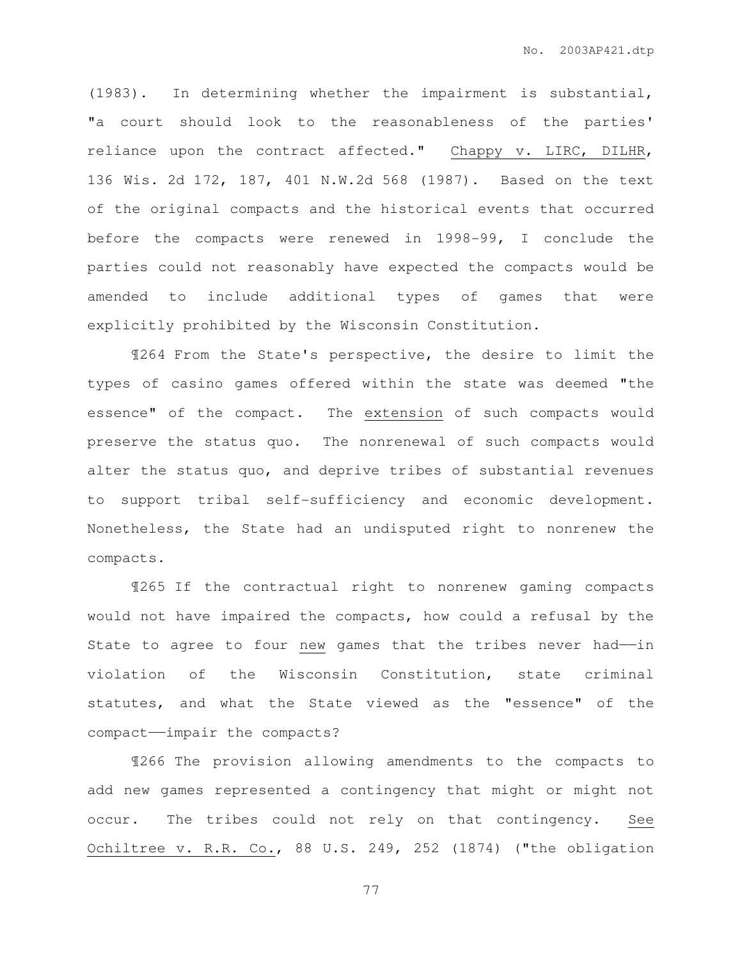(1983). In determining whether the impairment is substantial, "a court should look to the reasonableness of the parties' reliance upon the contract affected." Chappy v. LIRC, DILHR, 136 Wis. 2d 172, 187, 401 N.W.2d 568 (1987). Based on the text of the original compacts and the historical events that occurred before the compacts were renewed in 1998-99, I conclude the parties could not reasonably have expected the compacts would be amended to include additional types of games that were explicitly prohibited by the Wisconsin Constitution.

¶264 From the State's perspective, the desire to limit the types of casino games offered within the state was deemed "the essence" of the compact. The extension of such compacts would preserve the status quo. The nonrenewal of such compacts would alter the status quo, and deprive tribes of substantial revenues to support tribal self-sufficiency and economic development. Nonetheless, the State had an undisputed right to nonrenew the compacts.

¶265 If the contractual right to nonrenew gaming compacts would not have impaired the compacts, how could a refusal by the State to agree to four new games that the tribes never had--in violation of the Wisconsin Constitution, state criminal statutes, and what the State viewed as the "essence" of the compact——impair the compacts?

¶266 The provision allowing amendments to the compacts to add new games represented a contingency that might or might not occur. The tribes could not rely on that contingency. See Ochiltree v. R.R. Co., 88 U.S. 249, 252 (1874) ("the obligation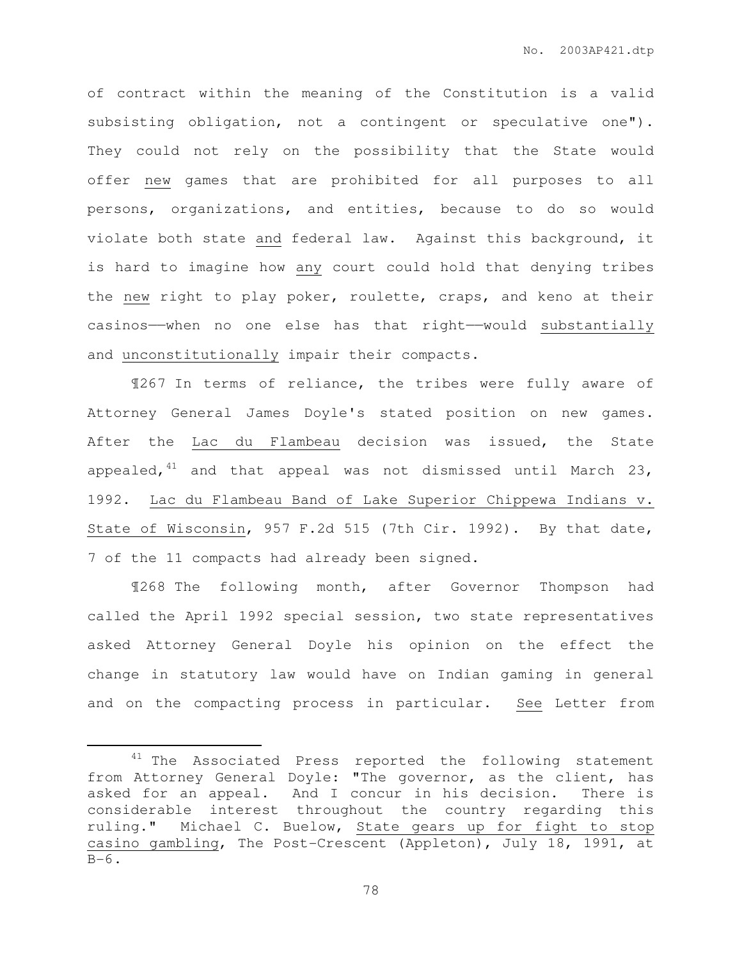of contract within the meaning of the Constitution is a valid subsisting obligation, not a contingent or speculative one"). They could not rely on the possibility that the State would offer new games that are prohibited for all purposes to all persons, organizations, and entities, because to do so would violate both state and federal law. Against this background, it is hard to imagine how any court could hold that denying tribes the new right to play poker, roulette, craps, and keno at their casinos——when no one else has that right——would substantially and unconstitutionally impair their compacts.

¶267 In terms of reliance, the tribes were fully aware of Attorney General James Doyle's stated position on new games. After the Lac du Flambeau decision was issued, the State appealed,  $41$  and that appeal was not dismissed until March 23, 1992. Lac du Flambeau Band of Lake Superior Chippewa Indians v. State of Wisconsin, 957 F.2d 515 (7th Cir. 1992). By that date, 7 of the 11 compacts had already been signed.

¶268 The following month, after Governor Thompson had called the April 1992 special session, two state representatives asked Attorney General Doyle his opinion on the effect the change in statutory law would have on Indian gaming in general and on the compacting process in particular. See Letter from

 $\overline{a}$ 

<sup>&</sup>lt;sup>41</sup> The Associated Press reported the following statement from Attorney General Doyle: "The governor, as the client, has asked for an appeal. And I concur in his decision. There is considerable interest throughout the country regarding this ruling." Michael C. Buelow, State gears up for fight to stop casino gambling, The Post-Crescent (Appleton), July 18, 1991, at  $B-6$ .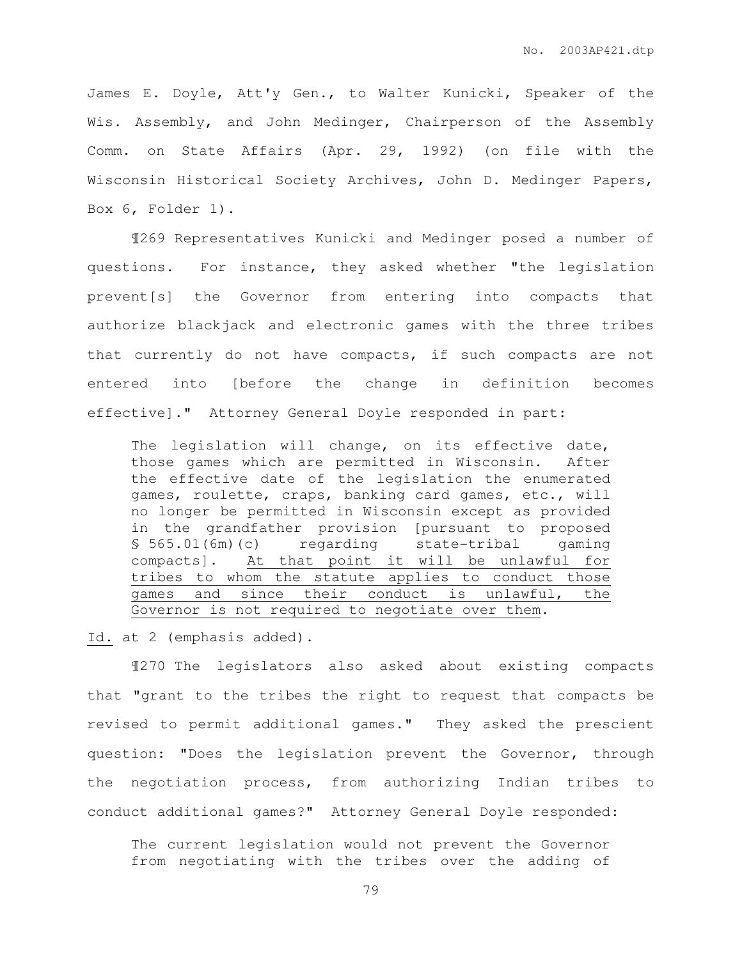James E. Doyle, Att'y Gen., to Walter Kunicki, Speaker of the Wis. Assembly, and John Medinger, Chairperson of the Assembly Comm. on State Affairs (Apr. 29, 1992) (on file with the Wisconsin Historical Society Archives, John D. Medinger Papers, Box 6, Folder 1).

¶269 Representatives Kunicki and Medinger posed a number of questions. For instance, they asked whether "the legislation prevent[s] the Governor from entering into compacts that authorize blackjack and electronic games with the three tribes that currently do not have compacts, if such compacts are not entered into [before the change in definition becomes effective]." Attorney General Doyle responded in part:

The legislation will change, on its effective date, those games which are permitted in Wisconsin. After the effective date of the legislation the enumerated games, roulette, craps, banking card games, etc., will no longer be permitted in Wisconsin except as provided in the grandfather provision [pursuant to proposed § 565.01(6m)(c) regarding state-tribal gaming compacts]. At that point it will be unlawful for tribes to whom the statute applies to conduct those games and since their conduct is unlawful, the Governor is not required to negotiate over them.

Id. at 2 (emphasis added).

¶270 The legislators also asked about existing compacts that "grant to the tribes the right to request that compacts be revised to permit additional games." They asked the prescient question: "Does the legislation prevent the Governor, through the negotiation process, from authorizing Indian tribes to conduct additional games?" Attorney General Doyle responded:

The current legislation would not prevent the Governor from negotiating with the tribes over the adding of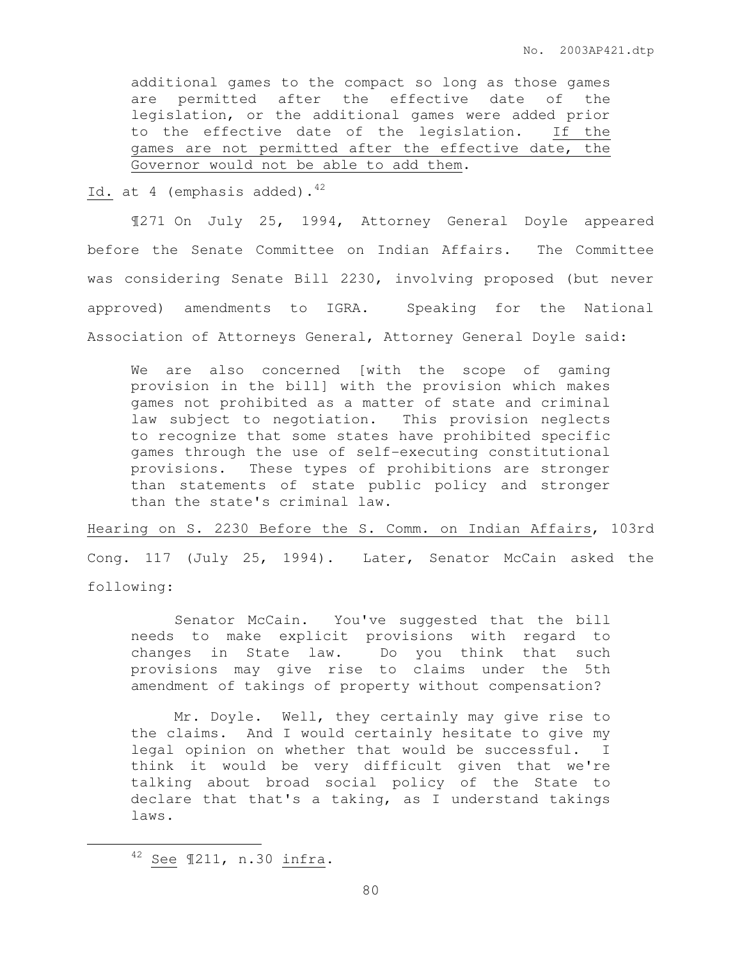additional games to the compact so long as those games are permitted after the effective date of the legislation, or the additional games were added prior to the effective date of the legislation. If the games are not permitted after the effective date, the Governor would not be able to add them.

Id. at 4 (emphasis added).  $42$ 

¶271 On July 25, 1994, Attorney General Doyle appeared before the Senate Committee on Indian Affairs. The Committee was considering Senate Bill 2230, involving proposed (but never approved) amendments to IGRA. Speaking for the National Association of Attorneys General, Attorney General Doyle said:

We are also concerned [with the scope of gaming provision in the bill] with the provision which makes games not prohibited as a matter of state and criminal law subject to negotiation. This provision neglects to recognize that some states have prohibited specific games through the use of self-executing constitutional provisions. These types of prohibitions are stronger than statements of state public policy and stronger than the state's criminal law.

Hearing on S. 2230 Before the S. Comm. on Indian Affairs, 103rd Cong. 117 (July 25, 1994). Later, Senator McCain asked the following:

 Senator McCain. You've suggested that the bill needs to make explicit provisions with regard to changes in State law. Do you think that such provisions may give rise to claims under the 5th amendment of takings of property without compensation?

 Mr. Doyle. Well, they certainly may give rise to the claims. And I would certainly hesitate to give my legal opinion on whether that would be successful. I think it would be very difficult given that we're talking about broad social policy of the State to declare that that's a taking, as I understand takings laws.

 $\overline{a}$ 

<sup>42</sup> See ¶211, n.30 infra.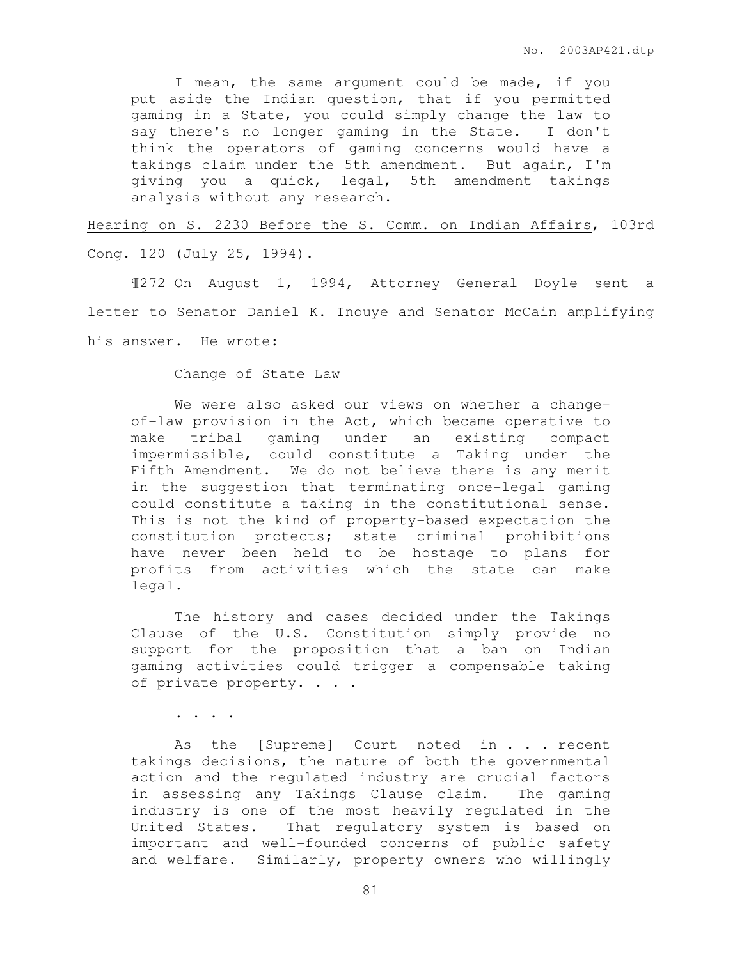I mean, the same argument could be made, if you put aside the Indian question, that if you permitted gaming in a State, you could simply change the law to say there's no longer gaming in the State. I don't think the operators of gaming concerns would have a takings claim under the 5th amendment. But again, I'm giving you a quick, legal, 5th amendment takings analysis without any research.

Hearing on S. 2230 Before the S. Comm. on Indian Affairs, 103rd

Cong. 120 (July 25, 1994).

 ¶272 On August 1, 1994, Attorney General Doyle sent a letter to Senator Daniel K. Inouye and Senator McCain amplifying his answer. He wrote:

Change of State Law

We were also asked our views on whether a changeof-law provision in the Act, which became operative to make tribal gaming under an existing compact impermissible, could constitute a Taking under the Fifth Amendment. We do not believe there is any merit in the suggestion that terminating once-legal gaming could constitute a taking in the constitutional sense. This is not the kind of property-based expectation the constitution protects; state criminal prohibitions have never been held to be hostage to plans for profits from activities which the state can make legal.

 The history and cases decided under the Takings Clause of the U.S. Constitution simply provide no support for the proposition that a ban on Indian gaming activities could trigger a compensable taking of private property. . . .

. . . .

As the [Supreme] Court noted in . . . recent takings decisions, the nature of both the governmental action and the regulated industry are crucial factors in assessing any Takings Clause claim. The gaming industry is one of the most heavily regulated in the United States. That regulatory system is based on important and well-founded concerns of public safety and welfare. Similarly, property owners who willingly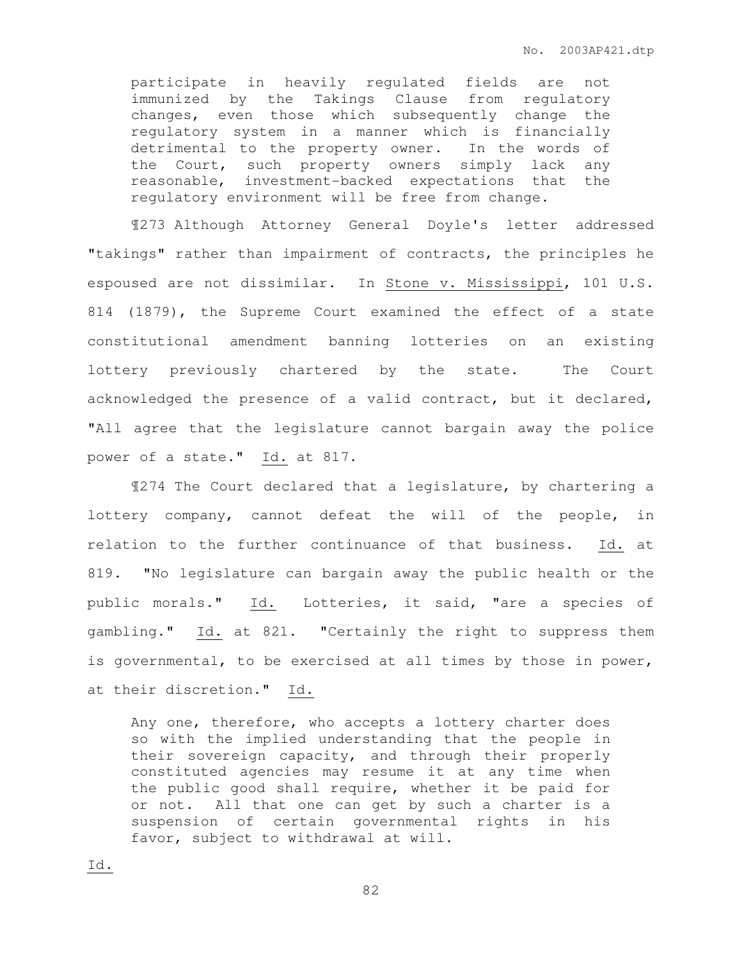participate in heavily regulated fields are not immunized by the Takings Clause from regulatory changes, even those which subsequently change the regulatory system in a manner which is financially detrimental to the property owner. In the words of the Court, such property owners simply lack any reasonable, investment-backed expectations that the regulatory environment will be free from change.

¶273 Although Attorney General Doyle's letter addressed "takings" rather than impairment of contracts, the principles he espoused are not dissimilar. In Stone v. Mississippi, 101 U.S. 814 (1879), the Supreme Court examined the effect of a state constitutional amendment banning lotteries on an existing lottery previously chartered by the state. The Court acknowledged the presence of a valid contract, but it declared, "All agree that the legislature cannot bargain away the police power of a state." Id. at 817.

¶274 The Court declared that a legislature, by chartering a lottery company, cannot defeat the will of the people, in relation to the further continuance of that business. Id. at 819. "No legislature can bargain away the public health or the public morals." Id. Lotteries, it said, "are a species of gambling." Id. at 821. "Certainly the right to suppress them is governmental, to be exercised at all times by those in power, at their discretion." Id.

Any one, therefore, who accepts a lottery charter does so with the implied understanding that the people in their sovereign capacity, and through their properly constituted agencies may resume it at any time when the public good shall require, whether it be paid for or not. All that one can get by such a charter is a suspension of certain governmental rights in his favor, subject to withdrawal at will.

Id.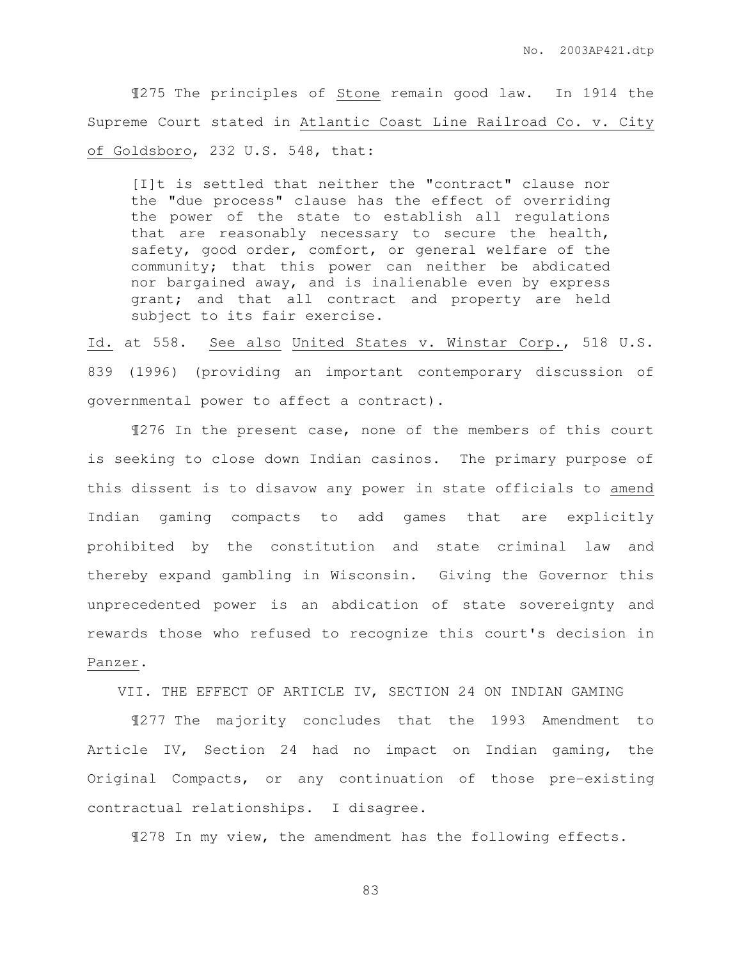¶275 The principles of Stone remain good law. In 1914 the Supreme Court stated in Atlantic Coast Line Railroad Co. v. City of Goldsboro, 232 U.S. 548, that:

[I]t is settled that neither the "contract" clause nor the "due process" clause has the effect of overriding the power of the state to establish all regulations that are reasonably necessary to secure the health, safety, good order, comfort, or general welfare of the community; that this power can neither be abdicated nor bargained away, and is inalienable even by express grant; and that all contract and property are held subject to its fair exercise.

Id. at 558. See also United States v. Winstar Corp., 518 U.S. 839 (1996) (providing an important contemporary discussion of governmental power to affect a contract).

 ¶276 In the present case, none of the members of this court is seeking to close down Indian casinos. The primary purpose of this dissent is to disavow any power in state officials to amend Indian gaming compacts to add games that are explicitly prohibited by the constitution and state criminal law and thereby expand gambling in Wisconsin. Giving the Governor this unprecedented power is an abdication of state sovereignty and rewards those who refused to recognize this court's decision in Panzer.

VII. THE EFFECT OF ARTICLE IV, SECTION 24 ON INDIAN GAMING

 ¶277 The majority concludes that the 1993 Amendment to Article IV, Section 24 had no impact on Indian gaming, the Original Compacts, or any continuation of those pre-existing contractual relationships. I disagree.

¶278 In my view, the amendment has the following effects.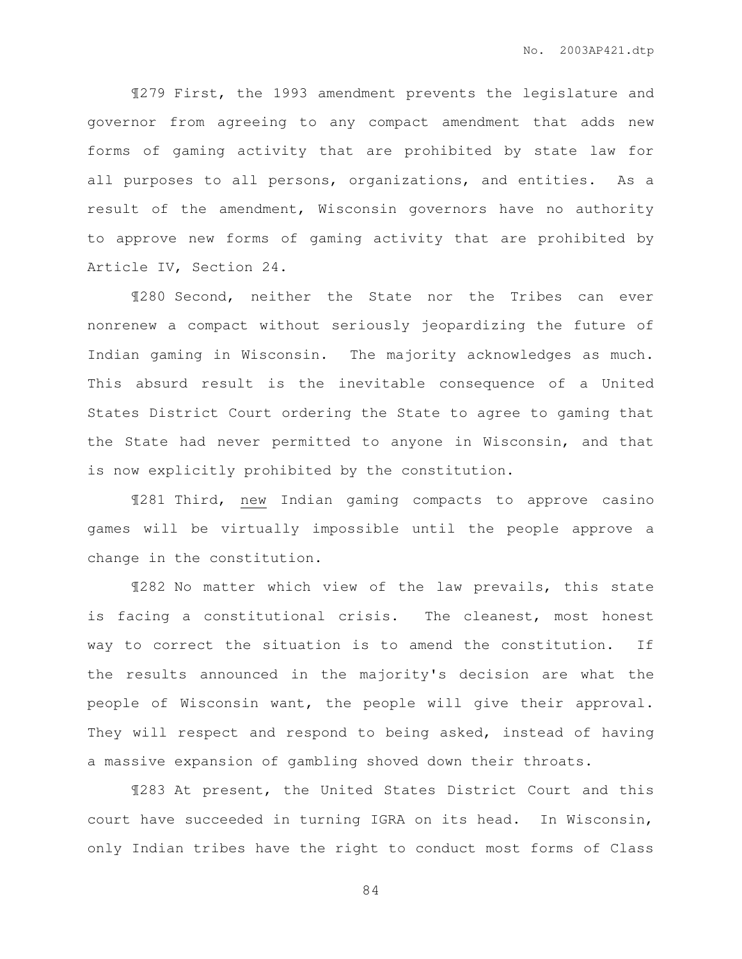¶279 First, the 1993 amendment prevents the legislature and governor from agreeing to any compact amendment that adds new forms of gaming activity that are prohibited by state law for all purposes to all persons, organizations, and entities. As a result of the amendment, Wisconsin governors have no authority to approve new forms of gaming activity that are prohibited by Article IV, Section 24.

 ¶280 Second, neither the State nor the Tribes can ever nonrenew a compact without seriously jeopardizing the future of Indian gaming in Wisconsin. The majority acknowledges as much. This absurd result is the inevitable consequence of a United States District Court ordering the State to agree to gaming that the State had never permitted to anyone in Wisconsin, and that is now explicitly prohibited by the constitution.

 ¶281 Third, new Indian gaming compacts to approve casino games will be virtually impossible until the people approve a change in the constitution.

 ¶282 No matter which view of the law prevails, this state is facing a constitutional crisis. The cleanest, most honest way to correct the situation is to amend the constitution. If the results announced in the majority's decision are what the people of Wisconsin want, the people will give their approval. They will respect and respond to being asked, instead of having a massive expansion of gambling shoved down their throats.

 ¶283 At present, the United States District Court and this court have succeeded in turning IGRA on its head. In Wisconsin, only Indian tribes have the right to conduct most forms of Class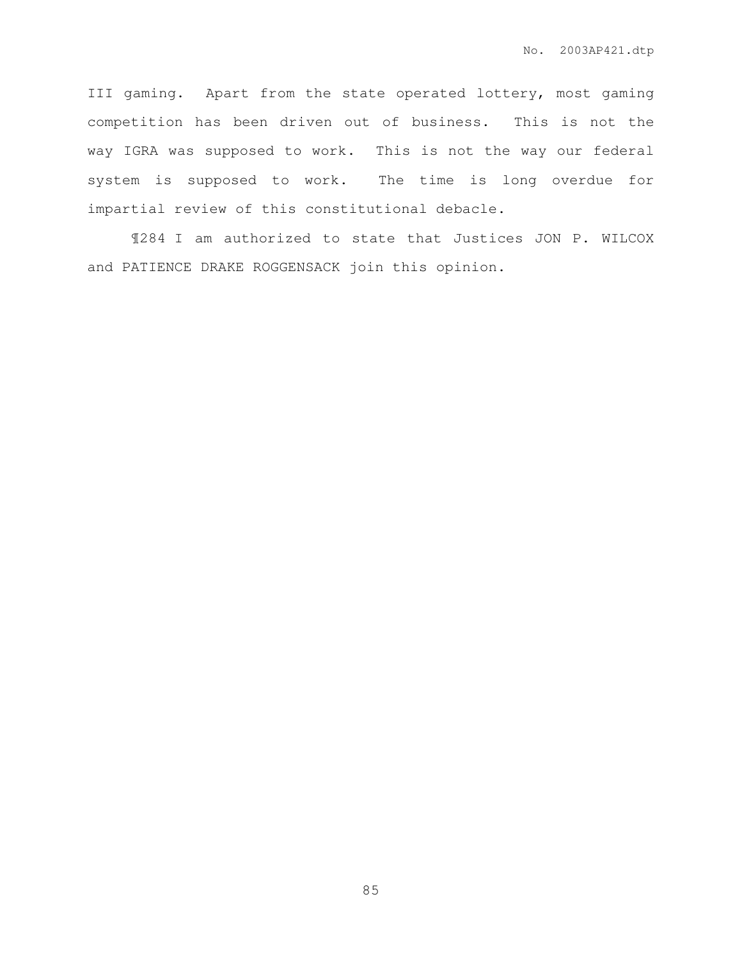III gaming. Apart from the state operated lottery, most gaming competition has been driven out of business. This is not the way IGRA was supposed to work. This is not the way our federal system is supposed to work. The time is long overdue for impartial review of this constitutional debacle.

 ¶284 I am authorized to state that Justices JON P. WILCOX and PATIENCE DRAKE ROGGENSACK join this opinion.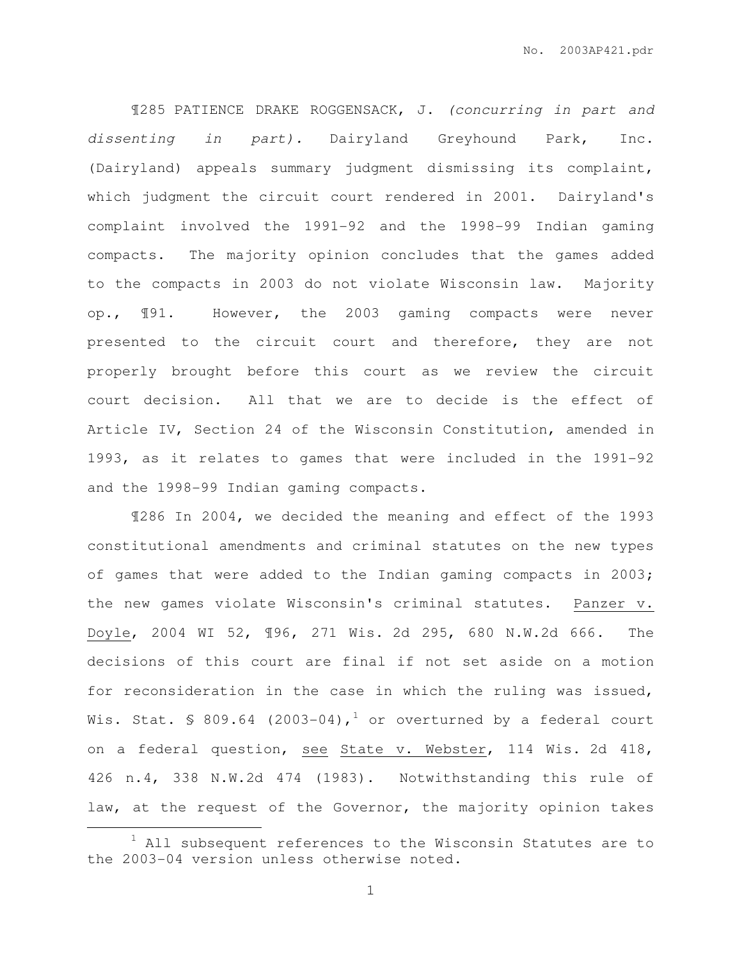¶285 PATIENCE DRAKE ROGGENSACK, J. (concurring in part and dissenting in part). Dairyland Greyhound Park, Inc. (Dairyland) appeals summary judgment dismissing its complaint, which judgment the circuit court rendered in 2001. Dairyland's complaint involved the 1991-92 and the 1998-99 Indian gaming compacts. The majority opinion concludes that the games added to the compacts in 2003 do not violate Wisconsin law. Majority op., ¶91. However, the 2003 gaming compacts were never presented to the circuit court and therefore, they are not properly brought before this court as we review the circuit court decision. All that we are to decide is the effect of Article IV, Section 24 of the Wisconsin Constitution, amended in 1993, as it relates to games that were included in the 1991-92 and the 1998-99 Indian gaming compacts.

¶286 In 2004, we decided the meaning and effect of the 1993 constitutional amendments and criminal statutes on the new types of games that were added to the Indian gaming compacts in 2003; the new games violate Wisconsin's criminal statutes. Panzer v. Doyle, 2004 WI 52, ¶96, 271 Wis. 2d 295, 680 N.W.2d 666. The decisions of this court are final if not set aside on a motion for reconsideration in the case in which the ruling was issued, Wis. Stat. § 809.64 (2003-04),<sup>1</sup> or overturned by a federal court on a federal question, see State v. Webster, 114 Wis. 2d 418, 426 n.4, 338 N.W.2d 474 (1983). Notwithstanding this rule of law, at the request of the Governor, the majority opinion takes

 $\overline{a}$ 

 $1$  All subsequent references to the Wisconsin Statutes are to the 2003-04 version unless otherwise noted.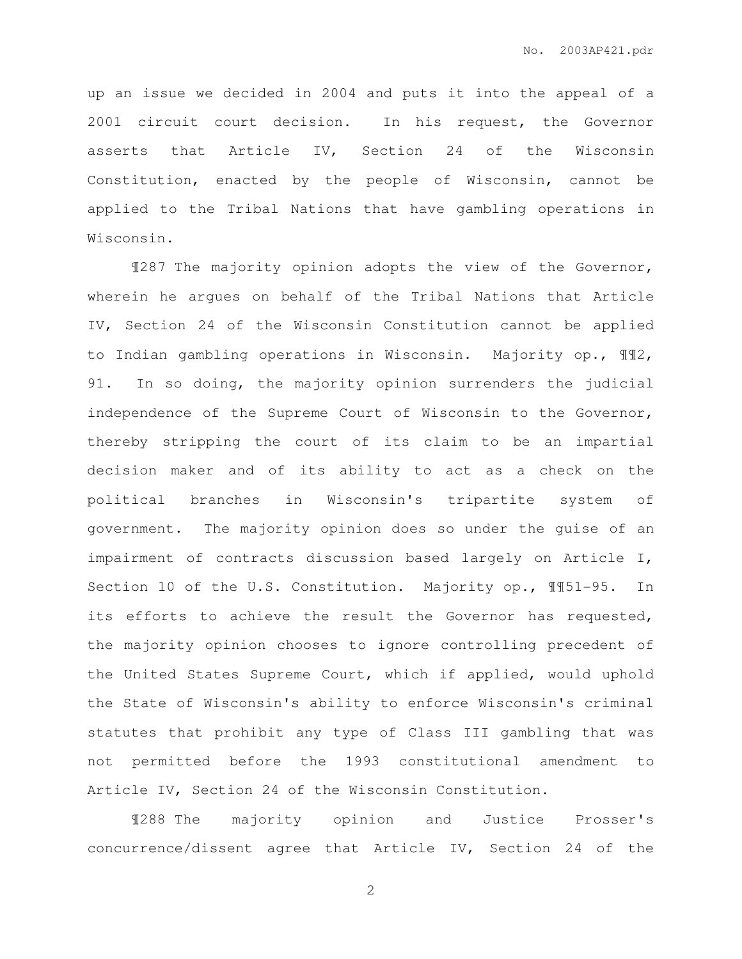up an issue we decided in 2004 and puts it into the appeal of a 2001 circuit court decision. In his request, the Governor asserts that Article IV, Section 24 of the Wisconsin Constitution, enacted by the people of Wisconsin, cannot be applied to the Tribal Nations that have gambling operations in Wisconsin.

¶287 The majority opinion adopts the view of the Governor, wherein he argues on behalf of the Tribal Nations that Article IV, Section 24 of the Wisconsin Constitution cannot be applied to Indian gambling operations in Wisconsin. Majority op., ¶¶2, 91. In so doing, the majority opinion surrenders the judicial independence of the Supreme Court of Wisconsin to the Governor, thereby stripping the court of its claim to be an impartial decision maker and of its ability to act as a check on the political branches in Wisconsin's tripartite system of government. The majority opinion does so under the guise of an impairment of contracts discussion based largely on Article I, Section 10 of the U.S. Constitution. Majority op., ¶¶51-95. In its efforts to achieve the result the Governor has requested, the majority opinion chooses to ignore controlling precedent of the United States Supreme Court, which if applied, would uphold the State of Wisconsin's ability to enforce Wisconsin's criminal statutes that prohibit any type of Class III gambling that was not permitted before the 1993 constitutional amendment to Article IV, Section 24 of the Wisconsin Constitution.

¶288 The majority opinion and Justice Prosser's concurrence/dissent agree that Article IV, Section 24 of the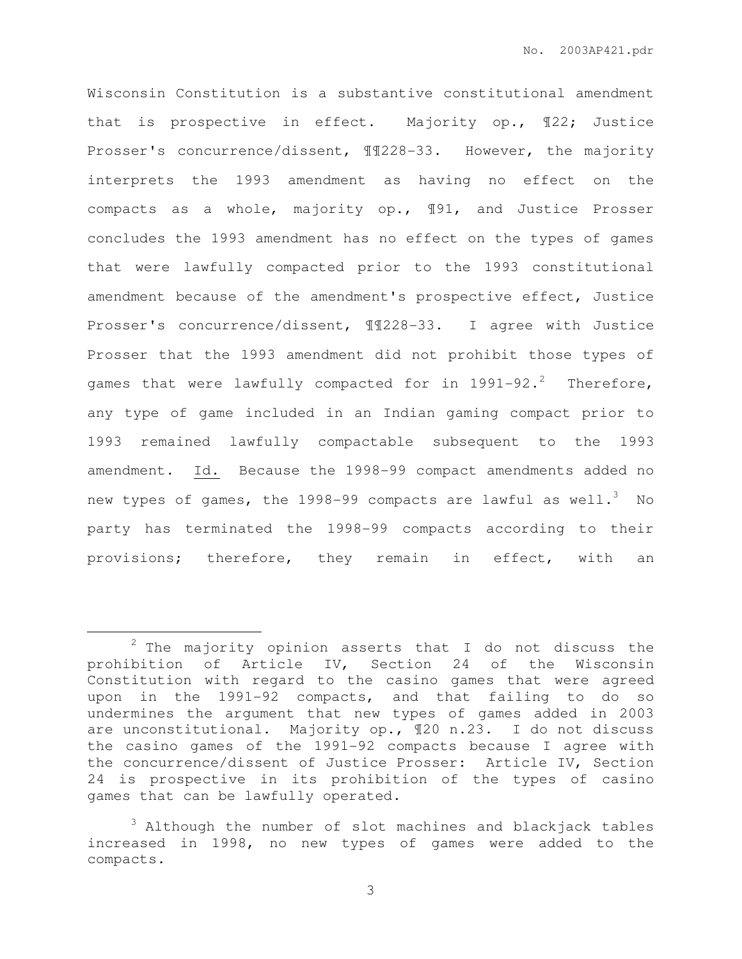Wisconsin Constitution is a substantive constitutional amendment that is prospective in effect. Majority op., ¶22; Justice Prosser's concurrence/dissent, ¶¶228-33. However, the majority interprets the 1993 amendment as having no effect on the compacts as a whole, majority op., ¶91, and Justice Prosser concludes the 1993 amendment has no effect on the types of games that were lawfully compacted prior to the 1993 constitutional amendment because of the amendment's prospective effect, Justice Prosser's concurrence/dissent, ¶¶228-33. I agree with Justice Prosser that the 1993 amendment did not prohibit those types of games that were lawfully compacted for in  $1991-92.^2$  Therefore, any type of game included in an Indian gaming compact prior to 1993 remained lawfully compactable subsequent to the 1993 amendment. Id. Because the 1998-99 compact amendments added no new types of games, the 1998-99 compacts are lawful as well.<sup>3</sup> No party has terminated the 1998-99 compacts according to their provisions; therefore, they remain in effect, with an

 $\overline{a}$ 

 $2$  The majority opinion asserts that I do not discuss the prohibition of Article IV, Section 24 of the Wisconsin Constitution with regard to the casino games that were agreed upon in the 1991-92 compacts, and that failing to do so undermines the argument that new types of games added in 2003 are unconstitutional. Majority op., ¶20 n.23. I do not discuss the casino games of the 1991-92 compacts because I agree with the concurrence/dissent of Justice Prosser: Article IV, Section 24 is prospective in its prohibition of the types of casino games that can be lawfully operated.

<sup>3</sup> Although the number of slot machines and blackjack tables increased in 1998, no new types of games were added to the compacts.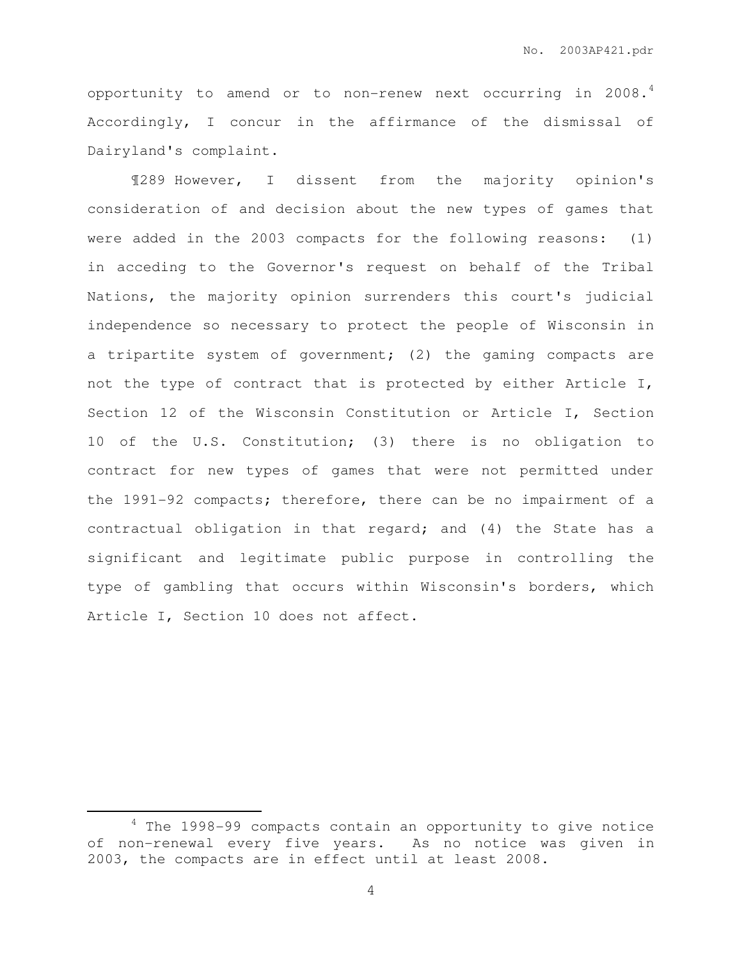opportunity to amend or to non-renew next occurring in 2008.<sup>4</sup> Accordingly, I concur in the affirmance of the dismissal of Dairyland's complaint.

¶289 However, I dissent from the majority opinion's consideration of and decision about the new types of games that were added in the 2003 compacts for the following reasons: (1) in acceding to the Governor's request on behalf of the Tribal Nations, the majority opinion surrenders this court's judicial independence so necessary to protect the people of Wisconsin in a tripartite system of government; (2) the gaming compacts are not the type of contract that is protected by either Article I, Section 12 of the Wisconsin Constitution or Article I, Section 10 of the U.S. Constitution; (3) there is no obligation to contract for new types of games that were not permitted under the 1991-92 compacts; therefore, there can be no impairment of a contractual obligation in that regard; and (4) the State has a significant and legitimate public purpose in controlling the type of gambling that occurs within Wisconsin's borders, which Article I, Section 10 does not affect.

 $\overline{a}$ 

<sup>4</sup> The 1998-99 compacts contain an opportunity to give notice of non-renewal every five years. As no notice was given in 2003, the compacts are in effect until at least 2008.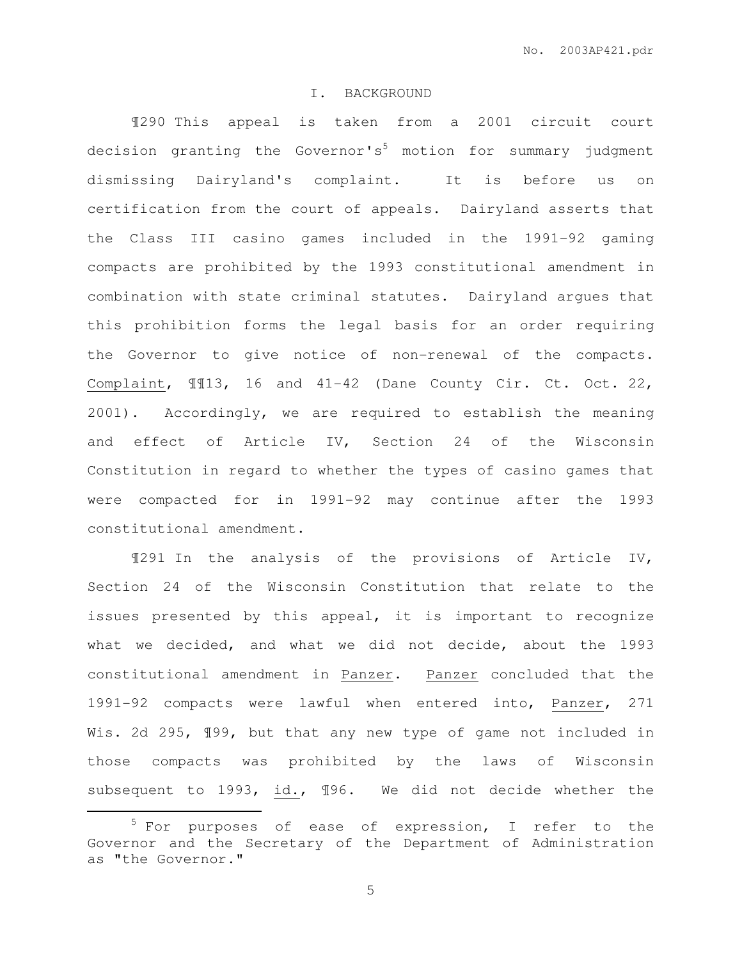### I. BACKGROUND

¶290 This appeal is taken from a 2001 circuit court decision granting the Governor's<sup>5</sup> motion for summary judgment dismissing Dairyland's complaint. It is before us on certification from the court of appeals. Dairyland asserts that the Class III casino games included in the 1991-92 gaming compacts are prohibited by the 1993 constitutional amendment in combination with state criminal statutes. Dairyland argues that this prohibition forms the legal basis for an order requiring the Governor to give notice of non-renewal of the compacts. Complaint, ¶¶13, 16 and 41-42 (Dane County Cir. Ct. Oct. 22, 2001). Accordingly, we are required to establish the meaning and effect of Article IV, Section 24 of the Wisconsin Constitution in regard to whether the types of casino games that were compacted for in 1991-92 may continue after the 1993 constitutional amendment.

¶291 In the analysis of the provisions of Article IV, Section 24 of the Wisconsin Constitution that relate to the issues presented by this appeal, it is important to recognize what we decided, and what we did not decide, about the 1993 constitutional amendment in Panzer. Panzer concluded that the 1991-92 compacts were lawful when entered into, Panzer, 271 Wis. 2d 295, 199, but that any new type of game not included in those compacts was prohibited by the laws of Wisconsin subsequent to 1993, id., ¶96. We did not decide whether the

 $\overline{a}$ 

 $5$  For purposes of ease of expression, I refer to the Governor and the Secretary of the Department of Administration as "the Governor."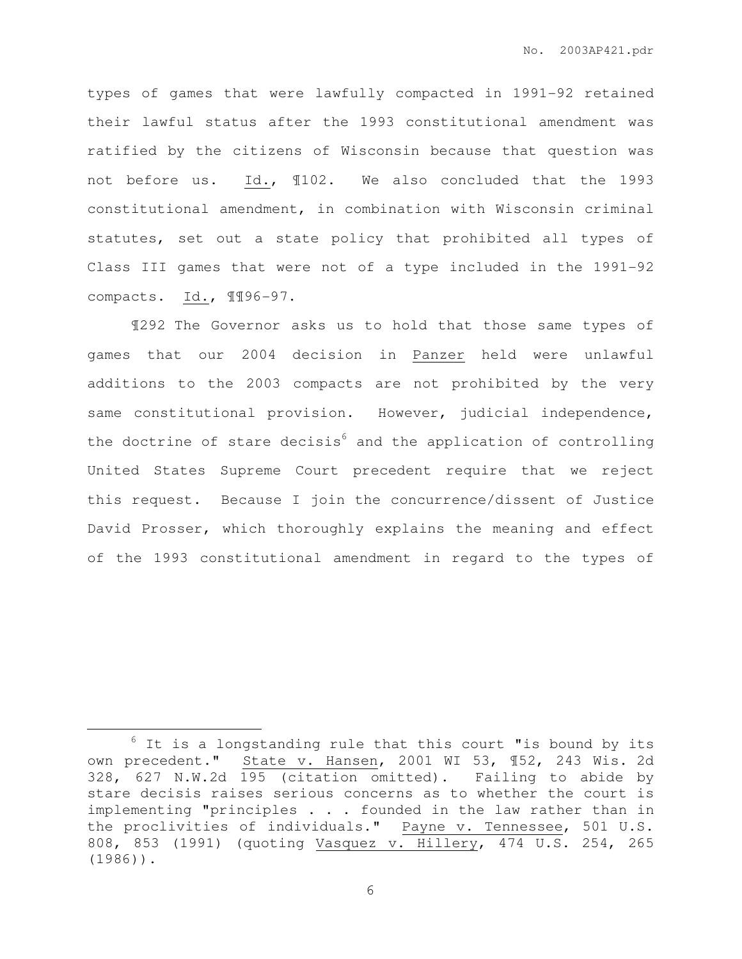types of games that were lawfully compacted in 1991-92 retained their lawful status after the 1993 constitutional amendment was ratified by the citizens of Wisconsin because that question was not before us. Id., ¶102. We also concluded that the 1993 constitutional amendment, in combination with Wisconsin criminal statutes, set out a state policy that prohibited all types of Class III games that were not of a type included in the 1991-92 compacts. Id., ¶¶96-97.

¶292 The Governor asks us to hold that those same types of games that our 2004 decision in Panzer held were unlawful additions to the 2003 compacts are not prohibited by the very same constitutional provision. However, judicial independence, the doctrine of stare decisis $^6$  and the application of controlling United States Supreme Court precedent require that we reject this request. Because I join the concurrence/dissent of Justice David Prosser, which thoroughly explains the meaning and effect of the 1993 constitutional amendment in regard to the types of

 $\overline{a}$ 

 $6$  It is a longstanding rule that this court "is bound by its own precedent." State v. Hansen, 2001 WI 53, ¶52, 243 Wis. 2d 328, 627 N.W.2d 195 (citation omitted). Failing to abide by stare decisis raises serious concerns as to whether the court is implementing "principles . . . founded in the law rather than in the proclivities of individuals." Payne v. Tennessee, 501 U.S. 808, 853 (1991) (quoting Vasquez v. Hillery, 474 U.S. 254, 265 (1986)).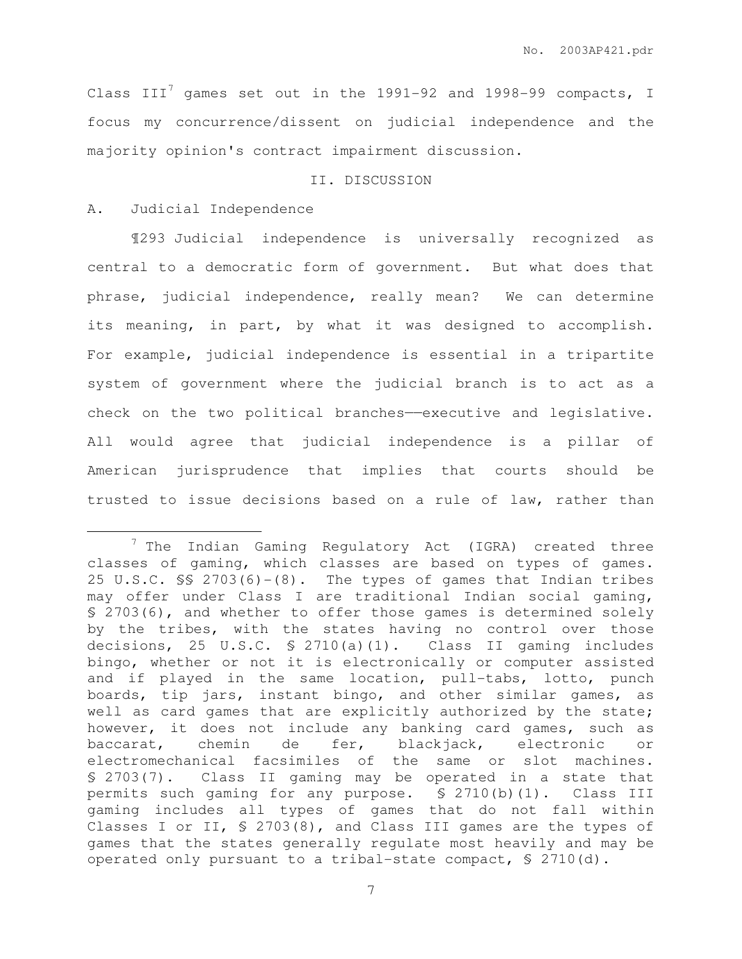Class III<sup>7</sup> games set out in the 1991-92 and 1998-99 compacts, I focus my concurrence/dissent on judicial independence and the majority opinion's contract impairment discussion.

# II. DISCUSSION

# A. Judicial Independence

 $\overline{a}$ 

¶293 Judicial independence is universally recognized as central to a democratic form of government. But what does that phrase, judicial independence, really mean? We can determine its meaning, in part, by what it was designed to accomplish. For example, judicial independence is essential in a tripartite system of government where the judicial branch is to act as a check on the two political branches-executive and legislative. All would agree that judicial independence is a pillar of American jurisprudence that implies that courts should be trusted to issue decisions based on a rule of law, rather than

<sup>7</sup> The Indian Gaming Regulatory Act (IGRA) created three classes of gaming, which classes are based on types of games. 25 U.S.C. §§ 2703(6)-(8). The types of games that Indian tribes may offer under Class I are traditional Indian social gaming, § 2703(6), and whether to offer those games is determined solely by the tribes, with the states having no control over those decisions, 25 U.S.C. § 2710(a)(1). Class II gaming includes bingo, whether or not it is electronically or computer assisted and if played in the same location, pull-tabs, lotto, punch boards, tip jars, instant bingo, and other similar games, as well as card games that are explicitly authorized by the state; however, it does not include any banking card games, such as baccarat, chemin de fer, blackjack, electronic or electromechanical facsimiles of the same or slot machines. § 2703(7). Class II gaming may be operated in a state that permits such gaming for any purpose. § 2710(b)(1). Class III gaming includes all types of games that do not fall within Classes I or II, § 2703(8), and Class III games are the types of games that the states generally regulate most heavily and may be operated only pursuant to a tribal-state compact, § 2710(d).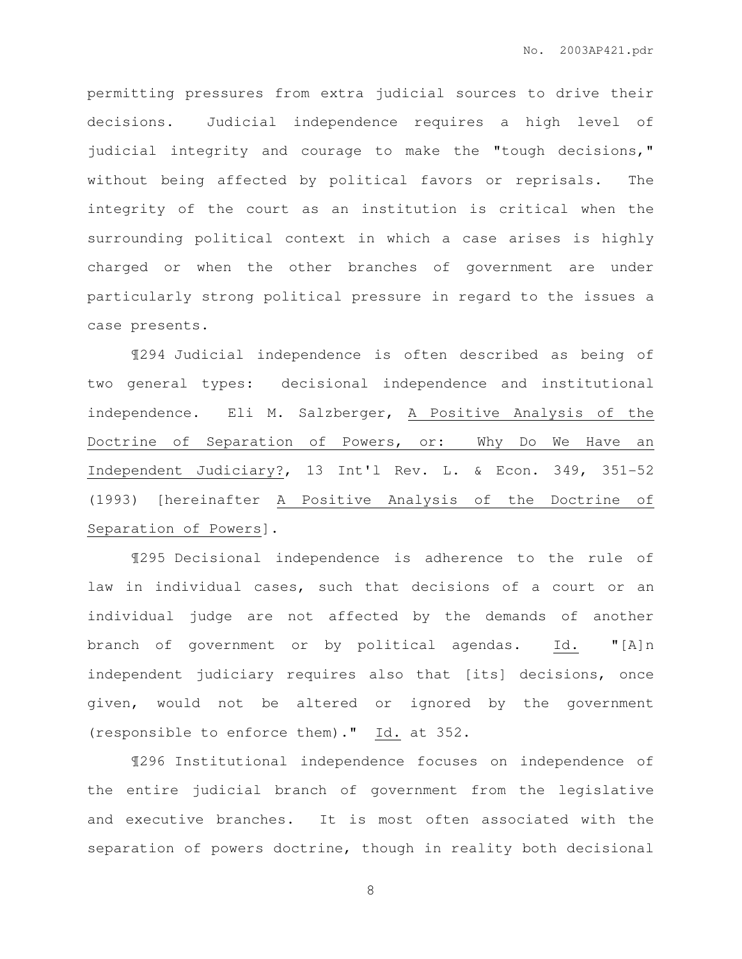permitting pressures from extra judicial sources to drive their decisions. Judicial independence requires a high level of judicial integrity and courage to make the "tough decisions," without being affected by political favors or reprisals. The integrity of the court as an institution is critical when the surrounding political context in which a case arises is highly charged or when the other branches of government are under particularly strong political pressure in regard to the issues a case presents.

¶294 Judicial independence is often described as being of two general types: decisional independence and institutional independence. Eli M. Salzberger, A Positive Analysis of the Doctrine of Separation of Powers, or: Why Do We Have an Independent Judiciary?, 13 Int'l Rev. L. & Econ. 349, 351-52 (1993) [hereinafter A Positive Analysis of the Doctrine of Separation of Powers].

¶295 Decisional independence is adherence to the rule of law in individual cases, such that decisions of a court or an individual judge are not affected by the demands of another branch of government or by political agendas. Id. "[A]n independent judiciary requires also that [its] decisions, once given, would not be altered or ignored by the government (responsible to enforce them)." Id. at 352.

¶296 Institutional independence focuses on independence of the entire judicial branch of government from the legislative and executive branches. It is most often associated with the separation of powers doctrine, though in reality both decisional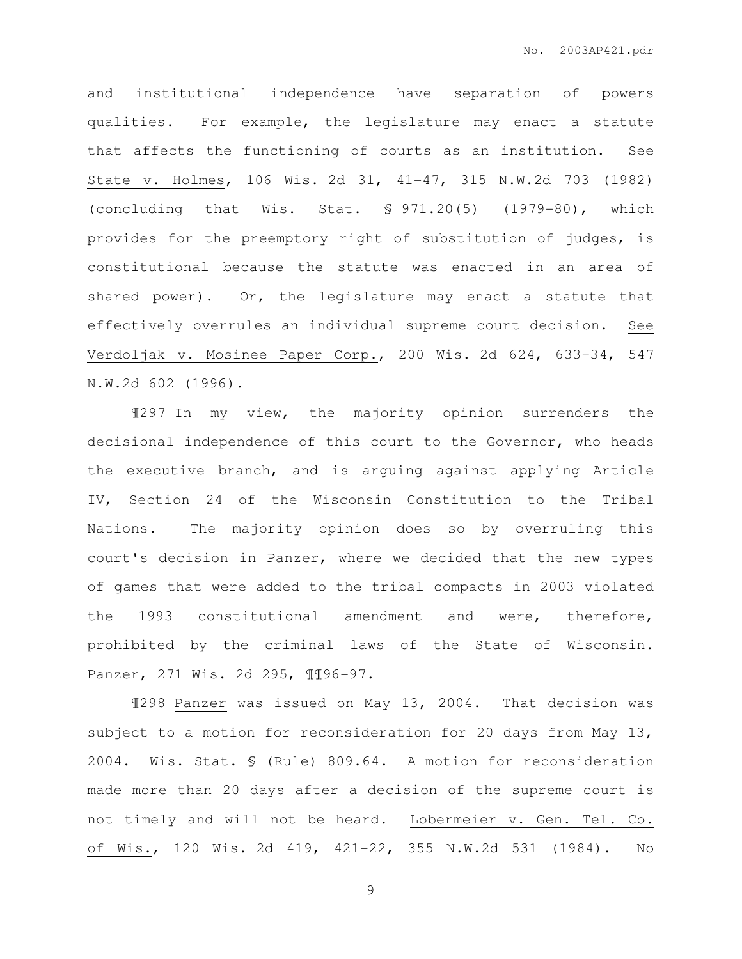and institutional independence have separation of powers qualities. For example, the legislature may enact a statute that affects the functioning of courts as an institution. See State v. Holmes, 106 Wis. 2d 31, 41-47, 315 N.W.2d 703 (1982) (concluding that Wis. Stat. § 971.20(5) (1979-80), which provides for the preemptory right of substitution of judges, is constitutional because the statute was enacted in an area of shared power). Or, the legislature may enact a statute that effectively overrules an individual supreme court decision. See Verdoljak v. Mosinee Paper Corp., 200 Wis. 2d 624, 633-34, 547 N.W.2d 602 (1996).

¶297 In my view, the majority opinion surrenders the decisional independence of this court to the Governor, who heads the executive branch, and is arguing against applying Article IV, Section 24 of the Wisconsin Constitution to the Tribal Nations. The majority opinion does so by overruling this court's decision in Panzer, where we decided that the new types of games that were added to the tribal compacts in 2003 violated the 1993 constitutional amendment and were, therefore, prohibited by the criminal laws of the State of Wisconsin. Panzer, 271 Wis. 2d 295, ¶¶96-97.

¶298 Panzer was issued on May 13, 2004. That decision was subject to a motion for reconsideration for 20 days from May 13, 2004. Wis. Stat. § (Rule) 809.64. A motion for reconsideration made more than 20 days after a decision of the supreme court is not timely and will not be heard. Lobermeier v. Gen. Tel. Co. of Wis., 120 Wis. 2d 419, 421-22, 355 N.W.2d 531 (1984). No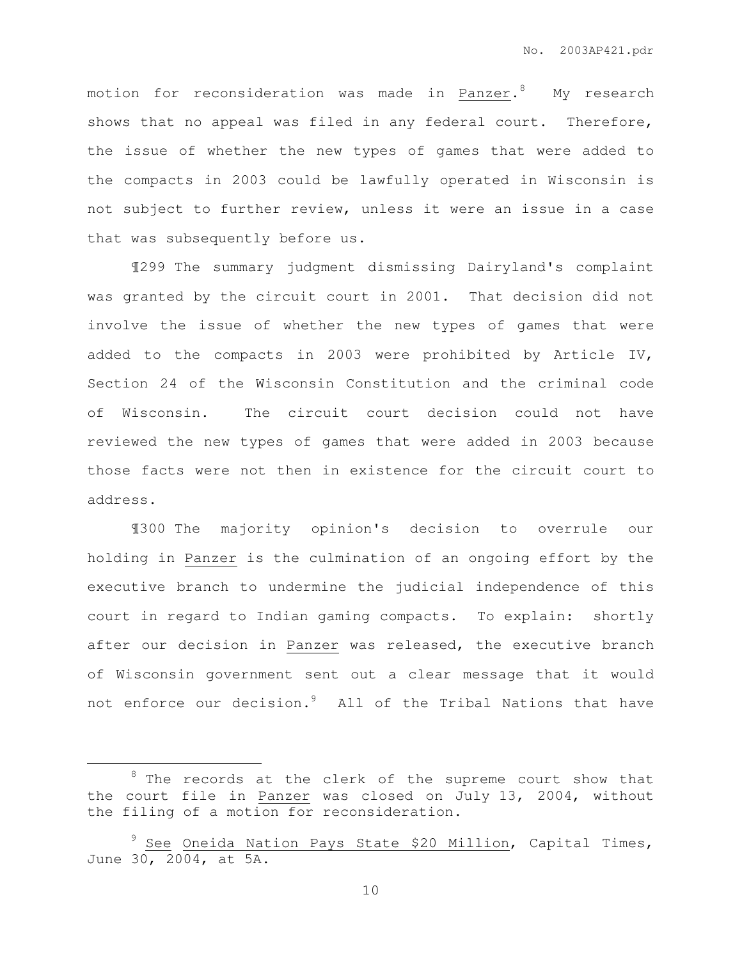motion for reconsideration was made in Panzer. $^8$  My research shows that no appeal was filed in any federal court. Therefore, the issue of whether the new types of games that were added to the compacts in 2003 could be lawfully operated in Wisconsin is not subject to further review, unless it were an issue in a case that was subsequently before us.

¶299 The summary judgment dismissing Dairyland's complaint was granted by the circuit court in 2001. That decision did not involve the issue of whether the new types of games that were added to the compacts in 2003 were prohibited by Article IV, Section 24 of the Wisconsin Constitution and the criminal code of Wisconsin. The circuit court decision could not have reviewed the new types of games that were added in 2003 because those facts were not then in existence for the circuit court to address.

¶300 The majority opinion's decision to overrule our holding in Panzer is the culmination of an ongoing effort by the executive branch to undermine the judicial independence of this court in regard to Indian gaming compacts. To explain: shortly after our decision in Panzer was released, the executive branch of Wisconsin government sent out a clear message that it would not enforce our decision.<sup>9</sup> All of the Tribal Nations that have

 $\overline{a}$ 

 $8$  The records at the clerk of the supreme court show that the court file in Panzer was closed on July 13, 2004, without the filing of a motion for reconsideration.

See Oneida Nation Pays State \$20 Million, Capital Times, June 30, 2004, at 5A.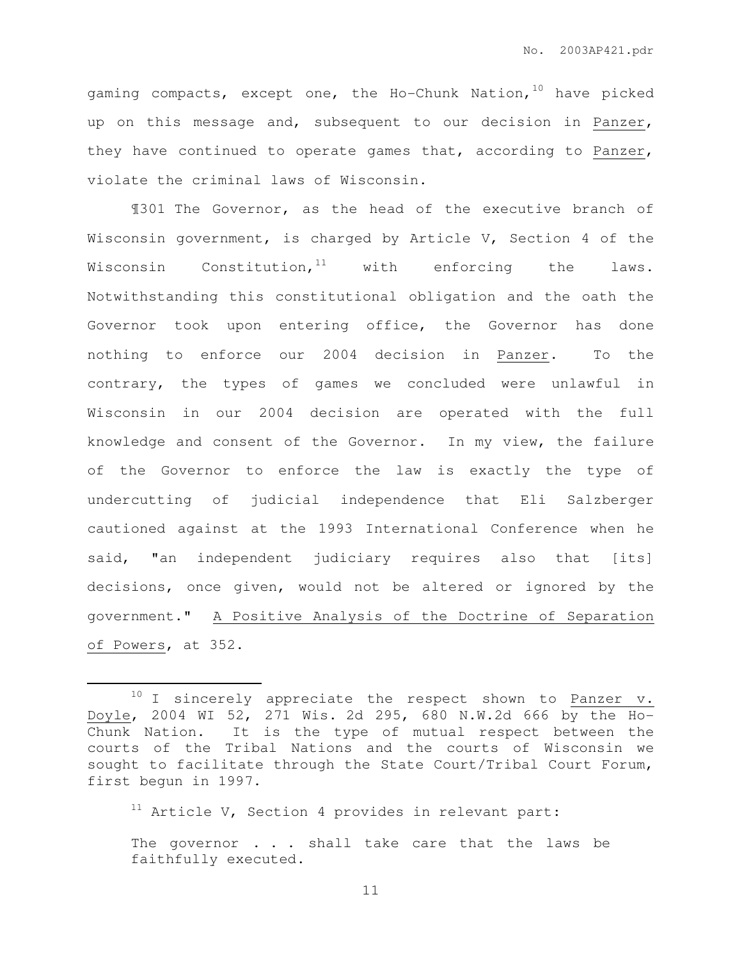gaming compacts, except one, the Ho-Chunk Nation,  $10$  have picked up on this message and, subsequent to our decision in Panzer, they have continued to operate games that, according to Panzer, violate the criminal laws of Wisconsin.

¶301 The Governor, as the head of the executive branch of Wisconsin government, is charged by Article V, Section 4 of the Wisconsin Constitution,  $11$  with enforcing the laws. Notwithstanding this constitutional obligation and the oath the Governor took upon entering office, the Governor has done nothing to enforce our 2004 decision in Panzer. To the contrary, the types of games we concluded were unlawful in Wisconsin in our 2004 decision are operated with the full knowledge and consent of the Governor. In my view, the failure of the Governor to enforce the law is exactly the type of undercutting of judicial independence that Eli Salzberger cautioned against at the 1993 International Conference when he said, "an independent judiciary requires also that [its] decisions, once given, would not be altered or ignored by the government." A Positive Analysis of the Doctrine of Separation of Powers, at 352.

 $11$  Article V, Section 4 provides in relevant part:

 $\overline{a}$ 

 $10$  I sincerely appreciate the respect shown to Panzer v. Doyle, 2004 WI 52, 271 Wis. 2d 295, 680 N.W.2d 666 by the Ho-Chunk Nation. It is the type of mutual respect between the courts of the Tribal Nations and the courts of Wisconsin we sought to facilitate through the State Court/Tribal Court Forum, first begun in 1997.

The governor . . . shall take care that the laws be faithfully executed.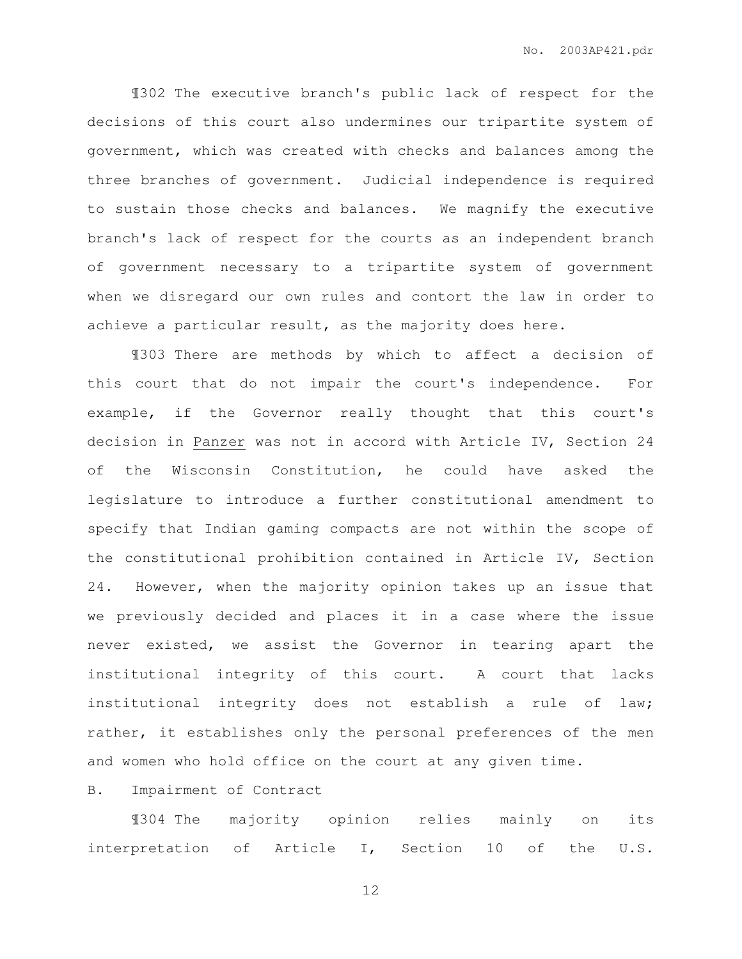¶302 The executive branch's public lack of respect for the decisions of this court also undermines our tripartite system of government, which was created with checks and balances among the three branches of government. Judicial independence is required to sustain those checks and balances. We magnify the executive branch's lack of respect for the courts as an independent branch of government necessary to a tripartite system of government when we disregard our own rules and contort the law in order to achieve a particular result, as the majority does here.

¶303 There are methods by which to affect a decision of this court that do not impair the court's independence. For example, if the Governor really thought that this court's decision in Panzer was not in accord with Article IV, Section 24 of the Wisconsin Constitution, he could have asked the legislature to introduce a further constitutional amendment to specify that Indian gaming compacts are not within the scope of the constitutional prohibition contained in Article IV, Section 24. However, when the majority opinion takes up an issue that we previously decided and places it in a case where the issue never existed, we assist the Governor in tearing apart the institutional integrity of this court. A court that lacks institutional integrity does not establish a rule of law; rather, it establishes only the personal preferences of the men and women who hold office on the court at any given time.

B. Impairment of Contract

¶304 The majority opinion relies mainly on its interpretation of Article I, Section 10 of the U.S.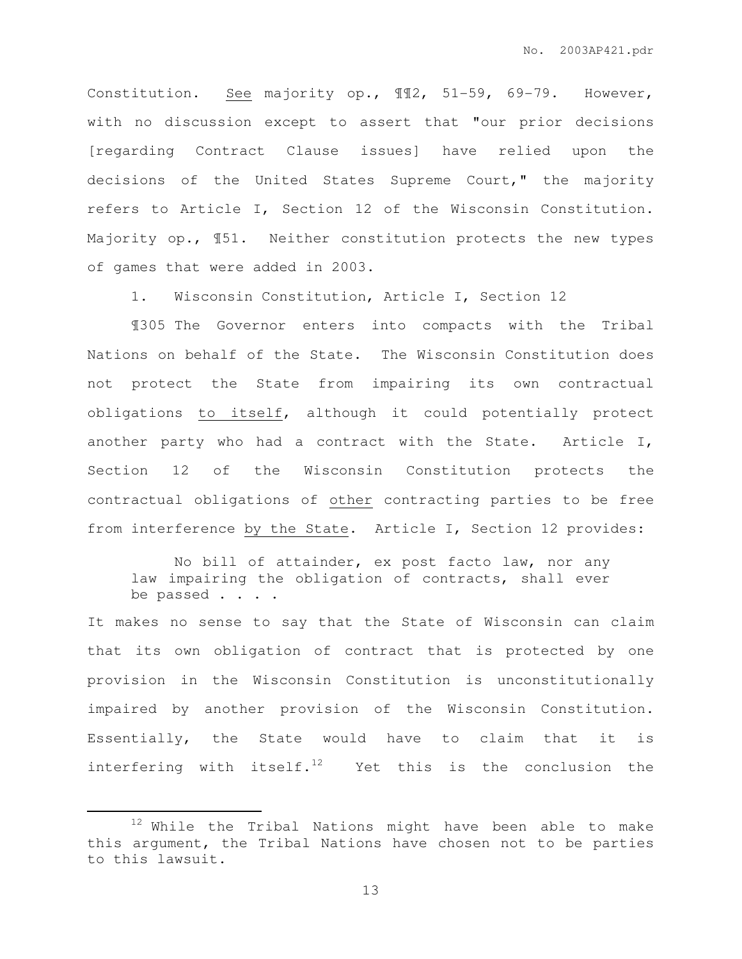Constitution. See majority op., ¶¶2, 51-59, 69-79. However, with no discussion except to assert that "our prior decisions [regarding Contract Clause issues] have relied upon the decisions of the United States Supreme Court," the majority refers to Article I, Section 12 of the Wisconsin Constitution. Majority op., ¶51. Neither constitution protects the new types of games that were added in 2003.

1. Wisconsin Constitution, Article I, Section 12

¶305 The Governor enters into compacts with the Tribal Nations on behalf of the State. The Wisconsin Constitution does not protect the State from impairing its own contractual obligations to itself, although it could potentially protect another party who had a contract with the State. Article I, Section 12 of the Wisconsin Constitution protects the contractual obligations of other contracting parties to be free from interference by the State. Article I, Section 12 provides:

No bill of attainder, ex post facto law, nor any law impairing the obligation of contracts, shall ever be passed . . . .

It makes no sense to say that the State of Wisconsin can claim that its own obligation of contract that is protected by one provision in the Wisconsin Constitution is unconstitutionally impaired by another provision of the Wisconsin Constitution. Essentially, the State would have to claim that it is interfering with itself.<sup>12</sup> Yet this is the conclusion the

 $\overline{a}$ 

 $12$  While the Tribal Nations might have been able to make this argument, the Tribal Nations have chosen not to be parties to this lawsuit.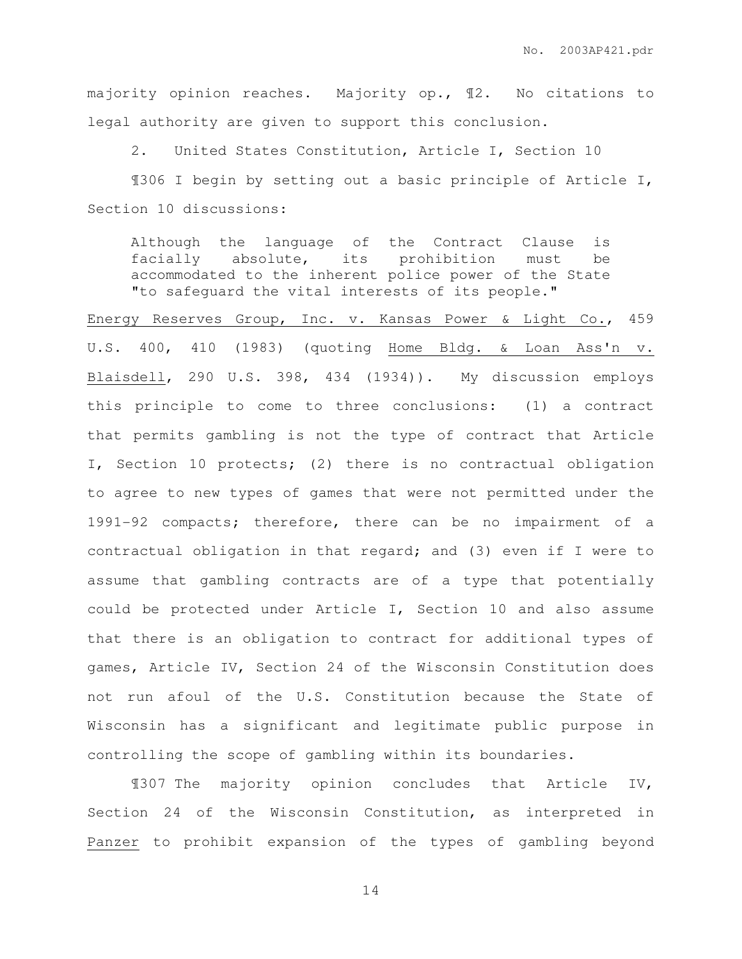majority opinion reaches. Majority op., ¶2. No citations to legal authority are given to support this conclusion.

2. United States Constitution, Article I, Section 10

¶306 I begin by setting out a basic principle of Article I, Section 10 discussions:

Although the language of the Contract Clause is facially absolute, its prohibition must be accommodated to the inherent police power of the State "to safeguard the vital interests of its people."

Energy Reserves Group, Inc. v. Kansas Power & Light Co., 459 U.S. 400, 410 (1983) (quoting Home Bldg. & Loan Ass'n v. Blaisdell, 290 U.S. 398, 434 (1934)). My discussion employs this principle to come to three conclusions: (1) a contract that permits gambling is not the type of contract that Article I, Section 10 protects; (2) there is no contractual obligation to agree to new types of games that were not permitted under the 1991-92 compacts; therefore, there can be no impairment of a contractual obligation in that regard; and (3) even if I were to assume that gambling contracts are of a type that potentially could be protected under Article I, Section 10 and also assume that there is an obligation to contract for additional types of games, Article IV, Section 24 of the Wisconsin Constitution does not run afoul of the U.S. Constitution because the State of Wisconsin has a significant and legitimate public purpose in controlling the scope of gambling within its boundaries.

¶307 The majority opinion concludes that Article IV, Section 24 of the Wisconsin Constitution, as interpreted in Panzer to prohibit expansion of the types of gambling beyond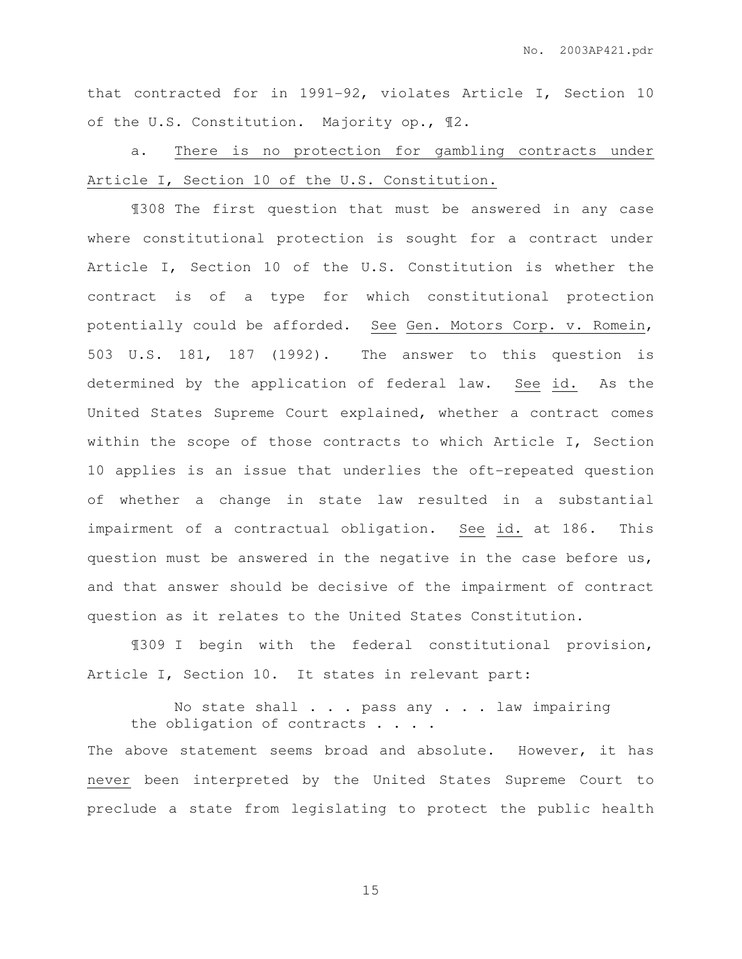that contracted for in 1991-92, violates Article I, Section 10 of the U.S. Constitution. Majority op., ¶2.

a. There is no protection for gambling contracts under Article I, Section 10 of the U.S. Constitution.

¶308 The first question that must be answered in any case where constitutional protection is sought for a contract under Article I, Section 10 of the U.S. Constitution is whether the contract is of a type for which constitutional protection potentially could be afforded. See Gen. Motors Corp. v. Romein, 503 U.S. 181, 187 (1992). The answer to this question is determined by the application of federal law. See id. As the United States Supreme Court explained, whether a contract comes within the scope of those contracts to which Article I, Section 10 applies is an issue that underlies the oft-repeated question of whether a change in state law resulted in a substantial impairment of a contractual obligation. See id. at 186. This question must be answered in the negative in the case before us, and that answer should be decisive of the impairment of contract question as it relates to the United States Constitution.

¶309 I begin with the federal constitutional provision, Article I, Section 10. It states in relevant part:

No state shall . . . pass any . . . law impairing the obligation of contracts . . . . The above statement seems broad and absolute. However, it has never been interpreted by the United States Supreme Court to preclude a state from legislating to protect the public health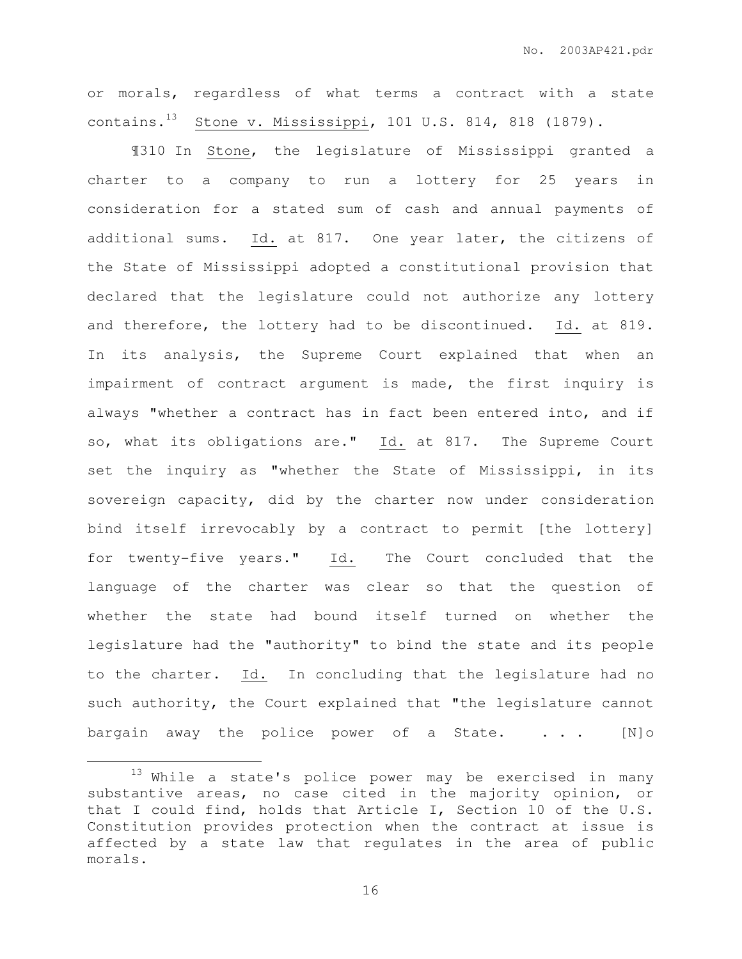or morals, regardless of what terms a contract with a state contains.<sup>13</sup> Stone v. Mississippi, 101 U.S. 814, 818 (1879).

¶310 In Stone, the legislature of Mississippi granted a charter to a company to run a lottery for 25 years in consideration for a stated sum of cash and annual payments of additional sums. Id. at 817. One year later, the citizens of the State of Mississippi adopted a constitutional provision that declared that the legislature could not authorize any lottery and therefore, the lottery had to be discontinued. Id. at 819. In its analysis, the Supreme Court explained that when an impairment of contract argument is made, the first inquiry is always "whether a contract has in fact been entered into, and if so, what its obligations are." Id. at 817. The Supreme Court set the inquiry as "whether the State of Mississippi, in its sovereign capacity, did by the charter now under consideration bind itself irrevocably by a contract to permit [the lottery] for twenty-five years." Id. The Court concluded that the language of the charter was clear so that the question of whether the state had bound itself turned on whether the legislature had the "authority" to bind the state and its people to the charter. Id. In concluding that the legislature had no such authority, the Court explained that "the legislature cannot bargain away the police power of a State. . . . [N]o

 $\overline{a}$ 

 $13$  While a state's police power may be exercised in many substantive areas, no case cited in the majority opinion, or that I could find, holds that Article I, Section 10 of the U.S. Constitution provides protection when the contract at issue is affected by a state law that regulates in the area of public morals.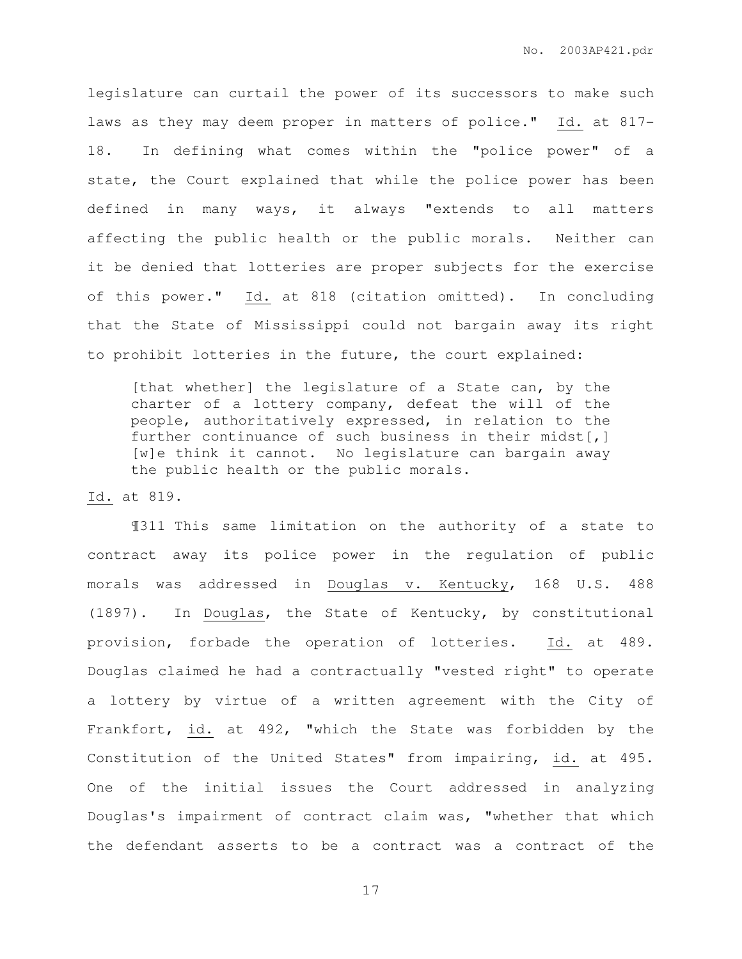legislature can curtail the power of its successors to make such laws as they may deem proper in matters of police." Id. at 817- 18. In defining what comes within the "police power" of a state, the Court explained that while the police power has been defined in many ways, it always "extends to all matters affecting the public health or the public morals. Neither can it be denied that lotteries are proper subjects for the exercise of this power." Id. at 818 (citation omitted). In concluding that the State of Mississippi could not bargain away its right to prohibit lotteries in the future, the court explained:

[that whether] the legislature of a State can, by the charter of a lottery company, defeat the will of the people, authoritatively expressed, in relation to the further continuance of such business in their midst[,] [w]e think it cannot. No legislature can bargain away the public health or the public morals.

#### Id. at 819.

¶311 This same limitation on the authority of a state to contract away its police power in the regulation of public morals was addressed in Douglas v. Kentucky, 168 U.S. 488 (1897). In Douglas, the State of Kentucky, by constitutional provision, forbade the operation of lotteries. Id. at 489. Douglas claimed he had a contractually "vested right" to operate a lottery by virtue of a written agreement with the City of Frankfort, id. at 492, "which the State was forbidden by the Constitution of the United States" from impairing, id. at 495. One of the initial issues the Court addressed in analyzing Douglas's impairment of contract claim was, "whether that which the defendant asserts to be a contract was a contract of the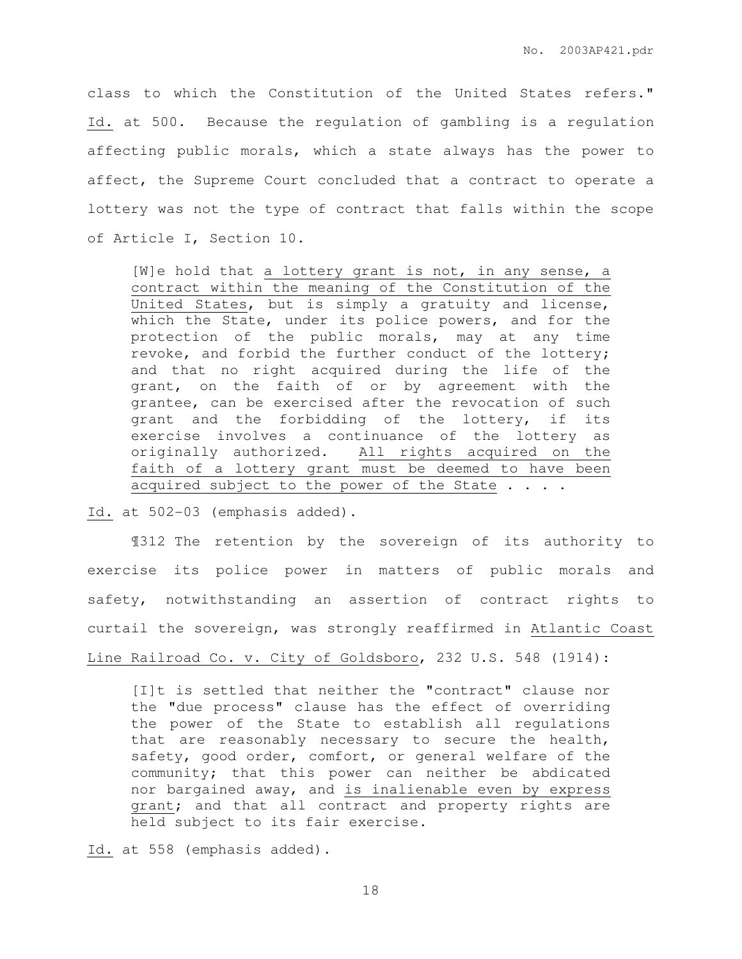class to which the Constitution of the United States refers." Id. at 500. Because the regulation of gambling is a regulation affecting public morals, which a state always has the power to affect, the Supreme Court concluded that a contract to operate a lottery was not the type of contract that falls within the scope of Article I, Section 10.

[W]e hold that a lottery grant is not, in any sense, a contract within the meaning of the Constitution of the United States, but is simply a gratuity and license, which the State, under its police powers, and for the protection of the public morals, may at any time revoke, and forbid the further conduct of the lottery; and that no right acquired during the life of the grant, on the faith of or by agreement with the grantee, can be exercised after the revocation of such grant and the forbidding of the lottery, if its exercise involves a continuance of the lottery as originally authorized. All rights acquired on the faith of a lottery grant must be deemed to have been acquired subject to the power of the State . . . .

Id. at 502-03 (emphasis added).

¶312 The retention by the sovereign of its authority to exercise its police power in matters of public morals and safety, notwithstanding an assertion of contract rights to curtail the sovereign, was strongly reaffirmed in Atlantic Coast Line Railroad Co. v. City of Goldsboro, 232 U.S. 548 (1914):

[I]t is settled that neither the "contract" clause nor the "due process" clause has the effect of overriding the power of the State to establish all regulations that are reasonably necessary to secure the health, safety, good order, comfort, or general welfare of the community; that this power can neither be abdicated nor bargained away, and is inalienable even by express grant; and that all contract and property rights are held subject to its fair exercise.

Id. at 558 (emphasis added).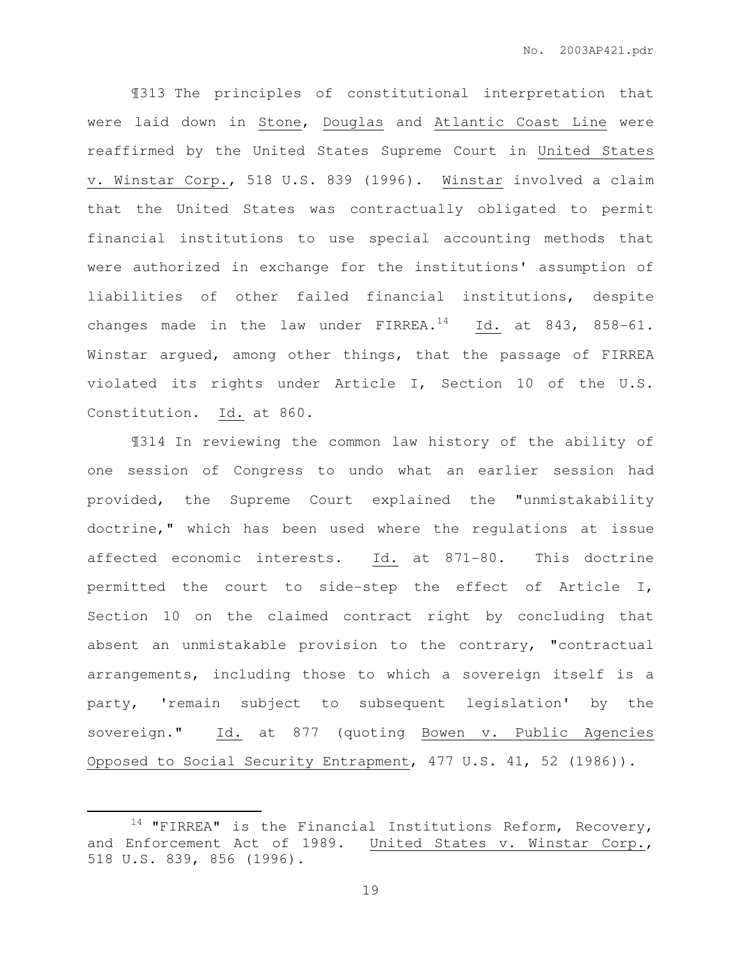¶313 The principles of constitutional interpretation that were laid down in Stone, Douglas and Atlantic Coast Line were reaffirmed by the United States Supreme Court in United States v. Winstar Corp., 518 U.S. 839 (1996). Winstar involved a claim that the United States was contractually obligated to permit financial institutions to use special accounting methods that were authorized in exchange for the institutions' assumption of liabilities of other failed financial institutions, despite changes made in the law under  $FIRREA.<sup>14</sup>$  Id. at 843, 858-61. Winstar argued, among other things, that the passage of FIRREA violated its rights under Article I, Section 10 of the U.S. Constitution. Id. at 860.

¶314 In reviewing the common law history of the ability of one session of Congress to undo what an earlier session had provided, the Supreme Court explained the "unmistakability doctrine," which has been used where the regulations at issue affected economic interests. Id. at 871-80. This doctrine permitted the court to side-step the effect of Article I, Section 10 on the claimed contract right by concluding that absent an unmistakable provision to the contrary, "contractual arrangements, including those to which a sovereign itself is a party, 'remain subject to subsequent legislation' by the sovereign." Id. at 877 (quoting Bowen v. Public Agencies Opposed to Social Security Entrapment, 477 U.S. 41, 52 (1986)).

 $\overline{a}$ 

 $14$  "FIRREA" is the Financial Institutions Reform, Recovery, and Enforcement Act of 1989. United States v. Winstar Corp., 518 U.S. 839, 856 (1996).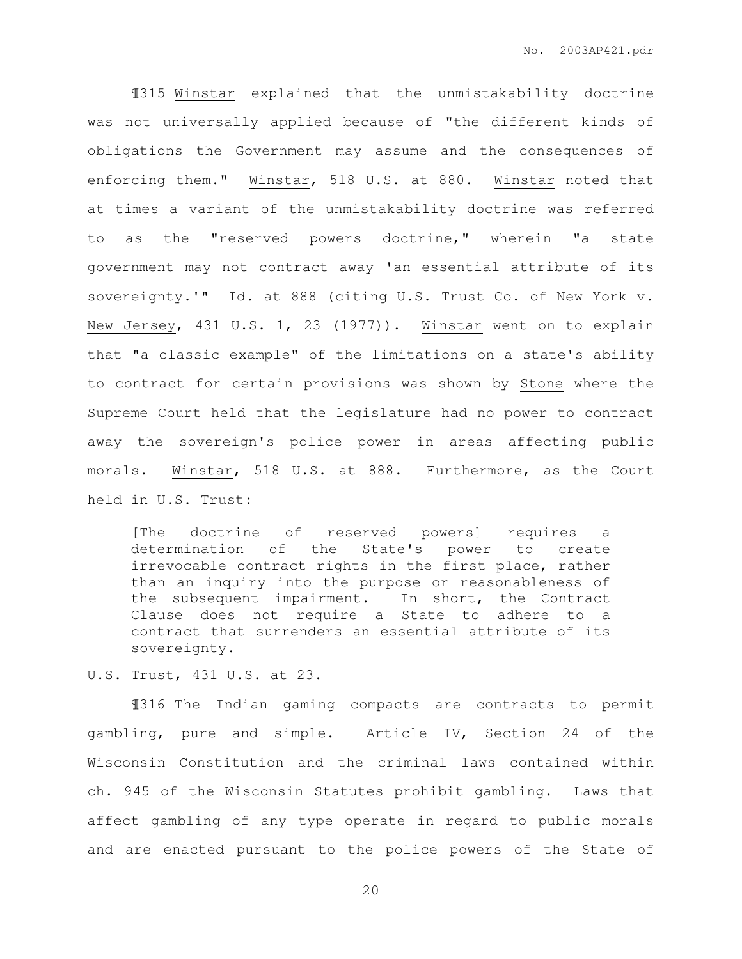¶315 Winstar explained that the unmistakability doctrine was not universally applied because of "the different kinds of obligations the Government may assume and the consequences of enforcing them." Winstar, 518 U.S. at 880. Winstar noted that at times a variant of the unmistakability doctrine was referred to as the "reserved powers doctrine," wherein "a state government may not contract away 'an essential attribute of its sovereignty.'" Id. at 888 (citing U.S. Trust Co. of New York v. New Jersey, 431 U.S. 1, 23 (1977)). Winstar went on to explain that "a classic example" of the limitations on a state's ability to contract for certain provisions was shown by Stone where the Supreme Court held that the legislature had no power to contract away the sovereign's police power in areas affecting public morals. Winstar, 518 U.S. at 888. Furthermore, as the Court held in U.S. Trust:

[The doctrine of reserved powers] requires a determination of the State's power to create irrevocable contract rights in the first place, rather than an inquiry into the purpose or reasonableness of the subsequent impairment. In short, the Contract Clause does not require a State to adhere to a contract that surrenders an essential attribute of its sovereignty.

### U.S. Trust, 431 U.S. at 23.

¶316 The Indian gaming compacts are contracts to permit gambling, pure and simple. Article IV, Section 24 of the Wisconsin Constitution and the criminal laws contained within ch. 945 of the Wisconsin Statutes prohibit gambling. Laws that affect gambling of any type operate in regard to public morals and are enacted pursuant to the police powers of the State of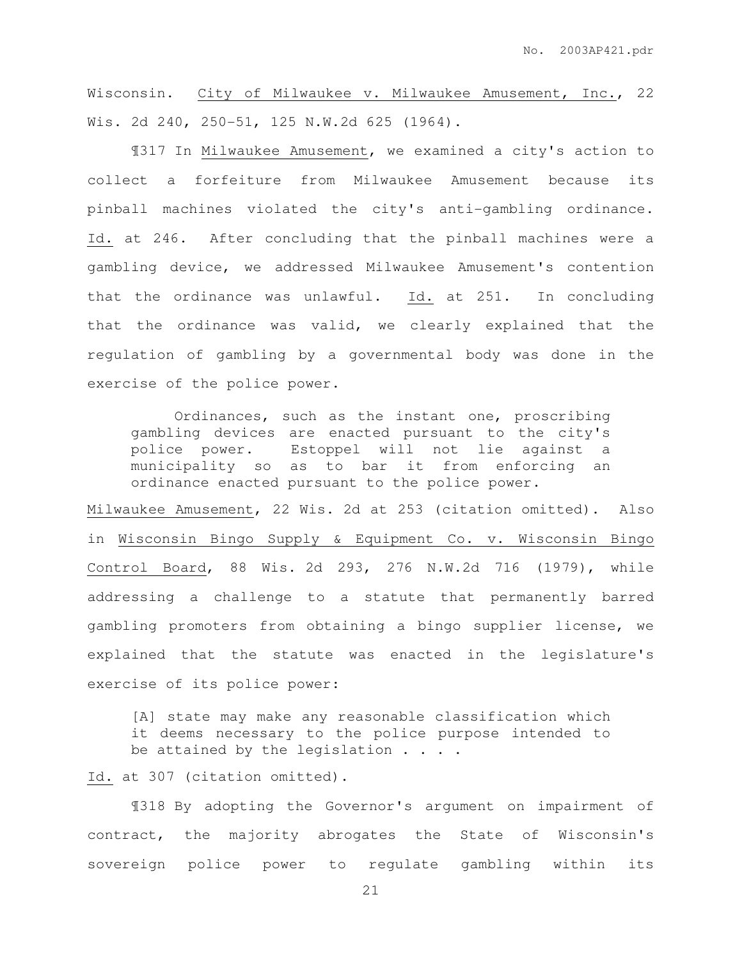Wisconsin. City of Milwaukee v. Milwaukee Amusement, Inc., 22 Wis. 2d 240, 250-51, 125 N.W.2d 625 (1964).

¶317 In Milwaukee Amusement, we examined a city's action to collect a forfeiture from Milwaukee Amusement because its pinball machines violated the city's anti-gambling ordinance. Id. at 246. After concluding that the pinball machines were a gambling device, we addressed Milwaukee Amusement's contention that the ordinance was unlawful. Id. at 251. In concluding that the ordinance was valid, we clearly explained that the regulation of gambling by a governmental body was done in the exercise of the police power.

Ordinances, such as the instant one, proscribing gambling devices are enacted pursuant to the city's police power. Estoppel will not lie against a municipality so as to bar it from enforcing an ordinance enacted pursuant to the police power.

Milwaukee Amusement, 22 Wis. 2d at 253 (citation omitted). Also in Wisconsin Bingo Supply & Equipment Co. v. Wisconsin Bingo Control Board, 88 Wis. 2d 293, 276 N.W.2d 716 (1979), while addressing a challenge to a statute that permanently barred gambling promoters from obtaining a bingo supplier license, we explained that the statute was enacted in the legislature's exercise of its police power:

[A] state may make any reasonable classification which it deems necessary to the police purpose intended to be attained by the legislation . . . .

Id. at 307 (citation omitted).

¶318 By adopting the Governor's argument on impairment of contract, the majority abrogates the State of Wisconsin's sovereign police power to regulate gambling within its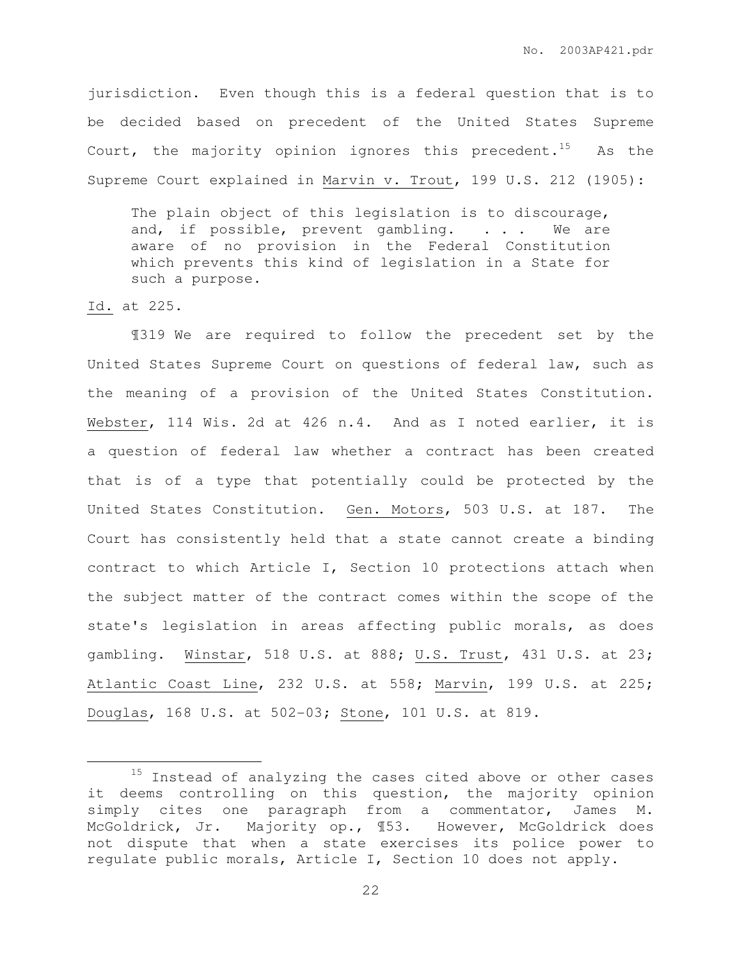jurisdiction. Even though this is a federal question that is to be decided based on precedent of the United States Supreme Court, the majority opinion ignores this precedent.<sup>15</sup> As the Supreme Court explained in Marvin v. Trout, 199 U.S. 212 (1905):

The plain object of this legislation is to discourage, and, if possible, prevent gambling. . . . We are aware of no provision in the Federal Constitution which prevents this kind of legislation in a State for such a purpose.

### Id. at 225.

 $\overline{a}$ 

¶319 We are required to follow the precedent set by the United States Supreme Court on questions of federal law, such as the meaning of a provision of the United States Constitution. Webster, 114 Wis. 2d at 426 n.4. And as I noted earlier, it is a question of federal law whether a contract has been created that is of a type that potentially could be protected by the United States Constitution. Gen. Motors, 503 U.S. at 187. The Court has consistently held that a state cannot create a binding contract to which Article I, Section 10 protections attach when the subject matter of the contract comes within the scope of the state's legislation in areas affecting public morals, as does gambling. Winstar, 518 U.S. at 888; U.S. Trust, 431 U.S. at 23; Atlantic Coast Line, 232 U.S. at 558; Marvin, 199 U.S. at 225; Douglas, 168 U.S. at 502-03; Stone, 101 U.S. at 819.

<sup>&</sup>lt;sup>15</sup> Instead of analyzing the cases cited above or other cases it deems controlling on this question, the majority opinion simply cites one paragraph from a commentator, James M. McGoldrick, Jr. Majority op., 153. However, McGoldrick does not dispute that when a state exercises its police power to regulate public morals, Article I, Section 10 does not apply.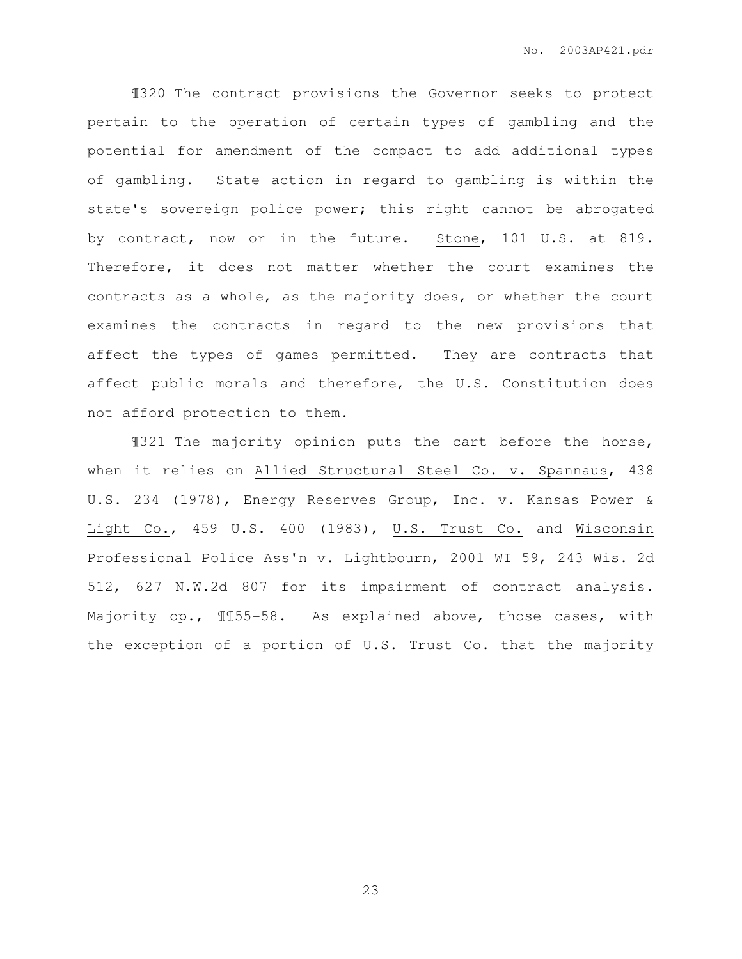¶320 The contract provisions the Governor seeks to protect pertain to the operation of certain types of gambling and the potential for amendment of the compact to add additional types of gambling. State action in regard to gambling is within the state's sovereign police power; this right cannot be abrogated by contract, now or in the future. Stone, 101 U.S. at 819. Therefore, it does not matter whether the court examines the contracts as a whole, as the majority does, or whether the court examines the contracts in regard to the new provisions that affect the types of games permitted. They are contracts that affect public morals and therefore, the U.S. Constitution does not afford protection to them.

¶321 The majority opinion puts the cart before the horse, when it relies on Allied Structural Steel Co. v. Spannaus, 438 U.S. 234 (1978), Energy Reserves Group, Inc. v. Kansas Power & Light Co., 459 U.S. 400 (1983), U.S. Trust Co. and Wisconsin Professional Police Ass'n v. Lightbourn, 2001 WI 59, 243 Wis. 2d 512, 627 N.W.2d 807 for its impairment of contract analysis. Majority op., ¶¶55-58. As explained above, those cases, with the exception of a portion of U.S. Trust Co. that the majority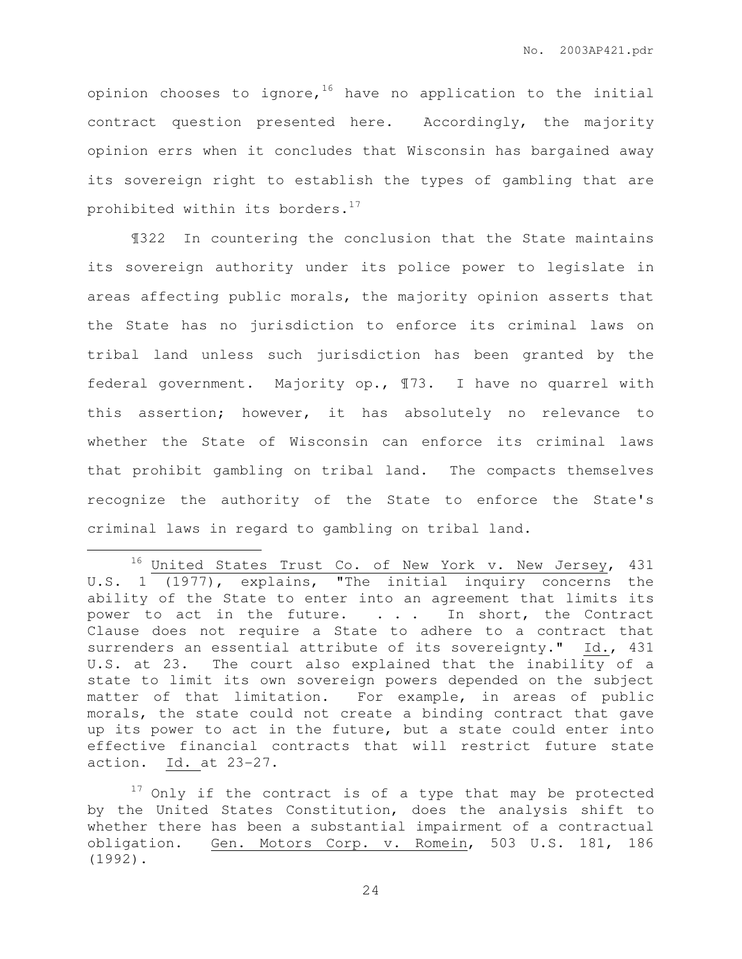opinion chooses to ignore,  $16$  have no application to the initial contract question presented here. Accordingly, the majority opinion errs when it concludes that Wisconsin has bargained away its sovereign right to establish the types of gambling that are prohibited within its borders. $17$ 

¶322 In countering the conclusion that the State maintains its sovereign authority under its police power to legislate in areas affecting public morals, the majority opinion asserts that the State has no jurisdiction to enforce its criminal laws on tribal land unless such jurisdiction has been granted by the federal government. Majority op., ¶73. I have no quarrel with this assertion; however, it has absolutely no relevance to whether the State of Wisconsin can enforce its criminal laws that prohibit gambling on tribal land. The compacts themselves recognize the authority of the State to enforce the State's criminal laws in regard to gambling on tribal land.

 $\overline{a}$ 

 $16$  United States Trust Co. of New York v. New Jersey, 431 U.S. 1 (1977), explains, "The initial inquiry concerns the ability of the State to enter into an agreement that limits its power to act in the future. . . . In short, the Contract Clause does not require a State to adhere to a contract that surrenders an essential attribute of its sovereignty." Id., 431 U.S. at 23. The court also explained that the inability of a state to limit its own sovereign powers depended on the subject matter of that limitation. For example, in areas of public morals, the state could not create a binding contract that gave up its power to act in the future, but a state could enter into effective financial contracts that will restrict future state action. Id. at 23-27.

 $17$  Only if the contract is of a type that may be protected by the United States Constitution, does the analysis shift to whether there has been a substantial impairment of a contractual obligation. Gen. Motors Corp. v. Romein, 503 U.S. 181, 186 (1992).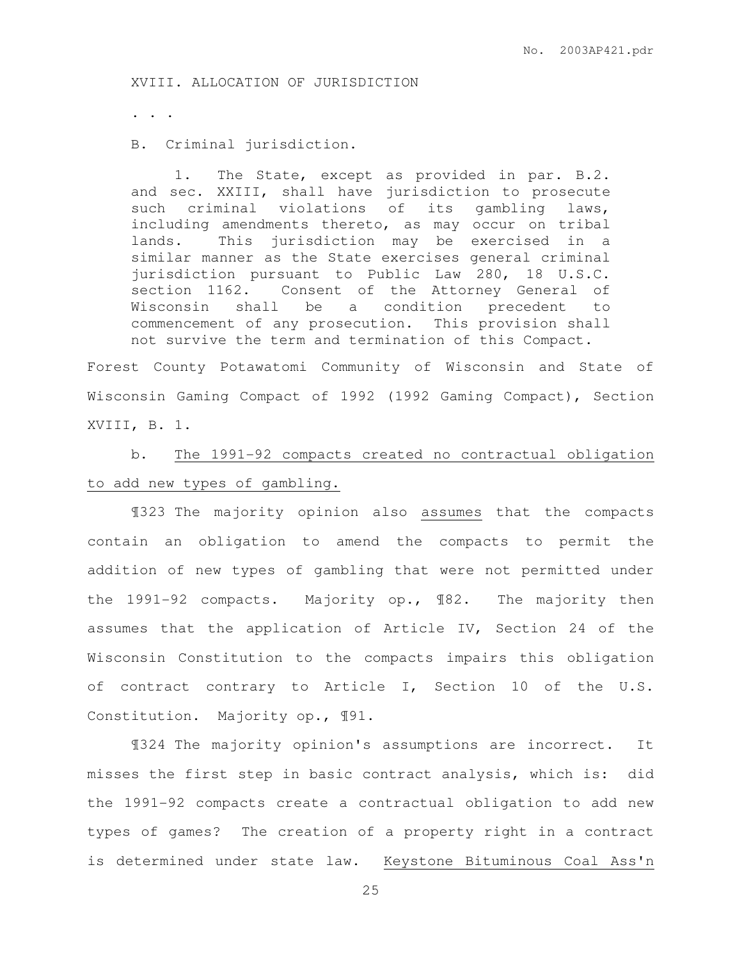XVIII. ALLOCATION OF JURISDICTION

. . .

B. Criminal jurisdiction.

 1. The State, except as provided in par. B.2. and sec. XXIII, shall have jurisdiction to prosecute such criminal violations of its gambling laws, including amendments thereto, as may occur on tribal lands. This jurisdiction may be exercised in a similar manner as the State exercises general criminal jurisdiction pursuant to Public Law 280, 18 U.S.C. section 1162. Consent of the Attorney General of Wisconsin shall be a condition precedent to commencement of any prosecution. This provision shall not survive the term and termination of this Compact.

Forest County Potawatomi Community of Wisconsin and State of Wisconsin Gaming Compact of 1992 (1992 Gaming Compact), Section XVIII, B. 1.

 b. The 1991-92 compacts created no contractual obligation to add new types of gambling.

¶323 The majority opinion also assumes that the compacts contain an obligation to amend the compacts to permit the addition of new types of gambling that were not permitted under the 1991-92 compacts. Majority op., ¶82. The majority then assumes that the application of Article IV, Section 24 of the Wisconsin Constitution to the compacts impairs this obligation of contract contrary to Article I, Section 10 of the U.S. Constitution. Majority op., ¶91.

¶324 The majority opinion's assumptions are incorrect. It misses the first step in basic contract analysis, which is: did the 1991-92 compacts create a contractual obligation to add new types of games? The creation of a property right in a contract is determined under state law. Keystone Bituminous Coal Ass'n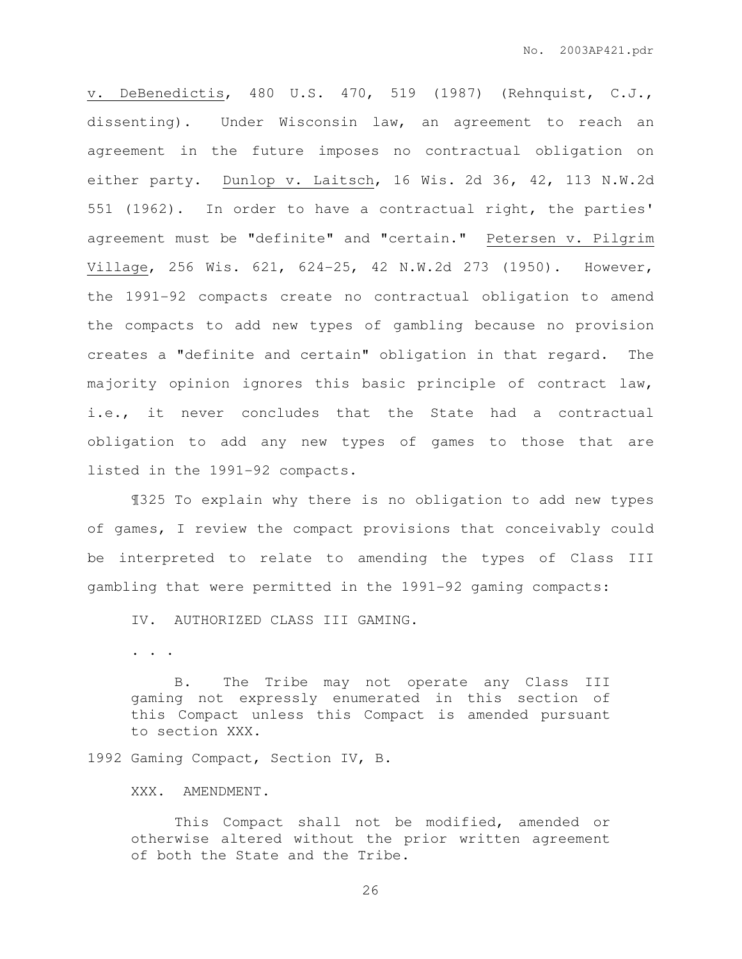v. DeBenedictis, 480 U.S. 470, 519 (1987) (Rehnquist, C.J., dissenting). Under Wisconsin law, an agreement to reach an agreement in the future imposes no contractual obligation on either party. Dunlop v. Laitsch, 16 Wis. 2d 36, 42, 113 N.W.2d 551 (1962). In order to have a contractual right, the parties' agreement must be "definite" and "certain." Petersen v. Pilgrim Village, 256 Wis. 621, 624-25, 42 N.W.2d 273 (1950). However, the 1991-92 compacts create no contractual obligation to amend the compacts to add new types of gambling because no provision creates a "definite and certain" obligation in that regard. The majority opinion ignores this basic principle of contract law, i.e., it never concludes that the State had a contractual obligation to add any new types of games to those that are listed in the 1991-92 compacts.

¶325 To explain why there is no obligation to add new types of games, I review the compact provisions that conceivably could be interpreted to relate to amending the types of Class III gambling that were permitted in the 1991-92 gaming compacts:

IV. AUTHORIZED CLASS III GAMING.

. . .

 B. The Tribe may not operate any Class III gaming not expressly enumerated in this section of this Compact unless this Compact is amended pursuant to section XXX.

1992 Gaming Compact, Section IV, B.

XXX. AMENDMENT.

This Compact shall not be modified, amended or otherwise altered without the prior written agreement of both the State and the Tribe.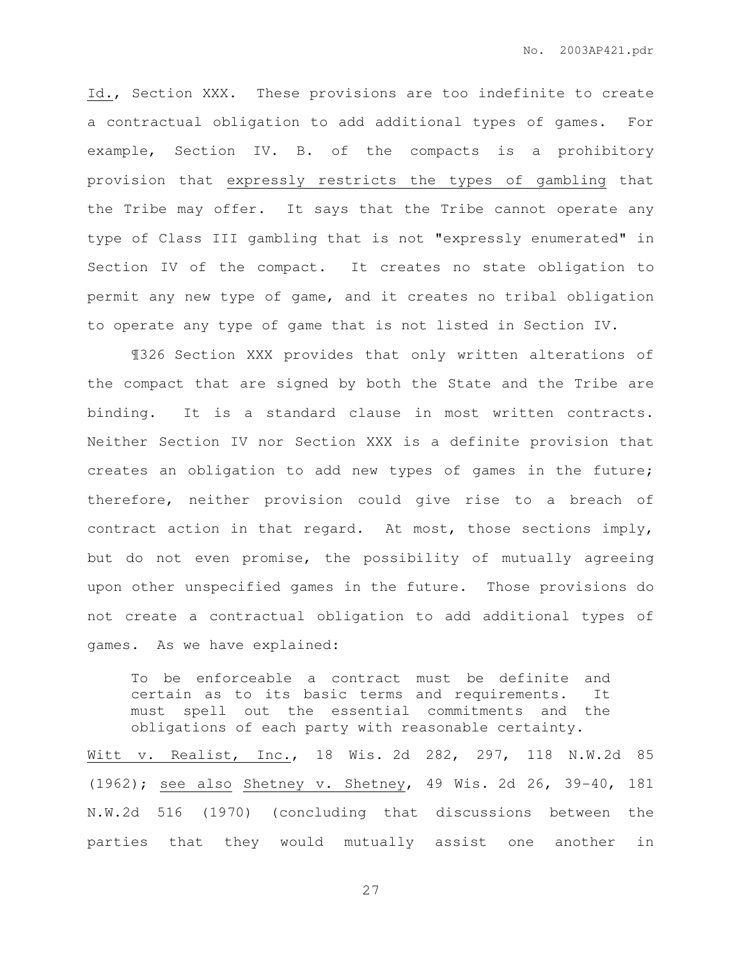Id., Section XXX. These provisions are too indefinite to create a contractual obligation to add additional types of games. For example, Section IV. B. of the compacts is a prohibitory provision that expressly restricts the types of gambling that the Tribe may offer. It says that the Tribe cannot operate any type of Class III gambling that is not "expressly enumerated" in Section IV of the compact. It creates no state obligation to permit any new type of game, and it creates no tribal obligation to operate any type of game that is not listed in Section IV.

¶326 Section XXX provides that only written alterations of the compact that are signed by both the State and the Tribe are binding. It is a standard clause in most written contracts. Neither Section IV nor Section XXX is a definite provision that creates an obligation to add new types of games in the future; therefore, neither provision could give rise to a breach of contract action in that regard. At most, those sections imply, but do not even promise, the possibility of mutually agreeing upon other unspecified games in the future. Those provisions do not create a contractual obligation to add additional types of games. As we have explained:

To be enforceable a contract must be definite and certain as to its basic terms and requirements. It must spell out the essential commitments and the obligations of each party with reasonable certainty.

Witt v. Realist, Inc., 18 Wis. 2d 282, 297, 118 N.W.2d 85 (1962); see also Shetney v. Shetney, 49 Wis. 2d 26, 39-40, 181 N.W.2d 516 (1970) (concluding that discussions between the parties that they would mutually assist one another in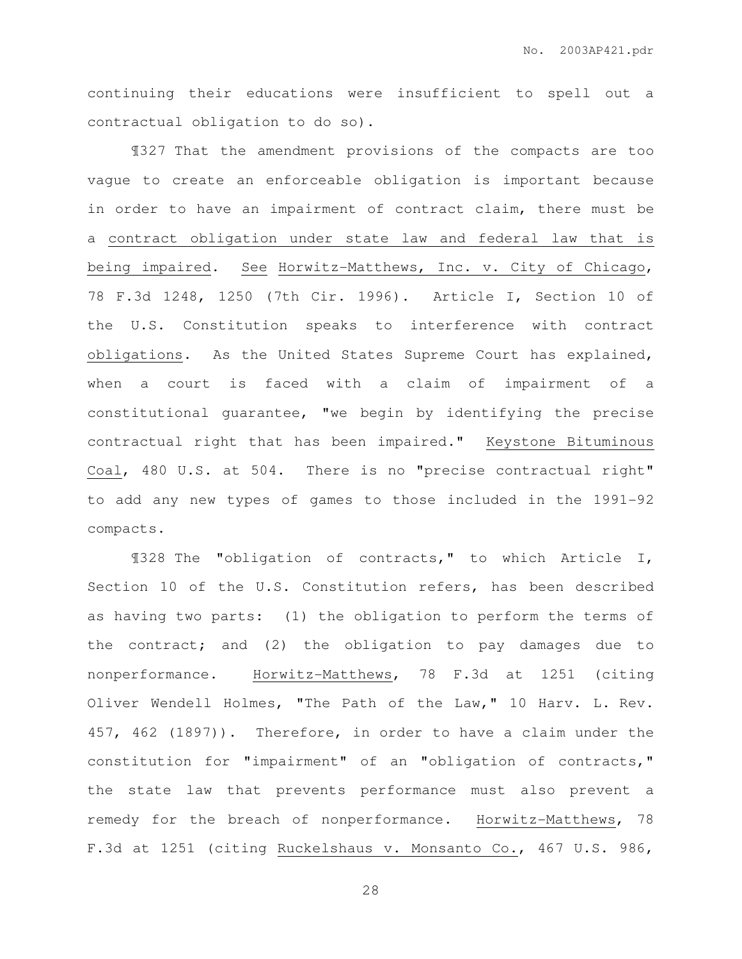continuing their educations were insufficient to spell out a contractual obligation to do so).

¶327 That the amendment provisions of the compacts are too vague to create an enforceable obligation is important because in order to have an impairment of contract claim, there must be a contract obligation under state law and federal law that is being impaired. See Horwitz-Matthews, Inc. v. City of Chicago, 78 F.3d 1248, 1250 (7th Cir. 1996). Article I, Section 10 of the U.S. Constitution speaks to interference with contract obligations. As the United States Supreme Court has explained, when a court is faced with a claim of impairment of a constitutional guarantee, "we begin by identifying the precise contractual right that has been impaired." Keystone Bituminous Coal, 480 U.S. at 504. There is no "precise contractual right" to add any new types of games to those included in the 1991-92 compacts.

¶328 The "obligation of contracts," to which Article I, Section 10 of the U.S. Constitution refers, has been described as having two parts: (1) the obligation to perform the terms of the contract; and (2) the obligation to pay damages due to nonperformance. Horwitz-Matthews, 78 F.3d at 1251 (citing Oliver Wendell Holmes, "The Path of the Law," 10 Harv. L. Rev. 457, 462 (1897)). Therefore, in order to have a claim under the constitution for "impairment" of an "obligation of contracts," the state law that prevents performance must also prevent a remedy for the breach of nonperformance. Horwitz-Matthews, 78 F.3d at 1251 (citing Ruckelshaus v. Monsanto Co., 467 U.S. 986,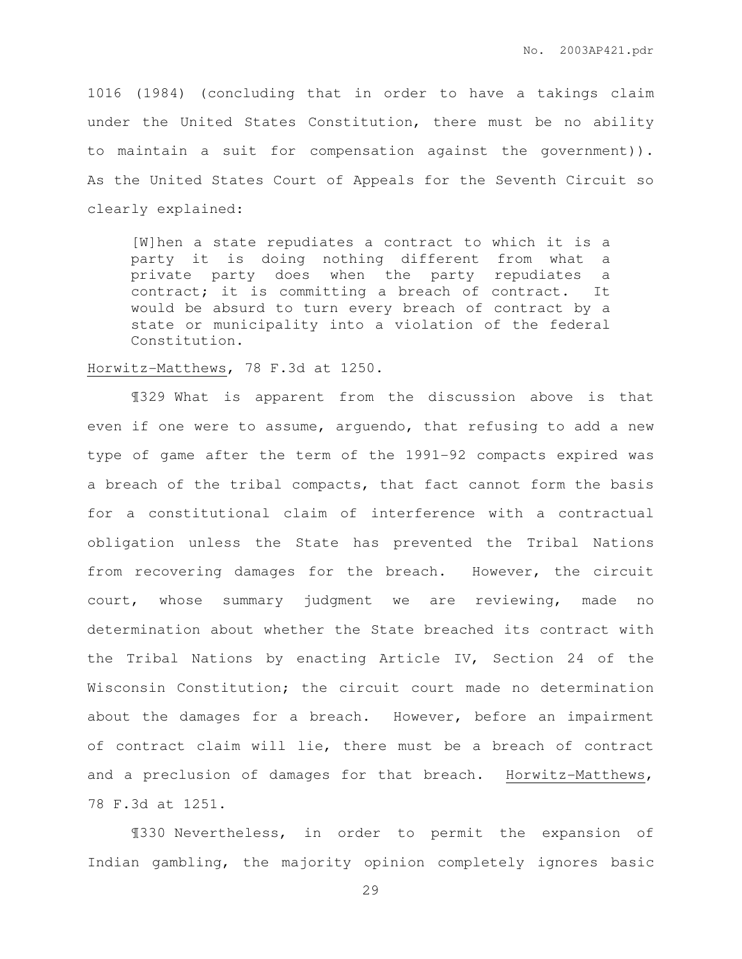1016 (1984) (concluding that in order to have a takings claim under the United States Constitution, there must be no ability to maintain a suit for compensation against the government)). As the United States Court of Appeals for the Seventh Circuit so clearly explained:

[W]hen a state repudiates a contract to which it is a party it is doing nothing different from what a private party does when the party repudiates a contract; it is committing a breach of contract. It would be absurd to turn every breach of contract by a state or municipality into a violation of the federal Constitution.

## Horwitz-Matthews, 78 F.3d at 1250.

¶329 What is apparent from the discussion above is that even if one were to assume, arguendo, that refusing to add a new type of game after the term of the 1991-92 compacts expired was a breach of the tribal compacts, that fact cannot form the basis for a constitutional claim of interference with a contractual obligation unless the State has prevented the Tribal Nations from recovering damages for the breach. However, the circuit court, whose summary judgment we are reviewing, made no determination about whether the State breached its contract with the Tribal Nations by enacting Article IV, Section 24 of the Wisconsin Constitution; the circuit court made no determination about the damages for a breach. However, before an impairment of contract claim will lie, there must be a breach of contract and a preclusion of damages for that breach. Horwitz-Matthews, 78 F.3d at 1251.

¶330 Nevertheless, in order to permit the expansion of Indian gambling, the majority opinion completely ignores basic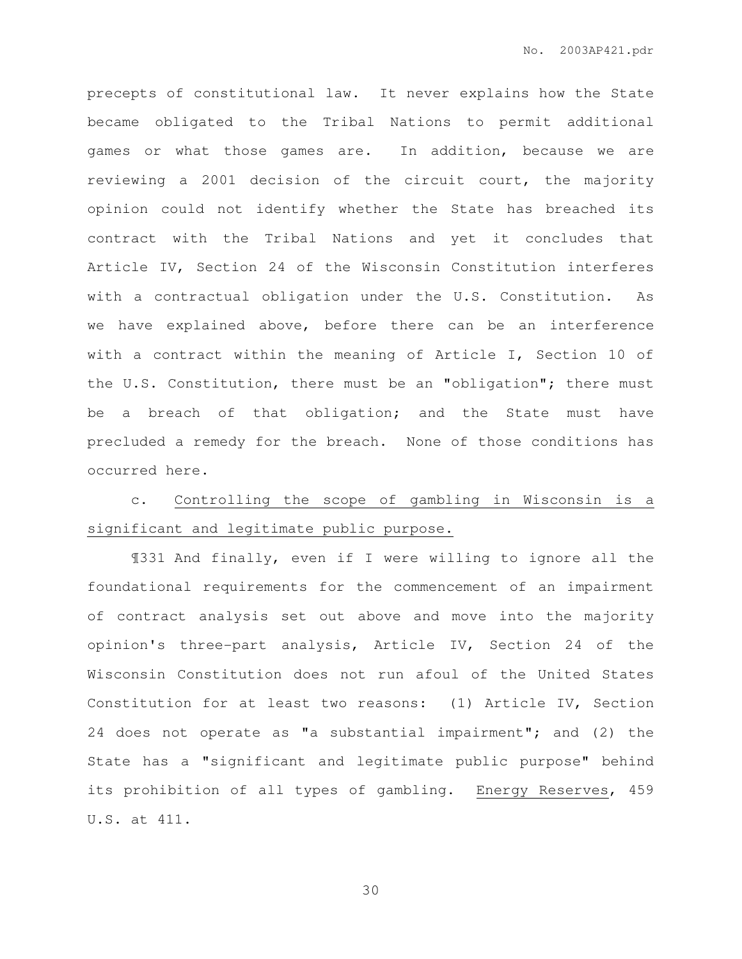precepts of constitutional law. It never explains how the State became obligated to the Tribal Nations to permit additional games or what those games are. In addition, because we are reviewing a 2001 decision of the circuit court, the majority opinion could not identify whether the State has breached its contract with the Tribal Nations and yet it concludes that Article IV, Section 24 of the Wisconsin Constitution interferes with a contractual obligation under the U.S. Constitution. As we have explained above, before there can be an interference with a contract within the meaning of Article I, Section 10 of the U.S. Constitution, there must be an "obligation"; there must be a breach of that obligation; and the State must have precluded a remedy for the breach. None of those conditions has occurred here.

c. Controlling the scope of gambling in Wisconsin is a significant and legitimate public purpose.

¶331 And finally, even if I were willing to ignore all the foundational requirements for the commencement of an impairment of contract analysis set out above and move into the majority opinion's three-part analysis, Article IV, Section 24 of the Wisconsin Constitution does not run afoul of the United States Constitution for at least two reasons: (1) Article IV, Section 24 does not operate as "a substantial impairment"; and (2) the State has a "significant and legitimate public purpose" behind its prohibition of all types of gambling. Energy Reserves, 459 U.S. at 411.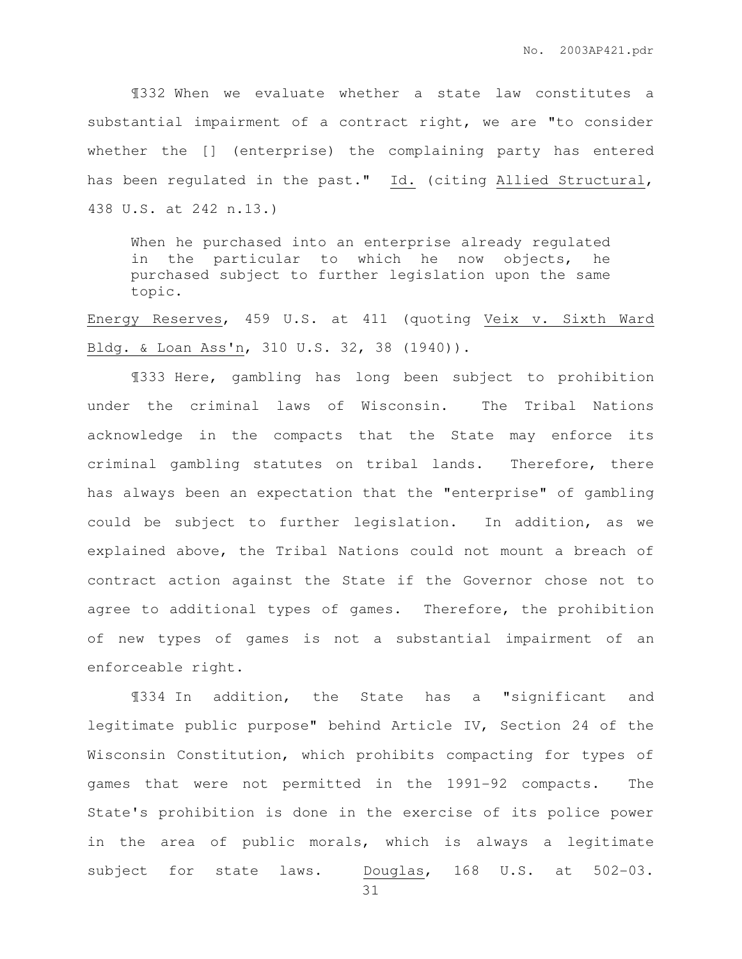¶332 When we evaluate whether a state law constitutes a substantial impairment of a contract right, we are "to consider whether the [] (enterprise) the complaining party has entered has been regulated in the past." Id. (citing Allied Structural, 438 U.S. at 242 n.13.)

When he purchased into an enterprise already regulated in the particular to which he now objects, he purchased subject to further legislation upon the same topic.

Energy Reserves, 459 U.S. at 411 (quoting Veix v. Sixth Ward Bldg. & Loan Ass'n, 310 U.S. 32, 38 (1940)).

¶333 Here, gambling has long been subject to prohibition under the criminal laws of Wisconsin. The Tribal Nations acknowledge in the compacts that the State may enforce its criminal gambling statutes on tribal lands. Therefore, there has always been an expectation that the "enterprise" of gambling could be subject to further legislation. In addition, as we explained above, the Tribal Nations could not mount a breach of contract action against the State if the Governor chose not to agree to additional types of games. Therefore, the prohibition of new types of games is not a substantial impairment of an enforceable right.

¶334 In addition, the State has a "significant and legitimate public purpose" behind Article IV, Section 24 of the Wisconsin Constitution, which prohibits compacting for types of games that were not permitted in the 1991-92 compacts. The State's prohibition is done in the exercise of its police power in the area of public morals, which is always a legitimate subject for state laws. Douglas, 168 U.S. at 502-03.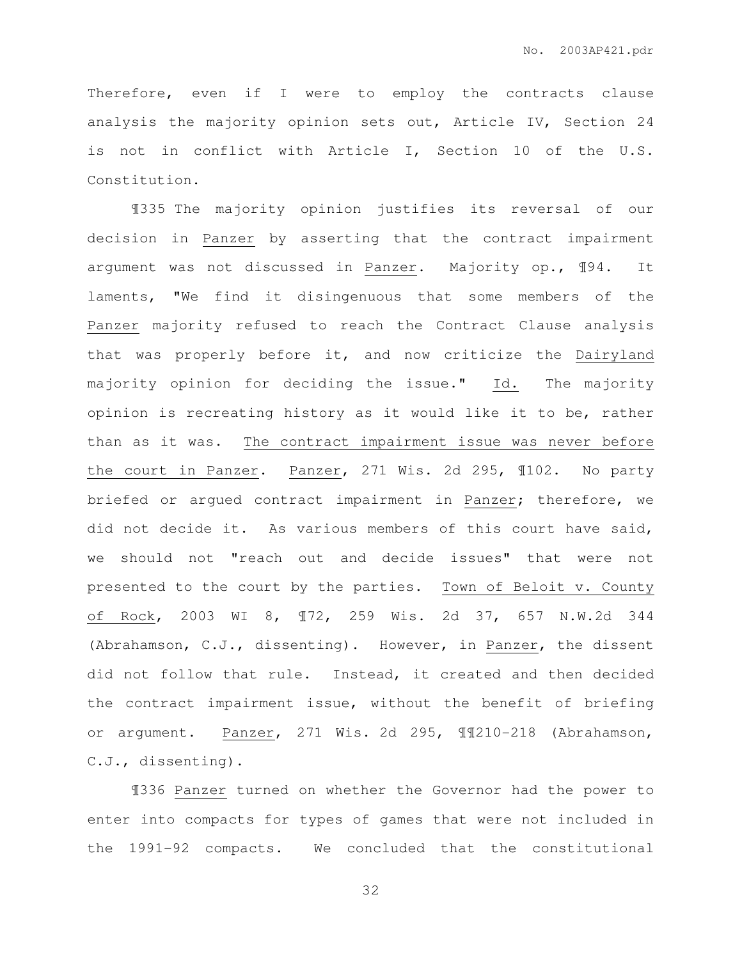Therefore, even if I were to employ the contracts clause analysis the majority opinion sets out, Article IV, Section 24 is not in conflict with Article I, Section 10 of the U.S. Constitution.

¶335 The majority opinion justifies its reversal of our decision in Panzer by asserting that the contract impairment argument was not discussed in Panzer. Majority op., ¶94. It laments, "We find it disingenuous that some members of the Panzer majority refused to reach the Contract Clause analysis that was properly before it, and now criticize the Dairyland majority opinion for deciding the issue." Id. The majority opinion is recreating history as it would like it to be, rather than as it was. The contract impairment issue was never before the court in Panzer. Panzer, 271 Wis. 2d 295, ¶102. No party briefed or argued contract impairment in Panzer; therefore, we did not decide it. As various members of this court have said, we should not "reach out and decide issues" that were not presented to the court by the parties. Town of Beloit v. County of Rock, 2003 WI 8, ¶72, 259 Wis. 2d 37, 657 N.W.2d 344 (Abrahamson, C.J., dissenting). However, in Panzer, the dissent did not follow that rule. Instead, it created and then decided the contract impairment issue, without the benefit of briefing or argument. Panzer, 271 Wis. 2d 295, ¶¶210-218 (Abrahamson, C.J., dissenting).

¶336 Panzer turned on whether the Governor had the power to enter into compacts for types of games that were not included in the 1991-92 compacts. We concluded that the constitutional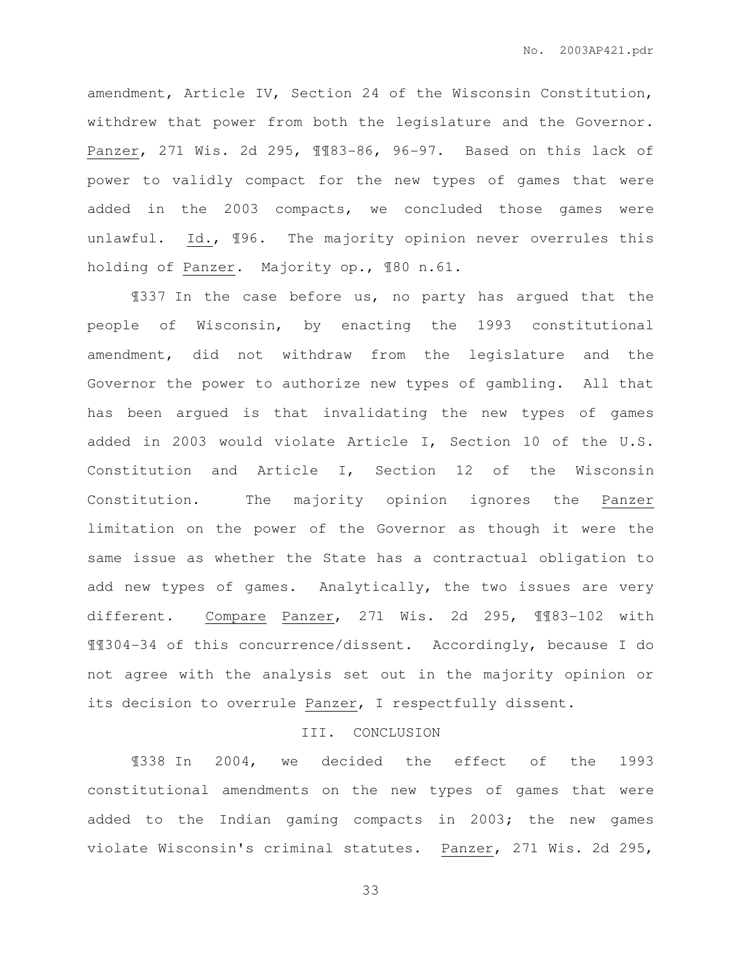amendment, Article IV, Section 24 of the Wisconsin Constitution, withdrew that power from both the legislature and the Governor. Panzer, 271 Wis. 2d 295, ¶¶83-86, 96-97. Based on this lack of power to validly compact for the new types of games that were added in the 2003 compacts, we concluded those games were unlawful. Id., 196. The majority opinion never overrules this holding of Panzer. Majority op., ¶80 n.61.

¶337 In the case before us, no party has argued that the people of Wisconsin, by enacting the 1993 constitutional amendment, did not withdraw from the legislature and the Governor the power to authorize new types of gambling. All that has been argued is that invalidating the new types of games added in 2003 would violate Article I, Section 10 of the U.S. Constitution and Article I, Section 12 of the Wisconsin Constitution. The majority opinion ignores the Panzer limitation on the power of the Governor as though it were the same issue as whether the State has a contractual obligation to add new types of games. Analytically, the two issues are very different. Compare Panzer, 271 Wis. 2d 295, ¶¶83-102 with ¶¶304-34 of this concurrence/dissent. Accordingly, because I do not agree with the analysis set out in the majority opinion or its decision to overrule Panzer, I respectfully dissent.

## III. CONCLUSION

¶338 In 2004, we decided the effect of the 1993 constitutional amendments on the new types of games that were added to the Indian gaming compacts in 2003; the new games violate Wisconsin's criminal statutes. Panzer, 271 Wis. 2d 295,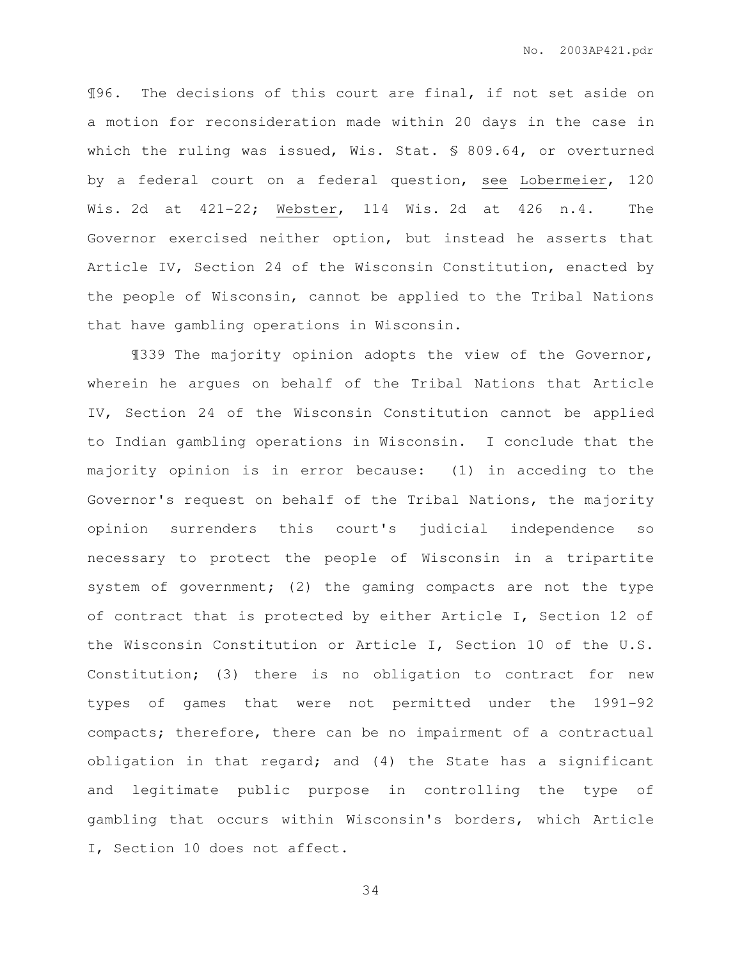¶96. The decisions of this court are final, if not set aside on a motion for reconsideration made within 20 days in the case in which the ruling was issued, Wis. Stat. § 809.64, or overturned by a federal court on a federal question, see Lobermeier, 120 Wis. 2d at 421-22; Webster, 114 Wis. 2d at 426 n.4. The Governor exercised neither option, but instead he asserts that Article IV, Section 24 of the Wisconsin Constitution, enacted by the people of Wisconsin, cannot be applied to the Tribal Nations that have gambling operations in Wisconsin.

¶339 The majority opinion adopts the view of the Governor, wherein he argues on behalf of the Tribal Nations that Article IV, Section 24 of the Wisconsin Constitution cannot be applied to Indian gambling operations in Wisconsin. I conclude that the majority opinion is in error because: (1) in acceding to the Governor's request on behalf of the Tribal Nations, the majority opinion surrenders this court's judicial independence so necessary to protect the people of Wisconsin in a tripartite system of government; (2) the gaming compacts are not the type of contract that is protected by either Article I, Section 12 of the Wisconsin Constitution or Article I, Section 10 of the U.S. Constitution; (3) there is no obligation to contract for new types of games that were not permitted under the 1991-92 compacts; therefore, there can be no impairment of a contractual obligation in that regard; and (4) the State has a significant and legitimate public purpose in controlling the type of gambling that occurs within Wisconsin's borders, which Article I, Section 10 does not affect.